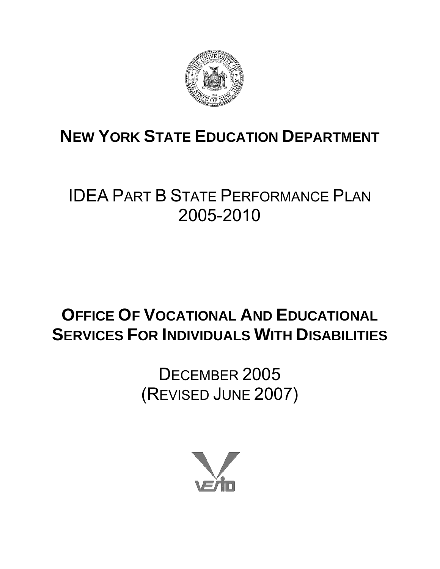

# **NEW YORK STATE EDUCATION DEPARTMENT**

# IDEA PART B STATE PERFORMANCE PLAN 2005-2010

# **OFFICE OF VOCATIONAL AND EDUCATIONAL SERVICES FOR INDIVIDUALS WITH DISABILITIES**

DECEMBER 2005 (REVISED JUNE 2007)

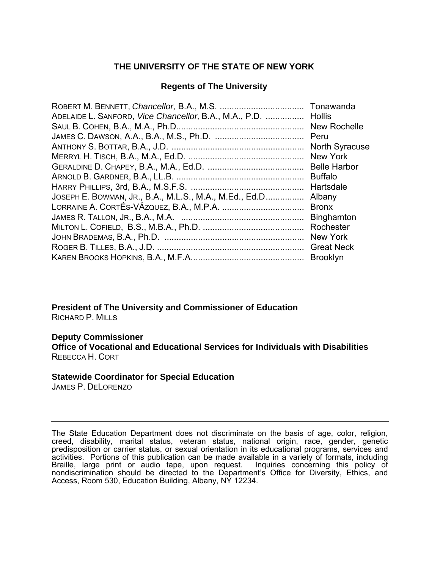## **THE UNIVERSITY OF THE STATE OF NEW YORK**

## **Regents of The University**

| ADELAIDE L. SANFORD, Vice Chancellor, B.A., M.A., P.D. | <b>Hollis</b>         |
|--------------------------------------------------------|-----------------------|
|                                                        | New Rochelle          |
|                                                        |                       |
|                                                        | <b>North Syracuse</b> |
|                                                        | <b>New York</b>       |
|                                                        |                       |
|                                                        | <b>Buffalo</b>        |
|                                                        | Hartsdale             |
| JOSEPH E. BOWMAN, JR., B.A., M.L.S., M.A., M.Ed., Ed.D | Albany                |
|                                                        | <b>Bronx</b>          |
|                                                        |                       |
|                                                        |                       |
|                                                        | New York              |
|                                                        |                       |
|                                                        |                       |

**President of The University and Commissioner of Education** RICHARD P. MILLS

#### **Deputy Commissioner**

**Office of Vocational and Educational Services for Individuals with Disabilities**  REBECCA H. CORT

#### **Statewide Coordinator for Special Education**

JAMES P. DELORENZO

The State Education Department does not discriminate on the basis of age, color, religion, creed, disability, marital status, veteran status, national origin, race, gender, genetic predisposition or carrier status, or sexual orientation in its educational programs, services and activities. Portions of this publication can be made available in a variety of formats, including Braille, large print or audio tape, upon request. Inquiries concerning this policy of nondiscrimination should be directed to the Department's Office for Diversity, Ethics, and Access, Room 530, Education Building, Albany, NY 12234.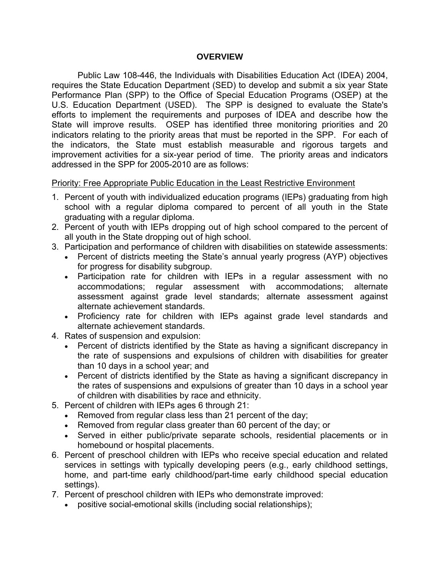#### **OVERVIEW**

Public Law 108-446, the Individuals with Disabilities Education Act (IDEA) 2004, requires the State Education Department (SED) to develop and submit a six year State Performance Plan (SPP) to the Office of Special Education Programs (OSEP) at the U.S. Education Department (USED). The SPP is designed to evaluate the State's efforts to implement the requirements and purposes of IDEA and describe how the State will improve results. OSEP has identified three monitoring priorities and 20 indicators relating to the priority areas that must be reported in the SPP. For each of the indicators, the State must establish measurable and rigorous targets and improvement activities for a six-year period of time.The priority areas and indicators addressed in the SPP for 2005-2010 are as follows:

#### Priority: Free Appropriate Public Education in the Least Restrictive Environment

- 1. Percent of youth with individualized education programs (IEPs) graduating from high school with a regular diploma compared to percent of all youth in the State graduating with a regular diploma.
- 2. Percent of youth with IEPs dropping out of high school compared to the percent of all youth in the State dropping out of high school.
- 3. Participation and performance of children with disabilities on statewide assessments:
	- Percent of districts meeting the State's annual yearly progress (AYP) objectives for progress for disability subgroup.
	- Participation rate for children with IEPs in a regular assessment with no accommodations; regular assessment with accommodations; alternate assessment against grade level standards; alternate assessment against alternate achievement standards.
	- Proficiency rate for children with IEPs against grade level standards and alternate achievement standards.
- 4. Rates of suspension and expulsion:
	- Percent of districts identified by the State as having a significant discrepancy in the rate of suspensions and expulsions of children with disabilities for greater than 10 days in a school year; and
	- Percent of districts identified by the State as having a significant discrepancy in the rates of suspensions and expulsions of greater than 10 days in a school year of children with disabilities by race and ethnicity.
- 5. Percent of children with IEPs ages 6 through 21:
	- Removed from regular class less than 21 percent of the day;
	- Removed from regular class greater than 60 percent of the day; or
	- Served in either public/private separate schools, residential placements or in homebound or hospital placements.
- 6. Percent of preschool children with IEPs who receive special education and related services in settings with typically developing peers (e.g., early childhood settings, home, and part-time early childhood/part-time early childhood special education settings).
- 7. Percent of preschool children with IEPs who demonstrate improved:
	- positive social-emotional skills (including social relationships);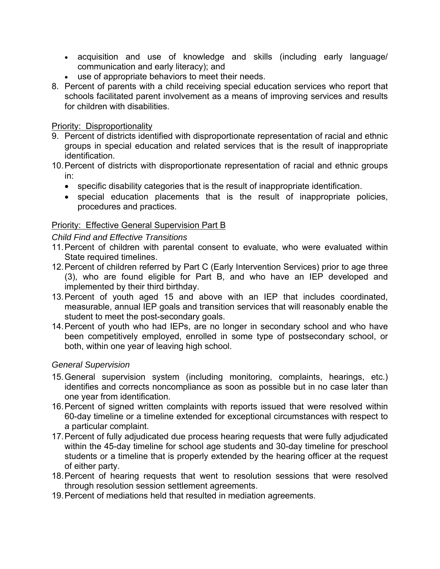- acquisition and use of knowledge and skills (including early language/ communication and early literacy); and
- use of appropriate behaviors to meet their needs.
- 8. Percent of parents with a child receiving special education services who report that schools facilitated parent involvement as a means of improving services and results for children with disabilities.

## Priority: Disproportionality

- 9. Percent of districts identified with disproportionate representation of racial and ethnic groups in special education and related services that is the result of inappropriate identification.
- 10. Percent of districts with disproportionate representation of racial and ethnic groups in:
	- specific disability categories that is the result of inappropriate identification.
	- special education placements that is the result of inappropriate policies, procedures and practices.

## Priority: Effective General Supervision Part B

## *Child Find and Effective Transitions*

- 11. Percent of children with parental consent to evaluate, who were evaluated within State required timelines.
- 12. Percent of children referred by Part C (Early Intervention Services) prior to age three (3), who are found eligible for Part B, and who have an IEP developed and implemented by their third birthday.
- 13. Percent of youth aged 15 and above with an IEP that includes coordinated, measurable, annual IEP goals and transition services that will reasonably enable the student to meet the post-secondary goals.
- 14. Percent of youth who had IEPs, are no longer in secondary school and who have been competitively employed, enrolled in some type of postsecondary school, or both, within one year of leaving high school.

#### *General Supervision*

- 15. General supervision system (including monitoring, complaints, hearings, etc.) identifies and corrects noncompliance as soon as possible but in no case later than one year from identification.
- 16. Percent of signed written complaints with reports issued that were resolved within 60-day timeline or a timeline extended for exceptional circumstances with respect to a particular complaint.
- 17. Percent of fully adjudicated due process hearing requests that were fully adjudicated within the 45-day timeline for school age students and 30-day timeline for preschool students or a timeline that is properly extended by the hearing officer at the request of either party.
- 18. Percent of hearing requests that went to resolution sessions that were resolved through resolution session settlement agreements.
- 19. Percent of mediations held that resulted in mediation agreements.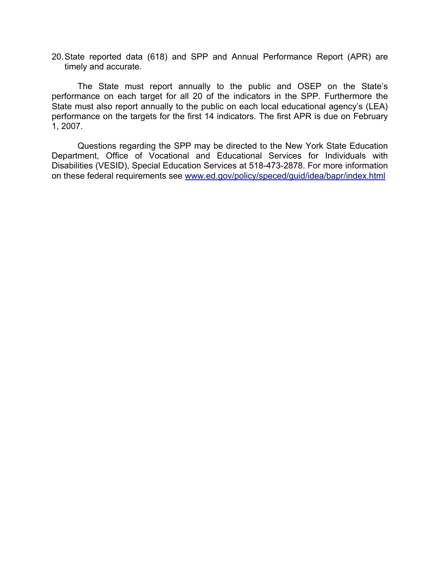20. State reported data (618) and SPP and Annual Performance Report (APR) are timely and accurate.

The State must report annually to the public and OSEP on the State's performance on each target for all 20 of the indicators in the SPP. Furthermore the State must also report annually to the public on each local educational agency's (LEA) performance on the targets for the first 14 indicators. The first APR is due on February 1, 2007.

 Questions regarding the SPP may be directed to the New York State Education Department, Office of Vocational and Educational Services for Individuals with Disabilities (VESID), Special Education Services at 518-473-2878. For more information on these federal requirements see [www.ed.gov/policy/speced/guid/idea/bapr/index.html](http://www.ed.gov/policy/speced/guid/idea/bapr/index.html)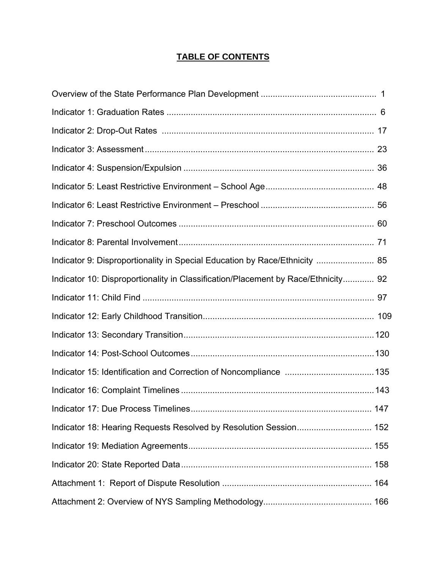## **TABLE OF CONTENTS**

| Indicator 9: Disproportionality in Special Education by Race/Ethnicity  85        |  |
|-----------------------------------------------------------------------------------|--|
| Indicator 10: Disproportionality in Classification/Placement by Race/Ethnicity 92 |  |
|                                                                                   |  |
|                                                                                   |  |
|                                                                                   |  |
|                                                                                   |  |
|                                                                                   |  |
|                                                                                   |  |
| Indicator 17: Due Process Timelines.<br>147                                       |  |
| Indicator 18: Hearing Requests Resolved by Resolution Session 152                 |  |
|                                                                                   |  |
|                                                                                   |  |
|                                                                                   |  |
|                                                                                   |  |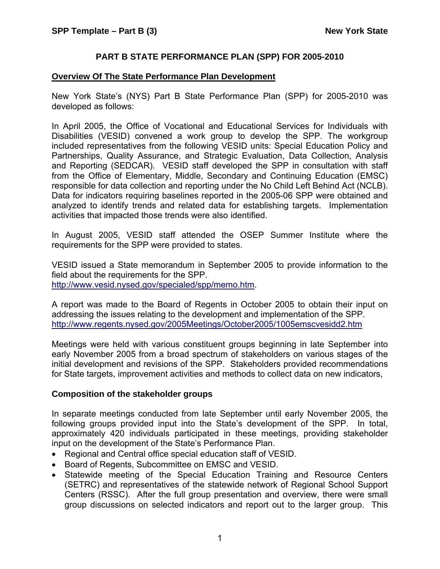#### **PART B STATE PERFORMANCE PLAN (SPP) FOR 2005-2010**

#### **Overview Of The State Performance Plan Development**

New York State's (NYS) Part B State Performance Plan (SPP) for 2005-2010 was developed as follows:

In April 2005, the Office of Vocational and Educational Services for Individuals with Disabilities (VESID) convened a work group to develop the SPP. The workgroup included representatives from the following VESID units: Special Education Policy and Partnerships, Quality Assurance, and Strategic Evaluation, Data Collection, Analysis and Reporting (SEDCAR). VESID staff developed the SPP in consultation with staff from the Office of Elementary, Middle, Secondary and Continuing Education (EMSC) responsible for data collection and reporting under the No Child Left Behind Act (NCLB). Data for indicators requiring baselines reported in the 2005-06 SPP were obtained and analyzed to identify trends and related data for establishing targets. Implementation activities that impacted those trends were also identified.

In August 2005, VESID staff attended the OSEP Summer Institute where the requirements for the SPP were provided to states.

VESID issued a State memorandum in September 2005 to provide information to the field about the requirements for the SPP. <http://www.vesid.nysed.gov/specialed/spp/memo.htm>.

A report was made to the Board of Regents in October 2005 to obtain their input on addressing the issues relating to the development and implementation of the SPP. <http://www.regents.nysed.gov/2005Meetings/October2005/1005emscvesidd2.htm>

Meetings were held with various constituent groups beginning in late September into early November 2005 from a broad spectrum of stakeholders on various stages of the initial development and revisions of the SPP. Stakeholders provided recommendations for State targets, improvement activities and methods to collect data on new indicators,

#### **Composition of the stakeholder groups**

In separate meetings conducted from late September until early November 2005, the following groups provided input into the State's development of the SPP. In total, approximately 420 individuals participated in these meetings, providing stakeholder input on the development of the State's Performance Plan.

- Regional and Central office special education staff of VESID.
- Board of Regents, Subcommittee on EMSC and VESID.
- Statewide meeting of the Special Education Training and Resource Centers (SETRC) and representatives of the statewide network of Regional School Support Centers (RSSC). After the full group presentation and overview, there were small group discussions on selected indicators and report out to the larger group. This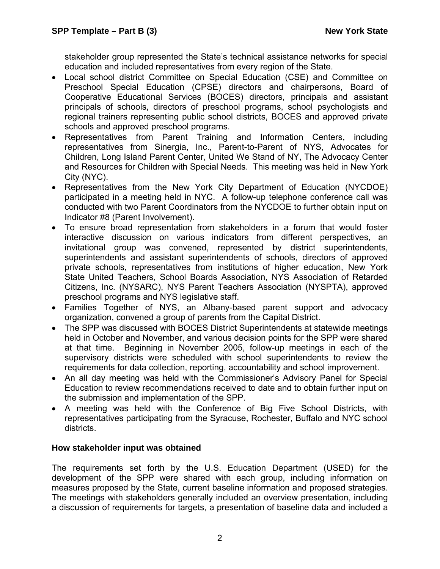stakeholder group represented the State's technical assistance networks for special education and included representatives from every region of the State.

- Local school district Committee on Special Education (CSE) and Committee on Preschool Special Education (CPSE) directors and chairpersons, Board of Cooperative Educational Services (BOCES) directors, principals and assistant principals of schools, directors of preschool programs, school psychologists and regional trainers representing public school districts, BOCES and approved private schools and approved preschool programs.
- Representatives from Parent Training and Information Centers, including representatives from Sinergia, Inc., Parent-to-Parent of NYS, Advocates for Children, Long Island Parent Center, United We Stand of NY, The Advocacy Center and Resources for Children with Special Needs. This meeting was held in New York City (NYC).
- Representatives from the New York City Department of Education (NYCDOE) participated in a meeting held in NYC. A follow-up telephone conference call was conducted with two Parent Coordinators from the NYCDOE to further obtain input on Indicator #8 (Parent Involvement).
- To ensure broad representation from stakeholders in a forum that would foster interactive discussion on various indicators from different perspectives, an invitational group was convened, represented by district superintendents, superintendents and assistant superintendents of schools, directors of approved private schools, representatives from institutions of higher education, New York State United Teachers, School Boards Association, NYS Association of Retarded Citizens, Inc. (NYSARC), NYS Parent Teachers Association (NYSPTA), approved preschool programs and NYS legislative staff.
- Families Together of NYS, an Albany-based parent support and advocacy organization, convened a group of parents from the Capital District.
- The SPP was discussed with BOCES District Superintendents at statewide meetings held in October and November, and various decision points for the SPP were shared at that time. Beginning in November 2005, follow-up meetings in each of the supervisory districts were scheduled with school superintendents to review the requirements for data collection, reporting, accountability and school improvement.
- An all day meeting was held with the Commissioner's Advisory Panel for Special Education to review recommendations received to date and to obtain further input on the submission and implementation of the SPP.
- A meeting was held with the Conference of Big Five School Districts, with representatives participating from the Syracuse, Rochester, Buffalo and NYC school districts.

## **How stakeholder input was obtained**

The requirements set forth by the U.S. Education Department (USED) for the development of the SPP were shared with each group, including information on measures proposed by the State, current baseline information and proposed strategies. The meetings with stakeholders generally included an overview presentation, including a discussion of requirements for targets, a presentation of baseline data and included a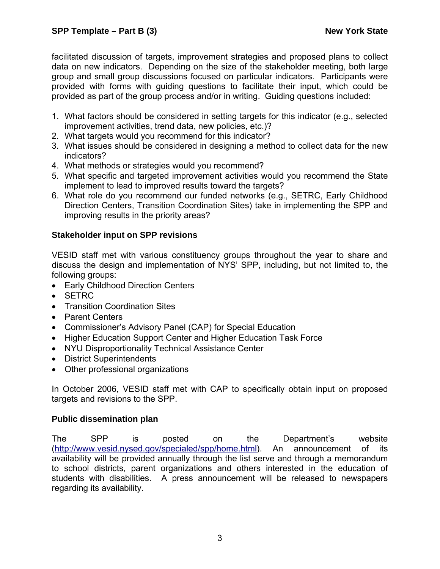facilitated discussion of targets, improvement strategies and proposed plans to collect data on new indicators. Depending on the size of the stakeholder meeting, both large group and small group discussions focused on particular indicators. Participants were provided with forms with guiding questions to facilitate their input, which could be provided as part of the group process and/or in writing. Guiding questions included:

- 1. What factors should be considered in setting targets for this indicator (e.g., selected improvement activities, trend data, new policies, etc.)?
- 2. What targets would you recommend for this indicator?
- 3. What issues should be considered in designing a method to collect data for the new indicators?
- 4. What methods or strategies would you recommend?
- 5. What specific and targeted improvement activities would you recommend the State implement to lead to improved results toward the targets?
- 6. What role do you recommend our funded networks (e.g., SETRC, Early Childhood Direction Centers, Transition Coordination Sites) take in implementing the SPP and improving results in the priority areas?

## **Stakeholder input on SPP revisions**

VESID staff met with various constituency groups throughout the year to share and discuss the design and implementation of NYS' SPP, including, but not limited to, the following groups:

- Early Childhood Direction Centers
- SETRC
- Transition Coordination Sites
- Parent Centers
- Commissioner's Advisory Panel (CAP) for Special Education
- Higher Education Support Center and Higher Education Task Force
- NYU Disproportionality Technical Assistance Center
- District Superintendents
- Other professional organizations

In October 2006, VESID staff met with CAP to specifically obtain input on proposed targets and revisions to the SPP.

#### **Public dissemination plan**

The SPP is posted on the Department's website (<http://www.vesid.nysed.gov/specialed/spp/home.html>). An announcement of its availability will be provided annually through the list serve and through a memorandum to school districts, parent organizations and others interested in the education of students with disabilities. A press announcement will be released to newspapers regarding its availability.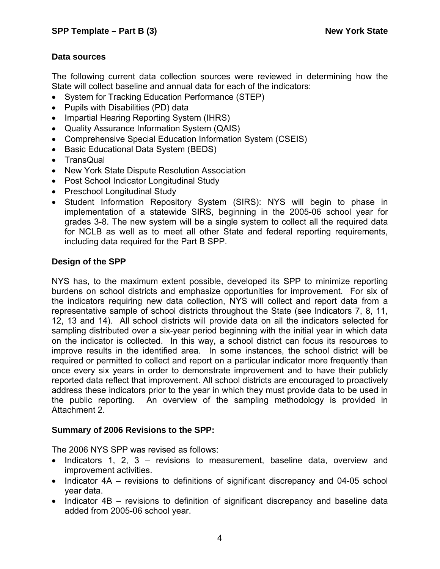## **Data sources**

The following current data collection sources were reviewed in determining how the State will collect baseline and annual data for each of the indicators:

- System for Tracking Education Performance (STEP)
- Pupils with Disabilities (PD) data
- Impartial Hearing Reporting System (IHRS)
- Quality Assurance Information System (QAIS)
- Comprehensive Special Education Information System (CSEIS)
- Basic Educational Data System (BEDS)
- TransQual
- New York State Dispute Resolution Association
- Post School Indicator Longitudinal Study
- Preschool Longitudinal Study
- Student Information Repository System (SIRS): NYS will begin to phase in implementation of a statewide SIRS, beginning in the 2005-06 school year for grades 3-8. The new system will be a single system to collect all the required data for NCLB as well as to meet all other State and federal reporting requirements, including data required for the Part B SPP.

## **Design of the SPP**

NYS has, to the maximum extent possible, developed its SPP to minimize reporting burdens on school districts and emphasize opportunities for improvement. For six of the indicators requiring new data collection, NYS will collect and report data from a representative sample of school districts throughout the State (see Indicators 7, 8, 11, 12, 13 and 14). All school districts will provide data on all the indicators selected for sampling distributed over a six-year period beginning with the initial year in which data on the indicator is collected. In this way, a school district can focus its resources to improve results in the identified area. In some instances, the school district will be required or permitted to collect and report on a particular indicator more frequently than once every six years in order to demonstrate improvement and to have their publicly reported data reflect that improvement. All school districts are encouraged to proactively address these indicators prior to the year in which they must provide data to be used in the public reporting. An overview of the sampling methodology is provided in Attachment 2.

## **Summary of 2006 Revisions to the SPP:**

The 2006 NYS SPP was revised as follows:

- Indicators 1, 2, 3 revisions to measurement, baseline data, overview and improvement activities.
- Indicator 4A revisions to definitions of significant discrepancy and 04-05 school year data.
- Indicator 4B revisions to definition of significant discrepancy and baseline data added from 2005-06 school year.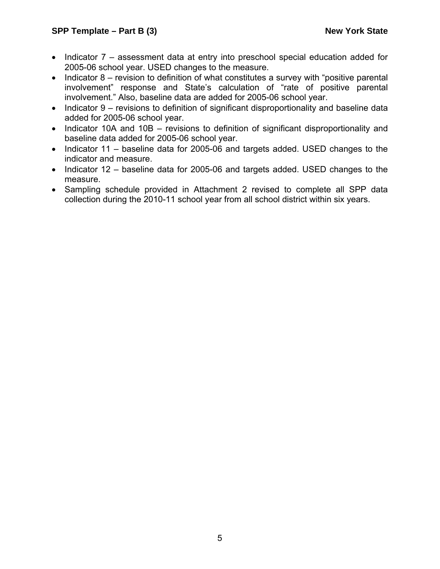- Indicator 7 assessment data at entry into preschool special education added for 2005-06 school year. USED changes to the measure.
- Indicator 8 revision to definition of what constitutes a survey with "positive parental involvement" response and State's calculation of "rate of positive parental involvement." Also, baseline data are added for 2005-06 school year.
- Indicator 9 revisions to definition of significant disproportionality and baseline data added for 2005-06 school year.
- Indicator 10A and 10B revisions to definition of significant disproportionality and baseline data added for 2005-06 school year.
- Indicator 11 baseline data for 2005-06 and targets added. USED changes to the indicator and measure.
- Indicator 12 baseline data for 2005-06 and targets added. USED changes to the measure.
- Sampling schedule provided in Attachment 2 revised to complete all SPP data collection during the 2010-11 school year from all school district within six years.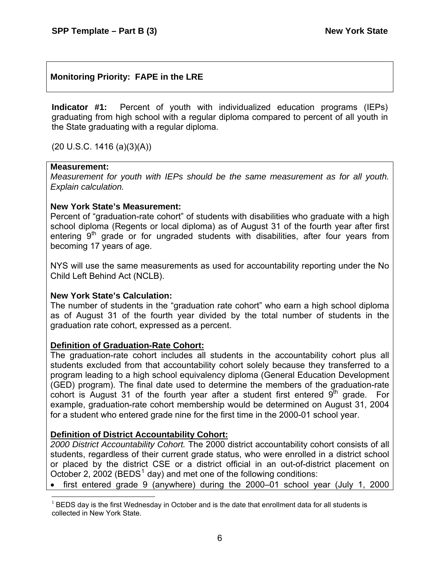## **Monitoring Priority: FAPE in the LRE**

**Indicator #1:** Percent of youth with individualized education programs (IEPs) graduating from high school with a regular diploma compared to percent of all youth in the State graduating with a regular diploma.

(20 U.S.C. 1416 (a)(3)(A))

#### **Measurement:**

*Measurement for youth with IEPs should be the same measurement as for all youth. Explain calculation.*

#### **New York State's Measurement:**

Percent of "graduation-rate cohort" of students with disabilities who graduate with a high school diploma (Regents or local diploma) as of August 31 of the fourth year after first entering  $9<sup>th</sup>$  grade or for ungraded students with disabilities, after four years from becoming 17 years of age.

NYS will use the same measurements as used for accountability reporting under the No Child Left Behind Act (NCLB).

#### **New York State's Calculation:**

The number of students in the "graduation rate cohort" who earn a high school diploma as of August 31 of the fourth year divided by the total number of students in the graduation rate cohort, expressed as a percent.

#### **Definition of Graduation-Rate Cohort:**

The graduation-rate cohort includes all students in the accountability cohort plus all students excluded from that accountability cohort solely because they transferred to a program leading to a high school equivalency diploma (General Education Development (GED) program). The final date used to determine the members of the graduation-rate cohort is August 31 of the fourth year after a student first entered  $9<sup>th</sup>$  grade. For example, graduation-rate cohort membership would be determined on August 31, 2004 for a student who entered grade nine for the first time in the 2000-01 school year.

## **Definition of District Accountability Cohort:**

*2000 District Accountability Cohort.* The 2000 district accountability cohort consists of all students, regardless of their current grade status, who were enrolled in a district school or placed by the district CSE or a district official in an out-of-district placement on October 2, 2002 (BEDS<sup>[1](#page-11-0)</sup> day) and met one of the following conditions:

• first entered grade 9 (anywhere) during the 2000–01 school year (July 1, 2000

<span id="page-11-0"></span> $\overline{a}$  $<sup>1</sup>$  BEDS day is the first Wednesday in October and is the date that enrollment data for all students is</sup> collected in New York State.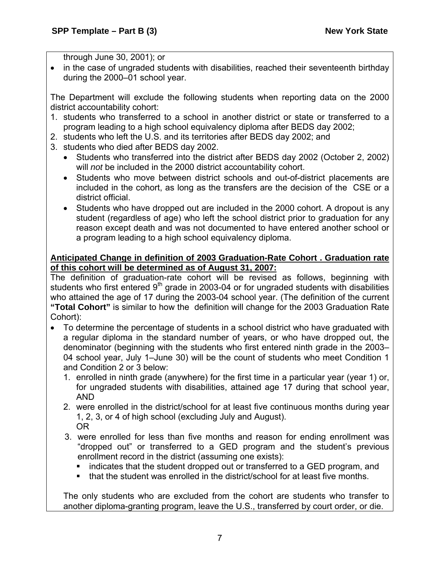through June 30, 2001); or

• in the case of ungraded students with disabilities, reached their seventeenth birthday during the 2000–01 school year.

The Department will exclude the following students when reporting data on the 2000 district accountability cohort:

- 1. students who transferred to a school in another district or state or transferred to a program leading to a high school equivalency diploma after BEDS day 2002;
- 2. students who left the U.S. and its territories after BEDS day 2002; and
- 3. students who died after BEDS day 2002.
	- Students who transferred into the district after BEDS day 2002 (October 2, 2002) will *not* be included in the 2000 district accountability cohort.
	- Students who move between district schools and out-of-district placements are included in the cohort, as long as the transfers are the decision of the CSE or a district official.
	- Students who have dropped out are included in the 2000 cohort. A dropout is any student (regardless of age) who left the school district prior to graduation for any reason except death and was not documented to have entered another school or a program leading to a high school equivalency diploma.

## **Anticipated Change in definition of 2003 Graduation-Rate Cohort . Graduation rate of this cohort will be determined as of August 31, 2007:**

The definition of graduation-rate cohort will be revised as follows, beginning with students who first entered  $9<sup>th</sup>$  grade in 2003-04 or for ungraded students with disabilities who attained the age of 17 during the 2003-04 school year. (The definition of the current **"Total Cohort"** is similar to how the definition will change for the 2003 Graduation Rate Cohort):

- To determine the percentage of students in a school district who have graduated with a regular diploma in the standard number of years, or who have dropped out, the denominator (beginning with the students who first entered ninth grade in the 2003– 04 school year, July 1–June 30) will be the count of students who meet Condition 1 and Condition 2 or 3 below:
	- 1. enrolled in ninth grade (anywhere) for the first time in a particular year (year 1) or, for ungraded students with disabilities, attained age 17 during that school year, AND
	- 2. were enrolled in the district/school for at least five continuous months during year 1, 2, 3, or 4 of high school (excluding July and August). OR
	- 3. were enrolled for less than five months and reason for ending enrollment was "dropped out" or transferred to a GED program and the student's previous enrollment record in the district (assuming one exists):
		- indicates that the student dropped out or transferred to a GED program, and
		- that the student was enrolled in the district/school for at least five months.

The only students who are excluded from the cohort are students who transfer to another diploma-granting program, leave the U.S., transferred by court order, or die.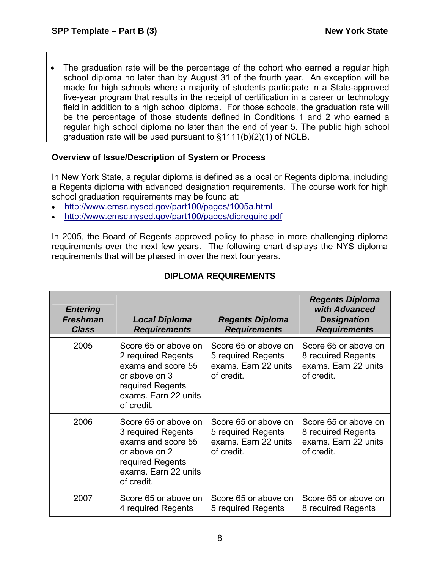• The graduation rate will be the percentage of the cohort who earned a regular high school diploma no later than by August 31 of the fourth year. An exception will be made for high schools where a majority of students participate in a State-approved five-year program that results in the receipt of certification in a career or technology field in addition to a high school diploma. For those schools, the graduation rate will be the percentage of those students defined in Conditions 1 and 2 who earned a regular high school diploma no later than the end of year 5. The public high school graduation rate will be used pursuant to §1111(b)(2)(1) of NCLB.

## **Overview of Issue/Description of System or Process**

In New York State, a regular diploma is defined as a local or Regents diploma, including a Regents diploma with advanced designation requirements. The course work for high school graduation requirements may be found at:

- <http://www.emsc.nysed.gov/part100/pages/1005a.html>
- <http://www.emsc.nysed.gov/part100/pages/diprequire.pdf>

In 2005, the Board of Regents approved policy to phase in more challenging diploma requirements over the next few years. The following chart displays the NYS diploma requirements that will be phased in over the next four years.

| <b>Entering</b><br><b>Freshman</b><br><b>Class</b> | <b>Local Diploma</b><br><b>Requirements</b>                                                                                                 | <b>Regents Diploma</b><br><b>Requirements</b>                                    | <b>Regents Diploma</b><br>with Advanced<br><b>Designation</b><br><b>Requirements</b> |
|----------------------------------------------------|---------------------------------------------------------------------------------------------------------------------------------------------|----------------------------------------------------------------------------------|--------------------------------------------------------------------------------------|
| 2005                                               | Score 65 or above on<br>2 required Regents<br>exams and score 55<br>or above on 3<br>required Regents<br>exams. Earn 22 units<br>of credit. | Score 65 or above on<br>5 required Regents<br>exams. Earn 22 units<br>of credit. | Score 65 or above on<br>8 required Regents<br>exams. Earn 22 units<br>of credit.     |
| 2006                                               | Score 65 or above on<br>3 required Regents<br>exams and score 55<br>or above on 2<br>required Regents<br>exams. Earn 22 units<br>of credit. | Score 65 or above on<br>5 required Regents<br>exams. Earn 22 units<br>of credit. | Score 65 or above on<br>8 required Regents<br>exams. Earn 22 units<br>of credit.     |
| 2007                                               | Score 65 or above on<br>4 required Regents                                                                                                  | Score 65 or above on<br>5 required Regents                                       | Score 65 or above on<br>8 required Regents                                           |

## **DIPLOMA REQUIREMENTS**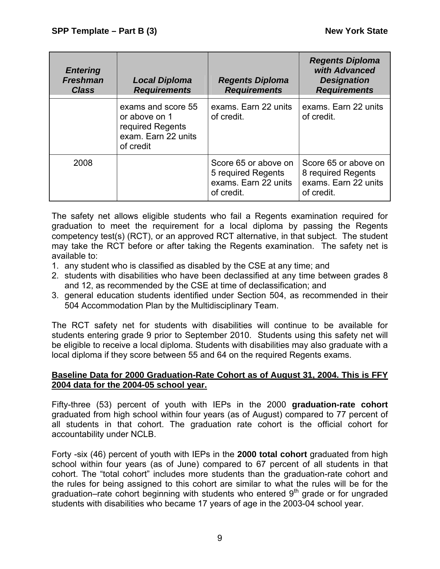| <b>Entering</b><br><b>Freshman</b><br><b>Class</b> | <b>Local Diploma</b><br><b>Requirements</b>                                                 | <b>Regents Diploma</b><br><b>Requirements</b>                                    | <b>Regents Diploma</b><br>with Advanced<br><b>Designation</b><br><b>Requirements</b> |
|----------------------------------------------------|---------------------------------------------------------------------------------------------|----------------------------------------------------------------------------------|--------------------------------------------------------------------------------------|
|                                                    | exams and score 55<br>or above on 1<br>required Regents<br>exam. Earn 22 units<br>of credit | exams. Earn 22 units<br>of credit.                                               | exams. Earn 22 units<br>of credit.                                                   |
| 2008                                               |                                                                                             | Score 65 or above on<br>5 required Regents<br>exams. Earn 22 units<br>of credit. | Score 65 or above on<br>8 required Regents<br>exams. Earn 22 units<br>of credit.     |

The safety net allows eligible students who fail a Regents examination required for graduation to meet the requirement for a local diploma by passing the Regents competency test(s) (RCT), or an approved RCT alternative, in that subject. The student may take the RCT before or after taking the Regents examination. The safety net is available to:

- 1. any student who is classified as disabled by the CSE at any time; and
- 2. students with disabilities who have been declassified at any time between grades 8 and 12, as recommended by the CSE at time of declassification; and
- 3. general education students identified under Section 504, as recommended in their 504 Accommodation Plan by the Multidisciplinary Team.

The RCT safety net for students with disabilities will continue to be available for students entering grade 9 prior to September 2010. Students using this safety net will be eligible to receive a local diploma. Students with disabilities may also graduate with a local diploma if they score between 55 and 64 on the required Regents exams.

#### **Baseline Data for 2000 Graduation-Rate Cohort as of August 31, 2004. This is FFY 2004 data for the 2004-05 school year.**

Fifty-three (53) percent of youth with IEPs in the 2000 **graduation-rate cohort**  graduated from high school within four years (as of August) compared to 77 percent of all students in that cohort. The graduation rate cohort is the official cohort for accountability under NCLB.

Forty -six (46) percent of youth with IEPs in the **2000 total cohort** graduated from high school within four years (as of June) compared to 67 percent of all students in that cohort. The "total cohort" includes more students than the graduation-rate cohort and the rules for being assigned to this cohort are similar to what the rules will be for the graduation–rate cohort beginning with students who entered  $9<sup>th</sup>$  grade or for ungraded students with disabilities who became 17 years of age in the 2003-04 school year.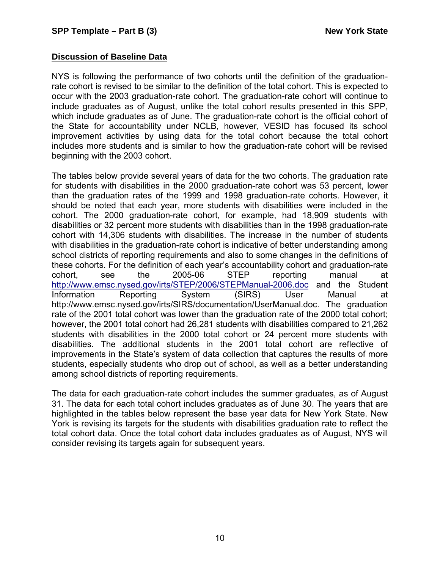#### **Discussion of Baseline Data**

NYS is following the performance of two cohorts until the definition of the graduationrate cohort is revised to be similar to the definition of the total cohort. This is expected to occur with the 2003 graduation-rate cohort. The graduation-rate cohort will continue to include graduates as of August, unlike the total cohort results presented in this SPP, which include graduates as of June. The graduation-rate cohort is the official cohort of the State for accountability under NCLB, however, VESID has focused its school improvement activities by using data for the total cohort because the total cohort includes more students and is similar to how the graduation-rate cohort will be revised beginning with the 2003 cohort.

The tables below provide several years of data for the two cohorts. The graduation rate for students with disabilities in the 2000 graduation-rate cohort was 53 percent, lower than the graduation rates of the 1999 and 1998 graduation-rate cohorts. However, it should be noted that each year, more students with disabilities were included in the cohort. The 2000 graduation-rate cohort, for example, had 18,909 students with disabilities or 32 percent more students with disabilities than in the 1998 graduation-rate cohort with 14,306 students with disabilities. The increase in the number of students with disabilities in the graduation-rate cohort is indicative of better understanding among school districts of reporting requirements and also to some changes in the definitions of these cohorts. For the definition of each year's accountability cohort and graduation-rate cohort, see the 2005-06 STEP reporting manual at <http://www.emsc.nysed.gov/irts/STEP/2006/STEPManual-2006.doc> and the Student Information Reporting System (SIRS) User Manual at http://www.emsc.nysed.gov/irts/SIRS/documentation/UserManual.doc. The graduation rate of the 2001 total cohort was lower than the graduation rate of the 2000 total cohort; however, the 2001 total cohort had 26,281 students with disabilities compared to 21,262 students with disabilities in the 2000 total cohort or 24 percent more students with disabilities. The additional students in the 2001 total cohort are reflective of improvements in the State's system of data collection that captures the results of more students, especially students who drop out of school, as well as a better understanding among school districts of reporting requirements.

The data for each graduation-rate cohort includes the summer graduates, as of August 31. The data for each total cohort includes graduates as of June 30. The years that are highlighted in the tables below represent the base year data for New York State. New York is revising its targets for the students with disabilities graduation rate to reflect the total cohort data. Once the total cohort data includes graduates as of August, NYS will consider revising its targets again for subsequent years.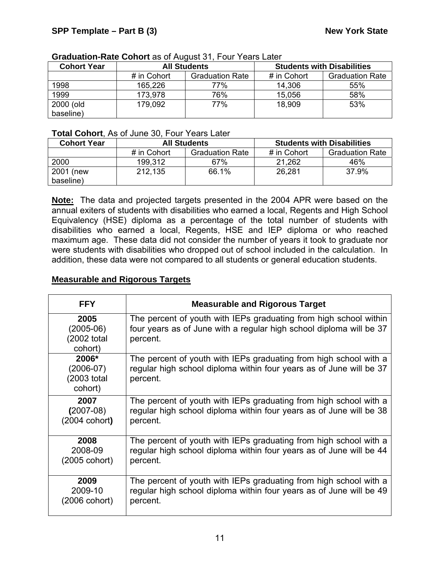| <b>Cohort Year</b> | <b>All Students</b> |                        |             | <b>Students with Disabilities</b> |
|--------------------|---------------------|------------------------|-------------|-----------------------------------|
|                    | # in Cohort         | <b>Graduation Rate</b> | # in Cohort | <b>Graduation Rate</b>            |
| 1998               | 165.226             | 77%                    | 14,306      | 55%                               |
| 1999               | 173,978             | 76%                    | 15,056      | 58%                               |
| 2000 (old          | 179,092             | 77%                    | 18,909      | 53%                               |
| baseline)          |                     |                        |             |                                   |

#### **Graduation-Rate Cohort** as of August 31, Four Years Later

## **Total Cohort**, As of June 30, Four Years Later

| <b>Cohort Year</b> | <b>All Students</b> |                        | <b>Students with Disabilities</b> |                        |
|--------------------|---------------------|------------------------|-----------------------------------|------------------------|
|                    | # in Cohort         | <b>Graduation Rate</b> | # in Cohort                       | <b>Graduation Rate</b> |
| 2000               | 199,312             | 67%                    | 21,262                            | 46%                    |
| 2001 (new          | 212,135             | 66.1%                  | 26,281                            | 37.9%                  |
| baseline)          |                     |                        |                                   |                        |

**Note:** The data and projected targets presented in the 2004 APR were based on the annual exiters of students with disabilities who earned a local, Regents and High School Equivalency (HSE) diploma as a percentage of the total number of students with disabilities who earned a local, Regents, HSE and IEP diploma or who reached maximum age. These data did not consider the number of years it took to graduate nor were students with disabilities who dropped out of school included in the calculation. In addition, these data were not compared to all students or general education students.

## **Measurable and Rigorous Targets**

| <b>FFY</b>                                     | <b>Measurable and Rigorous Target</b>                                                                                                                |
|------------------------------------------------|------------------------------------------------------------------------------------------------------------------------------------------------------|
| 2005<br>$(2005-06)$<br>(2002 total<br>cohort)  | The percent of youth with IEPs graduating from high school within<br>four years as of June with a regular high school diploma will be 37<br>percent. |
| 2006*<br>$(2006-07)$<br>(2003 total<br>cohort) | The percent of youth with IEPs graduating from high school with a<br>regular high school diploma within four years as of June will be 37<br>percent. |
| 2007                                           | The percent of youth with IEPs graduating from high school with a                                                                                    |
| $(2007-08)$                                    | regular high school diploma within four years as of June will be 38                                                                                  |
| (2004 cohort)                                  | percent.                                                                                                                                             |
| 2008                                           | The percent of youth with IEPs graduating from high school with a                                                                                    |
| 2008-09                                        | regular high school diploma within four years as of June will be 44                                                                                  |
| (2005 cohort)                                  | percent.                                                                                                                                             |
| 2009                                           | The percent of youth with IEPs graduating from high school with a                                                                                    |
| 2009-10                                        | regular high school diploma within four years as of June will be 49                                                                                  |
| (2006 cohort)                                  | percent.                                                                                                                                             |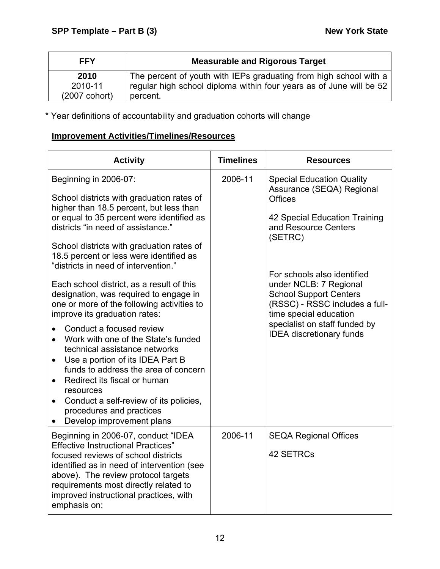| <b>FFY</b>              | <b>Measurable and Rigorous Target</b>                                                                                                    |
|-------------------------|------------------------------------------------------------------------------------------------------------------------------------------|
| 2010<br>2010-11         | The percent of youth with IEPs graduating from high school with a<br>regular high school diploma within four years as of June will be 52 |
| $(2007 \text{ cohort})$ | percent.                                                                                                                                 |

\* Year definitions of accountability and graduation cohorts will change

# **Improvement Activities/Timelines/Resources**

| <b>Activity</b>                                                                                                                                                                                                                                                                                                                                                                                                                                                                                                                                                                                                                                                                                                                                                                                                                                                               | <b>Timelines</b> | <b>Resources</b>                                                                                                                                                                                                                                                                                                                                                              |
|-------------------------------------------------------------------------------------------------------------------------------------------------------------------------------------------------------------------------------------------------------------------------------------------------------------------------------------------------------------------------------------------------------------------------------------------------------------------------------------------------------------------------------------------------------------------------------------------------------------------------------------------------------------------------------------------------------------------------------------------------------------------------------------------------------------------------------------------------------------------------------|------------------|-------------------------------------------------------------------------------------------------------------------------------------------------------------------------------------------------------------------------------------------------------------------------------------------------------------------------------------------------------------------------------|
| Beginning in 2006-07:<br>School districts with graduation rates of<br>higher than 18.5 percent, but less than<br>or equal to 35 percent were identified as<br>districts "in need of assistance."<br>School districts with graduation rates of<br>18.5 percent or less were identified as<br>"districts in need of intervention."<br>Each school district, as a result of this<br>designation, was required to engage in<br>one or more of the following activities to<br>improve its graduation rates:<br>Conduct a focused review<br>Work with one of the State's funded<br>technical assistance networks<br>Use a portion of its IDEA Part B<br>$\bullet$<br>funds to address the area of concern<br>Redirect its fiscal or human<br>$\bullet$<br>resources<br>Conduct a self-review of its policies,<br>$\bullet$<br>procedures and practices<br>Develop improvement plans | 2006-11          | <b>Special Education Quality</b><br>Assurance (SEQA) Regional<br><b>Offices</b><br>42 Special Education Training<br>and Resource Centers<br>(SETRC)<br>For schools also identified<br>under NCLB: 7 Regional<br><b>School Support Centers</b><br>(RSSC) - RSSC includes a full-<br>time special education<br>specialist on staff funded by<br><b>IDEA</b> discretionary funds |
| Beginning in 2006-07, conduct "IDEA<br><b>Effective Instructional Practices"</b><br>focused reviews of school districts<br>identified as in need of intervention (see<br>above). The review protocol targets<br>requirements most directly related to<br>improved instructional practices, with<br>emphasis on:                                                                                                                                                                                                                                                                                                                                                                                                                                                                                                                                                               | 2006-11          | <b>SEQA Regional Offices</b><br>42 SETRCs                                                                                                                                                                                                                                                                                                                                     |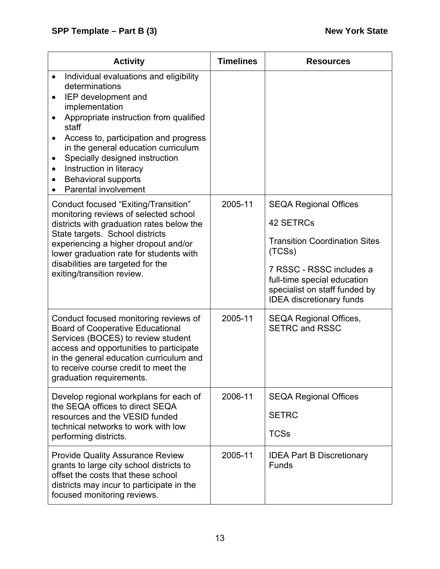| <b>Activity</b>                                                                                                                                                                                                                                                                                                                                                                                                                                   | <b>Timelines</b> | <b>Resources</b>                                                                                                                                                                                                           |
|---------------------------------------------------------------------------------------------------------------------------------------------------------------------------------------------------------------------------------------------------------------------------------------------------------------------------------------------------------------------------------------------------------------------------------------------------|------------------|----------------------------------------------------------------------------------------------------------------------------------------------------------------------------------------------------------------------------|
| Individual evaluations and eligibility<br>$\bullet$<br>determinations<br>IEP development and<br>$\bullet$<br>implementation<br>Appropriate instruction from qualified<br>$\bullet$<br>staff<br>Access to, participation and progress<br>$\bullet$<br>in the general education curriculum<br>Specially designed instruction<br>$\bullet$<br>Instruction in literacy<br>٠<br><b>Behavioral supports</b><br>$\bullet$<br><b>Parental involvement</b> |                  |                                                                                                                                                                                                                            |
| Conduct focused "Exiting/Transition"<br>monitoring reviews of selected school<br>districts with graduation rates below the<br>State targets. School districts<br>experiencing a higher dropout and/or<br>lower graduation rate for students with<br>disabilities are targeted for the<br>exiting/transition review.                                                                                                                               | 2005-11          | <b>SEQA Regional Offices</b><br>42 SETRCs<br><b>Transition Coordination Sites</b><br>(TCSs)<br>7 RSSC - RSSC includes a<br>full-time special education<br>specialist on staff funded by<br><b>IDEA</b> discretionary funds |
| Conduct focused monitoring reviews of<br><b>Board of Cooperative Educational</b><br>Services (BOCES) to review student<br>access and opportunities to participate<br>in the general education curriculum and<br>to receive course credit to meet the<br>graduation requirements.                                                                                                                                                                  | 2005-11          | <b>SEQA Regional Offices,</b><br><b>SETRC and RSSC</b>                                                                                                                                                                     |
| Develop regional workplans for each of<br>the SEQA offices to direct SEQA<br>resources and the VESID funded<br>technical networks to work with low<br>performing districts.                                                                                                                                                                                                                                                                       | 2006-11          | <b>SEQA Regional Offices</b><br><b>SETRC</b><br><b>TCSs</b>                                                                                                                                                                |
| <b>Provide Quality Assurance Review</b><br>grants to large city school districts to<br>offset the costs that these school<br>districts may incur to participate in the<br>focused monitoring reviews.                                                                                                                                                                                                                                             | 2005-11          | <b>IDEA Part B Discretionary</b><br><b>Funds</b>                                                                                                                                                                           |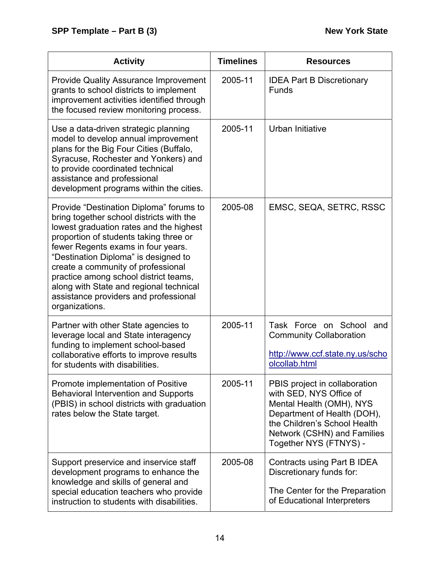| <b>Activity</b>                                                                                                                                                                                                                                                                                                                                                                                                                             | <b>Timelines</b> | <b>Resources</b>                                                                                                                                                                                             |
|---------------------------------------------------------------------------------------------------------------------------------------------------------------------------------------------------------------------------------------------------------------------------------------------------------------------------------------------------------------------------------------------------------------------------------------------|------------------|--------------------------------------------------------------------------------------------------------------------------------------------------------------------------------------------------------------|
| <b>Provide Quality Assurance Improvement</b><br>grants to school districts to implement<br>improvement activities identified through<br>the focused review monitoring process.                                                                                                                                                                                                                                                              | 2005-11          | <b>IDEA Part B Discretionary</b><br><b>Funds</b>                                                                                                                                                             |
| Use a data-driven strategic planning<br>model to develop annual improvement<br>plans for the Big Four Cities (Buffalo,<br>Syracuse, Rochester and Yonkers) and<br>to provide coordinated technical<br>assistance and professional<br>development programs within the cities.                                                                                                                                                                | 2005-11          | Urban Initiative                                                                                                                                                                                             |
| Provide "Destination Diploma" forums to<br>bring together school districts with the<br>lowest graduation rates and the highest<br>proportion of students taking three or<br>fewer Regents exams in four years.<br>"Destination Diploma" is designed to<br>create a community of professional<br>practice among school district teams,<br>along with State and regional technical<br>assistance providers and professional<br>organizations. | 2005-08          | EMSC, SEQA, SETRC, RSSC                                                                                                                                                                                      |
| Partner with other State agencies to<br>leverage local and State interagency<br>funding to implement school-based<br>collaborative efforts to improve results<br>for students with disabilities.                                                                                                                                                                                                                                            | 2005-11          | Task Force on School<br>and<br><b>Community Collaboration</b><br>http://www.ccf.state.ny.us/scho<br>olcollab.html                                                                                            |
| Promote implementation of Positive<br><b>Behavioral Intervention and Supports</b><br>(PBIS) in school districts with graduation<br>rates below the State target.                                                                                                                                                                                                                                                                            | 2005-11          | PBIS project in collaboration<br>with SED, NYS Office of<br>Mental Health (OMH), NYS<br>Department of Health (DOH),<br>the Children's School Health<br>Network (CSHN) and Families<br>Together NYS (FTNYS) - |
| Support preservice and inservice staff<br>development programs to enhance the<br>knowledge and skills of general and<br>special education teachers who provide<br>instruction to students with disabilities.                                                                                                                                                                                                                                | 2005-08          | Contracts using Part B IDEA<br>Discretionary funds for:<br>The Center for the Preparation<br>of Educational Interpreters                                                                                     |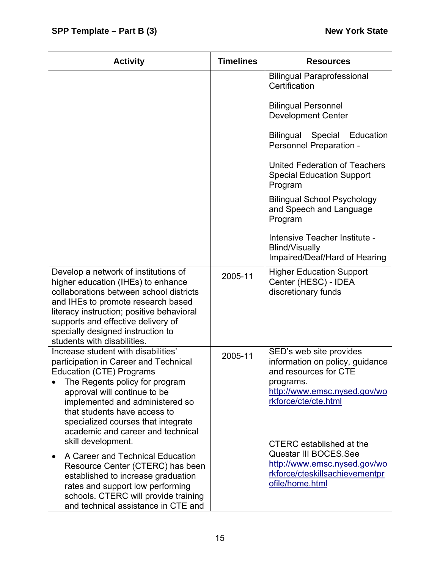| <b>Activity</b>                                                                                                                                                                                                                                                                                                                                       | <b>Timelines</b> | <b>Resources</b>                                                                                                                                                                     |
|-------------------------------------------------------------------------------------------------------------------------------------------------------------------------------------------------------------------------------------------------------------------------------------------------------------------------------------------------------|------------------|--------------------------------------------------------------------------------------------------------------------------------------------------------------------------------------|
|                                                                                                                                                                                                                                                                                                                                                       |                  | <b>Bilingual Paraprofessional</b><br>Certification                                                                                                                                   |
|                                                                                                                                                                                                                                                                                                                                                       |                  | <b>Bilingual Personnel</b><br><b>Development Center</b>                                                                                                                              |
|                                                                                                                                                                                                                                                                                                                                                       |                  | Bilingual Special Education<br>Personnel Preparation -                                                                                                                               |
|                                                                                                                                                                                                                                                                                                                                                       |                  | United Federation of Teachers<br><b>Special Education Support</b><br>Program                                                                                                         |
|                                                                                                                                                                                                                                                                                                                                                       |                  | <b>Bilingual School Psychology</b><br>and Speech and Language<br>Program                                                                                                             |
|                                                                                                                                                                                                                                                                                                                                                       |                  | Intensive Teacher Institute -<br>Blind/Visually<br>Impaired/Deaf/Hard of Hearing                                                                                                     |
| Develop a network of institutions of<br>higher education (IHEs) to enhance<br>collaborations between school districts<br>and IHEs to promote research based<br>literacy instruction; positive behavioral<br>supports and effective delivery of<br>specially designed instruction to<br>students with disabilities.                                    | 2005-11          | <b>Higher Education Support</b><br>Center (HESC) - IDEA<br>discretionary funds                                                                                                       |
| Increase student with disabilities'<br>participation in Career and Technical<br><b>Education (CTE) Programs</b><br>The Regents policy for program<br>approval will continue to be<br>implemented and administered so<br>that students have access to<br>specialized courses that integrate<br>academic and career and technical<br>skill development. | 2005-11          | SED's web site provides<br>information on policy, guidance<br>and resources for CTE<br>programs.<br>http://www.emsc.nysed.gov/wo<br>rkforce/cte/cte.html<br>CTERC established at the |
| A Career and Technical Education<br>$\bullet$<br>Resource Center (CTERC) has been<br>established to increase graduation<br>rates and support low performing<br>schools. CTERC will provide training<br>and technical assistance in CTE and                                                                                                            |                  | Questar III BOCES.See<br>http://www.emsc.nysed.gov/wo<br>rkforce/cteskillsachievementpr<br>ofile/home.html                                                                           |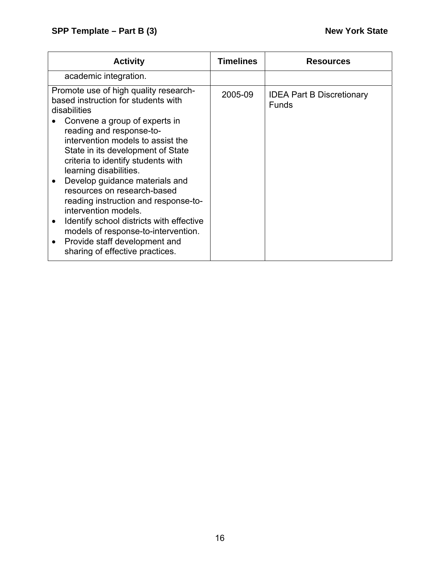| <b>Activity</b>                                                                                                                                                                                                                                                                                                                                                                                                                                                                                                         | <b>Timelines</b> | <b>Resources</b>                                 |
|-------------------------------------------------------------------------------------------------------------------------------------------------------------------------------------------------------------------------------------------------------------------------------------------------------------------------------------------------------------------------------------------------------------------------------------------------------------------------------------------------------------------------|------------------|--------------------------------------------------|
| academic integration.                                                                                                                                                                                                                                                                                                                                                                                                                                                                                                   |                  |                                                  |
| Promote use of high quality research-<br>based instruction for students with<br>disabilities<br>Convene a group of experts in<br>reading and response-to-<br>intervention models to assist the<br>State in its development of State<br>criteria to identify students with<br>learning disabilities.<br>Develop guidance materials and<br>resources on research-based<br>reading instruction and response-to-<br>intervention models.<br>Identify school districts with effective<br>models of response-to-intervention. | 2005-09          | <b>IDEA Part B Discretionary</b><br><b>Funds</b> |
| Provide staff development and<br>$\bullet$<br>sharing of effective practices.                                                                                                                                                                                                                                                                                                                                                                                                                                           |                  |                                                  |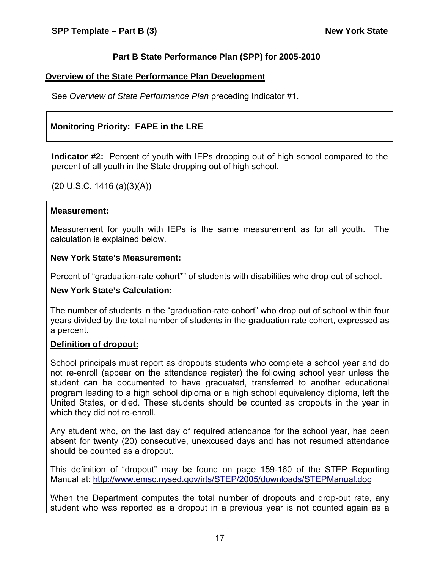## **Part B State Performance Plan (SPP) for 2005-2010**

#### **Overview of the State Performance Plan Development**

See *Overview of State Performance Plan* preceding Indicator #1.

## **Monitoring Priority: FAPE in the LRE**

**Indicator #2:** Percent of youth with IEPs dropping out of high school compared to the percent of all youth in the State dropping out of high school.

(20 U.S.C. 1416 (a)(3)(A))

#### **Measurement:**

Measurement for youth with IEPs is the same measurement as for all youth. The calculation is explained below.

#### **New York State's Measurement:**

Percent of "graduation-rate cohort\*" of students with disabilities who drop out of school.

#### **New York State's Calculation:**

The number of students in the "graduation-rate cohort" who drop out of school within four years divided by the total number of students in the graduation rate cohort, expressed as a percent.

#### **Definition of dropout:**

School principals must report as dropouts students who complete a school year and do not re-enroll (appear on the attendance register) the following school year unless the student can be documented to have graduated, transferred to another educational program leading to a high school diploma or a high school equivalency diploma, left the United States, or died. These students should be counted as dropouts in the year in which they did not re-enroll.

Any student who, on the last day of required attendance for the school year, has been absent for twenty (20) consecutive, unexcused days and has not resumed attendance should be counted as a dropout.

This definition of "dropout" may be found on page 159-160 of the STEP Reporting Manual at: <http://www.emsc.nysed.gov/irts/STEP/2005/downloads/STEPManual.doc>

When the Department computes the total number of dropouts and drop-out rate, any student who was reported as a dropout in a previous year is not counted again as a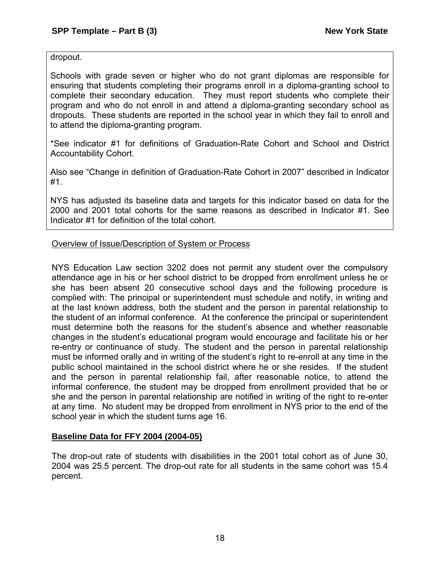dropout.

Schools with grade seven or higher who do not grant diplomas are responsible for ensuring that students completing their programs enroll in a diploma-granting school to complete their secondary education. They must report students who complete their program and who do not enroll in and attend a diploma-granting secondary school as dropouts. These students are reported in the school year in which they fail to enroll and to attend the diploma-granting program.

\*See indicator #1 for definitions of Graduation-Rate Cohort and School and District Accountability Cohort.

Also see "Change in definition of Graduation-Rate Cohort in 2007" described in Indicator #1.

NYS has adjusted its baseline data and targets for this indicator based on data for the 2000 and 2001 total cohorts for the same reasons as described in Indicator #1. See Indicator #1 for definition of the total cohort.

## Overview of Issue/Description of System or Process

NYS Education Law section 3202 does not permit any student over the compulsory attendance age in his or her school district to be dropped from enrollment unless he or she has been absent 20 consecutive school days and the following procedure is complied with: The principal or superintendent must schedule and notify, in writing and at the last known address, both the student and the person in parental relationship to the student of an informal conference. At the conference the principal or superintendent must determine both the reasons for the student's absence and whether reasonable changes in the student's educational program would encourage and facilitate his or her re-entry or continuance of study. The student and the person in parental relationship must be informed orally and in writing of the student's right to re-enroll at any time in the public school maintained in the school district where he or she resides. If the student and the person in parental relationship fail, after reasonable notice, to attend the informal conference, the student may be dropped from enrollment provided that he or she and the person in parental relationship are notified in writing of the right to re-enter at any time. No student may be dropped from enrollment in NYS prior to the end of the school year in which the student turns age 16.

## **Baseline Data for FFY 2004 (2004-05)**

The drop-out rate of students with disabilities in the 2001 total cohort as of June 30, 2004 was 25.5 percent. The drop-out rate for all students in the same cohort was 15.4 percent.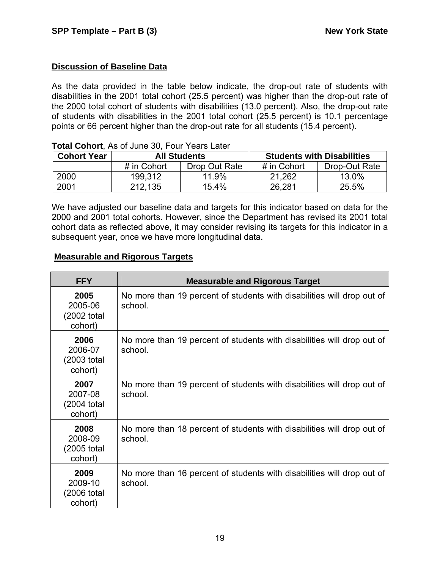## **Discussion of Baseline Data**

As the data provided in the table below indicate, the drop-out rate of students with disabilities in the 2001 total cohort (25.5 percent) was higher than the drop-out rate of the 2000 total cohort of students with disabilities (13.0 percent). Also, the drop-out rate of students with disabilities in the 2001 total cohort (25.5 percent) is 10.1 percentage points or 66 percent higher than the drop-out rate for all students (15.4 percent).

| <b>Cohort Year</b> | <b>All Students</b>          |       | <b>Students with Disabilities</b> |               |  |
|--------------------|------------------------------|-------|-----------------------------------|---------------|--|
|                    | Drop Out Rate<br># in Cohort |       | # in Cohort                       | Drop-Out Rate |  |
| 2000               | 199.312                      | 11.9% | 21.262                            | 13.0%         |  |
| 2001               | 212,135                      | 15.4% | 26,281                            | 25.5%         |  |

#### **Total Cohort**, As of June 30, Four Years Later

We have adjusted our baseline data and targets for this indicator based on data for the 2000 and 2001 total cohorts. However, since the Department has revised its 2001 total cohort data as reflected above, it may consider revising its targets for this indicator in a subsequent year, once we have more longitudinal data.

## **Measurable and Rigorous Targets**

| <b>FFY</b>                                | <b>Measurable and Rigorous Target</b>                                             |
|-------------------------------------------|-----------------------------------------------------------------------------------|
| 2005<br>2005-06<br>(2002 total<br>cohort) | No more than 19 percent of students with disabilities will drop out of<br>school. |
| 2006<br>2006-07<br>(2003 total<br>cohort) | No more than 19 percent of students with disabilities will drop out of<br>school. |
| 2007<br>2007-08<br>(2004 total<br>cohort) | No more than 19 percent of students with disabilities will drop out of<br>school. |
| 2008<br>2008-09<br>(2005 total<br>cohort) | No more than 18 percent of students with disabilities will drop out of<br>school. |
| 2009<br>2009-10<br>(2006 total<br>cohort) | No more than 16 percent of students with disabilities will drop out of<br>school. |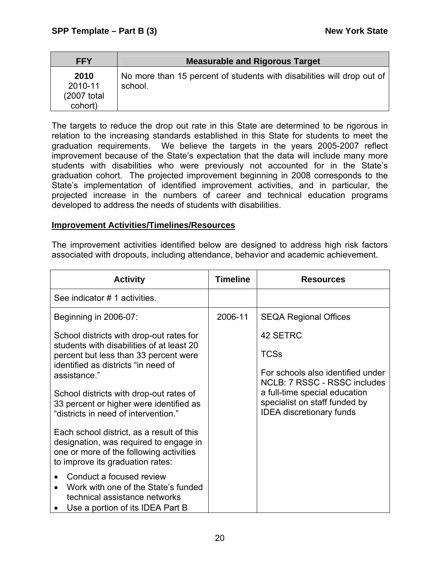| <b>FFY</b>                                 | <b>Measurable and Rigorous Target</b>                                             |
|--------------------------------------------|-----------------------------------------------------------------------------------|
| 2010<br>2010-11<br>(2007 total)<br>cohort) | No more than 15 percent of students with disabilities will drop out of<br>school. |

The targets to reduce the drop out rate in this State are determined to be rigorous in relation to the increasing standards established in this State for students to meet the graduation requirements. We believe the targets in the years 2005-2007 reflect improvement because of the State's expectation that the data will include many more students with disabilities who were previously not accounted for in the State's graduation cohort. The projected improvement beginning in 2008 corresponds to the State's implementation of identified improvement activities, and in particular, the projected increase in the numbers of career and technical education programs developed to address the needs of students with disabilities.

## **Improvement Activities/Timelines/Resources**

The improvement activities identified below are designed to address high risk factors associated with dropouts, including attendance, behavior and academic achievement.

| <b>Activity</b>                                                                       | <b>Timeline</b> | <b>Resources</b>                                                  |
|---------------------------------------------------------------------------------------|-----------------|-------------------------------------------------------------------|
| See indicator # 1 activities.                                                         |                 |                                                                   |
| Beginning in 2006-07:                                                                 | 2006-11         | <b>SEQA Regional Offices</b>                                      |
| School districts with drop-out rates for<br>students with disabilities of at least 20 |                 | 42 SETRC                                                          |
| percent but less than 33 percent were<br>identified as districts "in need of          |                 | <b>TCSs</b>                                                       |
| assistance."                                                                          |                 | For schools also identified under<br>NCLB: 7 RSSC - RSSC includes |
| School districts with drop-out rates of<br>33 percent or higher were identified as    |                 | a full-time special education<br>specialist on staff funded by    |
| "districts in need of intervention."                                                  |                 | <b>IDEA</b> discretionary funds                                   |
| Each school district, as a result of this<br>designation, was required to engage in   |                 |                                                                   |
| one or more of the following activities<br>to improve its graduation rates:           |                 |                                                                   |
| Conduct a focused review                                                              |                 |                                                                   |
| Work with one of the State's funded<br>technical assistance networks                  |                 |                                                                   |
| Use a portion of its IDEA Part B                                                      |                 |                                                                   |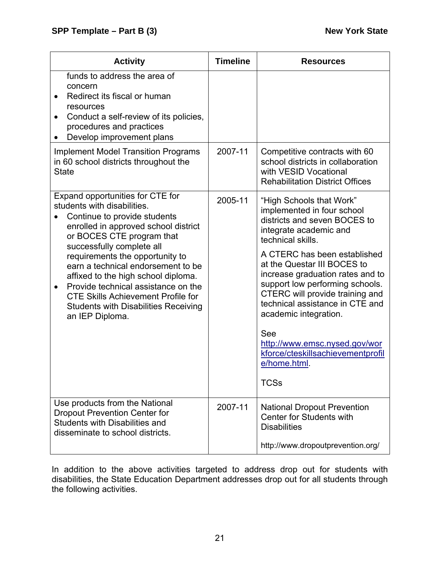| <b>Activity</b>                                                                                                                                                                                                                                                                                                                                                                                                                                                                      | <b>Timeline</b> | <b>Resources</b>                                                                                                                                                                                                                                                                                                                                                                                                                                                                       |
|--------------------------------------------------------------------------------------------------------------------------------------------------------------------------------------------------------------------------------------------------------------------------------------------------------------------------------------------------------------------------------------------------------------------------------------------------------------------------------------|-----------------|----------------------------------------------------------------------------------------------------------------------------------------------------------------------------------------------------------------------------------------------------------------------------------------------------------------------------------------------------------------------------------------------------------------------------------------------------------------------------------------|
| funds to address the area of<br>concern<br>Redirect its fiscal or human<br>resources<br>Conduct a self-review of its policies,<br>$\bullet$<br>procedures and practices<br>Develop improvement plans                                                                                                                                                                                                                                                                                 |                 |                                                                                                                                                                                                                                                                                                                                                                                                                                                                                        |
| <b>Implement Model Transition Programs</b><br>in 60 school districts throughout the<br><b>State</b>                                                                                                                                                                                                                                                                                                                                                                                  | 2007-11         | Competitive contracts with 60<br>school districts in collaboration<br>with VESID Vocational<br><b>Rehabilitation District Offices</b>                                                                                                                                                                                                                                                                                                                                                  |
| Expand opportunities for CTE for<br>students with disabilities.<br>Continue to provide students<br>enrolled in approved school district<br>or BOCES CTE program that<br>successfully complete all<br>requirements the opportunity to<br>earn a technical endorsement to be<br>affixed to the high school diploma.<br>Provide technical assistance on the<br>$\bullet$<br><b>CTE Skills Achievement Profile for</b><br><b>Students with Disabilities Receiving</b><br>an IEP Diploma. | 2005-11         | "High Schools that Work"<br>implemented in four school<br>districts and seven BOCES to<br>integrate academic and<br>technical skills.<br>A CTERC has been established<br>at the Questar III BOCES to<br>increase graduation rates and to<br>support low performing schools.<br>CTERC will provide training and<br>technical assistance in CTE and<br>academic integration.<br>See<br>http://www.emsc.nysed.gov/wor<br>kforce/cteskillsachievementprofil<br>e/home.html.<br><b>TCSs</b> |
| Use products from the National<br><b>Dropout Prevention Center for</b><br><b>Students with Disabilities and</b><br>disseminate to school districts.                                                                                                                                                                                                                                                                                                                                  | 2007-11         | <b>National Dropout Prevention</b><br><b>Center for Students with</b><br><b>Disabilities</b><br>http://www.dropoutprevention.org/                                                                                                                                                                                                                                                                                                                                                      |

In addition to the above activities targeted to address drop out for students with disabilities, the State Education Department addresses drop out for all students through the following activities.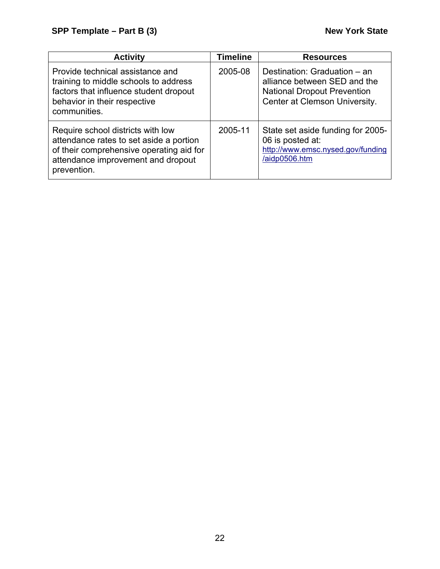| <b>Activity</b>                                                                                                                                                               | Timeline | <b>Resources</b>                                                                                                                    |
|-------------------------------------------------------------------------------------------------------------------------------------------------------------------------------|----------|-------------------------------------------------------------------------------------------------------------------------------------|
| Provide technical assistance and<br>training to middle schools to address<br>factors that influence student dropout<br>behavior in their respective<br>communities.           | 2005-08  | Destination: Graduation - an<br>alliance between SED and the<br><b>National Dropout Prevention</b><br>Center at Clemson University. |
| Require school districts with low<br>attendance rates to set aside a portion<br>of their comprehensive operating aid for<br>attendance improvement and dropout<br>prevention. | 2005-11  | State set aside funding for 2005-<br>06 is posted at:<br>http://www.emsc.nysed.gov/funding<br>/aidp0506.htm                         |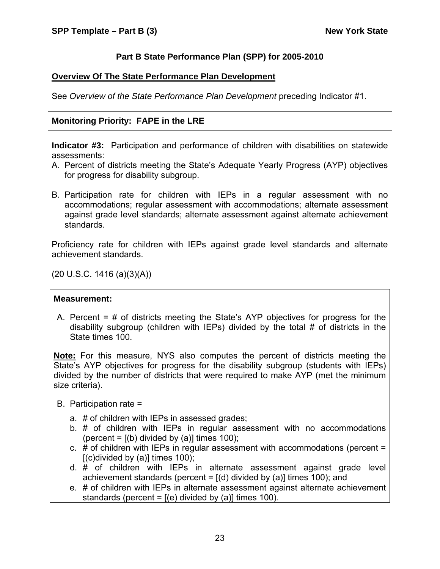## **Part B State Performance Plan (SPP) for 2005-2010**

## **Overview Of The State Performance Plan Development**

See *Overview of the State Performance Plan Development* preceding Indicator #1.

## **Monitoring Priority: FAPE in the LRE**

**Indicator #3:** Participation and performance of children with disabilities on statewide assessments:

- A. Percent of districts meeting the State's Adequate Yearly Progress (AYP) objectives for progress for disability subgroup.
- B. Participation rate for children with IEPs in a regular assessment with no accommodations; regular assessment with accommodations; alternate assessment against grade level standards; alternate assessment against alternate achievement standards.

Proficiency rate for children with IEPs against grade level standards and alternate achievement standards.

(20 U.S.C. 1416 (a)(3)(A))

#### **Measurement:**

A. Percent = # of districts meeting the State's AYP objectives for progress for the disability subgroup (children with IEPs) divided by the total # of districts in the State times 100.

**Note:** For this measure, NYS also computes the percent of districts meeting the State's AYP objectives for progress for the disability subgroup (students with IEPs) divided by the number of districts that were required to make AYP (met the minimum size criteria).

- B. Participation rate =
	- a. # of children with IEPs in assessed grades;
	- b. # of children with IEPs in regular assessment with no accommodations (percent =  $[(b)$  divided by  $(a)]$  times 100);
	- c. # of children with IEPs in regular assessment with accommodations (percent =  $[(c)divided by (a)]$  times 100);
	- d. # of children with IEPs in alternate assessment against grade level achievement standards (percent =  $[(d)$  divided by (a)] times 100); and
	- e. # of children with IEPs in alternate assessment against alternate achievement standards (percent =  $[(e)$  divided by (a)] times 100).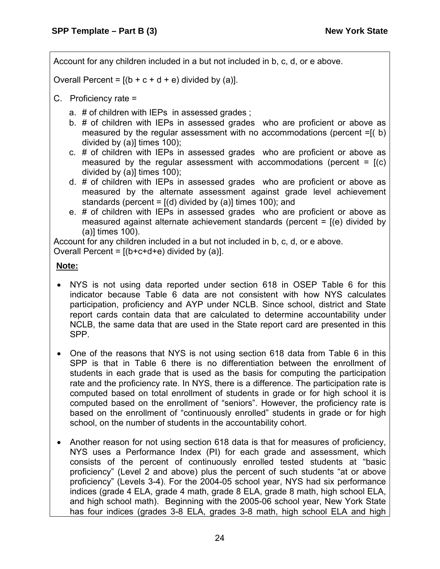Account for any children included in a but not included in b, c, d, or e above.

Overall Percent =  $[(b + c + d + e)$  divided by (a)].

- C. Proficiency rate =
	- a. # of children with IEPs in assessed grades ;
	- b. # of children with IEPs in assessed grades who are proficient or above as measured by the regular assessment with no accommodations (percent =[( b) divided by (a)] times 100);
	- c. # of children with IEPs in assessed grades who are proficient or above as measured by the regular assessment with accommodations (percent  $=$   $(2)$ ) divided by (a)] times 100);
	- d. # of children with IEPs in assessed grades who are proficient or above as measured by the alternate assessment against grade level achievement standards (percent =  $[(d)$  divided by (a)] times 100); and
	- e. # of children with IEPs in assessed grades who are proficient or above as measured against alternate achievement standards (percent  $=$   $[$ (e) divided by (a)] times 100).

Account for any children included in a but not included in b, c, d, or e above.

Overall Percent =  $[(b+c+d+e)$  divided by (a)].

## **Note:**

- NYS is not using data reported under section 618 in OSEP Table 6 for this indicator because Table 6 data are not consistent with how NYS calculates participation, proficiency and AYP under NCLB. Since school, district and State report cards contain data that are calculated to determine accountability under NCLB, the same data that are used in the State report card are presented in this SPP.
- One of the reasons that NYS is not using section 618 data from Table 6 in this SPP is that in Table 6 there is no differentiation between the enrollment of students in each grade that is used as the basis for computing the participation rate and the proficiency rate. In NYS, there is a difference. The participation rate is computed based on total enrollment of students in grade or for high school it is computed based on the enrollment of "seniors". However, the proficiency rate is based on the enrollment of "continuously enrolled" students in grade or for high school, on the number of students in the accountability cohort.
- Another reason for not using section 618 data is that for measures of proficiency, NYS uses a Performance Index (PI) for each grade and assessment, which consists of the percent of continuously enrolled tested students at "basic proficiency" (Level 2 and above) plus the percent of such students "at or above proficiency" (Levels 3-4). For the 2004-05 school year, NYS had six performance indices (grade 4 ELA, grade 4 math, grade 8 ELA, grade 8 math, high school ELA, and high school math). Beginning with the 2005-06 school year, New York State has four indices (grades 3-8 ELA, grades 3-8 math, high school ELA and high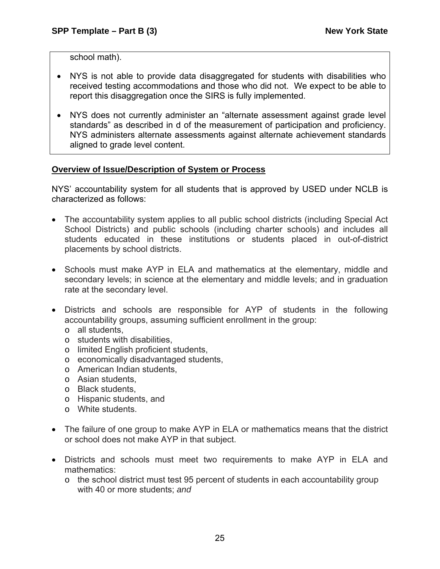school math).

- NYS is not able to provide data disaggregated for students with disabilities who received testing accommodations and those who did not. We expect to be able to report this disaggregation once the SIRS is fully implemented.
- NYS does not currently administer an "alternate assessment against grade level standards" as described in d of the measurement of participation and proficiency. NYS administers alternate assessments against alternate achievement standards aligned to grade level content.

## **Overview of Issue/Description of System or Process**

NYS' accountability system for all students that is approved by USED under NCLB is characterized as follows:

- The accountability system applies to all public school districts (including Special Act School Districts) and public schools (including charter schools) and includes all students educated in these institutions or students placed in out-of-district placements by school districts.
- Schools must make AYP in ELA and mathematics at the elementary, middle and secondary levels; in science at the elementary and middle levels; and in graduation rate at the secondary level.
- Districts and schools are responsible for AYP of students in the following accountability groups, assuming sufficient enrollment in the group:
	- o all students,
	- o students with disabilities,
	- o limited English proficient students,
	- o economically disadvantaged students,
	- o American Indian students,
	- o Asian students,
	- o Black students,
	- o Hispanic students, and
	- o White students.
- The failure of one group to make AYP in ELA or mathematics means that the district or school does not make AYP in that subject.
- Districts and schools must meet two requirements to make AYP in ELA and mathematics:
	- o the school district must test 95 percent of students in each accountability group with 40 or more students; *and*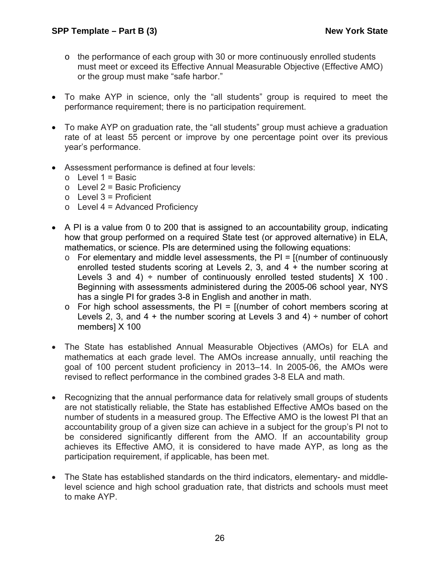- $\circ$  the performance of each group with 30 or more continuously enrolled students must meet or exceed its Effective Annual Measurable Objective (Effective AMO) or the group must make "safe harbor."
- To make AYP in science, only the "all students" group is required to meet the performance requirement; there is no participation requirement.
- To make AYP on graduation rate, the "all students" group must achieve a graduation rate of at least 55 percent or improve by one percentage point over its previous year's performance.
- Assessment performance is defined at four levels:
	- $\circ$  Level 1 = Basic
	- $\circ$  Level 2 = Basic Proficiency
	- $\circ$  Level 3 = Proficient
	- $\circ$  Level 4 = Advanced Proficiency
- A PI is a value from 0 to 200 that is assigned to an accountability group, indicating how that group performed on a required State test (or approved alternative) in ELA, mathematics, or science. PIs are determined using the following equations:
	- $\circ$  For elementary and middle level assessments, the PI =  $\circ$  [(number of continuously enrolled tested students scoring at Levels 2, 3, and 4 + the number scoring at Levels 3 and 4)  $\div$  number of continuously enrolled tested students] X 100. Beginning with assessments administered during the 2005-06 school year, NYS has a single PI for grades 3-8 in English and another in math.
	- $\circ$  For high school assessments, the PI = [(number of cohort members scoring at Levels 2, 3, and  $4 +$  the number scoring at Levels 3 and  $4) \div$  number of cohort members] X 100
- The State has established Annual Measurable Objectives (AMOs) for ELA and mathematics at each grade level. The AMOs increase annually, until reaching the goal of 100 percent student proficiency in 2013–14. In 2005-06, the AMOs were revised to reflect performance in the combined grades 3-8 ELA and math.
- Recognizing that the annual performance data for relatively small groups of students are not statistically reliable, the State has established Effective AMOs based on the number of students in a measured group. The Effective AMO is the lowest PI that an accountability group of a given size can achieve in a subject for the group's PI not to be considered significantly different from the AMO. If an accountability group achieves its Effective AMO, it is considered to have made AYP, as long as the participation requirement, if applicable, has been met.
- The State has established standards on the third indicators, elementary- and middlelevel science and high school graduation rate, that districts and schools must meet to make AYP.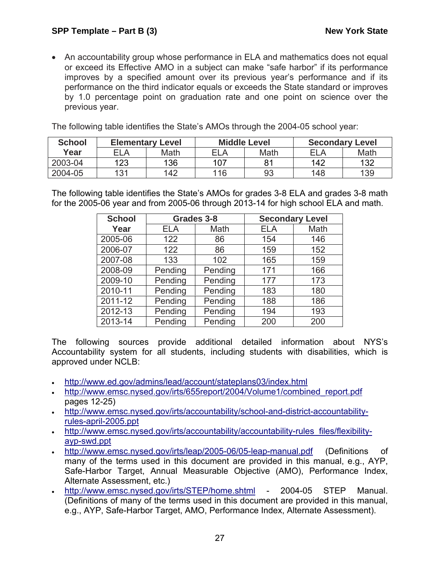• An accountability group whose performance in ELA and mathematics does not equal or exceed its Effective AMO in a subject can make "safe harbor" if its performance improves by a specified amount over its previous year's performance and if its performance on the third indicator equals or exceeds the State standard or improves by 1.0 percentage point on graduation rate and one point on science over the previous year.

The following table identifies the State's AMOs through the 2004-05 school year:

| <b>School</b> | <b>Elementary Level</b> |      |            | <b>Middle Level</b> | <b>Secondary Level</b> |      |
|---------------|-------------------------|------|------------|---------------------|------------------------|------|
| Year          | ELA                     | Math | <b>ELA</b> | Math                | ELA                    | Math |
| 2003-04       | 123                     | 136  | 107        | 81                  | 142                    | 132  |
| 2004-05       | 131                     | 142  | 116        | 93                  | 148                    | 139  |

The following table identifies the State's AMOs for grades 3-8 ELA and grades 3-8 math for the 2005-06 year and from 2005-06 through 2013-14 for high school ELA and math.

| <b>School</b> |            | Grades 3-8 | <b>Secondary Level</b> |      |
|---------------|------------|------------|------------------------|------|
| Year          | <b>ELA</b> | Math       | <b>ELA</b>             | Math |
| 2005-06       | 122        | 86         | 154                    | 146  |
| 2006-07       | 122        | 86         | 159                    | 152  |
| 2007-08       | 133        | 102        | 165                    | 159  |
| 2008-09       | Pending    | Pending    | 171                    | 166  |
| 2009-10       | Pending    | Pending    | 177                    | 173  |
| 2010-11       | Pending    | Pending    | 183                    | 180  |
| 2011-12       | Pending    | Pending    | 188                    | 186  |
| 2012-13       | Pending    | Pending    | 194                    | 193  |
| 2013-14       | Pending    | Pending    | 200                    | 200  |

The following sources provide additional detailed information about NYS's Accountability system for all students, including students with disabilities, which is approved under NCLB:

- <http://www.ed.gov/admins/lead/account/stateplans03/index.html>
- [http://www.emsc.nysed.gov/irts/655report/2004/Volume1/combined\\_report.pdf](http://www.emsc.nysed.gov/irts/655report/2004/Volume1/combined_report.pdf) pages 12-25)
- [http://www.emsc.nysed.gov/irts/accountability/school-and-district-accountability](http://www.emsc.nysed.gov/irts/accountability/school-and-district-accountability-rules-april-2005.ppt)[rules-april-2005.ppt](http://www.emsc.nysed.gov/irts/accountability/school-and-district-accountability-rules-april-2005.ppt)
- [http://www.emsc.nysed.gov/irts/accountability/accountability-rules\\_files/flexibility](http://www.emsc.nysed.gov/irts/accountability/accountability-rules_files/flexibility-ayp-swd.ppt)[ayp-swd.ppt](http://www.emsc.nysed.gov/irts/accountability/accountability-rules_files/flexibility-ayp-swd.ppt)
- <http://www.emsc.nysed.gov/irts/leap/2005-06/05-leap-manual.pdf> (Definitions of many of the terms used in this document are provided in this manual, e.g., AYP, Safe-Harbor Target, Annual Measurable Objective (AMO), Performance Index, Alternate Assessment, etc.)
- <http://www.emsc.nysed.gov/irts/STEP/home.shtml> 2004-05 STEP Manual. (Definitions of many of the terms used in this document are provided in this manual, e.g., AYP, Safe-Harbor Target, AMO, Performance Index, Alternate Assessment).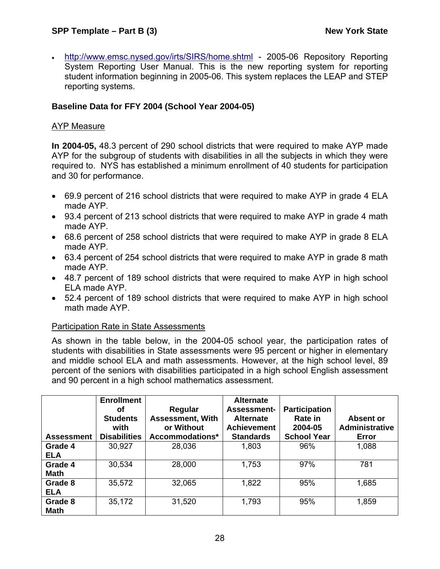## **SPP Template – Part B (3) New York State**

• <http://www.emsc.nysed.gov/irts/SIRS/home.shtml> - 2005-06 Repository Reporting System Reporting User Manual. This is the new reporting system for reporting student information beginning in 2005-06. This system replaces the LEAP and STEP reporting systems.

#### **Baseline Data for FFY 2004 (School Year 2004-05)**

#### AYP Measure

**In 2004-05,** 48.3 percent of 290 school districts that were required to make AYP made AYP for the subgroup of students with disabilities in all the subjects in which they were required to. NYS has established a minimum enrollment of 40 students for participation and 30 for performance.

- 69.9 percent of 216 school districts that were required to make AYP in grade 4 ELA made AYP.
- 93.4 percent of 213 school districts that were required to make AYP in grade 4 math made AYP.
- 68.6 percent of 258 school districts that were required to make AYP in grade 8 ELA made AYP.
- 63.4 percent of 254 school districts that were required to make AYP in grade 8 math made AYP.
- 48.7 percent of 189 school districts that were required to make AYP in high school ELA made AYP.
- 52.4 percent of 189 school districts that were required to make AYP in high school math made AYP.

#### Participation Rate in State Assessments

As shown in the table below, in the 2004-05 school year, the participation rates of students with disabilities in State assessments were 95 percent or higher in elementary and middle school ELA and math assessments. However, at the high school level, 89 percent of the seniors with disabilities participated in a high school English assessment and 90 percent in a high school mathematics assessment.

|                   | <b>Enrollment</b><br>οf<br><b>Students</b><br>with | Regular<br><b>Assessment, With</b><br>or Without | <b>Alternate</b><br><b>Assessment-</b><br><b>Alternate</b><br><b>Achievement</b> | <b>Participation</b><br>Rate in<br>2004-05 | Absent or<br><b>Administrative</b> |
|-------------------|----------------------------------------------------|--------------------------------------------------|----------------------------------------------------------------------------------|--------------------------------------------|------------------------------------|
| <b>Assessment</b> | <b>Disabilities</b>                                | Accommodations*                                  | <b>Standards</b>                                                                 | <b>School Year</b>                         | Error                              |
| Grade 4           | 30,927                                             | 28,036                                           | 1,803                                                                            | 96%                                        | 1,088                              |
| <b>ELA</b>        |                                                    |                                                  |                                                                                  |                                            |                                    |
| Grade 4           | 30,534                                             | 28,000                                           | 1,753                                                                            | 97%                                        | 781                                |
| <b>Math</b>       |                                                    |                                                  |                                                                                  |                                            |                                    |
| Grade 8           | 35,572                                             | 32,065                                           | 1,822                                                                            | 95%                                        | 1,685                              |
| <b>ELA</b>        |                                                    |                                                  |                                                                                  |                                            |                                    |
| Grade 8           | 35,172                                             | 31,520                                           | 1,793                                                                            | 95%                                        | 1,859                              |
| <b>Math</b>       |                                                    |                                                  |                                                                                  |                                            |                                    |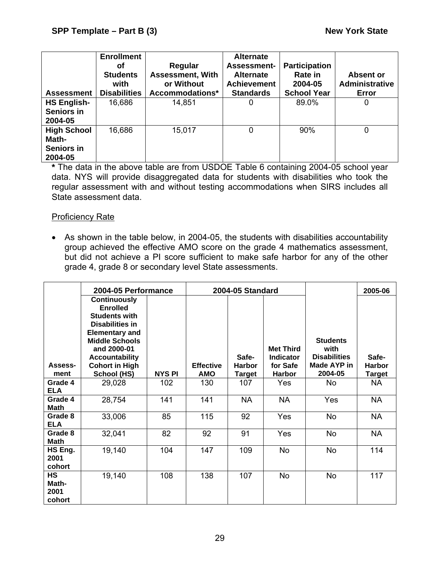| <b>Assessment</b>                                           | <b>Enrollment</b><br>Οf<br><b>Students</b><br>with<br><b>Disabilities</b> | Regular<br><b>Assessment, With</b><br>or Without<br>Accommodations* | <b>Alternate</b><br><b>Assessment-</b><br><b>Alternate</b><br><b>Achievement</b><br><b>Standards</b> | <b>Participation</b><br><b>Rate in</b><br>2004-05<br><b>School Year</b> | Absent or<br><b>Administrative</b><br>Error |
|-------------------------------------------------------------|---------------------------------------------------------------------------|---------------------------------------------------------------------|------------------------------------------------------------------------------------------------------|-------------------------------------------------------------------------|---------------------------------------------|
| <b>HS English-</b><br>Seniors in<br>2004-05                 | 16,686                                                                    | 14,851                                                              | 0                                                                                                    | 89.0%                                                                   | 0                                           |
| <b>High School</b><br>Math-<br><b>Seniors in</b><br>2004-05 | 16,686                                                                    | 15,017                                                              | 0                                                                                                    | 90%                                                                     | 0                                           |

**\*** The data in the above table are from USDOE Table 6 containing 2004-05 school year data. NYS will provide disaggregated data for students with disabilities who took the regular assessment with and without testing accommodations when SIRS includes all State assessment data.

#### Proficiency Rate

• As shown in the table below, in 2004-05, the students with disabilities accountability group achieved the effective AMO score on the grade 4 mathematics assessment, but did not achieve a PI score sufficient to make safe harbor for any of the other grade 4, grade 8 or secondary level State assessments.

|                                      | 2004-05 Performance                                                                                                                                                                                         |               | 2004-05 Standard |                        |                                                  | 2005-06                                                       |                        |
|--------------------------------------|-------------------------------------------------------------------------------------------------------------------------------------------------------------------------------------------------------------|---------------|------------------|------------------------|--------------------------------------------------|---------------------------------------------------------------|------------------------|
| Assess-                              | <b>Continuously</b><br><b>Enrolled</b><br><b>Students with</b><br><b>Disabilities in</b><br><b>Elementary and</b><br><b>Middle Schools</b><br>and 2000-01<br><b>Accountability</b><br><b>Cohort in High</b> |               | <b>Effective</b> | Safe-<br><b>Harbor</b> | <b>Met Third</b><br><b>Indicator</b><br>for Safe | <b>Students</b><br>with<br><b>Disabilities</b><br>Made AYP in | Safe-<br><b>Harbor</b> |
| ment                                 | School (HS)                                                                                                                                                                                                 | <b>NYS PI</b> | <b>AMO</b>       | <b>Target</b>          | <b>Harbor</b>                                    | 2004-05                                                       | Target                 |
| Grade 4<br><b>ELA</b>                | 29,028                                                                                                                                                                                                      | 102           | 130              | 107                    | Yes                                              | No                                                            | <b>NA</b>              |
| Grade 4<br><b>Math</b>               | 28,754                                                                                                                                                                                                      | 141           | 141              | <b>NA</b>              | <b>NA</b>                                        | Yes                                                           | <b>NA</b>              |
| Grade 8<br><b>ELA</b>                | 33,006                                                                                                                                                                                                      | 85            | 115              | 92                     | Yes                                              | <b>No</b>                                                     | <b>NA</b>              |
| Grade 8<br><b>Math</b>               | 32,041                                                                                                                                                                                                      | 82            | 92               | 91                     | <b>Yes</b>                                       | No                                                            | <b>NA</b>              |
| HS Eng.<br>2001<br>cohort            | 19,140                                                                                                                                                                                                      | 104           | 147              | 109                    | <b>No</b>                                        | No                                                            | 114                    |
| <b>HS</b><br>Math-<br>2001<br>cohort | 19,140                                                                                                                                                                                                      | 108           | 138              | 107                    | <b>No</b>                                        | <b>No</b>                                                     | 117                    |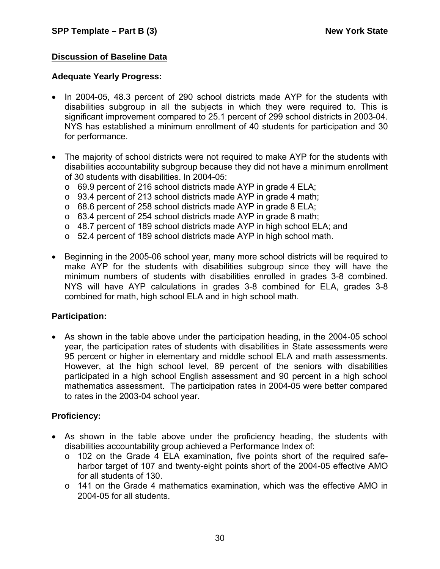## **Discussion of Baseline Data**

#### **Adequate Yearly Progress:**

- In 2004-05, 48.3 percent of 290 school districts made AYP for the students with disabilities subgroup in all the subjects in which they were required to. This is significant improvement compared to 25.1 percent of 299 school districts in 2003-04. NYS has established a minimum enrollment of 40 students for participation and 30 for performance.
- The majority of school districts were not required to make AYP for the students with disabilities accountability subgroup because they did not have a minimum enrollment of 30 students with disabilities. In 2004-05:
	- o 69.9 percent of 216 school districts made AYP in grade 4 ELA;
	- o 93.4 percent of 213 school districts made AYP in grade 4 math;
	- o 68.6 percent of 258 school districts made AYP in grade 8 ELA;
	- o 63.4 percent of 254 school districts made AYP in grade 8 math;
	- $\circ$  48.7 percent of 189 school districts made AYP in high school ELA; and
	- o 52.4 percent of 189 school districts made AYP in high school math.
- Beginning in the 2005-06 school year, many more school districts will be required to make AYP for the students with disabilities subgroup since they will have the minimum numbers of students with disabilities enrolled in grades 3-8 combined. NYS will have AYP calculations in grades 3-8 combined for ELA, grades 3-8 combined for math, high school ELA and in high school math.

#### **Participation:**

• As shown in the table above under the participation heading, in the 2004-05 school year, the participation rates of students with disabilities in State assessments were 95 percent or higher in elementary and middle school ELA and math assessments. However, at the high school level, 89 percent of the seniors with disabilities participated in a high school English assessment and 90 percent in a high school mathematics assessment. The participation rates in 2004-05 were better compared to rates in the 2003-04 school year.

## **Proficiency:**

- As shown in the table above under the proficiency heading, the students with disabilities accountability group achieved a Performance Index of:
	- o 102 on the Grade 4 ELA examination, five points short of the required safeharbor target of 107 and twenty-eight points short of the 2004-05 effective AMO for all students of 130.
	- o 141 on the Grade 4 mathematics examination, which was the effective AMO in 2004-05 for all students.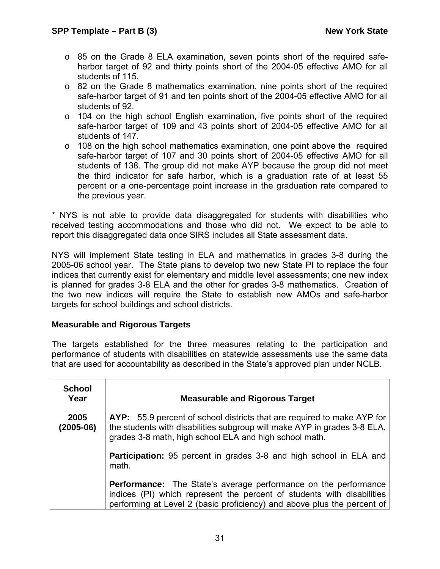- o 85 on the Grade 8 ELA examination, seven points short of the required safeharbor target of 92 and thirty points short of the 2004-05 effective AMO for all students of 115.
- $\circ$  82 on the Grade 8 mathematics examination, nine points short of the required safe-harbor target of 91 and ten points short of the 2004-05 effective AMO for all students of 92.
- $\circ$  104 on the high school English examination, five points short of the required safe-harbor target of 109 and 43 points short of 2004-05 effective AMO for all students of 147.
- $\circ$  108 on the high school mathematics examination, one point above the required safe-harbor target of 107 and 30 points short of 2004-05 effective AMO for all students of 138. The group did not make AYP because the group did not meet the third indicator for safe harbor, which is a graduation rate of at least 55 percent or a one-percentage point increase in the graduation rate compared to the previous year.

\* NYS is not able to provide data disaggregated for students with disabilities who received testing accommodations and those who did not. We expect to be able to report this disaggregated data once SIRS includes all State assessment data.

NYS will implement State testing in ELA and mathematics in grades 3-8 during the 2005-06 school year. The State plans to develop two new State PI to replace the four indices that currently exist for elementary and middle level assessments; one new index is planned for grades 3-8 ELA and the other for grades 3-8 mathematics. Creation of the two new indices will require the State to establish new AMOs and safe-harbor targets for school buildings and school districts.

#### **Measurable and Rigorous Targets**

The targets established for the three measures relating to the participation and performance of students with disabilities on statewide assessments use the same data that are used for accountability as described in the State's approved plan under NCLB.

| <b>School</b><br>Year | <b>Measurable and Rigorous Target</b>                                                                                                                                                                                       |  |  |
|-----------------------|-----------------------------------------------------------------------------------------------------------------------------------------------------------------------------------------------------------------------------|--|--|
| 2005<br>(2005-06)     | AYP: 55.9 percent of school districts that are required to make AYP for<br>the students with disabilities subgroup will make AYP in grades 3-8 ELA,<br>grades 3-8 math, high school ELA and high school math.               |  |  |
|                       | Participation: 95 percent in grades 3-8 and high school in ELA and<br>math.                                                                                                                                                 |  |  |
|                       | <b>Performance:</b> The State's average performance on the performance<br>indices (PI) which represent the percent of students with disabilities<br>performing at Level 2 (basic proficiency) and above plus the percent of |  |  |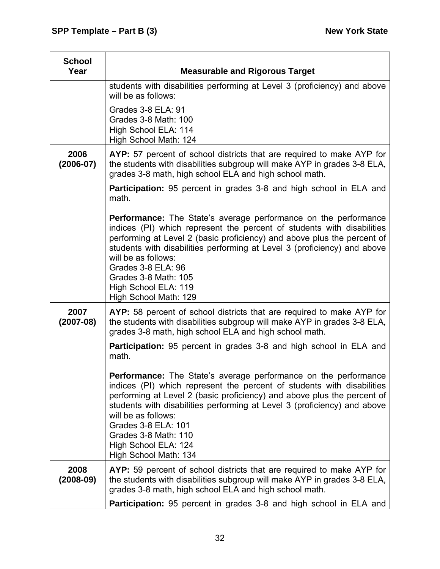| <b>School</b><br>Year | <b>Measurable and Rigorous Target</b>                                                                                                                                                                                                                                                                                                                                                                                         |
|-----------------------|-------------------------------------------------------------------------------------------------------------------------------------------------------------------------------------------------------------------------------------------------------------------------------------------------------------------------------------------------------------------------------------------------------------------------------|
|                       | students with disabilities performing at Level 3 (proficiency) and above<br>will be as follows:                                                                                                                                                                                                                                                                                                                               |
|                       | Grades 3-8 ELA: 91<br>Grades 3-8 Math: 100<br>High School ELA: 114<br>High School Math: 124                                                                                                                                                                                                                                                                                                                                   |
| 2006<br>$(2006 - 07)$ | AYP: 57 percent of school districts that are required to make AYP for<br>the students with disabilities subgroup will make AYP in grades 3-8 ELA,<br>grades 3-8 math, high school ELA and high school math.                                                                                                                                                                                                                   |
|                       | <b>Participation:</b> 95 percent in grades 3-8 and high school in ELA and<br>math.                                                                                                                                                                                                                                                                                                                                            |
|                       | <b>Performance:</b> The State's average performance on the performance<br>indices (PI) which represent the percent of students with disabilities<br>performing at Level 2 (basic proficiency) and above plus the percent of<br>students with disabilities performing at Level 3 (proficiency) and above<br>will be as follows:<br>Grades 3-8 ELA: 96<br>Grades 3-8 Math: 105<br>High School ELA: 119<br>High School Math: 129 |
| 2007<br>$(2007-08)$   | AYP: 58 percent of school districts that are required to make AYP for<br>the students with disabilities subgroup will make AYP in grades 3-8 ELA,<br>grades 3-8 math, high school ELA and high school math.                                                                                                                                                                                                                   |
|                       | <b>Participation:</b> 95 percent in grades 3-8 and high school in ELA and<br>math.                                                                                                                                                                                                                                                                                                                                            |
|                       | Performance: The State's average performance on the performance<br>indices (PI) which represent the percent of students with disabilities<br>performing at Level 2 (basic proficiency) and above plus the percent of<br>students with disabilities performing at Level 3 (proficiency) and above<br>will be as follows:<br>Grades 3-8 ELA: 101<br>Grades 3-8 Math: 110<br>High School ELA: 124<br>High School Math: 134       |
| 2008<br>$(2008-09)$   | AYP: 59 percent of school districts that are required to make AYP for<br>the students with disabilities subgroup will make AYP in grades 3-8 ELA,<br>grades 3-8 math, high school ELA and high school math.                                                                                                                                                                                                                   |
|                       | <b>Participation:</b> 95 percent in grades 3-8 and high school in ELA and                                                                                                                                                                                                                                                                                                                                                     |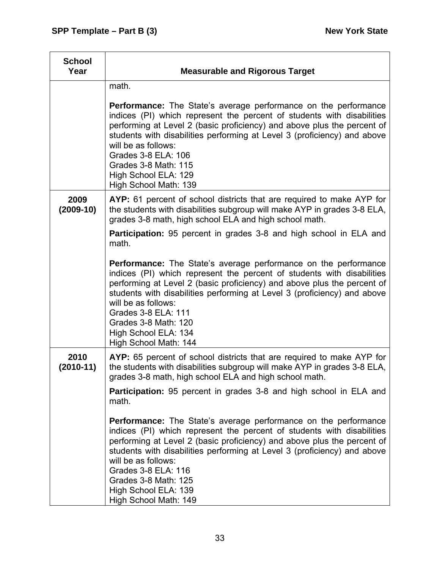| <b>School</b><br>Year | <b>Measurable and Rigorous Target</b>                                                                                                                                                                                                                                                                                                                                                                                          |
|-----------------------|--------------------------------------------------------------------------------------------------------------------------------------------------------------------------------------------------------------------------------------------------------------------------------------------------------------------------------------------------------------------------------------------------------------------------------|
|                       | math.                                                                                                                                                                                                                                                                                                                                                                                                                          |
|                       | <b>Performance:</b> The State's average performance on the performance<br>indices (PI) which represent the percent of students with disabilities<br>performing at Level 2 (basic proficiency) and above plus the percent of<br>students with disabilities performing at Level 3 (proficiency) and above<br>will be as follows:<br>Grades 3-8 ELA: 106<br>Grades 3-8 Math: 115<br>High School ELA: 129<br>High School Math: 139 |
| 2009<br>$(2009-10)$   | AYP: 61 percent of school districts that are required to make AYP for<br>the students with disabilities subgroup will make AYP in grades 3-8 ELA,<br>grades 3-8 math, high school ELA and high school math.                                                                                                                                                                                                                    |
|                       | <b>Participation:</b> 95 percent in grades 3-8 and high school in ELA and<br>math.                                                                                                                                                                                                                                                                                                                                             |
|                       | <b>Performance:</b> The State's average performance on the performance<br>indices (PI) which represent the percent of students with disabilities<br>performing at Level 2 (basic proficiency) and above plus the percent of<br>students with disabilities performing at Level 3 (proficiency) and above<br>will be as follows:<br>Grades 3-8 ELA: 111<br>Grades 3-8 Math: 120<br>High School ELA: 134<br>High School Math: 144 |
| 2010<br>$(2010-11)$   | AYP: 65 percent of school districts that are required to make AYP for<br>the students with disabilities subgroup will make AYP in grades 3-8 ELA,<br>grades 3-8 math, high school ELA and high school math.                                                                                                                                                                                                                    |
|                       | <b>Participation:</b> 95 percent in grades 3-8 and high school in ELA and<br>math.                                                                                                                                                                                                                                                                                                                                             |
|                       | <b>Performance:</b> The State's average performance on the performance<br>indices (PI) which represent the percent of students with disabilities<br>performing at Level 2 (basic proficiency) and above plus the percent of<br>students with disabilities performing at Level 3 (proficiency) and above<br>will be as follows:<br>Grades 3-8 ELA: 116<br>Grades 3-8 Math: 125<br>High School ELA: 139<br>High School Math: 149 |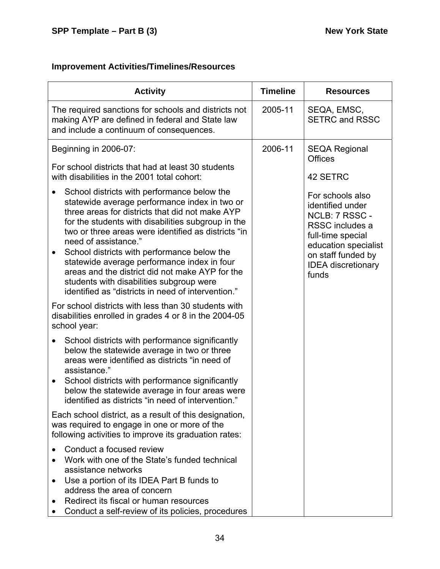#### **Improvement Activities/Timelines/Resources**

| <b>Activity</b>                                                                                                                                                                                                                                                                                                                                                                                                                                                                                                                                      | <b>Timeline</b> | <b>Resources</b>                                                                                                                                                                   |
|------------------------------------------------------------------------------------------------------------------------------------------------------------------------------------------------------------------------------------------------------------------------------------------------------------------------------------------------------------------------------------------------------------------------------------------------------------------------------------------------------------------------------------------------------|-----------------|------------------------------------------------------------------------------------------------------------------------------------------------------------------------------------|
| The required sanctions for schools and districts not<br>making AYP are defined in federal and State law<br>and include a continuum of consequences.                                                                                                                                                                                                                                                                                                                                                                                                  | 2005-11         | SEQA, EMSC,<br><b>SETRC and RSSC</b>                                                                                                                                               |
| Beginning in 2006-07:                                                                                                                                                                                                                                                                                                                                                                                                                                                                                                                                | 2006-11         | <b>SEQA Regional</b><br><b>Offices</b>                                                                                                                                             |
| For school districts that had at least 30 students<br>with disabilities in the 2001 total cohort:                                                                                                                                                                                                                                                                                                                                                                                                                                                    |                 | 42 SETRC                                                                                                                                                                           |
| School districts with performance below the<br>statewide average performance index in two or<br>three areas for districts that did not make AYP<br>for the students with disabilities subgroup in the<br>two or three areas were identified as districts "in<br>need of assistance."<br>School districts with performance below the<br>$\bullet$<br>statewide average performance index in four<br>areas and the district did not make AYP for the<br>students with disabilities subgroup were<br>identified as "districts in need of intervention." |                 | For schools also<br>identified under<br>NCLB: 7 RSSC -<br>RSSC includes a<br>full-time special<br>education specialist<br>on staff funded by<br><b>IDEA</b> discretionary<br>funds |
| For school districts with less than 30 students with<br>disabilities enrolled in grades 4 or 8 in the 2004-05<br>school year:                                                                                                                                                                                                                                                                                                                                                                                                                        |                 |                                                                                                                                                                                    |
| School districts with performance significantly<br>below the statewide average in two or three<br>areas were identified as districts "in need of<br>assistance."<br>School districts with performance significantly<br>$\bullet$<br>below the statewide average in four areas were<br>identified as districts "in need of intervention."                                                                                                                                                                                                             |                 |                                                                                                                                                                                    |
| Each school district, as a result of this designation,<br>was required to engage in one or more of the<br>following activities to improve its graduation rates:                                                                                                                                                                                                                                                                                                                                                                                      |                 |                                                                                                                                                                                    |
| Conduct a focused review<br>Work with one of the State's funded technical<br>assistance networks<br>Use a portion of its IDEA Part B funds to<br>$\bullet$<br>address the area of concern<br>Redirect its fiscal or human resources<br>Conduct a self-review of its policies, procedures                                                                                                                                                                                                                                                             |                 |                                                                                                                                                                                    |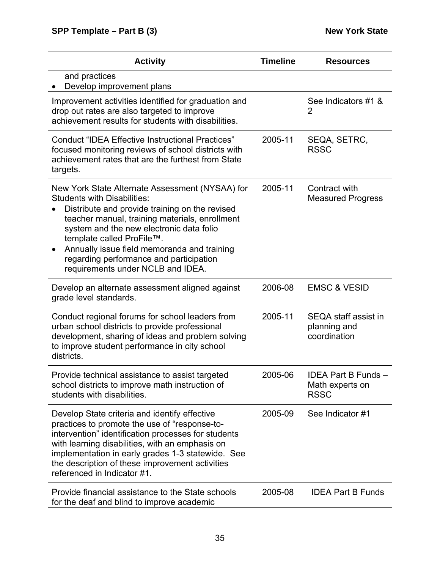| <b>Activity</b>                                                                                                                                                                                                                                                                                                                                                                                                | <b>Timeline</b> | <b>Resources</b>                                           |
|----------------------------------------------------------------------------------------------------------------------------------------------------------------------------------------------------------------------------------------------------------------------------------------------------------------------------------------------------------------------------------------------------------------|-----------------|------------------------------------------------------------|
| and practices<br>Develop improvement plans                                                                                                                                                                                                                                                                                                                                                                     |                 |                                                            |
| Improvement activities identified for graduation and<br>drop out rates are also targeted to improve<br>achievement results for students with disabilities.                                                                                                                                                                                                                                                     |                 | See Indicators #1 &<br>2                                   |
| <b>Conduct "IDEA Effective Instructional Practices"</b><br>focused monitoring reviews of school districts with<br>achievement rates that are the furthest from State<br>targets.                                                                                                                                                                                                                               | 2005-11         | SEQA, SETRC,<br><b>RSSC</b>                                |
| New York State Alternate Assessment (NYSAA) for<br><b>Students with Disabilities:</b><br>Distribute and provide training on the revised<br>teacher manual, training materials, enrollment<br>system and the new electronic data folio<br>template called ProFile™.<br>Annually issue field memoranda and training<br>$\bullet$<br>regarding performance and participation<br>requirements under NCLB and IDEA. | 2005-11         | Contract with<br><b>Measured Progress</b>                  |
| Develop an alternate assessment aligned against<br>grade level standards.                                                                                                                                                                                                                                                                                                                                      | 2006-08         | <b>EMSC &amp; VESID</b>                                    |
| Conduct regional forums for school leaders from<br>urban school districts to provide professional<br>development, sharing of ideas and problem solving<br>to improve student performance in city school<br>districts.                                                                                                                                                                                          | 2005-11         | SEQA staff assist in<br>planning and<br>coordination       |
| Provide technical assistance to assist targeted<br>school districts to improve math instruction of<br>students with disabilities.                                                                                                                                                                                                                                                                              | 2005-06         | <b>IDEA Part B Funds</b><br>Math experts on<br><b>RSSC</b> |
| Develop State criteria and identify effective<br>practices to promote the use of "response-to-<br>intervention" identification processes for students<br>with learning disabilities, with an emphasis on<br>implementation in early grades 1-3 statewide. See<br>the description of these improvement activities<br>referenced in Indicator #1.                                                                | 2005-09         | See Indicator #1                                           |
| Provide financial assistance to the State schools<br>for the deaf and blind to improve academic                                                                                                                                                                                                                                                                                                                | 2005-08         | <b>IDEA Part B Funds</b>                                   |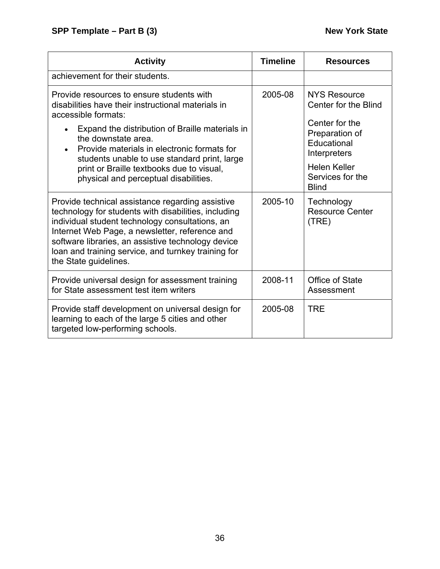| <b>Activity</b>                                                                                                                                                                                                                                                                                                                                     | <b>Timeline</b> | <b>Resources</b>                                                |  |
|-----------------------------------------------------------------------------------------------------------------------------------------------------------------------------------------------------------------------------------------------------------------------------------------------------------------------------------------------------|-----------------|-----------------------------------------------------------------|--|
| achievement for their students.                                                                                                                                                                                                                                                                                                                     |                 |                                                                 |  |
| Provide resources to ensure students with<br>disabilities have their instructional materials in<br>accessible formats:                                                                                                                                                                                                                              | 2005-08         | <b>NYS Resource</b><br>Center for the Blind                     |  |
| Expand the distribution of Braille materials in<br>the downstate area.<br>Provide materials in electronic formats for<br>students unable to use standard print, large                                                                                                                                                                               |                 | Center for the<br>Preparation of<br>Educational<br>Interpreters |  |
| print or Braille textbooks due to visual,<br>physical and perceptual disabilities.                                                                                                                                                                                                                                                                  |                 | <b>Helen Keller</b><br>Services for the<br><b>Blind</b>         |  |
| Provide technical assistance regarding assistive<br>technology for students with disabilities, including<br>individual student technology consultations, an<br>Internet Web Page, a newsletter, reference and<br>software libraries, an assistive technology device<br>loan and training service, and turnkey training for<br>the State guidelines. | 2005-10         | Technology<br><b>Resource Center</b><br>(TRE)                   |  |
| Provide universal design for assessment training<br>for State assessment test item writers                                                                                                                                                                                                                                                          | 2008-11         | Office of State<br>Assessment                                   |  |
| Provide staff development on universal design for<br>learning to each of the large 5 cities and other<br>targeted low-performing schools.                                                                                                                                                                                                           | 2005-08         | <b>TRE</b>                                                      |  |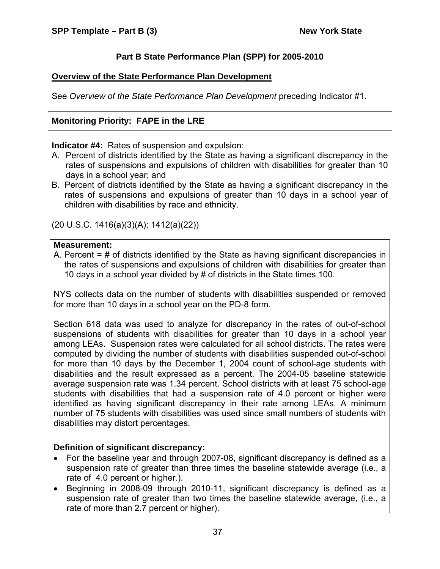# **Part B State Performance Plan (SPP) for 2005-2010**

## **Overview of the State Performance Plan Development**

See *Overview of the State Performance Plan Development* preceding Indicator #1.

# **Monitoring Priority: FAPE in the LRE**

**Indicator #4:** Rates of suspension and expulsion:

- A. Percent of districts identified by the State as having a significant discrepancy in the rates of suspensions and expulsions of children with disabilities for greater than 10 days in a school year; and
- B. Percent of districts identified by the State as having a significant discrepancy in the rates of suspensions and expulsions of greater than 10 days in a school year of children with disabilities by race and ethnicity.

(20 U.S.C. 1416(a)(3)(A); 1412(a)(22))

#### **Measurement:**

A. Percent = # of districts identified by the State as having significant discrepancies in the rates of suspensions and expulsions of children with disabilities for greater than 10 days in a school year divided by # of districts in the State times 100.

NYS collects data on the number of students with disabilities suspended or removed for more than 10 days in a school year on the PD-8 form.

Section 618 data was used to analyze for discrepancy in the rates of out-of-school suspensions of students with disabilities for greater than 10 days in a school year among LEAs. Suspension rates were calculated for all school districts. The rates were computed by dividing the number of students with disabilities suspended out-of-school for more than 10 days by the December 1, 2004 count of school-age students with disabilities and the result expressed as a percent. The 2004-05 baseline statewide average suspension rate was 1.34 percent. School districts with at least 75 school-age students with disabilities that had a suspension rate of 4.0 percent or higher were identified as having significant discrepancy in their rate among LEAs. A minimum number of 75 students with disabilities was used since small numbers of students with disabilities may distort percentages.

# **Definition of significant discrepancy:**

- For the baseline year and through 2007-08, significant discrepancy is defined as a suspension rate of greater than three times the baseline statewide average (i.e., a rate of 4.0 percent or higher.).
- Beginning in 2008-09 through 2010-11, significant discrepancy is defined as a suspension rate of greater than two times the baseline statewide average, (i.e., a rate of more than 2.7 percent or higher).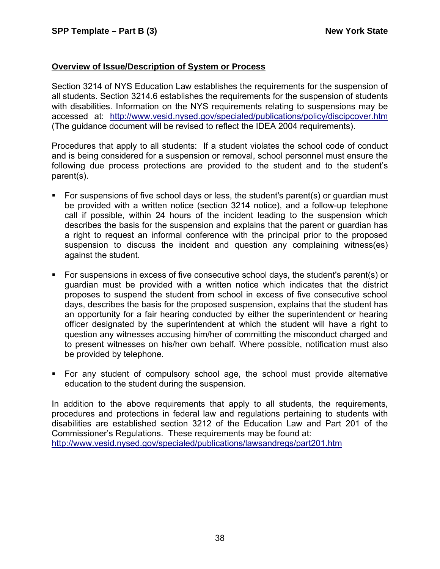## **Overview of Issue/Description of System or Process**

Section 3214 of NYS Education Law establishes the requirements for the suspension of all students. Section 3214.6 establishes the requirements for the suspension of students with disabilities. Information on the NYS requirements relating to suspensions may be accessed at: <http://www.vesid.nysed.gov/specialed/publications/policy/discipcover.htm> (The guidance document will be revised to reflect the IDEA 2004 requirements).

Procedures that apply to all students: If a student violates the school code of conduct and is being considered for a suspension or removal, school personnel must ensure the following due process protections are provided to the student and to the student's parent(s).

- For suspensions of five school days or less, the student's parent(s) or guardian must be provided with a written notice (section 3214 notice), and a follow-up telephone call if possible, within 24 hours of the incident leading to the suspension which describes the basis for the suspension and explains that the parent or guardian has a right to request an informal conference with the principal prior to the proposed suspension to discuss the incident and question any complaining witness(es) against the student.
- For suspensions in excess of five consecutive school days, the student's parent(s) or guardian must be provided with a written notice which indicates that the district proposes to suspend the student from school in excess of five consecutive school days, describes the basis for the proposed suspension, explains that the student has an opportunity for a fair hearing conducted by either the superintendent or hearing officer designated by the superintendent at which the student will have a right to question any witnesses accusing him/her of committing the misconduct charged and to present witnesses on his/her own behalf. Where possible, notification must also be provided by telephone.
- For any student of compulsory school age, the school must provide alternative education to the student during the suspension.

In addition to the above requirements that apply to all students, the requirements, procedures and protections in federal law and regulations pertaining to students with disabilities are established section 3212 of the Education Law and Part 201 of the Commissioner's Regulations. These requirements may be found at: <http://www.vesid.nysed.gov/specialed/publications/lawsandregs/part201.htm>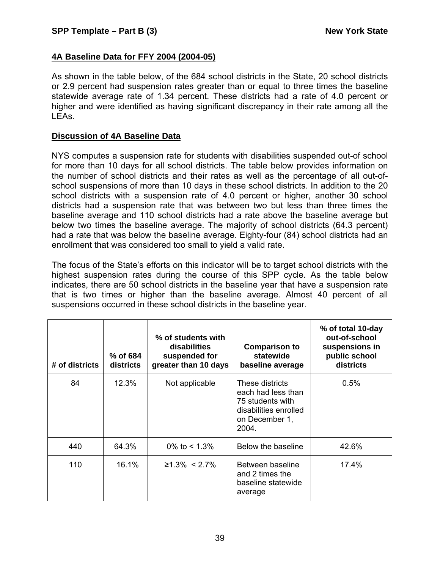## **4A Baseline Data for FFY 2004 (2004-05)**

As shown in the table below, of the 684 school districts in the State, 20 school districts or 2.9 percent had suspension rates greater than or equal to three times the baseline statewide average rate of 1.34 percent. These districts had a rate of 4.0 percent or higher and were identified as having significant discrepancy in their rate among all the LEAs.

### **Discussion of 4A Baseline Data**

NYS computes a suspension rate for students with disabilities suspended out-of school for more than 10 days for all school districts. The table below provides information on the number of school districts and their rates as well as the percentage of all out-ofschool suspensions of more than 10 days in these school districts. In addition to the 20 school districts with a suspension rate of 4.0 percent or higher, another 30 school districts had a suspension rate that was between two but less than three times the baseline average and 110 school districts had a rate above the baseline average but below two times the baseline average. The majority of school districts (64.3 percent) had a rate that was below the baseline average. Eighty-four (84) school districts had an enrollment that was considered too small to yield a valid rate.

The focus of the State's efforts on this indicator will be to target school districts with the highest suspension rates during the course of this SPP cycle. As the table below indicates, there are 50 school districts in the baseline year that have a suspension rate that is two times or higher than the baseline average. Almost 40 percent of all suspensions occurred in these school districts in the baseline year.

| # of districts | % of 684<br>districts | % of students with<br>disabilities<br>suspended for<br>greater than 10 days | <b>Comparison to</b><br>statewide<br>baseline average                                                         | % of total 10-day<br>out-of-school<br>suspensions in<br>public school<br>districts |
|----------------|-----------------------|-----------------------------------------------------------------------------|---------------------------------------------------------------------------------------------------------------|------------------------------------------------------------------------------------|
| 84             | 12.3%                 | Not applicable                                                              | These districts<br>each had less than<br>75 students with<br>disabilities enrolled<br>on December 1,<br>2004. | 0.5%                                                                               |
| 440            | 64.3%                 | 0% to $< 1.3%$                                                              | Below the baseline                                                                                            | 42.6%                                                                              |
| 110            | 16.1%                 | $≥1.3\% < 2.7\%$                                                            | Between baseline<br>and 2 times the<br>baseline statewide<br>average                                          | 17.4%                                                                              |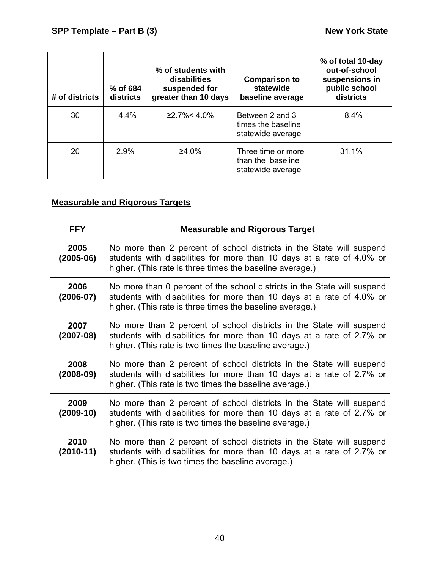| # of districts | % of 684<br>districts | % of students with<br>disabilities<br>suspended for<br>greater than 10 days | <b>Comparison to</b><br>statewide<br>baseline average        | % of total 10-day<br>out-of-school<br>suspensions in<br>public school<br>districts |
|----------------|-----------------------|-----------------------------------------------------------------------------|--------------------------------------------------------------|------------------------------------------------------------------------------------|
| 30             | 4.4%                  | $≥2.7\% < 4.0\%$                                                            | Between 2 and 3<br>times the baseline<br>statewide average   | 8.4%                                                                               |
| 20             | 2.9%                  | ≥4.0%                                                                       | Three time or more<br>than the baseline<br>statewide average | 31.1%                                                                              |

# **Measurable and Rigorous Targets**

| <b>FFY</b>            | <b>Measurable and Rigorous Target</b>                                                                                                                                                                         |
|-----------------------|---------------------------------------------------------------------------------------------------------------------------------------------------------------------------------------------------------------|
| 2005<br>$(2005-06)$   | No more than 2 percent of school districts in the State will suspend<br>students with disabilities for more than 10 days at a rate of 4.0% or<br>higher. (This rate is three times the baseline average.)     |
| 2006<br>$(2006 - 07)$ | No more than 0 percent of the school districts in the State will suspend<br>students with disabilities for more than 10 days at a rate of 4.0% or<br>higher. (This rate is three times the baseline average.) |
| 2007<br>$(2007-08)$   | No more than 2 percent of school districts in the State will suspend<br>students with disabilities for more than 10 days at a rate of 2.7% or<br>higher. (This rate is two times the baseline average.)       |
| 2008<br>$(2008-09)$   | No more than 2 percent of school districts in the State will suspend<br>students with disabilities for more than 10 days at a rate of 2.7% or<br>higher. (This rate is two times the baseline average.)       |
| 2009<br>$(2009-10)$   | No more than 2 percent of school districts in the State will suspend<br>students with disabilities for more than 10 days at a rate of 2.7% or<br>higher. (This rate is two times the baseline average.)       |
| 2010<br>$(2010-11)$   | No more than 2 percent of school districts in the State will suspend<br>students with disabilities for more than 10 days at a rate of 2.7% or<br>higher. (This is two times the baseline average.)            |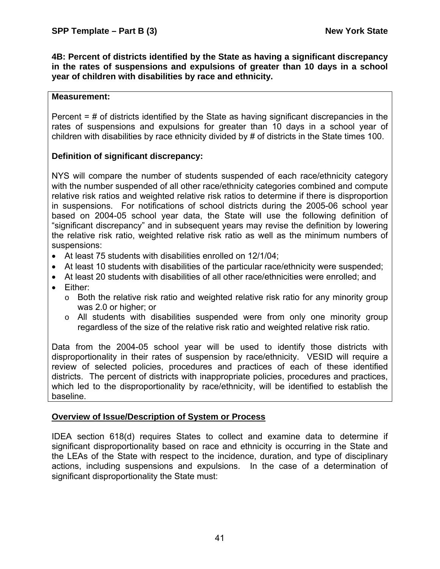**4B: Percent of districts identified by the State as having a significant discrepancy in the rates of suspensions and expulsions of greater than 10 days in a school year of children with disabilities by race and ethnicity.** 

#### **Measurement:**

Percent = # of districts identified by the State as having significant discrepancies in the rates of suspensions and expulsions for greater than 10 days in a school year of children with disabilities by race ethnicity divided by # of districts in the State times 100.

#### **Definition of significant discrepancy:**

NYS will compare the number of students suspended of each race/ethnicity category with the number suspended of all other race/ethnicity categories combined and compute relative risk ratios and weighted relative risk ratios to determine if there is disproportion in suspensions. For notifications of school districts during the 2005-06 school year based on 2004-05 school year data, the State will use the following definition of "significant discrepancy" and in subsequent years may revise the definition by lowering the relative risk ratio, weighted relative risk ratio as well as the minimum numbers of suspensions:

- At least 75 students with disabilities enrolled on 12/1/04;
- At least 10 students with disabilities of the particular race/ethnicity were suspended;
- At least 20 students with disabilities of all other race/ethnicities were enrolled; and
- Either:
	- o Both the relative risk ratio and weighted relative risk ratio for any minority group was 2.0 or higher; or
	- o All students with disabilities suspended were from only one minority group regardless of the size of the relative risk ratio and weighted relative risk ratio.

Data from the 2004-05 school year will be used to identify those districts with disproportionality in their rates of suspension by race/ethnicity. VESID will require a review of selected policies, procedures and practices of each of these identified districts. The percent of districts with inappropriate policies, procedures and practices, which led to the disproportionality by race/ethnicity, will be identified to establish the baseline.

# **Overview of Issue/Description of System or Process**

IDEA section 618(d) requires States to collect and examine data to determine if significant disproportionality based on race and ethnicity is occurring in the State and the LEAs of the State with respect to the incidence, duration, and type of disciplinary actions, including suspensions and expulsions. In the case of a determination of significant disproportionality the State must: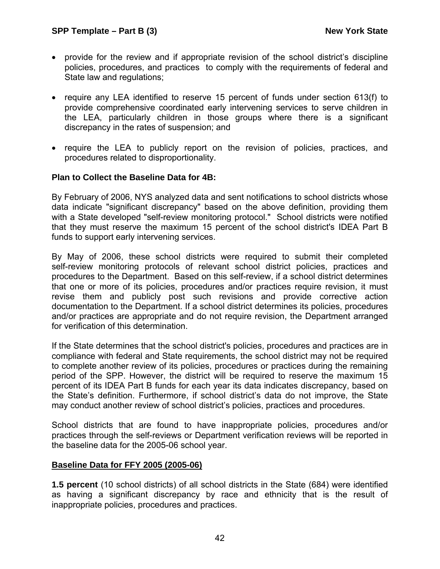- provide for the review and if appropriate revision of the school district's discipline policies, procedures, and practices to comply with the requirements of federal and State law and regulations;
- require any LEA identified to reserve 15 percent of funds under section 613(f) to provide comprehensive coordinated early intervening services to serve children in the LEA, particularly children in those groups where there is a significant discrepancy in the rates of suspension; and
- require the LEA to publicly report on the revision of policies, practices, and procedures related to disproportionality.

## **Plan to Collect the Baseline Data for 4B:**

By February of 2006, NYS analyzed data and sent notifications to school districts whose data indicate "significant discrepancy" based on the above definition, providing them with a State developed "self-review monitoring protocol." School districts were notified that they must reserve the maximum 15 percent of the school district's IDEA Part B funds to support early intervening services.

By May of 2006, these school districts were required to submit their completed self-review monitoring protocols of relevant school district policies, practices and procedures to the Department. Based on this self-review, if a school district determines that one or more of its policies, procedures and/or practices require revision, it must revise them and publicly post such revisions and provide corrective action documentation to the Department. If a school district determines its policies, procedures and/or practices are appropriate and do not require revision, the Department arranged for verification of this determination.

If the State determines that the school district's policies, procedures and practices are in compliance with federal and State requirements, the school district may not be required to complete another review of its policies, procedures or practices during the remaining period of the SPP. However, the district will be required to reserve the maximum 15 percent of its IDEA Part B funds for each year its data indicates discrepancy, based on the State's definition. Furthermore, if school district's data do not improve, the State may conduct another review of school district's policies, practices and procedures.

School districts that are found to have inappropriate policies, procedures and/or practices through the self-reviews or Department verification reviews will be reported in the baseline data for the 2005-06 school year.

#### **Baseline Data for FFY 2005 (2005-06)**

**1.5 percent** (10 school districts) of all school districts in the State (684) were identified as having a significant discrepancy by race and ethnicity that is the result of inappropriate policies, procedures and practices.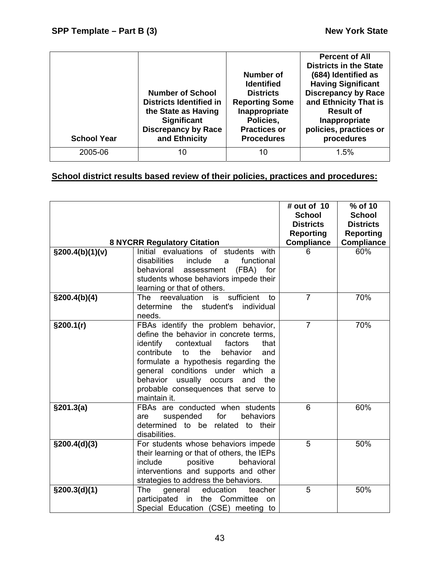| <b>School Year</b> | <b>Number of School</b><br><b>Districts Identified in</b><br>the State as Having<br><b>Significant</b><br><b>Discrepancy by Race</b><br>and Ethnicity | Number of<br><b>Identified</b><br><b>Districts</b><br><b>Reporting Some</b><br>Inappropriate<br>Policies,<br><b>Practices or</b><br><b>Procedures</b> | <b>Percent of All</b><br><b>Districts in the State</b><br>(684) Identified as<br><b>Having Significant</b><br><b>Discrepancy by Race</b><br>and Ethnicity That is<br><b>Result of</b><br>Inappropriate<br>policies, practices or<br>procedures |
|--------------------|-------------------------------------------------------------------------------------------------------------------------------------------------------|-------------------------------------------------------------------------------------------------------------------------------------------------------|------------------------------------------------------------------------------------------------------------------------------------------------------------------------------------------------------------------------------------------------|
| 2005-06            | 10                                                                                                                                                    | 10                                                                                                                                                    | 1.5%                                                                                                                                                                                                                                           |

# **School district results based review of their policies, practices and procedures:**

|                  | <b>8 NYCRR Regulatory Citation</b>                                                                                                                                                                                                                                                                                                                   | # out of 10<br><b>School</b><br><b>Districts</b><br><b>Reporting</b><br><b>Compliance</b> | % of 10<br><b>School</b><br><b>Districts</b><br><b>Reporting</b><br><b>Compliance</b> |
|------------------|------------------------------------------------------------------------------------------------------------------------------------------------------------------------------------------------------------------------------------------------------------------------------------------------------------------------------------------------------|-------------------------------------------------------------------------------------------|---------------------------------------------------------------------------------------|
| \$200.4(b)(1)(v) | Initial<br>evaluations of students<br>with<br>disabilities<br>include<br>functional<br>a<br>behavioral<br>(FBA)<br>for<br>assessment<br>students whose behaviors impede their<br>learning or that of others.                                                                                                                                         | 6                                                                                         | 60%                                                                                   |
| \$200.4(b)(4)    | sufficient<br>reevaluation<br>The<br>is<br>to<br>determine<br>the<br>student's<br>individual<br>needs.                                                                                                                                                                                                                                               | $\overline{7}$                                                                            | 70%                                                                                   |
| §200.1(r)        | FBAs identify the problem behavior,<br>define the behavior in concrete terms,<br>identify<br>contextual<br>factors<br>that<br>contribute<br>the<br>behavior<br>to<br>and<br>formulate a hypothesis regarding the<br>general conditions under which a<br>behavior usually occurs<br>the<br>and<br>probable consequences that serve to<br>maintain it. | $\overline{7}$                                                                            | 70%                                                                                   |
| §201.3(a)        | FBAs are conducted when students<br>suspended<br>for<br>behaviors<br>are<br>determined to be related to their<br>disabilities.                                                                                                                                                                                                                       | 6                                                                                         | 60%                                                                                   |
| $\S200.4(d)(3)$  | For students whose behaviors impede<br>their learning or that of others, the IEPs<br>include<br>positive<br>behavioral<br>interventions and supports and other<br>strategies to address the behaviors.                                                                                                                                               | 5                                                                                         | 50%                                                                                   |
| \$200.3(d)(1)    | The<br>education<br>general<br>teacher<br>participated in the Committee<br>on<br>Special Education (CSE) meeting to                                                                                                                                                                                                                                  | 5                                                                                         | 50%                                                                                   |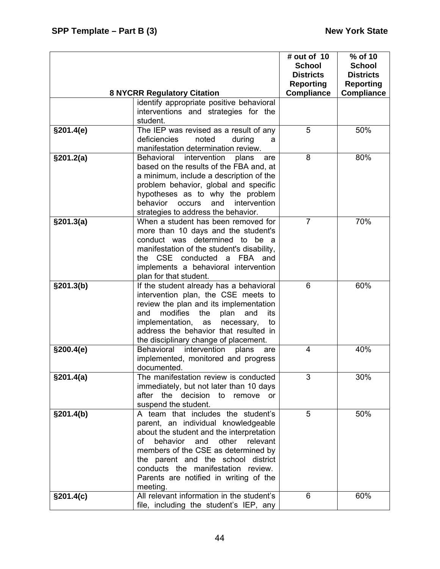|            |                                                                                     | # out of 10<br><b>School</b>         | % of 10<br><b>School</b>             |
|------------|-------------------------------------------------------------------------------------|--------------------------------------|--------------------------------------|
|            |                                                                                     | <b>Districts</b><br><b>Reporting</b> | <b>Districts</b><br><b>Reporting</b> |
|            | <b>8 NYCRR Regulatory Citation</b>                                                  | <b>Compliance</b>                    | <b>Compliance</b>                    |
|            | identify appropriate positive behavioral                                            |                                      |                                      |
|            | interventions and strategies for the<br>student.                                    |                                      |                                      |
| \$201.4(e) | The IEP was revised as a result of any                                              | 5                                    | 50%                                  |
|            | deficiencies<br>noted<br>during<br>a                                                |                                      |                                      |
|            | manifestation determination review.                                                 |                                      |                                      |
| \$201.2(a) | intervention<br><b>Behavioral</b><br>plans<br>are                                   | 8                                    | 80%                                  |
|            | based on the results of the FBA and, at<br>a minimum, include a description of the  |                                      |                                      |
|            | problem behavior, global and specific                                               |                                      |                                      |
|            | hypotheses as to why the problem                                                    |                                      |                                      |
|            | behavior<br>and<br>intervention<br>occurs                                           |                                      |                                      |
|            | strategies to address the behavior.                                                 |                                      |                                      |
| §201.3(a)  | When a student has been removed for                                                 | $\overline{7}$                       | 70%                                  |
|            | more than 10 days and the student's                                                 |                                      |                                      |
|            | conduct was determined to be a                                                      |                                      |                                      |
|            | manifestation of the student's disability,<br>the CSE conducted a FBA and           |                                      |                                      |
|            | implements a behavioral intervention                                                |                                      |                                      |
|            | plan for that student.                                                              |                                      |                                      |
| §201.3(b)  | If the student already has a behavioral                                             | 6                                    | 60%                                  |
|            | intervention plan, the CSE meets to                                                 |                                      |                                      |
|            | review the plan and its implementation                                              |                                      |                                      |
|            | modifies<br>and<br>the<br>plan<br>and<br>its                                        |                                      |                                      |
|            | implementation,<br>necessary,<br>as<br>to<br>address the behavior that resulted in  |                                      |                                      |
|            | the disciplinary change of placement.                                               |                                      |                                      |
| \$200.4(e) | Behavioral intervention<br>plans<br>are                                             | 4                                    | 40%                                  |
|            | implemented, monitored and progress                                                 |                                      |                                      |
|            | documented.                                                                         |                                      |                                      |
| §201.4(a)  | The manifestation review is conducted                                               | 3                                    | 30%                                  |
|            | immediately, but not later than 10 days                                             |                                      |                                      |
|            | after the decision to<br>remove<br>or                                               |                                      |                                      |
| §201.4(b)  | suspend the student.<br>A team that includes the student's                          | 5                                    | 50%                                  |
|            | parent, an individual knowledgeable                                                 |                                      |                                      |
|            | about the student and the interpretation                                            |                                      |                                      |
|            | behavior and<br>other<br>relevant<br>Ωf                                             |                                      |                                      |
|            | members of the CSE as determined by                                                 |                                      |                                      |
|            | the parent and the school district                                                  |                                      |                                      |
|            | conducts the manifestation review.                                                  |                                      |                                      |
|            | Parents are notified in writing of the                                              |                                      |                                      |
|            | meeting.                                                                            |                                      |                                      |
| §201.4(c)  | All relevant information in the student's<br>file, including the student's IEP, any | 6                                    | 60%                                  |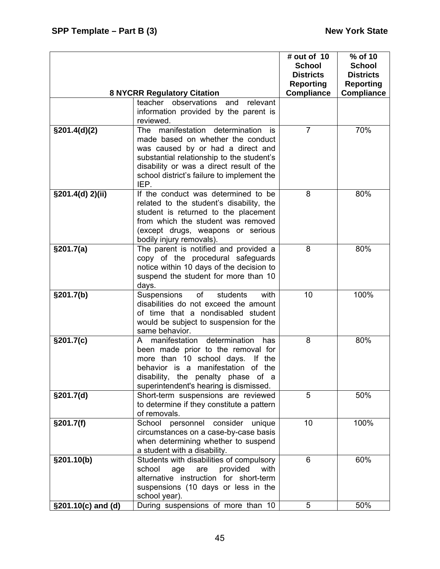|                    | <b>8 NYCRR Regulatory Citation</b>                                                                                                                                                                                                                                | # out of 10<br><b>School</b><br><b>Districts</b><br><b>Reporting</b><br><b>Compliance</b> | % of 10<br><b>School</b><br><b>Districts</b><br><b>Reporting</b><br><b>Compliance</b> |
|--------------------|-------------------------------------------------------------------------------------------------------------------------------------------------------------------------------------------------------------------------------------------------------------------|-------------------------------------------------------------------------------------------|---------------------------------------------------------------------------------------|
|                    | teacher observations and<br>relevant<br>information provided by the parent is<br>reviewed.                                                                                                                                                                        |                                                                                           |                                                                                       |
| $\S201.4(d)(2)$    | manifestation determination<br>The<br>is<br>made based on whether the conduct<br>was caused by or had a direct and<br>substantial relationship to the student's<br>disability or was a direct result of the<br>school district's failure to implement the<br>IEP. | $\overline{7}$                                                                            | 70%                                                                                   |
| §201.4(d) 2)(ii)   | If the conduct was determined to be<br>related to the student's disability, the<br>student is returned to the placement<br>from which the student was removed<br>(except drugs, weapons or serious<br>bodily injury removals).                                    | 8                                                                                         | 80%                                                                                   |
| §201.7(a)          | The parent is notified and provided a<br>copy of the procedural safeguards<br>notice within 10 days of the decision to<br>suspend the student for more than 10<br>days.                                                                                           | 8                                                                                         | 80%                                                                                   |
| §201.7(b)          | Suspensions<br>of<br>students<br>with<br>disabilities do not exceed the amount<br>of time that a nondisabled student<br>would be subject to suspension for the<br>same behavior.                                                                                  | 10                                                                                        | 100%                                                                                  |
| §201.7(c)          | determination<br>manifestation<br>has<br>A<br>been made prior to the removal for<br>more than 10 school days.<br>If the<br>behavior is a manifestation of the<br>disability, the penalty phase of a<br>superintendent's hearing is dismissed.                     | 8                                                                                         | 80%                                                                                   |
| \$201.7(d)         | Short-term suspensions are reviewed<br>to determine if they constitute a pattern<br>of removals.                                                                                                                                                                  | 5                                                                                         | 50%                                                                                   |
| §201.7(f)          | School personnel consider<br>unique<br>circumstances on a case-by-case basis<br>when determining whether to suspend<br>a student with a disability.                                                                                                               | 10                                                                                        | 100%                                                                                  |
| §201.10(b)         | Students with disabilities of compulsory<br>school<br>provided<br>age<br>are<br>with<br>alternative instruction for short-term<br>suspensions (10 days or less in the<br>school year).                                                                            | 6                                                                                         | 60%                                                                                   |
| §201.10(c) and (d) | During suspensions of more than 10                                                                                                                                                                                                                                | 5                                                                                         | 50%                                                                                   |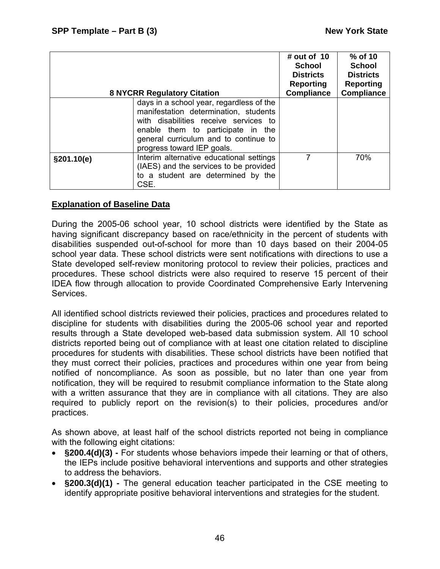|             | <b>8 NYCRR Regulatory Citation</b>                                                                                                                                                                                                     | # out of $10$<br><b>School</b><br><b>Districts</b><br>Reporting<br><b>Compliance</b> | % of 10<br><b>School</b><br><b>Districts</b><br><b>Reporting</b><br><b>Compliance</b> |
|-------------|----------------------------------------------------------------------------------------------------------------------------------------------------------------------------------------------------------------------------------------|--------------------------------------------------------------------------------------|---------------------------------------------------------------------------------------|
|             | days in a school year, regardless of the<br>manifestation determination, students<br>with disabilities receive services to<br>enable them to participate in the<br>general curriculum and to continue to<br>progress toward IEP goals. |                                                                                      |                                                                                       |
| \$201.10(e) | Interim alternative educational settings<br>(IAES) and the services to be provided<br>to a student are determined by the<br>CSE.                                                                                                       | 7                                                                                    | 70%                                                                                   |

## **Explanation of Baseline Data**

During the 2005-06 school year, 10 school districts were identified by the State as having significant discrepancy based on race/ethnicity in the percent of students with disabilities suspended out-of-school for more than 10 days based on their 2004-05 school year data. These school districts were sent notifications with directions to use a State developed self-review monitoring protocol to review their policies, practices and procedures. These school districts were also required to reserve 15 percent of their IDEA flow through allocation to provide Coordinated Comprehensive Early Intervening Services.

All identified school districts reviewed their policies, practices and procedures related to discipline for students with disabilities during the 2005-06 school year and reported results through a State developed web-based data submission system. All 10 school districts reported being out of compliance with at least one citation related to discipline procedures for students with disabilities. These school districts have been notified that they must correct their policies, practices and procedures within one year from being notified of noncompliance. As soon as possible, but no later than one year from notification, they will be required to resubmit compliance information to the State along with a written assurance that they are in compliance with all citations. They are also required to publicly report on the revision(s) to their policies, procedures and/or practices.

As shown above, at least half of the school districts reported not being in compliance with the following eight citations:

- **§200.4(d)(3)** For students whose behaviors impede their learning or that of others, the IEPs include positive behavioral interventions and supports and other strategies to address the behaviors.
- **§200.3(d)(1)** The general education teacher participated in the CSE meeting to identify appropriate positive behavioral interventions and strategies for the student.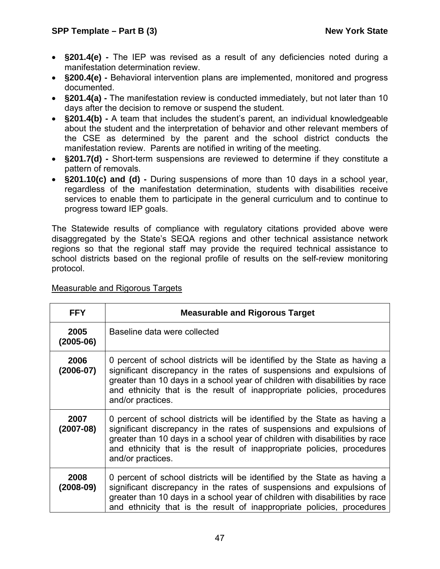- **§201.4(e)** The IEP was revised as a result of any deficiencies noted during a manifestation determination review.
- **§200.4(e)** Behavioral intervention plans are implemented, monitored and progress documented.
- **§201.4(a)** The manifestation review is conducted immediately, but not later than 10 days after the decision to remove or suspend the student.
- **§201.4(b)** A team that includes the student's parent, an individual knowledgeable about the student and the interpretation of behavior and other relevant members of the CSE as determined by the parent and the school district conducts the manifestation review. Parents are notified in writing of the meeting.
- **§201.7(d)** Short-term suspensions are reviewed to determine if they constitute a pattern of removals.
- **§201.10(c) and (d)** During suspensions of more than 10 days in a school year, regardless of the manifestation determination, students with disabilities receive services to enable them to participate in the general curriculum and to continue to progress toward IEP goals.

The Statewide results of compliance with regulatory citations provided above were disaggregated by the State's SEQA regions and other technical assistance network regions so that the regional staff may provide the required technical assistance to school districts based on the regional profile of results on the self-review monitoring protocol.

| <b>FFY</b>            | <b>Measurable and Rigorous Target</b>                                                                                                                                                                                                                                                                                            |
|-----------------------|----------------------------------------------------------------------------------------------------------------------------------------------------------------------------------------------------------------------------------------------------------------------------------------------------------------------------------|
| 2005<br>$(2005-06)$   | Baseline data were collected                                                                                                                                                                                                                                                                                                     |
| 2006<br>$(2006 - 07)$ | 0 percent of school districts will be identified by the State as having a<br>significant discrepancy in the rates of suspensions and expulsions of<br>greater than 10 days in a school year of children with disabilities by race<br>and ethnicity that is the result of inappropriate policies, procedures<br>and/or practices. |
| 2007<br>$(2007-08)$   | 0 percent of school districts will be identified by the State as having a<br>significant discrepancy in the rates of suspensions and expulsions of<br>greater than 10 days in a school year of children with disabilities by race<br>and ethnicity that is the result of inappropriate policies, procedures<br>and/or practices. |
| 2008<br>$(2008-09)$   | 0 percent of school districts will be identified by the State as having a<br>significant discrepancy in the rates of suspensions and expulsions of<br>greater than 10 days in a school year of children with disabilities by race<br>and ethnicity that is the result of inappropriate policies, procedures                      |

# Measurable and Rigorous Targets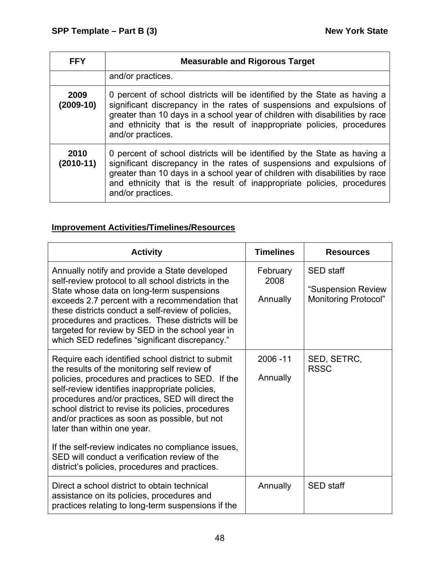| <b>FFY</b>          | <b>Measurable and Rigorous Target</b>                                                                                                                                                                                                                                                                                            |
|---------------------|----------------------------------------------------------------------------------------------------------------------------------------------------------------------------------------------------------------------------------------------------------------------------------------------------------------------------------|
|                     | and/or practices.                                                                                                                                                                                                                                                                                                                |
| 2009<br>$(2009-10)$ | 0 percent of school districts will be identified by the State as having a<br>significant discrepancy in the rates of suspensions and expulsions of<br>greater than 10 days in a school year of children with disabilities by race<br>and ethnicity that is the result of inappropriate policies, procedures<br>and/or practices. |
| 2010<br>$(2010-11)$ | 0 percent of school districts will be identified by the State as having a<br>significant discrepancy in the rates of suspensions and expulsions of<br>greater than 10 days in a school year of children with disabilities by race<br>and ethnicity that is the result of inappropriate policies, procedures<br>and/or practices. |

# **Improvement Activities/Timelines/Resources**

| <b>Activity</b>                                                                                                                                                                                                                                                                                                                                                                                                                                                                                                                                             | <b>Timelines</b>             | <b>Resources</b>                                                      |
|-------------------------------------------------------------------------------------------------------------------------------------------------------------------------------------------------------------------------------------------------------------------------------------------------------------------------------------------------------------------------------------------------------------------------------------------------------------------------------------------------------------------------------------------------------------|------------------------------|-----------------------------------------------------------------------|
| Annually notify and provide a State developed<br>self-review protocol to all school districts in the<br>State whose data on long-term suspensions<br>exceeds 2.7 percent with a recommendation that<br>these districts conduct a self-review of policies,<br>procedures and practices. These districts will be<br>targeted for review by SED in the school year in<br>which SED redefines "significant discrepancy."                                                                                                                                        | February<br>2008<br>Annually | <b>SED</b> staff<br>"Suspension Review<br><b>Monitoring Protocol"</b> |
| Require each identified school district to submit<br>the results of the monitoring self review of<br>policies, procedures and practices to SED. If the<br>self-review identifies inappropriate policies,<br>procedures and/or practices, SED will direct the<br>school district to revise its policies, procedures<br>and/or practices as soon as possible, but not<br>later than within one year.<br>If the self-review indicates no compliance issues,<br>SED will conduct a verification review of the<br>district's policies, procedures and practices. | 2006-11<br>Annually          | SED, SETRC,<br><b>RSSC</b>                                            |
| Direct a school district to obtain technical<br>assistance on its policies, procedures and<br>practices relating to long-term suspensions if the                                                                                                                                                                                                                                                                                                                                                                                                            | Annually                     | <b>SED</b> staff                                                      |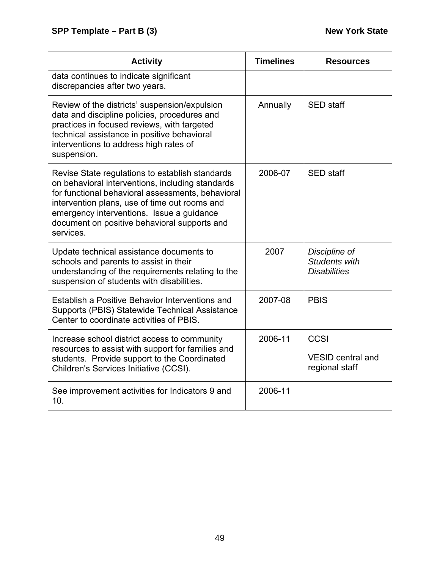| <b>Activity</b>                                                                                                                                                                                                                                                                                                     | <b>Timelines</b> | <b>Resources</b>                                      |
|---------------------------------------------------------------------------------------------------------------------------------------------------------------------------------------------------------------------------------------------------------------------------------------------------------------------|------------------|-------------------------------------------------------|
| data continues to indicate significant<br>discrepancies after two years.                                                                                                                                                                                                                                            |                  |                                                       |
| Review of the districts' suspension/expulsion<br>data and discipline policies, procedures and<br>practices in focused reviews, with targeted<br>technical assistance in positive behavioral<br>interventions to address high rates of<br>suspension.                                                                | Annually         | <b>SED</b> staff                                      |
| Revise State regulations to establish standards<br>on behavioral interventions, including standards<br>for functional behavioral assessments, behavioral<br>intervention plans, use of time out rooms and<br>emergency interventions. Issue a guidance<br>document on positive behavioral supports and<br>services. | 2006-07          | <b>SED</b> staff                                      |
| Update technical assistance documents to<br>schools and parents to assist in their<br>understanding of the requirements relating to the<br>suspension of students with disabilities.                                                                                                                                | 2007             | Discipline of<br>Students with<br><b>Disabilities</b> |
| Establish a Positive Behavior Interventions and<br>Supports (PBIS) Statewide Technical Assistance<br>Center to coordinate activities of PBIS.                                                                                                                                                                       | 2007-08          | <b>PBIS</b>                                           |
| Increase school district access to community<br>resources to assist with support for families and<br>students. Provide support to the Coordinated<br>Children's Services Initiative (CCSI).                                                                                                                         | 2006-11          | CCSI<br><b>VESID central and</b><br>regional staff    |
| See improvement activities for Indicators 9 and<br>10.                                                                                                                                                                                                                                                              | 2006-11          |                                                       |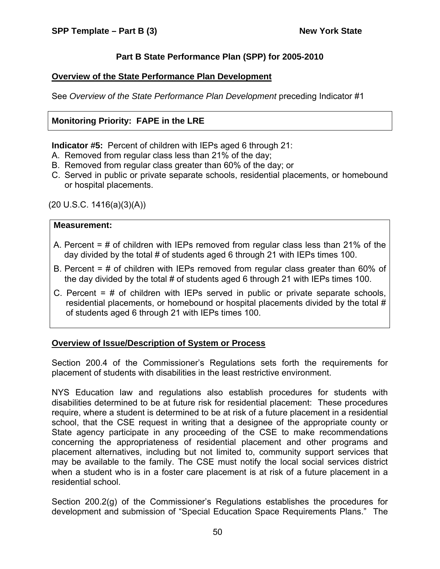# **Part B State Performance Plan (SPP) for 2005-2010**

# **Overview of the State Performance Plan Development**

See *Overview of the State Performance Plan Development* preceding Indicator #1

# **Monitoring Priority: FAPE in the LRE**

**Indicator #5:** Percent of children with IEPs aged 6 through 21:

- A. Removed from regular class less than 21% of the day;
- B. Removed from regular class greater than 60% of the day; or
- C. Served in public or private separate schools, residential placements, or homebound or hospital placements.

 $(20 \text{ U.S.C. } 1416(a)(3)(A))$ 

## **Measurement:**

- A. Percent = # of children with IEPs removed from regular class less than 21% of the day divided by the total # of students aged 6 through 21 with IEPs times 100.
- B. Percent = # of children with IEPs removed from regular class greater than 60% of the day divided by the total # of students aged 6 through 21 with IEPs times 100.
- C. Percent  $=$  # of children with IEPs served in public or private separate schools, residential placements, or homebound or hospital placements divided by the total # of students aged 6 through 21 with IEPs times 100.

# **Overview of Issue/Description of System or Process**

Section 200.4 of the Commissioner's Regulations sets forth the requirements for placement of students with disabilities in the least restrictive environment.

NYS Education law and regulations also establish procedures for students with disabilities determined to be at future risk for residential placement: These procedures require, where a student is determined to be at risk of a future placement in a residential school, that the CSE request in writing that a designee of the appropriate county or State agency participate in any proceeding of the CSE to make recommendations concerning the appropriateness of residential placement and other programs and placement alternatives, including but not limited to, community support services that may be available to the family. The CSE must notify the local social services district when a student who is in a foster care placement is at risk of a future placement in a residential school.

Section 200.2(g) of the Commissioner's Regulations establishes the procedures for development and submission of "Special Education Space Requirements Plans." The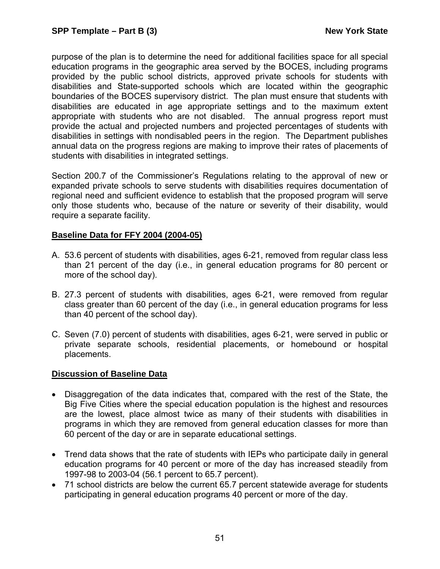purpose of the plan is to determine the need for additional facilities space for all special education programs in the geographic area served by the BOCES, including programs provided by the public school districts, approved private schools for students with disabilities and State-supported schools which are located within the geographic boundaries of the BOCES supervisory district. The plan must ensure that students with disabilities are educated in age appropriate settings and to the maximum extent appropriate with students who are not disabled. The annual progress report must provide the actual and projected numbers and projected percentages of students with disabilities in settings with nondisabled peers in the region. The Department publishes annual data on the progress regions are making to improve their rates of placements of students with disabilities in integrated settings.

Section 200.7 of the Commissioner's Regulations relating to the approval of new or expanded private schools to serve students with disabilities requires documentation of regional need and sufficient evidence to establish that the proposed program will serve only those students who, because of the nature or severity of their disability, would require a separate facility.

## **Baseline Data for FFY 2004 (2004-05)**

- A. 53.6 percent of students with disabilities, ages 6-21, removed from regular class less than 21 percent of the day (i.e., in general education programs for 80 percent or more of the school day).
- B. 27.3 percent of students with disabilities, ages 6-21, were removed from regular class greater than 60 percent of the day (i.e., in general education programs for less than 40 percent of the school day).
- C. Seven (7.0) percent of students with disabilities, ages 6-21, were served in public or private separate schools, residential placements, or homebound or hospital placements.

#### **Discussion of Baseline Data**

- Disaggregation of the data indicates that, compared with the rest of the State, the Big Five Cities where the special education population is the highest and resources are the lowest, place almost twice as many of their students with disabilities in programs in which they are removed from general education classes for more than 60 percent of the day or are in separate educational settings.
- Trend data shows that the rate of students with IEPs who participate daily in general education programs for 40 percent or more of the day has increased steadily from 1997-98 to 2003-04 (56.1 percent to 65.7 percent).
- 71 school districts are below the current 65.7 percent statewide average for students participating in general education programs 40 percent or more of the day.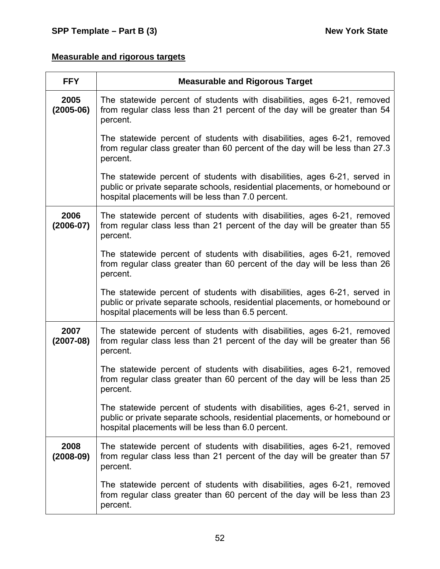# **Measurable and rigorous targets**

| <b>FFY</b>            | <b>Measurable and Rigorous Target</b>                                                                                                                                                                          |
|-----------------------|----------------------------------------------------------------------------------------------------------------------------------------------------------------------------------------------------------------|
| 2005<br>$(2005-06)$   | The statewide percent of students with disabilities, ages 6-21, removed<br>from regular class less than 21 percent of the day will be greater than 54<br>percent.                                              |
|                       | The statewide percent of students with disabilities, ages 6-21, removed<br>from regular class greater than 60 percent of the day will be less than 27.3<br>percent.                                            |
|                       | The statewide percent of students with disabilities, ages 6-21, served in<br>public or private separate schools, residential placements, or homebound or<br>hospital placements will be less than 7.0 percent. |
| 2006<br>$(2006 - 07)$ | The statewide percent of students with disabilities, ages 6-21, removed<br>from regular class less than 21 percent of the day will be greater than 55<br>percent.                                              |
|                       | The statewide percent of students with disabilities, ages 6-21, removed<br>from regular class greater than 60 percent of the day will be less than 26<br>percent.                                              |
|                       | The statewide percent of students with disabilities, ages 6-21, served in<br>public or private separate schools, residential placements, or homebound or<br>hospital placements will be less than 6.5 percent. |
| 2007<br>$(2007-08)$   | The statewide percent of students with disabilities, ages 6-21, removed<br>from regular class less than 21 percent of the day will be greater than 56<br>percent.                                              |
|                       | The statewide percent of students with disabilities, ages 6-21, removed<br>from regular class greater than 60 percent of the day will be less than 25<br>percent.                                              |
|                       | The statewide percent of students with disabilities, ages 6-21, served in<br>public or private separate schools, residential placements, or homebound or<br>hospital placements will be less than 6.0 percent. |
| 2008<br>$(2008-09)$   | The statewide percent of students with disabilities, ages 6-21, removed<br>from regular class less than 21 percent of the day will be greater than 57<br>percent.                                              |
|                       | The statewide percent of students with disabilities, ages 6-21, removed<br>from regular class greater than 60 percent of the day will be less than 23<br>percent.                                              |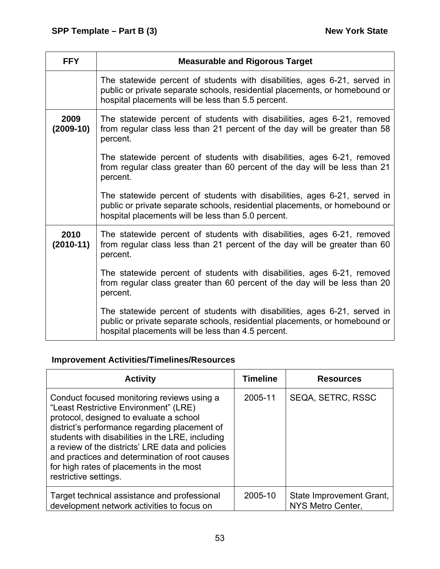| <b>FFY</b>          | <b>Measurable and Rigorous Target</b>                                                                                                                                                                          |
|---------------------|----------------------------------------------------------------------------------------------------------------------------------------------------------------------------------------------------------------|
|                     | The statewide percent of students with disabilities, ages 6-21, served in<br>public or private separate schools, residential placements, or homebound or<br>hospital placements will be less than 5.5 percent. |
| 2009<br>$(2009-10)$ | The statewide percent of students with disabilities, ages 6-21, removed<br>from regular class less than 21 percent of the day will be greater than 58<br>percent.                                              |
|                     | The statewide percent of students with disabilities, ages 6-21, removed<br>from regular class greater than 60 percent of the day will be less than 21<br>percent.                                              |
|                     | The statewide percent of students with disabilities, ages 6-21, served in<br>public or private separate schools, residential placements, or homebound or<br>hospital placements will be less than 5.0 percent. |
| 2010<br>$(2010-11)$ | The statewide percent of students with disabilities, ages 6-21, removed<br>from regular class less than 21 percent of the day will be greater than 60<br>percent.                                              |
|                     | The statewide percent of students with disabilities, ages 6-21, removed<br>from regular class greater than 60 percent of the day will be less than 20<br>percent.                                              |
|                     | The statewide percent of students with disabilities, ages 6-21, served in<br>public or private separate schools, residential placements, or homebound or<br>hospital placements will be less than 4.5 percent. |

# **Improvement Activities/Timelines/Resources**

| <b>Activity</b>                                                                                                                                                                                                                                                                                                                                                                                                | <b>Timeline</b> | <b>Resources</b>                              |
|----------------------------------------------------------------------------------------------------------------------------------------------------------------------------------------------------------------------------------------------------------------------------------------------------------------------------------------------------------------------------------------------------------------|-----------------|-----------------------------------------------|
| Conduct focused monitoring reviews using a<br>"Least Restrictive Environment" (LRE)<br>protocol, designed to evaluate a school<br>district's performance regarding placement of<br>students with disabilities in the LRE, including<br>a review of the districts' LRE data and policies<br>and practices and determination of root causes<br>for high rates of placements in the most<br>restrictive settings. | 2005-11         | SEQA, SETRC, RSSC                             |
| Target technical assistance and professional<br>development network activities to focus on                                                                                                                                                                                                                                                                                                                     | 2005-10         | State Improvement Grant,<br>NYS Metro Center, |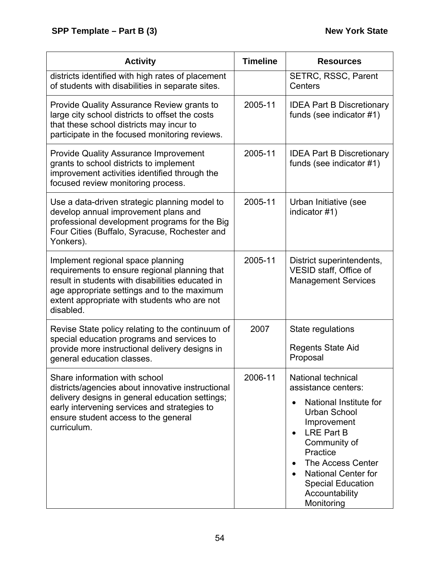| <b>Activity</b>                                                                                                                                                                                                                                    | <b>Timeline</b> | <b>Resources</b>                                                                                                                                                                                                                                                                             |
|----------------------------------------------------------------------------------------------------------------------------------------------------------------------------------------------------------------------------------------------------|-----------------|----------------------------------------------------------------------------------------------------------------------------------------------------------------------------------------------------------------------------------------------------------------------------------------------|
| districts identified with high rates of placement<br>of students with disabilities in separate sites.                                                                                                                                              |                 | SETRC, RSSC, Parent<br>Centers                                                                                                                                                                                                                                                               |
| Provide Quality Assurance Review grants to<br>large city school districts to offset the costs<br>that these school districts may incur to<br>participate in the focused monitoring reviews.                                                        | 2005-11         | <b>IDEA Part B Discretionary</b><br>funds (see indicator #1)                                                                                                                                                                                                                                 |
| <b>Provide Quality Assurance Improvement</b><br>grants to school districts to implement<br>improvement activities identified through the<br>focused review monitoring process.                                                                     | 2005-11         | <b>IDEA Part B Discretionary</b><br>funds (see indicator #1)                                                                                                                                                                                                                                 |
| Use a data-driven strategic planning model to<br>develop annual improvement plans and<br>professional development programs for the Big<br>Four Cities (Buffalo, Syracuse, Rochester and<br>Yonkers).                                               | 2005-11         | Urban Initiative (see<br>indicator #1)                                                                                                                                                                                                                                                       |
| Implement regional space planning<br>requirements to ensure regional planning that<br>result in students with disabilities educated in<br>age appropriate settings and to the maximum<br>extent appropriate with students who are not<br>disabled. | 2005-11         | District superintendents,<br>VESID staff, Office of<br><b>Management Services</b>                                                                                                                                                                                                            |
| Revise State policy relating to the continuum of<br>special education programs and services to<br>provide more instructional delivery designs in<br>general education classes.                                                                     | 2007            | State regulations<br><b>Regents State Aid</b><br>Proposal                                                                                                                                                                                                                                    |
| Share information with school<br>districts/agencies about innovative instructional<br>delivery designs in general education settings;<br>early intervening services and strategies to<br>ensure student access to the general<br>curriculum.       | 2006-11         | National technical<br>assistance centers:<br>National Institute for<br><b>Urban School</b><br>Improvement<br>LRE Part B<br>$\bullet$<br>Community of<br>Practice<br>The Access Center<br>$\bullet$<br><b>National Center for</b><br><b>Special Education</b><br>Accountability<br>Monitoring |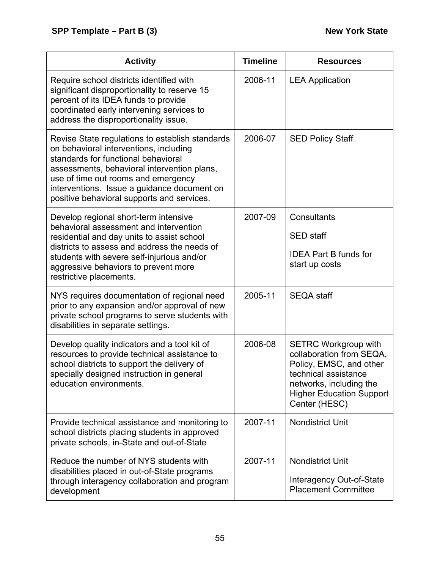| <b>Activity</b>                                                                                                                                                                                                                                                                                                     | <b>Timeline</b> | <b>Resources</b>                                                                                                                                                                          |
|---------------------------------------------------------------------------------------------------------------------------------------------------------------------------------------------------------------------------------------------------------------------------------------------------------------------|-----------------|-------------------------------------------------------------------------------------------------------------------------------------------------------------------------------------------|
| Require school districts identified with<br>significant disproportionality to reserve 15<br>percent of its IDEA funds to provide<br>coordinated early intervening services to<br>address the disproportionality issue.                                                                                              | 2006-11         | <b>LEA Application</b>                                                                                                                                                                    |
| Revise State regulations to establish standards<br>on behavioral interventions, including<br>standards for functional behavioral<br>assessments, behavioral intervention plans,<br>use of time out rooms and emergency<br>interventions. Issue a guidance document on<br>positive behavioral supports and services. | 2006-07         | <b>SED Policy Staff</b>                                                                                                                                                                   |
| Develop regional short-term intensive<br>behavioral assessment and intervention<br>residential and day units to assist school<br>districts to assess and address the needs of<br>students with severe self-injurious and/or<br>aggressive behaviors to prevent more<br>restrictive placements.                      | 2007-09         | Consultants<br><b>SED</b> staff<br><b>IDEA Part B funds for</b><br>start up costs                                                                                                         |
| NYS requires documentation of regional need<br>prior to any expansion and/or approval of new<br>private school programs to serve students with<br>disabilities in separate settings.                                                                                                                                | 2005-11         | <b>SEQA staff</b>                                                                                                                                                                         |
| Develop quality indicators and a tool kit of<br>resources to provide technical assistance to<br>school districts to support the delivery of<br>specially designed instruction in general<br>education environments.                                                                                                 | 2006-08         | <b>SETRC Workgroup with</b><br>collaboration from SEQA,<br>Policy, EMSC, and other<br>technical assistance<br>networks, including the<br><b>Higher Education Support</b><br>Center (HESC) |
| Provide technical assistance and monitoring to<br>school districts placing students in approved<br>private schools, in-State and out-of-State                                                                                                                                                                       | 2007-11         | <b>Nondistrict Unit</b>                                                                                                                                                                   |
| Reduce the number of NYS students with<br>disabilities placed in out-of-State programs<br>through interagency collaboration and program<br>development                                                                                                                                                              | 2007-11         | <b>Nondistrict Unit</b><br>Interagency Out-of-State<br><b>Placement Committee</b>                                                                                                         |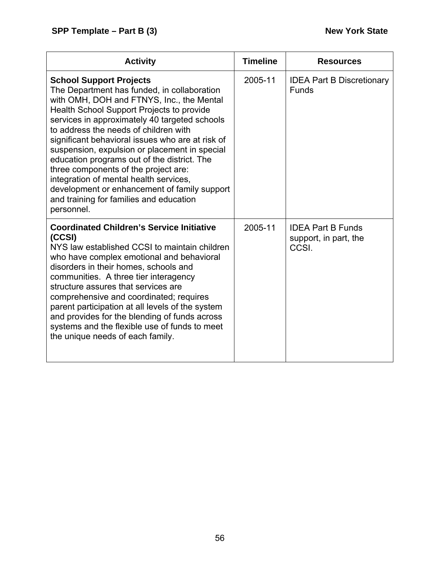| <b>Activity</b>                                                                                                                                                                                                                                                                                                                                                                                                                                                                                                                                                                                                  | <b>Timeline</b> | <b>Resources</b>                                           |
|------------------------------------------------------------------------------------------------------------------------------------------------------------------------------------------------------------------------------------------------------------------------------------------------------------------------------------------------------------------------------------------------------------------------------------------------------------------------------------------------------------------------------------------------------------------------------------------------------------------|-----------------|------------------------------------------------------------|
| <b>School Support Projects</b><br>The Department has funded, in collaboration<br>with OMH, DOH and FTNYS, Inc., the Mental<br>Health School Support Projects to provide<br>services in approximately 40 targeted schools<br>to address the needs of children with<br>significant behavioral issues who are at risk of<br>suspension, expulsion or placement in special<br>education programs out of the district. The<br>three components of the project are:<br>integration of mental health services,<br>development or enhancement of family support<br>and training for families and education<br>personnel. | 2005-11         | <b>IDEA Part B Discretionary</b><br><b>Funds</b>           |
| <b>Coordinated Children's Service Initiative</b><br>(CCSI)<br>NYS law established CCSI to maintain children<br>who have complex emotional and behavioral<br>disorders in their homes, schools and<br>communities. A three tier interagency<br>structure assures that services are<br>comprehensive and coordinated; requires<br>parent participation at all levels of the system<br>and provides for the blending of funds across<br>systems and the flexible use of funds to meet<br>the unique needs of each family.                                                                                           | 2005-11         | <b>IDEA Part B Funds</b><br>support, in part, the<br>CCSI. |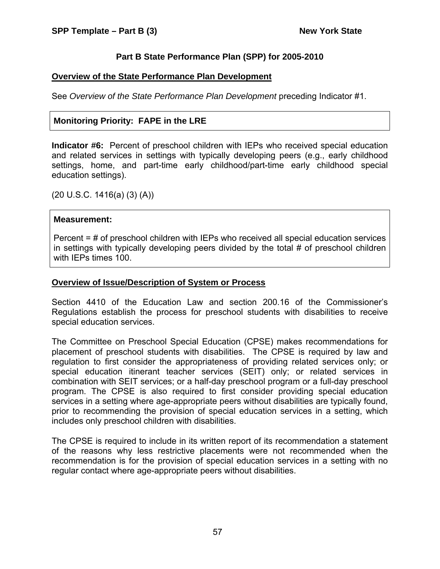## **Part B State Performance Plan (SPP) for 2005-2010**

### **Overview of the State Performance Plan Development**

See *Overview of the State Performance Plan Development* preceding Indicator #1.

# **Monitoring Priority: FAPE in the LRE**

**Indicator #6:** Percent of preschool children with IEPs who received special education and related services in settings with typically developing peers (e.g., early childhood settings, home, and part-time early childhood/part-time early childhood special education settings).

(20 U.S.C. 1416(a) (3) (A))

#### **Measurement:**

Percent = # of preschool children with IEPs who received all special education services in settings with typically developing peers divided by the total # of preschool children with IEPs times 100.

#### **Overview of Issue/Description of System or Process**

Section 4410 of the Education Law and section 200.16 of the Commissioner's Regulations establish the process for preschool students with disabilities to receive special education services.

The Committee on Preschool Special Education (CPSE) makes recommendations for placement of preschool students with disabilities. The CPSE is required by law and regulation to first consider the appropriateness of providing related services only; or special education itinerant teacher services (SEIT) only; or related services in combination with SEIT services; or a half-day preschool program or a full-day preschool program. The CPSE is also required to first consider providing special education services in a setting where age-appropriate peers without disabilities are typically found, prior to recommending the provision of special education services in a setting, which includes only preschool children with disabilities.

The CPSE is required to include in its written report of its recommendation a statement of the reasons why less restrictive placements were not recommended when the recommendation is for the provision of special education services in a setting with no regular contact where age-appropriate peers without disabilities.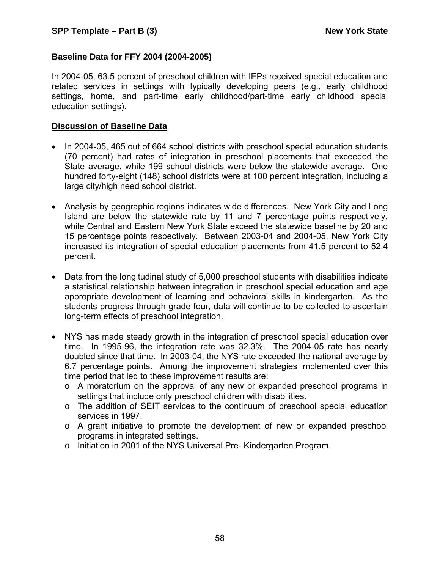#### **Baseline Data for FFY 2004 (2004-2005)**

In 2004-05, 63.5 percent of preschool children with IEPs received special education and related services in settings with typically developing peers (e.g., early childhood settings, home, and part-time early childhood/part-time early childhood special education settings).

#### **Discussion of Baseline Data**

- In 2004-05, 465 out of 664 school districts with preschool special education students (70 percent) had rates of integration in preschool placements that exceeded the State average, while 199 school districts were below the statewide average. One hundred forty-eight (148) school districts were at 100 percent integration, including a large city/high need school district.
- Analysis by geographic regions indicates wide differences. New York City and Long Island are below the statewide rate by 11 and 7 percentage points respectively, while Central and Eastern New York State exceed the statewide baseline by 20 and 15 percentage points respectively. Between 2003-04 and 2004-05, New York City increased its integration of special education placements from 41.5 percent to 52.4 percent.
- Data from the longitudinal study of 5,000 preschool students with disabilities indicate a statistical relationship between integration in preschool special education and age appropriate development of learning and behavioral skills in kindergarten. As the students progress through grade four, data will continue to be collected to ascertain long-term effects of preschool integration.
- NYS has made steady growth in the integration of preschool special education over time. In 1995-96, the integration rate was 32.3%. The 2004-05 rate has nearly doubled since that time. In 2003-04, the NYS rate exceeded the national average by 6.7 percentage points. Among the improvement strategies implemented over this time period that led to these improvement results are:
	- o A moratorium on the approval of any new or expanded preschool programs in settings that include only preschool children with disabilities.
	- o The addition of SEIT services to the continuum of preschool special education services in 1997.
	- o A grant initiative to promote the development of new or expanded preschool programs in integrated settings.
	- o Initiation in 2001 of the NYS Universal Pre- Kindergarten Program.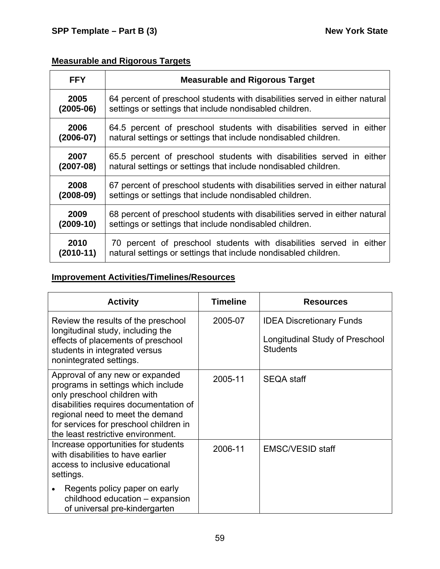# **Measurable and Rigorous Targets**

| <b>FFY</b>    | <b>Measurable and Rigorous Target</b>                                       |
|---------------|-----------------------------------------------------------------------------|
| 2005          | 64 percent of preschool students with disabilities served in either natural |
| $(2005-06)$   | settings or settings that include nondisabled children.                     |
| 2006          | 64.5 percent of preschool students with disabilities served in either       |
| $(2006 - 07)$ | natural settings or settings that include nondisabled children.             |
| 2007          | 65.5 percent of preschool students with disabilities served in either       |
| $(2007-08)$   | natural settings or settings that include nondisabled children.             |
| 2008          | 67 percent of preschool students with disabilities served in either natural |
| $(2008-09)$   | settings or settings that include nondisabled children.                     |
| 2009          | 68 percent of preschool students with disabilities served in either natural |
| $(2009-10)$   | settings or settings that include nondisabled children.                     |
| 2010          | 70 percent of preschool students with disabilities served in either         |
| $(2010-11)$   | natural settings or settings that include nondisabled children.             |

# **Improvement Activities/Timelines/Resources**

| <b>Activity</b>                                                                                                                                                                                                                                                     | <b>Timeline</b><br><b>Resources</b> |                                                                                       |
|---------------------------------------------------------------------------------------------------------------------------------------------------------------------------------------------------------------------------------------------------------------------|-------------------------------------|---------------------------------------------------------------------------------------|
| Review the results of the preschool<br>longitudinal study, including the<br>effects of placements of preschool<br>students in integrated versus<br>nonintegrated settings.                                                                                          | 2005-07                             | <b>IDEA Discretionary Funds</b><br>Longitudinal Study of Preschool<br><b>Students</b> |
| Approval of any new or expanded<br>programs in settings which include<br>only preschool children with<br>disabilities requires documentation of<br>regional need to meet the demand<br>for services for preschool children in<br>the least restrictive environment. | 2005-11                             | <b>SEQA staff</b>                                                                     |
| Increase opportunities for students<br>with disabilities to have earlier<br>access to inclusive educational<br>settings.                                                                                                                                            | 2006-11                             | <b>EMSC/VESID staff</b>                                                               |
| Regents policy paper on early<br>$\bullet$<br>childhood education - expansion<br>of universal pre-kindergarten                                                                                                                                                      |                                     |                                                                                       |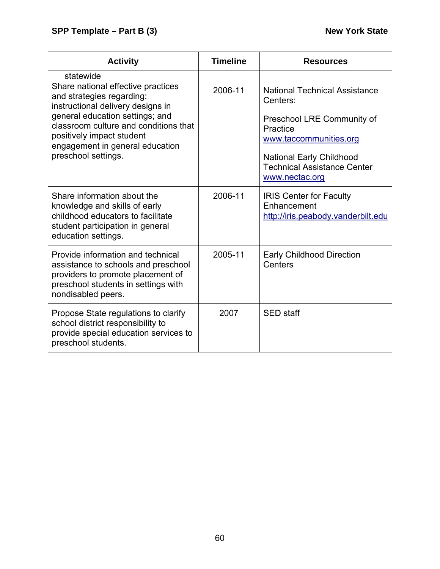| <b>Activity</b>                                                                                                                                                                                                                                                         | <b>Timeline</b> | <b>Resources</b>                                                                                                                                                                                                |
|-------------------------------------------------------------------------------------------------------------------------------------------------------------------------------------------------------------------------------------------------------------------------|-----------------|-----------------------------------------------------------------------------------------------------------------------------------------------------------------------------------------------------------------|
| statewide                                                                                                                                                                                                                                                               |                 |                                                                                                                                                                                                                 |
| Share national effective practices<br>and strategies regarding:<br>instructional delivery designs in<br>general education settings; and<br>classroom culture and conditions that<br>positively impact student<br>engagement in general education<br>preschool settings. | 2006-11         | <b>National Technical Assistance</b><br>Centers:<br>Preschool LRE Community of<br>Practice<br>www.taccommunities.org<br><b>National Early Childhood</b><br><b>Technical Assistance Center</b><br>www.nectac.org |
| Share information about the<br>knowledge and skills of early<br>childhood educators to facilitate<br>student participation in general<br>education settings.                                                                                                            | 2006-11         | <b>IRIS Center for Faculty</b><br>Enhancement<br>http://iris.peabody.vanderbilt.edu                                                                                                                             |
| Provide information and technical<br>assistance to schools and preschool<br>providers to promote placement of<br>preschool students in settings with<br>nondisabled peers.                                                                                              | 2005-11         | <b>Early Childhood Direction</b><br>Centers                                                                                                                                                                     |
| Propose State regulations to clarify<br>school district responsibility to<br>provide special education services to<br>preschool students.                                                                                                                               | 2007            | <b>SED</b> staff                                                                                                                                                                                                |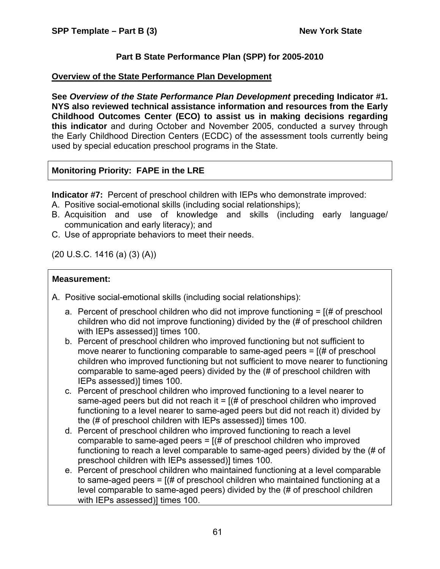## **Part B State Performance Plan (SPP) for 2005-2010**

#### **Overview of the State Performance Plan Development**

**See** *Overview of the State Performance Plan Development* **preceding Indicator #1. NYS also reviewed technical assistance information and resources from the Early Childhood Outcomes Center (ECO) to assist us in making decisions regarding this indicator** and during October and November 2005, conducted a survey through the Early Childhood Direction Centers (ECDC) of the assessment tools currently being used by special education preschool programs in the State.

# **Monitoring Priority: FAPE in the LRE**

**Indicator #7:** Percent of preschool children with IEPs who demonstrate improved:

- A. Positive social-emotional skills (including social relationships);
- B. Acquisition and use of knowledge and skills (including early language/ communication and early literacy); and
- C. Use of appropriate behaviors to meet their needs.

(20 U.S.C. 1416 (a) (3) (A))

## **Measurement:**

- A. Positive social-emotional skills (including social relationships):
	- a. Percent of preschool children who did not improve functioning = [(# of preschool children who did not improve functioning) divided by the (# of preschool children with IEPs assessed)] times 100.
	- b. Percent of preschool children who improved functioning but not sufficient to move nearer to functioning comparable to same-aged peers = [(# of preschool children who improved functioning but not sufficient to move nearer to functioning comparable to same-aged peers) divided by the (# of preschool children with IEPs assessed)] times 100.
	- c. Percent of preschool children who improved functioning to a level nearer to same-aged peers but did not reach it  $=$   $($   $\#$  of preschool children who improved functioning to a level nearer to same-aged peers but did not reach it) divided by the (# of preschool children with IEPs assessed)] times 100.
	- d. Percent of preschool children who improved functioning to reach a level comparable to same-aged peers  $=$   $($   $\#$  of preschool children who improved functioning to reach a level comparable to same-aged peers) divided by the (# of preschool children with IEPs assessed)] times 100.
	- e. Percent of preschool children who maintained functioning at a level comparable to same-aged peers = [(# of preschool children who maintained functioning at a level comparable to same-aged peers) divided by the (# of preschool children with IEPs assessed)] times 100.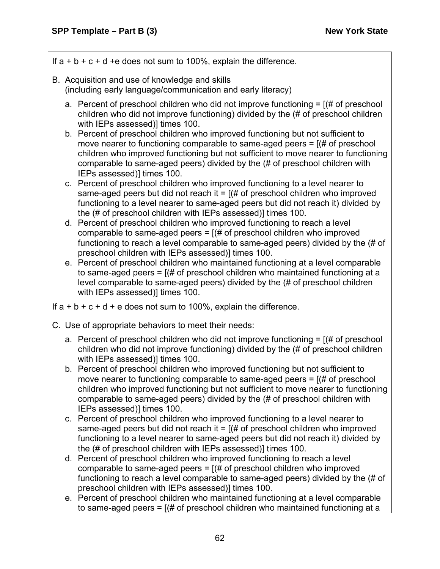If  $a + b + c + d + e$  does not sum to 100%, explain the difference.

- B. Acquisition and use of knowledge and skills (including early language/communication and early literacy)
	- a. Percent of preschool children who did not improve functioning  $=$  [ $#$  of preschool children who did not improve functioning) divided by the (# of preschool children with IEPs assessed)] times 100.
	- b. Percent of preschool children who improved functioning but not sufficient to move nearer to functioning comparable to same-aged peers = [(# of preschool children who improved functioning but not sufficient to move nearer to functioning comparable to same-aged peers) divided by the (# of preschool children with IEPs assessed)] times 100.
	- c. Percent of preschool children who improved functioning to a level nearer to same-aged peers but did not reach it  $=$   $($  # of preschool children who improved functioning to a level nearer to same-aged peers but did not reach it) divided by the (# of preschool children with IEPs assessed)] times 100.
	- d. Percent of preschool children who improved functioning to reach a level comparable to same-aged peers  $=$   $($   $\#$  of preschool children who improved functioning to reach a level comparable to same-aged peers) divided by the (# of preschool children with IEPs assessed)] times 100.
	- e. Percent of preschool children who maintained functioning at a level comparable to same-aged peers = [(# of preschool children who maintained functioning at a level comparable to same-aged peers) divided by the (# of preschool children with IEPs assessed)] times 100.

If  $a + b + c + d + e$  does not sum to 100%, explain the difference.

- C. Use of appropriate behaviors to meet their needs:
	- a. Percent of preschool children who did not improve functioning  $=$  [ $#$  of preschool children who did not improve functioning) divided by the (# of preschool children with IEPs assessed)] times 100.
	- b. Percent of preschool children who improved functioning but not sufficient to move nearer to functioning comparable to same-aged peers = [(# of preschool children who improved functioning but not sufficient to move nearer to functioning comparable to same-aged peers) divided by the (# of preschool children with IEPs assessed)] times 100.
	- c. Percent of preschool children who improved functioning to a level nearer to same-aged peers but did not reach it  $=$   $($   $\#$  of preschool children who improved functioning to a level nearer to same-aged peers but did not reach it) divided by the (# of preschool children with IEPs assessed)] times 100.
	- d. Percent of preschool children who improved functioning to reach a level comparable to same-aged peers  $=$   $($   $\#$  of preschool children who improved functioning to reach a level comparable to same-aged peers) divided by the (# of preschool children with IEPs assessed)] times 100.
	- e. Percent of preschool children who maintained functioning at a level comparable to same-aged peers = [(# of preschool children who maintained functioning at a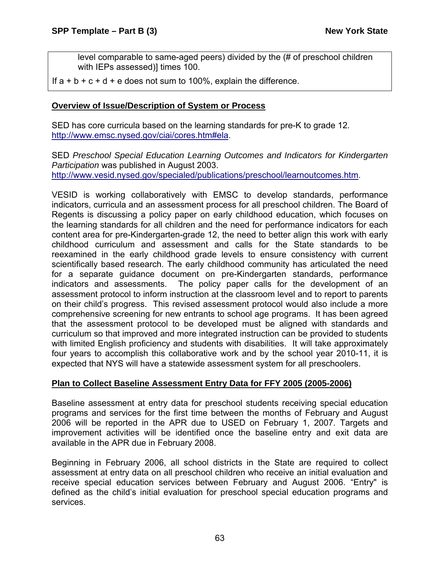level comparable to same-aged peers) divided by the (# of preschool children with IEPs assessed)] times 100.

If  $a + b + c + d + e$  does not sum to 100%, explain the difference.

### **Overview of Issue/Description of System or Process**

SED has core curricula based on the learning standards for pre-K to grade 12. <http://www.emsc.nysed.gov/ciai/cores.htm#ela>.

SED *Preschool Special Education Learning Outcomes and Indicators for Kindergarten Participation* was published in August 2003. [http://www.vesid.nysed.gov/specialed/publications/preschool/learnoutcomes.htm.](http://www.vesid.nysed.gov/specialed/publications/preschool/learnoutcomes.htm)

VESID is working collaboratively with EMSC to develop standards, performance indicators, curricula and an assessment process for all preschool children. The Board of Regents is discussing a policy paper on early childhood education, which focuses on the learning standards for all children and the need for performance indicators for each content area for pre-Kindergarten-grade 12, the need to better align this work with early childhood curriculum and assessment and calls for the State standards to be reexamined in the early childhood grade levels to ensure consistency with current scientifically based research. The early childhood community has articulated the need for a separate guidance document on pre-Kindergarten standards, performance indicators and assessments. The policy paper calls for the development of an assessment protocol to inform instruction at the classroom level and to report to parents on their child's progress. This revised assessment protocol would also include a more comprehensive screening for new entrants to school age programs. It has been agreed that the assessment protocol to be developed must be aligned with standards and curriculum so that improved and more integrated instruction can be provided to students with limited English proficiency and students with disabilities. It will take approximately four years to accomplish this collaborative work and by the school year 2010-11, it is expected that NYS will have a statewide assessment system for all preschoolers.

#### **Plan to Collect Baseline Assessment Entry Data for FFY 2005 (2005-2006)**

Baseline assessment at entry data for preschool students receiving special education programs and services for the first time between the months of February and August 2006 will be reported in the APR due to USED on February 1, 2007. Targets and improvement activities will be identified once the baseline entry and exit data are available in the APR due in February 2008.

Beginning in February 2006, all school districts in the State are required to collect assessment at entry data on all preschool children who receive an initial evaluation and receive special education services between February and August 2006. "Entry" is defined as the child's initial evaluation for preschool special education programs and services.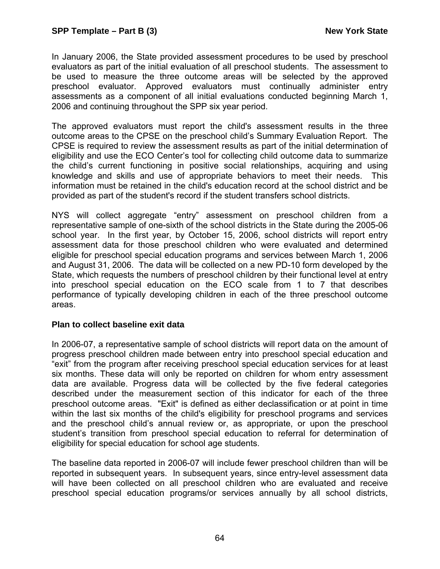In January 2006, the State provided assessment procedures to be used by preschool evaluators as part of the initial evaluation of all preschool students. The assessment to be used to measure the three outcome areas will be selected by the approved preschool evaluator. Approved evaluators must continually administer entry assessments as a component of all initial evaluations conducted beginning March 1, 2006 and continuing throughout the SPP six year period.

The approved evaluators must report the child's assessment results in the three outcome areas to the CPSE on the preschool child's Summary Evaluation Report. The CPSE is required to review the assessment results as part of the initial determination of eligibility and use the ECO Center's tool for collecting child outcome data to summarize the child's current functioning in positive social relationships, acquiring and using knowledge and skills and use of appropriate behaviors to meet their needs. This information must be retained in the child's education record at the school district and be provided as part of the student's record if the student transfers school districts.

NYS will collect aggregate "entry" assessment on preschool children from a representative sample of one-sixth of the school districts in the State during the 2005-06 school year. In the first year, by October 15, 2006, school districts will report entry assessment data for those preschool children who were evaluated and determined eligible for preschool special education programs and services between March 1, 2006 and August 31, 2006. The data will be collected on a new PD-10 form developed by the State, which requests the numbers of preschool children by their functional level at entry into preschool special education on the ECO scale from 1 to 7 that describes performance of typically developing children in each of the three preschool outcome areas.

#### **Plan to collect baseline exit data**

In 2006-07, a representative sample of school districts will report data on the amount of progress preschool children made between entry into preschool special education and "exit" from the program after receiving preschool special education services for at least six months. These data will only be reported on children for whom entry assessment data are available. Progress data will be collected by the five federal categories described under the measurement section of this indicator for each of the three preschool outcome areas. "Exit" is defined as either declassification or at point in time within the last six months of the child's eligibility for preschool programs and services and the preschool child's annual review or, as appropriate, or upon the preschool student's transition from preschool special education to referral for determination of eligibility for special education for school age students.

The baseline data reported in 2006-07 will include fewer preschool children than will be reported in subsequent years. In subsequent years, since entry-level assessment data will have been collected on all preschool children who are evaluated and receive preschool special education programs/or services annually by all school districts,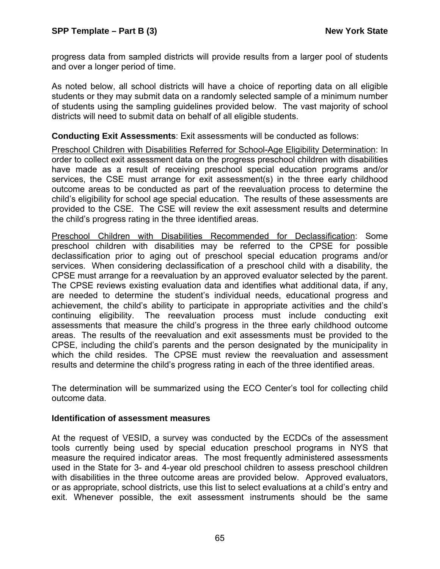progress data from sampled districts will provide results from a larger pool of students and over a longer period of time.

As noted below, all school districts will have a choice of reporting data on all eligible students or they may submit data on a randomly selected sample of a minimum number of students using the sampling guidelines provided below. The vast majority of school districts will need to submit data on behalf of all eligible students.

**Conducting Exit Assessments**: Exit assessments will be conducted as follows:

Preschool Children with Disabilities Referred for School-Age Eligibility Determination: In order to collect exit assessment data on the progress preschool children with disabilities have made as a result of receiving preschool special education programs and/or services, the CSE must arrange for exit assessment(s) in the three early childhood outcome areas to be conducted as part of the reevaluation process to determine the child's eligibility for school age special education. The results of these assessments are provided to the CSE. The CSE will review the exit assessment results and determine the child's progress rating in the three identified areas.

Preschool Children with Disabilities Recommended for Declassification: Some preschool children with disabilities may be referred to the CPSE for possible declassification prior to aging out of preschool special education programs and/or services. When considering declassification of a preschool child with a disability, the CPSE must arrange for a reevaluation by an approved evaluator selected by the parent. The CPSE reviews existing evaluation data and identifies what additional data, if any, are needed to determine the student's individual needs, educational progress and achievement, the child's ability to participate in appropriate activities and the child's continuing eligibility. The reevaluation process must include conducting exit assessments that measure the child's progress in the three early childhood outcome areas. The results of the reevaluation and exit assessments must be provided to the CPSE, including the child's parents and the person designated by the municipality in which the child resides. The CPSE must review the reevaluation and assessment results and determine the child's progress rating in each of the three identified areas.

The determination will be summarized using the ECO Center's tool for collecting child outcome data.

#### **Identification of assessment measures**

At the request of VESID, a survey was conducted by the ECDCs of the assessment tools currently being used by special education preschool programs in NYS that measure the required indicator areas. The most frequently administered assessments used in the State for 3- and 4-year old preschool children to assess preschool children with disabilities in the three outcome areas are provided below. Approved evaluators, or as appropriate, school districts, use this list to select evaluations at a child's entry and exit. Whenever possible, the exit assessment instruments should be the same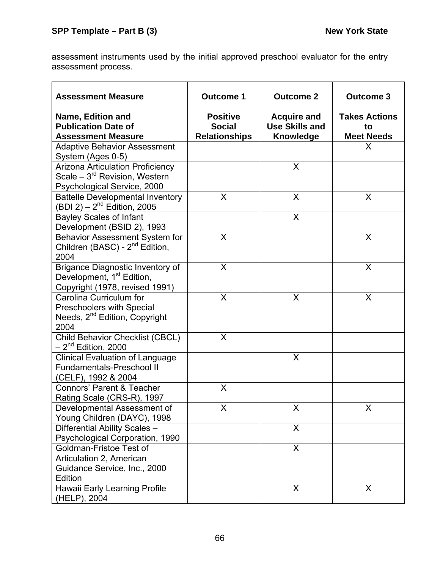assessment instruments used by the initial approved preschool evaluator for the entry assessment process.

| <b>Assessment Measure</b>                                                                                           | <b>Outcome 1</b>                                         | <b>Outcome 2</b>                                                | <b>Outcome 3</b>                                |
|---------------------------------------------------------------------------------------------------------------------|----------------------------------------------------------|-----------------------------------------------------------------|-------------------------------------------------|
| Name, Edition and<br><b>Publication Date of</b><br><b>Assessment Measure</b>                                        | <b>Positive</b><br><b>Social</b><br><b>Relationships</b> | <b>Acquire and</b><br><b>Use Skills and</b><br><b>Knowledge</b> | <b>Takes Actions</b><br>to<br><b>Meet Needs</b> |
| <b>Adaptive Behavior Assessment</b><br>System (Ages 0-5)                                                            |                                                          |                                                                 | X                                               |
| <b>Arizona Articulation Proficiency</b><br>Scale - 3 <sup>rd</sup> Revision, Western<br>Psychological Service, 2000 |                                                          | X                                                               |                                                 |
| <b>Battelle Developmental Inventory</b><br>(BDI 2) – $2^{nd}$ Edition, 2005                                         | X                                                        | X                                                               | X                                               |
| <b>Bayley Scales of Infant</b><br>Development (BSID 2), 1993                                                        |                                                          | X                                                               |                                                 |
| Behavior Assessment System for<br>Children (BASC) - 2 <sup>nd</sup> Edition,<br>2004                                | X                                                        |                                                                 | X                                               |
| Brigance Diagnostic Inventory of<br>Development, 1 <sup>st</sup> Edition,<br>Copyright (1978, revised 1991)         | X                                                        |                                                                 | X                                               |
| Carolina Curriculum for<br>Preschoolers with Special<br>Needs, 2 <sup>nd</sup> Edition, Copyright<br>2004           | X                                                        | X                                                               | X                                               |
| Child Behavior Checklist (CBCL)<br>$-2^{nd}$ Edition, 2000                                                          | X                                                        |                                                                 |                                                 |
| <b>Clinical Evaluation of Language</b><br><b>Fundamentals-Preschool II</b><br>(CELF), 1992 & 2004                   |                                                          | X                                                               |                                                 |
| <b>Connors' Parent &amp; Teacher</b><br>Rating Scale (CRS-R), 1997                                                  | X                                                        |                                                                 |                                                 |
| Developmental Assessment of<br>Young Children (DAYC), 1998                                                          | Х                                                        | X                                                               | X                                               |
| Differential Ability Scales -<br>Psychological Corporation, 1990                                                    |                                                          | $\mathsf{X}$                                                    |                                                 |
| Goldman-Fristoe Test of<br>Articulation 2, American<br>Guidance Service, Inc., 2000<br>Edition                      |                                                          | X                                                               |                                                 |
| Hawaii Early Learning Profile<br>(HELP), 2004                                                                       |                                                          | $\sf X$                                                         | $\sf X$                                         |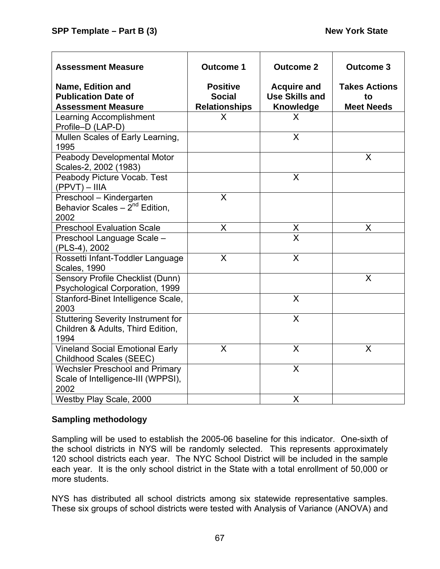| <b>Assessment Measure</b>                                                              | <b>Outcome 1</b>                                         | <b>Outcome 2</b>                                                | <b>Outcome 3</b>                                |
|----------------------------------------------------------------------------------------|----------------------------------------------------------|-----------------------------------------------------------------|-------------------------------------------------|
| <b>Name, Edition and</b><br><b>Publication Date of</b><br><b>Assessment Measure</b>    | <b>Positive</b><br><b>Social</b><br><b>Relationships</b> | <b>Acquire and</b><br><b>Use Skills and</b><br><b>Knowledge</b> | <b>Takes Actions</b><br>to<br><b>Meet Needs</b> |
| Learning Accomplishment<br>Profile-D (LAP-D)                                           | X                                                        | X                                                               |                                                 |
| Mullen Scales of Early Learning,<br>1995                                               |                                                          | X                                                               |                                                 |
| Peabody Developmental Motor<br>Scales-2, 2002 (1983)                                   |                                                          |                                                                 | X                                               |
| Peabody Picture Vocab. Test<br>$(PPVT) - IIIA$                                         |                                                          | X                                                               |                                                 |
| Preschool - Kindergarten<br>Behavior Scales $-2^{nd}$ Edition,<br>2002                 | X                                                        |                                                                 |                                                 |
| <b>Preschool Evaluation Scale</b>                                                      | X                                                        | $\frac{\mathsf{X}}{\mathsf{X}}$                                 | X                                               |
| Preschool Language Scale -<br>(PLS-4), 2002                                            |                                                          |                                                                 |                                                 |
| Rossetti Infant-Toddler Language<br><b>Scales, 1990</b>                                | X                                                        | $\overline{\mathsf{x}}$                                         |                                                 |
| Sensory Profile Checklist (Dunn)<br>Psychological Corporation, 1999                    |                                                          |                                                                 | X                                               |
| Stanford-Binet Intelligence Scale,<br>2003                                             |                                                          | X                                                               |                                                 |
| <b>Stuttering Severity Instrument for</b><br>Children & Adults, Third Edition,<br>1994 |                                                          | X                                                               |                                                 |
| <b>Vineland Social Emotional Early</b><br>Childhood Scales (SEEC)                      | X                                                        | X                                                               | X                                               |
| <b>Wechsler Preschool and Primary</b><br>Scale of Intelligence-III (WPPSI),<br>2002    |                                                          | X                                                               |                                                 |
| Westby Play Scale, 2000                                                                |                                                          | X                                                               |                                                 |

# **Sampling methodology**

Sampling will be used to establish the 2005-06 baseline for this indicator. One-sixth of the school districts in NYS will be randomly selected. This represents approximately 120 school districts each year. The NYC School District will be included in the sample each year. It is the only school district in the State with a total enrollment of 50,000 or more students.

NYS has distributed all school districts among six statewide representative samples. These six groups of school districts were tested with Analysis of Variance (ANOVA) and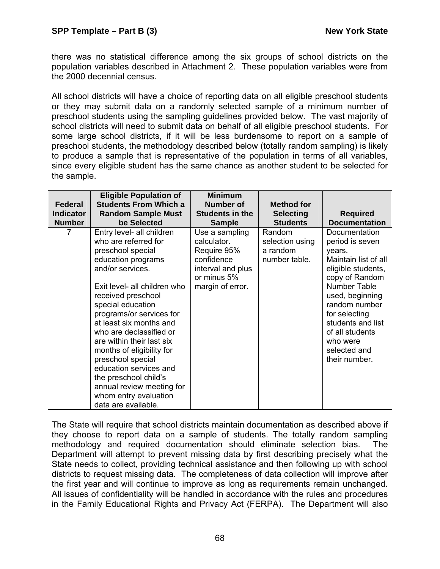there was no statistical difference among the six groups of school districts on the population variables described in Attachment 2. These population variables were from the 2000 decennial census.

All school districts will have a choice of reporting data on all eligible preschool students or they may submit data on a randomly selected sample of a minimum number of preschool students using the sampling guidelines provided below. The vast majority of school districts will need to submit data on behalf of all eligible preschool students. For some large school districts, if it will be less burdensome to report on a sample of preschool students, the methodology described below (totally random sampling) is likely to produce a sample that is representative of the population in terms of all variables, since every eligible student has the same chance as another student to be selected for the sample.

|                  | <b>Eligible Population of</b> | <b>Minimum</b>         |                   |                      |
|------------------|-------------------------------|------------------------|-------------------|----------------------|
| Federal          | <b>Students From Which a</b>  | Number of              | <b>Method for</b> |                      |
| <b>Indicator</b> | <b>Random Sample Must</b>     | <b>Students in the</b> | <b>Selecting</b>  | <b>Required</b>      |
| <b>Number</b>    | be Selected                   | <b>Sample</b>          | <b>Students</b>   | <b>Documentation</b> |
| 7                | Entry level- all children     | Use a sampling         | Random            | Documentation        |
|                  | who are referred for          | calculator.            | selection using   | period is seven      |
|                  | preschool special             | Require 95%            | a random          | years.               |
|                  | education programs            | confidence             | number table.     | Maintain list of all |
|                  | and/or services.              | interval and plus      |                   | eligible students,   |
|                  |                               | or minus 5%            |                   | copy of Random       |
|                  | Exit level- all children who  | margin of error.       |                   | Number Table         |
|                  | received preschool            |                        |                   | used, beginning      |
|                  | special education             |                        |                   | random number        |
|                  | programs/or services for      |                        |                   | for selecting        |
|                  | at least six months and       |                        |                   | students and list    |
|                  | who are declassified or       |                        |                   | of all students      |
|                  | are within their last six     |                        |                   | who were             |
|                  | months of eligibility for     |                        |                   | selected and         |
|                  | preschool special             |                        |                   | their number.        |
|                  | education services and        |                        |                   |                      |
|                  | the preschool child's         |                        |                   |                      |
|                  | annual review meeting for     |                        |                   |                      |
|                  | whom entry evaluation         |                        |                   |                      |
|                  | data are available.           |                        |                   |                      |

The State will require that school districts maintain documentation as described above if they choose to report data on a sample of students. The totally random sampling methodology and required documentation should eliminate selection bias. The Department will attempt to prevent missing data by first describing precisely what the State needs to collect, providing technical assistance and then following up with school districts to request missing data. The completeness of data collection will improve after the first year and will continue to improve as long as requirements remain unchanged. All issues of confidentiality will be handled in accordance with the rules and procedures in the Family Educational Rights and Privacy Act (FERPA). The Department will also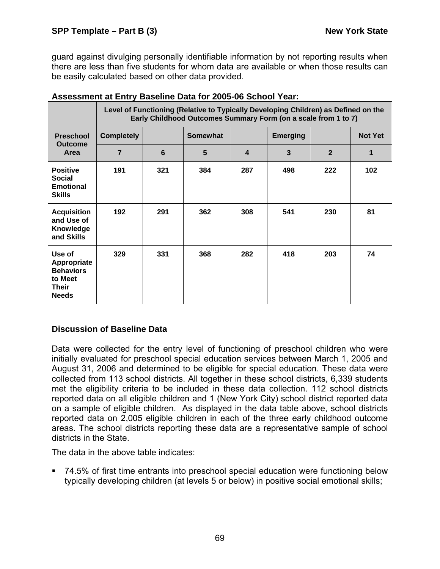guard against divulging personally identifiable information by not reporting results when there are less than five students for whom data are available or when those results can be easily calculated based on other data provided.

|                                                                                      |                   |     | Level of Functioning (Relative to Typically Developing Children) as Defined on the<br>Early Childhood Outcomes Summary Form (on a scale from 1 to 7) |                  |                 |                |                |
|--------------------------------------------------------------------------------------|-------------------|-----|------------------------------------------------------------------------------------------------------------------------------------------------------|------------------|-----------------|----------------|----------------|
| <b>Preschool</b>                                                                     | <b>Completely</b> |     | <b>Somewhat</b>                                                                                                                                      |                  | <b>Emerging</b> |                | <b>Not Yet</b> |
| <b>Outcome</b><br>Area                                                               | $\overline{7}$    | 6   | 5                                                                                                                                                    | $\boldsymbol{4}$ | $\mathbf{3}$    | $\overline{2}$ | 1              |
| <b>Positive</b><br><b>Social</b><br><b>Emotional</b><br><b>Skills</b>                | 191               | 321 | 384                                                                                                                                                  | 287              | 498             | 222            | 102            |
| <b>Acquisition</b><br>and Use of<br>Knowledge<br>and Skills                          | 192               | 291 | 362                                                                                                                                                  | 308              | 541             | 230            | 81             |
| Use of<br>Appropriate<br><b>Behaviors</b><br>to Meet<br><b>Their</b><br><b>Needs</b> | 329               | 331 | 368                                                                                                                                                  | 282              | 418             | 203            | 74             |

### **Assessment at Entry Baseline Data for 2005-06 School Year:**

# **Discussion of Baseline Data**

Data were collected for the entry level of functioning of preschool children who were initially evaluated for preschool special education services between March 1, 2005 and August 31, 2006 and determined to be eligible for special education. These data were collected from 113 school districts. All together in these school districts, 6,339 students met the eligibility criteria to be included in these data collection. 112 school districts reported data on all eligible children and 1 (New York City) school district reported data on a sample of eligible children. As displayed in the data table above, school districts reported data on 2,005 eligible children in each of the three early childhood outcome areas. The school districts reporting these data are a representative sample of school districts in the State.

The data in the above table indicates:

 74.5% of first time entrants into preschool special education were functioning below typically developing children (at levels 5 or below) in positive social emotional skills;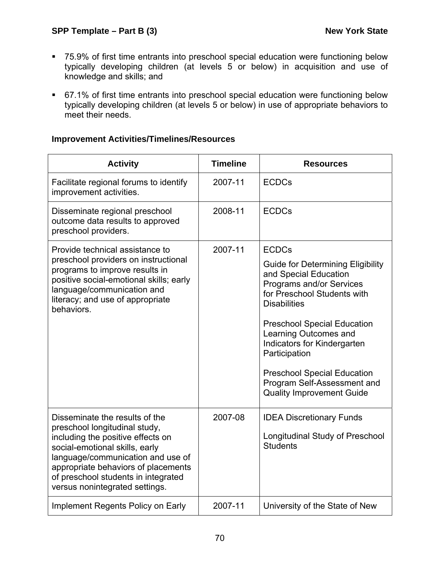- 75.9% of first time entrants into preschool special education were functioning below typically developing children (at levels 5 or below) in acquisition and use of knowledge and skills; and
- 67.1% of first time entrants into preschool special education were functioning below typically developing children (at levels 5 or below) in use of appropriate behaviors to meet their needs.

# **Improvement Activities/Timelines/Resources**

| <b>Activity</b>                                                                                                                                                                                                                                                                             | <b>Timeline</b> | <b>Resources</b>                                                                                                                                    |
|---------------------------------------------------------------------------------------------------------------------------------------------------------------------------------------------------------------------------------------------------------------------------------------------|-----------------|-----------------------------------------------------------------------------------------------------------------------------------------------------|
| Facilitate regional forums to identify<br>improvement activities.                                                                                                                                                                                                                           | 2007-11         | <b>ECDCs</b>                                                                                                                                        |
| Disseminate regional preschool<br>outcome data results to approved<br>preschool providers.                                                                                                                                                                                                  | 2008-11         | <b>ECDCs</b>                                                                                                                                        |
| Provide technical assistance to<br>preschool providers on instructional                                                                                                                                                                                                                     | 2007-11         | <b>ECDCs</b>                                                                                                                                        |
| programs to improve results in<br>positive social-emotional skills; early<br>language/communication and<br>literacy; and use of appropriate<br>behaviors.                                                                                                                                   |                 | <b>Guide for Determining Eligibility</b><br>and Special Education<br>Programs and/or Services<br>for Preschool Students with<br><b>Disabilities</b> |
|                                                                                                                                                                                                                                                                                             |                 | <b>Preschool Special Education</b><br>Learning Outcomes and<br>Indicators for Kindergarten<br>Participation                                         |
|                                                                                                                                                                                                                                                                                             |                 | <b>Preschool Special Education</b><br>Program Self-Assessment and<br><b>Quality Improvement Guide</b>                                               |
| Disseminate the results of the<br>preschool longitudinal study,<br>including the positive effects on<br>social-emotional skills, early<br>language/communication and use of<br>appropriate behaviors of placements<br>of preschool students in integrated<br>versus nonintegrated settings. | 2007-08         | <b>IDEA Discretionary Funds</b><br><b>Longitudinal Study of Preschool</b><br><b>Students</b>                                                        |
| Implement Regents Policy on Early                                                                                                                                                                                                                                                           | 2007-11         | University of the State of New                                                                                                                      |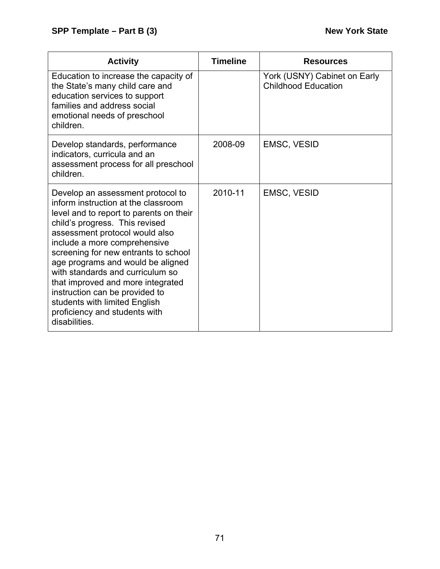| <b>Activity</b>                                                                                                                                                                                                                                                                                                                                                                                                                                                                                    | <b>Timeline</b> | <b>Resources</b>                                           |
|----------------------------------------------------------------------------------------------------------------------------------------------------------------------------------------------------------------------------------------------------------------------------------------------------------------------------------------------------------------------------------------------------------------------------------------------------------------------------------------------------|-----------------|------------------------------------------------------------|
| Education to increase the capacity of<br>the State's many child care and<br>education services to support<br>families and address social<br>emotional needs of preschool<br>children.                                                                                                                                                                                                                                                                                                              |                 | York (USNY) Cabinet on Early<br><b>Childhood Education</b> |
| Develop standards, performance<br>indicators, curricula and an<br>assessment process for all preschool<br>children.                                                                                                                                                                                                                                                                                                                                                                                | 2008-09         | EMSC, VESID                                                |
| Develop an assessment protocol to<br>inform instruction at the classroom<br>level and to report to parents on their<br>child's progress. This revised<br>assessment protocol would also<br>include a more comprehensive<br>screening for new entrants to school<br>age programs and would be aligned<br>with standards and curriculum so<br>that improved and more integrated<br>instruction can be provided to<br>students with limited English<br>proficiency and students with<br>disabilities. | 2010-11         | EMSC, VESID                                                |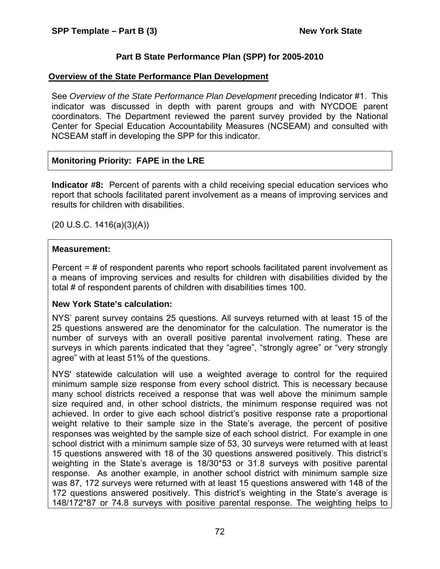# **Part B State Performance Plan (SPP) for 2005-2010**

#### **Overview of the State Performance Plan Development**

See *Overview of the State Performance Plan Development* preceding Indicator #1. This indicator was discussed in depth with parent groups and with NYCDOE parent coordinators. The Department reviewed the parent survey provided by the National Center for Special Education Accountability Measures (NCSEAM) and consulted with NCSEAM staff in developing the SPP for this indicator.

# **Monitoring Priority: FAPE in the LRE**

**Indicator #8:** Percent of parents with a child receiving special education services who report that schools facilitated parent involvement as a means of improving services and results for children with disabilities.

(20 U.S.C. 1416(a)(3)(A))

#### **Measurement:**

Percent = # of respondent parents who report schools facilitated parent involvement as a means of improving services and results for children with disabilities divided by the total # of respondent parents of children with disabilities times 100.

#### **New York State's calculation:**

NYS' parent survey contains 25 questions. All surveys returned with at least 15 of the 25 questions answered are the denominator for the calculation. The numerator is the number of surveys with an overall positive parental involvement rating. These are surveys in which parents indicated that they "agree", "strongly agree" or "very strongly agree" with at least 51% of the questions.

NYS' statewide calculation will use a weighted average to control for the required minimum sample size response from every school district. This is necessary because many school districts received a response that was well above the minimum sample size required and, in other school districts, the minimum response required was not achieved. In order to give each school district's positive response rate a proportional weight relative to their sample size in the State's average, the percent of positive responses was weighted by the sample size of each school district. For example in one school district with a minimum sample size of 53, 30 surveys were returned with at least 15 questions answered with 18 of the 30 questions answered positively. This district's weighting in the State's average is 18/30\*53 or 31.8 surveys with positive parental response. As another example, in another school district with minimum sample size was 87, 172 surveys were returned with at least 15 questions answered with 148 of the 172 questions answered positively. This district's weighting in the State's average is 148/172\*87 or 74.8 surveys with positive parental response. The weighting helps to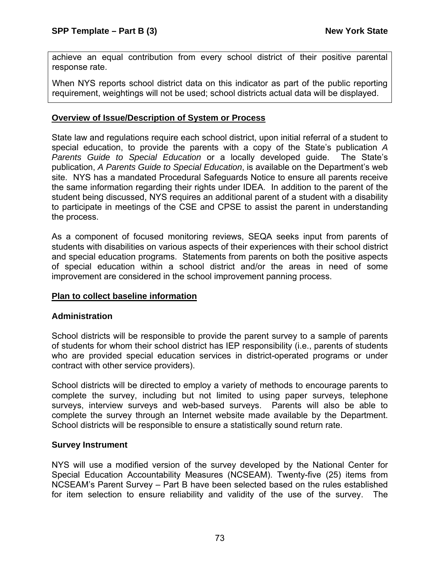achieve an equal contribution from every school district of their positive parental response rate.

When NYS reports school district data on this indicator as part of the public reporting requirement, weightings will not be used; school districts actual data will be displayed.

# **Overview of Issue/Description of System or Process**

State law and regulations require each school district, upon initial referral of a student to special education, to provide the parents with a copy of the State's publication *A Parents Guide to Special Education* or a locally developed guide. The State's publication, *A Parents Guide to Special Education*, is available on the Department's web site. NYS has a mandated Procedural Safeguards Notice to ensure all parents receive the same information regarding their rights under IDEA. In addition to the parent of the student being discussed, NYS requires an additional parent of a student with a disability to participate in meetings of the CSE and CPSE to assist the parent in understanding the process.

As a component of focused monitoring reviews, SEQA seeks input from parents of students with disabilities on various aspects of their experiences with their school district and special education programs. Statements from parents on both the positive aspects of special education within a school district and/or the areas in need of some improvement are considered in the school improvement panning process.

# **Plan to collect baseline information**

#### **Administration**

School districts will be responsible to provide the parent survey to a sample of parents of students for whom their school district has IEP responsibility (i.e., parents of students who are provided special education services in district-operated programs or under contract with other service providers).

School districts will be directed to employ a variety of methods to encourage parents to complete the survey, including but not limited to using paper surveys, telephone surveys, interview surveys and web-based surveys. Parents will also be able to complete the survey through an Internet website made available by the Department. School districts will be responsible to ensure a statistically sound return rate.

#### **Survey Instrument**

NYS will use a modified version of the survey developed by the National Center for Special Education Accountability Measures (NCSEAM). Twenty-five (25) items from NCSEAM's Parent Survey – Part B have been selected based on the rules established for item selection to ensure reliability and validity of the use of the survey. The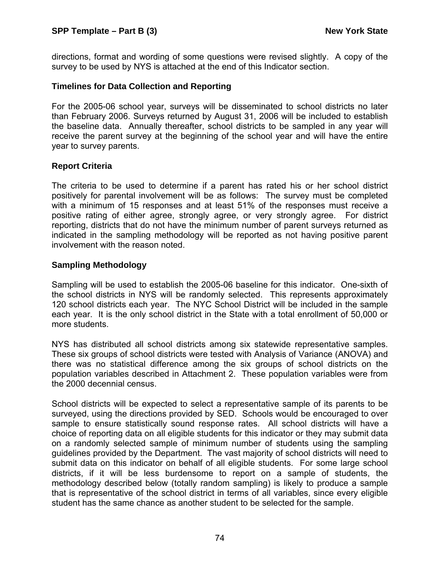directions, format and wording of some questions were revised slightly. A copy of the survey to be used by NYS is attached at the end of this Indicator section.

#### **Timelines for Data Collection and Reporting**

For the 2005-06 school year, surveys will be disseminated to school districts no later than February 2006. Surveys returned by August 31, 2006 will be included to establish the baseline data. Annually thereafter, school districts to be sampled in any year will receive the parent survey at the beginning of the school year and will have the entire year to survey parents.

#### **Report Criteria**

The criteria to be used to determine if a parent has rated his or her school district positively for parental involvement will be as follows: The survey must be completed with a minimum of 15 responses and at least 51% of the responses must receive a positive rating of either agree, strongly agree, or very strongly agree. For district reporting, districts that do not have the minimum number of parent surveys returned as indicated in the sampling methodology will be reported as not having positive parent involvement with the reason noted.

#### **Sampling Methodology**

Sampling will be used to establish the 2005-06 baseline for this indicator. One-sixth of the school districts in NYS will be randomly selected. This represents approximately 120 school districts each year. The NYC School District will be included in the sample each year. It is the only school district in the State with a total enrollment of 50,000 or more students.

NYS has distributed all school districts among six statewide representative samples. These six groups of school districts were tested with Analysis of Variance (ANOVA) and there was no statistical difference among the six groups of school districts on the population variables described in Attachment 2. These population variables were from the 2000 decennial census.

School districts will be expected to select a representative sample of its parents to be surveyed, using the directions provided by SED. Schools would be encouraged to over sample to ensure statistically sound response rates. All school districts will have a choice of reporting data on all eligible students for this indicator or they may submit data on a randomly selected sample of minimum number of students using the sampling guidelines provided by the Department. The vast majority of school districts will need to submit data on this indicator on behalf of all eligible students. For some large school districts, if it will be less burdensome to report on a sample of students, the methodology described below (totally random sampling) is likely to produce a sample that is representative of the school district in terms of all variables, since every eligible student has the same chance as another student to be selected for the sample.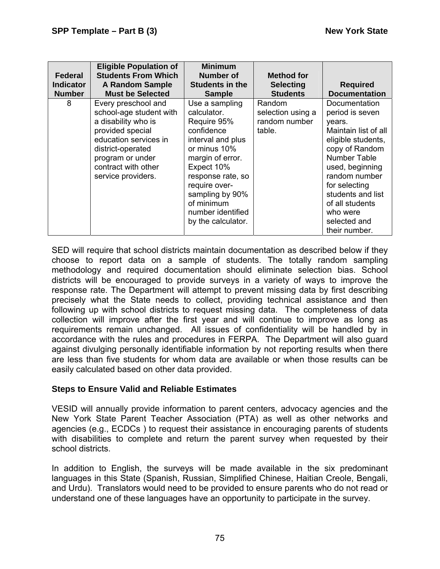| <b>Federal</b><br><b>Indicator</b><br><b>Number</b> | <b>Eligible Population of</b><br><b>Students From Which</b><br><b>A Random Sample</b><br><b>Must be Selected</b>                                                                                         | <b>Minimum</b><br>Number of<br><b>Students in the</b><br><b>Sample</b>                                                                                                                                                                              | Method for<br><b>Selecting</b><br><b>Students</b>      | <b>Required</b><br><b>Documentation</b>                                                                                                                                                                                                                              |
|-----------------------------------------------------|----------------------------------------------------------------------------------------------------------------------------------------------------------------------------------------------------------|-----------------------------------------------------------------------------------------------------------------------------------------------------------------------------------------------------------------------------------------------------|--------------------------------------------------------|----------------------------------------------------------------------------------------------------------------------------------------------------------------------------------------------------------------------------------------------------------------------|
| 8                                                   | Every preschool and<br>school-age student with<br>a disability who is<br>provided special<br>education services in<br>district-operated<br>program or under<br>contract with other<br>service providers. | Use a sampling<br>calculator.<br>Require 95%<br>confidence<br>interval and plus<br>or minus 10%<br>margin of error.<br>Expect 10%<br>response rate, so<br>require over-<br>sampling by 90%<br>of minimum<br>number identified<br>by the calculator. | Random<br>selection using a<br>random number<br>table. | Documentation<br>period is seven<br>years.<br>Maintain list of all<br>eligible students,<br>copy of Random<br>Number Table<br>used, beginning<br>random number<br>for selecting<br>students and list<br>of all students<br>who were<br>selected and<br>their number. |

SED will require that school districts maintain documentation as described below if they choose to report data on a sample of students. The totally random sampling methodology and required documentation should eliminate selection bias. School districts will be encouraged to provide surveys in a variety of ways to improve the response rate. The Department will attempt to prevent missing data by first describing precisely what the State needs to collect, providing technical assistance and then following up with school districts to request missing data. The completeness of data collection will improve after the first year and will continue to improve as long as requirements remain unchanged. All issues of confidentiality will be handled by in accordance with the rules and procedures in FERPA. The Department will also guard against divulging personally identifiable information by not reporting results when there are less than five students for whom data are available or when those results can be easily calculated based on other data provided.

#### **Steps to Ensure Valid and Reliable Estimates**

VESID will annually provide information to parent centers, advocacy agencies and the New York State Parent Teacher Association (PTA) as well as other networks and agencies (e.g., ECDCs ) to request their assistance in encouraging parents of students with disabilities to complete and return the parent survey when requested by their school districts.

In addition to English, the surveys will be made available in the six predominant languages in this State (Spanish, Russian, Simplified Chinese, Haitian Creole, Bengali, and Urdu). Translators would need to be provided to ensure parents who do not read or understand one of these languages have an opportunity to participate in the survey.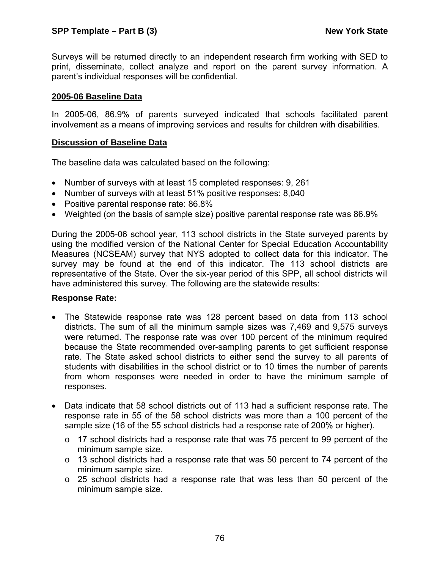Surveys will be returned directly to an independent research firm working with SED to print, disseminate, collect analyze and report on the parent survey information. A parent's individual responses will be confidential.

#### **2005-06 Baseline Data**

In 2005-06, 86.9% of parents surveyed indicated that schools facilitated parent involvement as a means of improving services and results for children with disabilities.

#### **Discussion of Baseline Data**

The baseline data was calculated based on the following:

- Number of surveys with at least 15 completed responses: 9, 261
- Number of surveys with at least 51% positive responses: 8,040
- Positive parental response rate: 86.8%
- Weighted (on the basis of sample size) positive parental response rate was 86.9%

During the 2005-06 school year, 113 school districts in the State surveyed parents by using the modified version of the National Center for Special Education Accountability Measures (NCSEAM) survey that NYS adopted to collect data for this indicator. The survey may be found at the end of this indicator. The 113 school districts are representative of the State. Over the six-year period of this SPP, all school districts will have administered this survey. The following are the statewide results:

#### **Response Rate:**

- The Statewide response rate was 128 percent based on data from 113 school districts. The sum of all the minimum sample sizes was 7,469 and 9,575 surveys were returned. The response rate was over 100 percent of the minimum required because the State recommended over-sampling parents to get sufficient response rate. The State asked school districts to either send the survey to all parents of students with disabilities in the school district or to 10 times the number of parents from whom responses were needed in order to have the minimum sample of responses.
- Data indicate that 58 school districts out of 113 had a sufficient response rate. The response rate in 55 of the 58 school districts was more than a 100 percent of the sample size (16 of the 55 school districts had a response rate of 200% or higher).
	- $\circ$  17 school districts had a response rate that was 75 percent to 99 percent of the minimum sample size.
	- $\circ$  13 school districts had a response rate that was 50 percent to 74 percent of the minimum sample size.
	- o 25 school districts had a response rate that was less than 50 percent of the minimum sample size.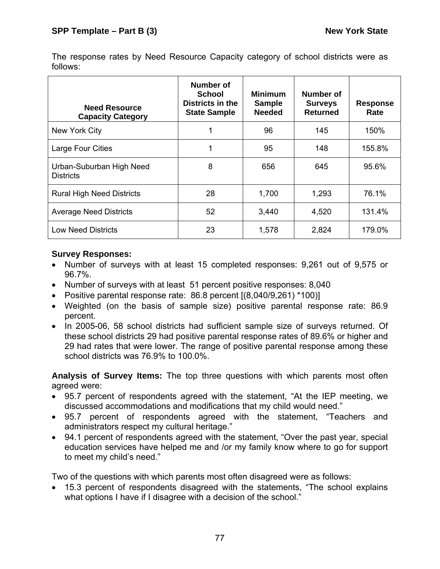The response rates by Need Resource Capacity category of school districts were as follows:

| <b>Need Resource</b><br><b>Capacity Category</b> | Number of<br>School<br>Districts in the<br><b>State Sample</b> | <b>Minimum</b><br><b>Sample</b><br><b>Needed</b> | Number of<br><b>Surveys</b><br><b>Returned</b> | <b>Response</b><br>Rate |
|--------------------------------------------------|----------------------------------------------------------------|--------------------------------------------------|------------------------------------------------|-------------------------|
| New York City                                    | 1                                                              | 96<br>145                                        |                                                | 150%                    |
| Large Four Cities                                | 1                                                              | 95                                               | 148                                            | 155.8%                  |
| Urban-Suburban High Need<br><b>Districts</b>     | 8                                                              | 656                                              | 645                                            | 95.6%                   |
| <b>Rural High Need Districts</b>                 | 28                                                             | 1,293<br>1,700                                   |                                                | 76.1%                   |
| <b>Average Need Districts</b>                    | 52                                                             | 3,440                                            | 4,520                                          | 131.4%                  |
| <b>Low Need Districts</b>                        | 23                                                             | 1,578                                            | 2,824                                          | 179.0%                  |

# **Survey Responses:**

- Number of surveys with at least 15 completed responses: 9,261 out of 9,575 or 96.7%.
- Number of surveys with at least 51 percent positive responses: 8,040
- Positive parental response rate: 86.8 percent [(8,040/9,261) \*100)]
- Weighted (on the basis of sample size) positive parental response rate: 86.9 percent.
- In 2005-06, 58 school districts had sufficient sample size of surveys returned. Of these school districts 29 had positive parental response rates of 89.6% or higher and 29 had rates that were lower. The range of positive parental response among these school districts was 76.9% to 100.0%.

**Analysis of Survey Items:** The top three questions with which parents most often agreed were:

- 95.7 percent of respondents agreed with the statement, "At the IEP meeting, we discussed accommodations and modifications that my child would need."
- 95.7 percent of respondents agreed with the statement, "Teachers and administrators respect my cultural heritage."
- 94.1 percent of respondents agreed with the statement, "Over the past year, special education services have helped me and /or my family know where to go for support to meet my child's need."

Two of the questions with which parents most often disagreed were as follows:

• 15.3 percent of respondents disagreed with the statements, "The school explains what options I have if I disagree with a decision of the school."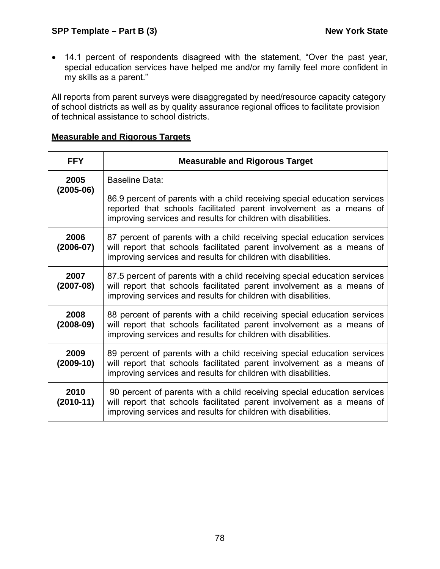• 14.1 percent of respondents disagreed with the statement, "Over the past year, special education services have helped me and/or my family feel more confident in my skills as a parent."

All reports from parent surveys were disaggregated by need/resource capacity category of school districts as well as by quality assurance regional offices to facilitate provision of technical assistance to school districts.

# **Measurable and Rigorous Targets**

| <b>FFY</b>          | <b>Measurable and Rigorous Target</b>                                                                                                                                                                                |
|---------------------|----------------------------------------------------------------------------------------------------------------------------------------------------------------------------------------------------------------------|
| 2005<br>$(2005-06)$ | Baseline Data:                                                                                                                                                                                                       |
|                     | 86.9 percent of parents with a child receiving special education services<br>reported that schools facilitated parent involvement as a means of<br>improving services and results for children with disabilities.    |
| 2006<br>$(2006-07)$ | 87 percent of parents with a child receiving special education services<br>will report that schools facilitated parent involvement as a means of<br>improving services and results for children with disabilities.   |
| 2007<br>$(2007-08)$ | 87.5 percent of parents with a child receiving special education services<br>will report that schools facilitated parent involvement as a means of<br>improving services and results for children with disabilities. |
| 2008<br>$(2008-09)$ | 88 percent of parents with a child receiving special education services<br>will report that schools facilitated parent involvement as a means of<br>improving services and results for children with disabilities.   |
| 2009<br>$(2009-10)$ | 89 percent of parents with a child receiving special education services<br>will report that schools facilitated parent involvement as a means of<br>improving services and results for children with disabilities.   |
| 2010<br>$(2010-11)$ | 90 percent of parents with a child receiving special education services<br>will report that schools facilitated parent involvement as a means of<br>improving services and results for children with disabilities.   |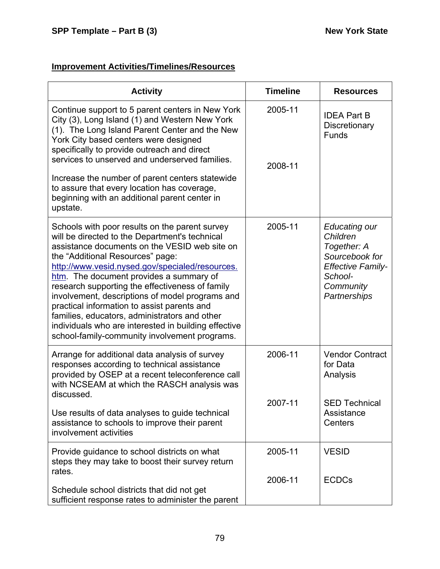# **Improvement Activities/Timelines/Resources**

| <b>Activity</b>                                                                                                                                                                                                                                                                                                                                                                                                                                                                                                                                                                                    | <b>Timeline</b>    | <b>Resources</b>                                                                                                               |
|----------------------------------------------------------------------------------------------------------------------------------------------------------------------------------------------------------------------------------------------------------------------------------------------------------------------------------------------------------------------------------------------------------------------------------------------------------------------------------------------------------------------------------------------------------------------------------------------------|--------------------|--------------------------------------------------------------------------------------------------------------------------------|
| Continue support to 5 parent centers in New York<br>City (3), Long Island (1) and Western New York<br>(1). The Long Island Parent Center and the New<br>York City based centers were designed<br>specifically to provide outreach and direct<br>services to unserved and underserved families.<br>Increase the number of parent centers statewide<br>to assure that every location has coverage,<br>beginning with an additional parent center in<br>upstate.                                                                                                                                      | 2005-11<br>2008-11 | <b>IDEA Part B</b><br>Discretionary<br><b>Funds</b>                                                                            |
| Schools with poor results on the parent survey<br>will be directed to the Department's technical<br>assistance documents on the VESID web site on<br>the "Additional Resources" page:<br>http://www.vesid.nysed.gov/specialed/resources.<br>htm. The document provides a summary of<br>research supporting the effectiveness of family<br>involvement, descriptions of model programs and<br>practical information to assist parents and<br>families, educators, administrators and other<br>individuals who are interested in building effective<br>school-family-community involvement programs. | 2005-11            | Educating our<br>Children<br>Together: A<br>Sourcebook for<br><b>Effective Family-</b><br>School-<br>Community<br>Partnerships |
| Arrange for additional data analysis of survey<br>responses according to technical assistance<br>provided by OSEP at a recent teleconference call<br>with NCSEAM at which the RASCH analysis was<br>discussed.<br>Use results of data analyses to guide technical                                                                                                                                                                                                                                                                                                                                  | 2006-11<br>2007-11 | <b>Vendor Contract</b><br>for Data<br>Analysis<br><b>SED Technical</b><br>Assistance                                           |
| assistance to schools to improve their parent<br>involvement activities                                                                                                                                                                                                                                                                                                                                                                                                                                                                                                                            |                    | Centers                                                                                                                        |
| Provide guidance to school districts on what<br>steps they may take to boost their survey return<br>rates.                                                                                                                                                                                                                                                                                                                                                                                                                                                                                         | 2005-11            | <b>VESID</b>                                                                                                                   |
| Schedule school districts that did not get<br>sufficient response rates to administer the parent                                                                                                                                                                                                                                                                                                                                                                                                                                                                                                   | 2006-11            | <b>ECDCs</b>                                                                                                                   |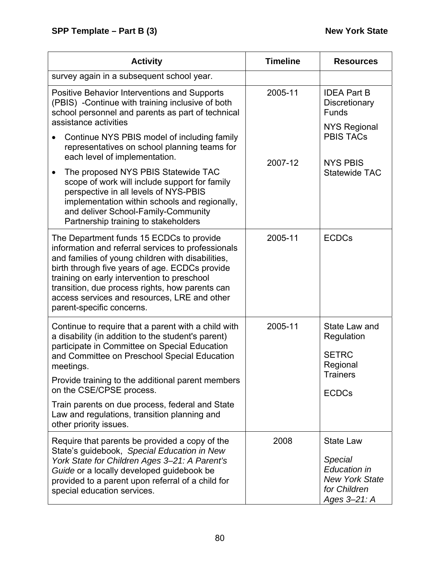| <b>Activity</b>                                                                                                                                                                                                                                                                                                                                                                      | <b>Timeline</b> | <b>Resources</b>                                                                                            |
|--------------------------------------------------------------------------------------------------------------------------------------------------------------------------------------------------------------------------------------------------------------------------------------------------------------------------------------------------------------------------------------|-----------------|-------------------------------------------------------------------------------------------------------------|
| survey again in a subsequent school year.                                                                                                                                                                                                                                                                                                                                            |                 |                                                                                                             |
| <b>Positive Behavior Interventions and Supports</b><br>(PBIS) - Continue with training inclusive of both<br>school personnel and parents as part of technical<br>assistance activities                                                                                                                                                                                               | 2005-11         | <b>IDEA Part B</b><br>Discretionary<br><b>Funds</b><br><b>NYS Regional</b>                                  |
| Continue NYS PBIS model of including family<br>representatives on school planning teams for<br>each level of implementation.                                                                                                                                                                                                                                                         | 2007-12         | <b>PBIS TACS</b><br><b>NYS PBIS</b>                                                                         |
| The proposed NYS PBIS Statewide TAC<br>scope of work will include support for family<br>perspective in all levels of NYS-PBIS<br>implementation within schools and regionally,<br>and deliver School-Family-Community<br>Partnership training to stakeholders                                                                                                                        |                 | <b>Statewide TAC</b>                                                                                        |
| The Department funds 15 ECDCs to provide<br>information and referral services to professionals<br>and families of young children with disabilities,<br>birth through five years of age. ECDCs provide<br>training on early intervention to preschool<br>transition, due process rights, how parents can<br>access services and resources, LRE and other<br>parent-specific concerns. | 2005-11         | <b>ECDCs</b>                                                                                                |
| Continue to require that a parent with a child with<br>a disability (in addition to the student's parent)<br>participate in Committee on Special Education<br>and Committee on Preschool Special Education<br>meetings.                                                                                                                                                              | 2005-11         | State Law and<br>Regulation<br><b>SETRC</b><br>Regional                                                     |
| Provide training to the additional parent members<br>on the CSE/CPSE process.                                                                                                                                                                                                                                                                                                        |                 | <b>Trainers</b><br><b>ECDCs</b>                                                                             |
| Train parents on due process, federal and State<br>Law and regulations, transition planning and<br>other priority issues.                                                                                                                                                                                                                                                            |                 |                                                                                                             |
| Require that parents be provided a copy of the<br>State's guidebook, Special Education in New<br>York State for Children Ages 3-21: A Parent's<br>Guide or a locally developed guidebook be<br>provided to a parent upon referral of a child for<br>special education services.                                                                                                      | 2008            | <b>State Law</b><br>Special<br><b>Education in</b><br><b>New York State</b><br>for Children<br>Ages 3-21: A |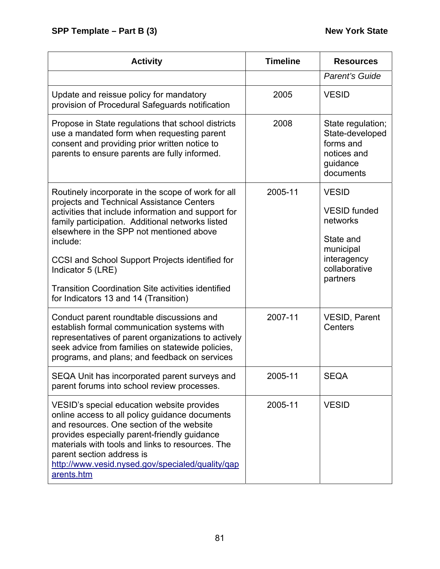| <b>Activity</b>                                                                                                                                                                                                                                                                                                                                                                                                                                  | <b>Timeline</b> | <b>Resources</b>                                                                                                      |
|--------------------------------------------------------------------------------------------------------------------------------------------------------------------------------------------------------------------------------------------------------------------------------------------------------------------------------------------------------------------------------------------------------------------------------------------------|-----------------|-----------------------------------------------------------------------------------------------------------------------|
|                                                                                                                                                                                                                                                                                                                                                                                                                                                  |                 | Parent's Guide                                                                                                        |
| Update and reissue policy for mandatory<br>provision of Procedural Safeguards notification                                                                                                                                                                                                                                                                                                                                                       | 2005            | <b>VESID</b>                                                                                                          |
| Propose in State regulations that school districts<br>use a mandated form when requesting parent<br>consent and providing prior written notice to<br>parents to ensure parents are fully informed.                                                                                                                                                                                                                                               | 2008            | State regulation;<br>State-developed<br>forms and<br>notices and<br>guidance<br>documents                             |
| Routinely incorporate in the scope of work for all<br>projects and Technical Assistance Centers<br>activities that include information and support for<br>family participation. Additional networks listed<br>elsewhere in the SPP not mentioned above<br>include:<br>CCSI and School Support Projects identified for<br>Indicator 5 (LRE)<br><b>Transition Coordination Site activities identified</b><br>for Indicators 13 and 14 (Transition) | 2005-11         | <b>VESID</b><br><b>VESID</b> funded<br>networks<br>State and<br>municipal<br>interagency<br>collaborative<br>partners |
| Conduct parent roundtable discussions and<br>establish formal communication systems with<br>representatives of parent organizations to actively<br>seek advice from families on statewide policies,<br>programs, and plans; and feedback on services                                                                                                                                                                                             | 2007-11         | <b>VESID, Parent</b><br>Centers                                                                                       |
| SEQA Unit has incorporated parent surveys and<br>parent forums into school review processes.                                                                                                                                                                                                                                                                                                                                                     | 2005-11         | <b>SEQA</b>                                                                                                           |
| VESID's special education website provides<br>online access to all policy guidance documents<br>and resources. One section of the website<br>provides especially parent-friendly guidance<br>materials with tools and links to resources. The<br>parent section address is<br>http://www.vesid.nysed.gov/specialed/quality/gap<br>arents.htm                                                                                                     | 2005-11         | <b>VESID</b>                                                                                                          |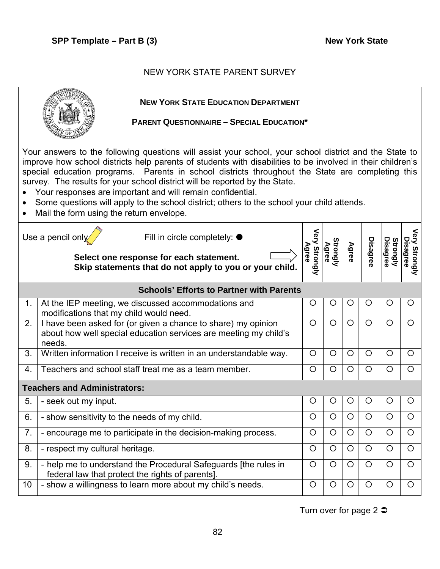# NEW YORK STATE PARENT SURVEY

|                        | <b>NEW YORK STATE EDUCATION DEPARTMENT</b><br><b>PARENT QUESTIONNAIRE - SPECIAL EDUCATION*</b>                                                                                                                                                                                                                                                                                                                                                                                                                                                                                                                  |                        |                   |         |                 |                             |                                     |  |
|------------------------|-----------------------------------------------------------------------------------------------------------------------------------------------------------------------------------------------------------------------------------------------------------------------------------------------------------------------------------------------------------------------------------------------------------------------------------------------------------------------------------------------------------------------------------------------------------------------------------------------------------------|------------------------|-------------------|---------|-----------------|-----------------------------|-------------------------------------|--|
| $\bullet$<br>$\bullet$ | Your answers to the following questions will assist your school, your school district and the State to<br>improve how school districts help parents of students with disabilities to be involved in their children's<br>special education programs. Parents in school districts throughout the State are completing this<br>survey. The results for your school district will be reported by the State.<br>Your responses are important and will remain confidential.<br>Some questions will apply to the school district; others to the school your child attends.<br>Mail the form using the return envelope. |                        |                   |         |                 |                             |                                     |  |
|                        | Use a pencil only<br>Fill in circle completely: $\bullet$<br>Select one response for each statement.<br>Skip statements that do not apply to you or your child.                                                                                                                                                                                                                                                                                                                                                                                                                                                 | Very Strongly<br>Agree | Strongly<br>Agree | Agree   | <b>Disagree</b> | <b>Disagree</b><br>Strongly | Very<br><b>Disagree</b><br>Strongly |  |
|                        | <b>Schools' Efforts to Partner with Parents</b>                                                                                                                                                                                                                                                                                                                                                                                                                                                                                                                                                                 |                        |                   |         |                 |                             |                                     |  |
| 1.                     | At the IEP meeting, we discussed accommodations and<br>modifications that my child would need.                                                                                                                                                                                                                                                                                                                                                                                                                                                                                                                  | O                      | O                 | O       | O               | O                           | O                                   |  |
| 2.                     | I have been asked for (or given a chance to share) my opinion<br>about how well special education services are meeting my child's<br>needs.                                                                                                                                                                                                                                                                                                                                                                                                                                                                     | $\circ$                | $\circ$           | $\circ$ | $\circ$         | $\circ$                     | O                                   |  |
| 3.                     | Written information I receive is written in an understandable way.                                                                                                                                                                                                                                                                                                                                                                                                                                                                                                                                              | $\circ$                | $\circ$           | $\circ$ | $\circ$         | $\circ$                     | $\circ$                             |  |
| 4.                     | Teachers and school staff treat me as a team member.                                                                                                                                                                                                                                                                                                                                                                                                                                                                                                                                                            | O                      | $\circ$           | O       | $\circ$         | $\circ$                     | $\circ$                             |  |
|                        | <b>Teachers and Administrators:</b>                                                                                                                                                                                                                                                                                                                                                                                                                                                                                                                                                                             |                        |                   |         |                 |                             |                                     |  |
| 5.                     | - seek out my input.                                                                                                                                                                                                                                                                                                                                                                                                                                                                                                                                                                                            | Ő                      | U                 | U       | Ő               | Ő                           |                                     |  |
| 6.                     | - show sensitivity to the needs of my child.                                                                                                                                                                                                                                                                                                                                                                                                                                                                                                                                                                    | $\circ$                | $\circ$           | $\circ$ | $\circ$         | $\circ$                     | $\circ$                             |  |
| 7.                     | - encourage me to participate in the decision-making process.                                                                                                                                                                                                                                                                                                                                                                                                                                                                                                                                                   | $\circ$                | $\circ$           | O       | $\circ$         | $\circ$                     | $\circ$                             |  |
| 8.                     | - respect my cultural heritage.                                                                                                                                                                                                                                                                                                                                                                                                                                                                                                                                                                                 | O                      | O                 | O       | $\circ$         | $\circ$                     | $\circ$                             |  |
| 9.                     | - help me to understand the Procedural Safeguards [the rules in<br>federal law that protect the rights of parents].                                                                                                                                                                                                                                                                                                                                                                                                                                                                                             | $\circ$                | $\circ$           | $\circ$ | $\circ$         | $\circ$                     | $\circ$                             |  |
| 10                     | - show a willingness to learn more about my child's needs.                                                                                                                                                                                                                                                                                                                                                                                                                                                                                                                                                      | $\circ$                | $\circ$           | $\circ$ | O               | $\circ$                     | $\circ$                             |  |

Turn over for page 2  $\bullet$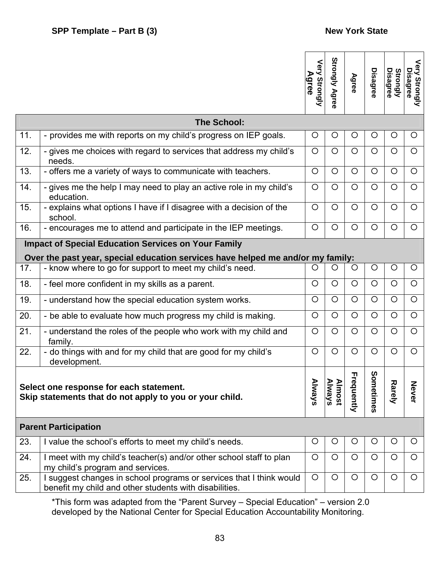|                                                                                                                                                                                                         |                                                                                                                                               | Very<br>Agree<br>Strongly | <b>Strongly Agree</b> | Agree   | <b>Disagree</b> | Strongly<br><b>Disagree</b> | Very Strongly<br>Disagree |
|---------------------------------------------------------------------------------------------------------------------------------------------------------------------------------------------------------|-----------------------------------------------------------------------------------------------------------------------------------------------|---------------------------|-----------------------|---------|-----------------|-----------------------------|---------------------------|
|                                                                                                                                                                                                         | <b>The School:</b>                                                                                                                            |                           |                       |         |                 |                             |                           |
| 11.                                                                                                                                                                                                     | - provides me with reports on my child's progress on IEP goals.                                                                               | O                         | $\circ$               | $\circ$ | $\circ$         | $\circ$                     | $\circ$                   |
| 12.                                                                                                                                                                                                     | - gives me choices with regard to services that address my child's<br>needs.                                                                  | $\circ$                   | $\circ$               | $\circ$ | $\circ$         | $\circ$                     | $\circ$                   |
| 13.                                                                                                                                                                                                     | - offers me a variety of ways to communicate with teachers.                                                                                   | $\circ$                   | $\circ$               | $\circ$ | $\circ$         | $\circ$                     | $\circ$                   |
| 14.                                                                                                                                                                                                     | - gives me the help I may need to play an active role in my child's<br>education.                                                             | $\circ$                   | $\circ$               | O       | $\circ$         | $\circ$                     | $\circ$                   |
| 15.                                                                                                                                                                                                     | - explains what options I have if I disagree with a decision of the<br>school.                                                                | $\circ$                   | $\circ$               | $\circ$ | $\circ$         | $\circ$                     | $\circ$                   |
| 16.                                                                                                                                                                                                     | - encourages me to attend and participate in the IEP meetings.                                                                                | O                         | $\circ$               | $\circ$ | $\circ$         | $\circ$                     | $\circ$                   |
|                                                                                                                                                                                                         | <b>Impact of Special Education Services on Your Family</b><br>Over the past year, special education services have helped me and/or my family: |                           |                       |         |                 |                             |                           |
| 17.                                                                                                                                                                                                     | - know where to go for support to meet my child's need.                                                                                       | O                         | O                     | $\circ$ | $\circ$         | $\circ$                     | $\circ$                   |
| 18.                                                                                                                                                                                                     | - feel more confident in my skills as a parent.                                                                                               | $\circ$                   | $\circ$               | $\circ$ | $\circ$         | $\circ$                     | $\circ$                   |
| 19.                                                                                                                                                                                                     | - understand how the special education system works.                                                                                          | $\circ$                   | $\circ$               | $\circ$ | $\circ$         | $\circ$                     | $\circ$                   |
| 20.                                                                                                                                                                                                     | - be able to evaluate how much progress my child is making.                                                                                   | $\circ$                   | $\circ$               | $\circ$ | $\circ$         | $\circ$                     | $\circ$                   |
| 21.                                                                                                                                                                                                     | - understand the roles of the people who work with my child and<br>family.                                                                    | O                         | $\circ$               | $\circ$ | $\circ$         | $\circ$                     | $\circ$                   |
| 22.                                                                                                                                                                                                     | - do things with and for my child that are good for my child's<br>development.                                                                | $\circ$                   | $\circ$               | $\circ$ | $\circ$         | $\circ$                     | $\circ$                   |
| ທ<br><b>Frequently</b><br>ometimes<br>Always<br>Always<br><b>Almost</b><br><b>Rarely</b><br>Never<br>Select one response for each statement.<br>Skip statements that do not apply to you or your child. |                                                                                                                                               |                           |                       |         |                 |                             |                           |
|                                                                                                                                                                                                         | <b>Parent Participation</b>                                                                                                                   |                           |                       |         |                 |                             |                           |
| 23.                                                                                                                                                                                                     | I value the school's efforts to meet my child's needs.                                                                                        | O                         | $\circ$               | O       | $\circ$         | O                           | O                         |
| 24.                                                                                                                                                                                                     | I meet with my child's teacher(s) and/or other school staff to plan<br>my child's program and services.                                       | $\circ$                   | $\circ$               | $\circ$ | $\circ$         | $\circ$                     | $\circ$                   |
| 25.                                                                                                                                                                                                     | I suggest changes in school programs or services that I think would<br>benefit my child and other students with disabilities.                 | $\circ$                   | $\circ$               | $\circ$ | $\circ$         | $\circ$                     | $\circ$                   |

\*This form was adapted from the "Parent Survey – Special Education" – version 2.0 developed by the National Center for Special Education Accountability Monitoring.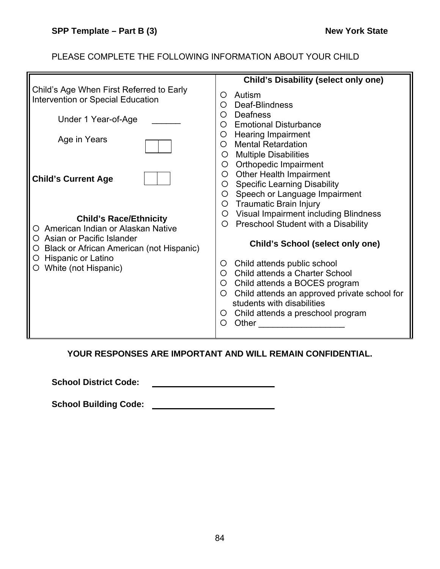# PLEASE COMPLETE THE FOLLOWING INFORMATION ABOUT YOUR CHILD

|                                                                | <b>Child's Disability (select only one)</b>                                   |
|----------------------------------------------------------------|-------------------------------------------------------------------------------|
| Child's Age When First Referred to Early                       | Autism<br>O                                                                   |
| Intervention or Special Education                              | Deaf-Blindness<br>O                                                           |
| Under 1 Year-of-Age                                            | Deafness<br>O<br>∩                                                            |
|                                                                | <b>Emotional Disturbance</b><br><b>Hearing Impairment</b><br>O                |
| Age in Years                                                   | <b>Mental Retardation</b><br>◯                                                |
|                                                                | O Multiple Disabilities                                                       |
|                                                                | O Orthopedic Impairment                                                       |
| <b>Child's Current Age</b>                                     | <b>Other Health Impairment</b><br>$\circ$<br>O Specific Learning Disability   |
|                                                                | Speech or Language Impairment<br>$\circ$                                      |
|                                                                | O Traumatic Brain Injury                                                      |
| <b>Child's Race/Ethnicity</b>                                  | O Visual Impairment including Blindness                                       |
| American Indian or Alaskan Native                              | Preschool Student with a Disability<br>$\circ$                                |
| Asian or Pacific Islander                                      | <b>Child's School (select only one)</b>                                       |
| Black or African American (not Hispanic)<br>Hispanic or Latino |                                                                               |
| White (not Hispanic)                                           | Child attends public school<br>$\circ$<br>Child attends a Charter School<br>O |
|                                                                | Child attends a BOCES program<br>$\circ$                                      |
|                                                                | Child attends an approved private school for<br>$\circ$                       |
|                                                                | students with disabilities                                                    |
|                                                                | Child attends a preschool program<br>O<br>Other<br>O                          |
|                                                                |                                                                               |

# **YOUR RESPONSES ARE IMPORTANT AND WILL REMAIN CONFIDENTIAL.**

**School District Code:**  <u> 1990 - Johann Barbara, martin a</u>

**School Building Code:**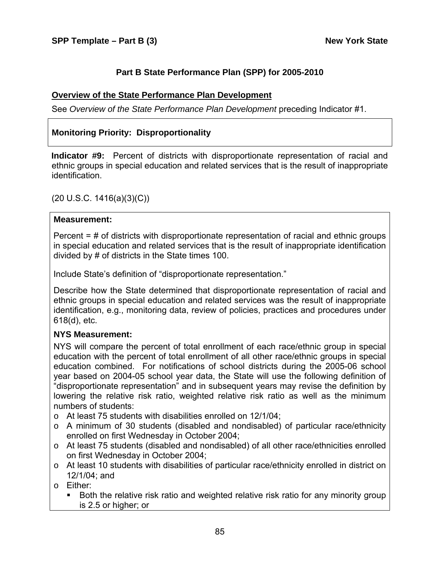# **Part B State Performance Plan (SPP) for 2005-2010**

### **Overview of the State Performance Plan Development**

See *Overview of the State Performance Plan Development* preceding Indicator #1.

# **Monitoring Priority: Disproportionality**

**Indicator #9:** Percent of districts with disproportionate representation of racial and ethnic groups in special education and related services that is the result of inappropriate identification.

(20 U.S.C. 1416(a)(3)(C))

#### **Measurement:**

Percent = # of districts with disproportionate representation of racial and ethnic groups in special education and related services that is the result of inappropriate identification divided by # of districts in the State times 100.

Include State's definition of "disproportionate representation."

Describe how the State determined that disproportionate representation of racial and ethnic groups in special education and related services was the result of inappropriate identification, e.g., monitoring data, review of policies, practices and procedures under 618(d), etc.

#### **NYS Measurement:**

NYS will compare the percent of total enrollment of each race/ethnic group in special education with the percent of total enrollment of all other race/ethnic groups in special education combined. For notifications of school districts during the 2005-06 school year based on 2004-05 school year data, the State will use the following definition of "disproportionate representation" and in subsequent years may revise the definition by lowering the relative risk ratio, weighted relative risk ratio as well as the minimum numbers of students:

- o At least 75 students with disabilities enrolled on 12/1/04;
- o A minimum of 30 students (disabled and nondisabled) of particular race/ethnicity enrolled on first Wednesday in October 2004;
- o At least 75 students (disabled and nondisabled) of all other race/ethnicities enrolled on first Wednesday in October 2004;
- o At least 10 students with disabilities of particular race/ethnicity enrolled in district on 12/1/04; and
- o Either:
	- **Both the relative risk ratio and weighted relative risk ratio for any minority group** is 2.5 or higher; or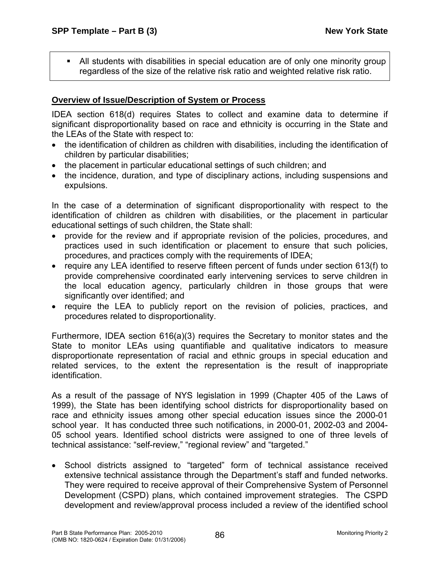All students with disabilities in special education are of only one minority group regardless of the size of the relative risk ratio and weighted relative risk ratio.

# **Overview of Issue/Description of System or Process**

IDEA section 618(d) requires States to collect and examine data to determine if significant disproportionality based on race and ethnicity is occurring in the State and the LEAs of the State with respect to:

- the identification of children as children with disabilities, including the identification of children by particular disabilities;
- the placement in particular educational settings of such children; and
- the incidence, duration, and type of disciplinary actions, including suspensions and expulsions.

In the case of a determination of significant disproportionality with respect to the identification of children as children with disabilities, or the placement in particular educational settings of such children, the State shall:

- provide for the review and if appropriate revision of the policies, procedures, and practices used in such identification or placement to ensure that such policies, procedures, and practices comply with the requirements of IDEA;
- require any LEA identified to reserve fifteen percent of funds under section 613(f) to provide comprehensive coordinated early intervening services to serve children in the local education agency, particularly children in those groups that were significantly over identified; and
- require the LEA to publicly report on the revision of policies, practices, and procedures related to disproportionality.

Furthermore, IDEA section 616(a)(3) requires the Secretary to monitor states and the State to monitor LEAs using quantifiable and qualitative indicators to measure disproportionate representation of racial and ethnic groups in special education and related services, to the extent the representation is the result of inappropriate identification.

As a result of the passage of NYS legislation in 1999 (Chapter 405 of the Laws of 1999), the State has been identifying school districts for disproportionality based on race and ethnicity issues among other special education issues since the 2000-01 school year. It has conducted three such notifications, in 2000-01, 2002-03 and 2004- 05 school years. Identified school districts were assigned to one of three levels of technical assistance: "self-review," "regional review" and "targeted."

• School districts assigned to "targeted" form of technical assistance received extensive technical assistance through the Department's staff and funded networks. They were required to receive approval of their Comprehensive System of Personnel Development (CSPD) plans, which contained improvement strategies. The CSPD development and review/approval process included a review of the identified school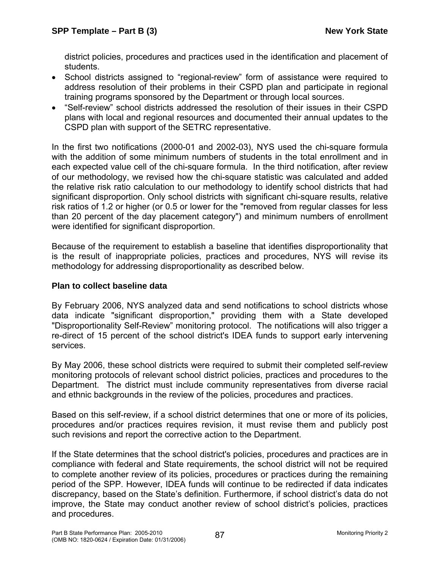district policies, procedures and practices used in the identification and placement of students.

- School districts assigned to "regional-review" form of assistance were required to address resolution of their problems in their CSPD plan and participate in regional training programs sponsored by the Department or through local sources.
- "Self-review" school districts addressed the resolution of their issues in their CSPD plans with local and regional resources and documented their annual updates to the CSPD plan with support of the SETRC representative.

In the first two notifications (2000-01 and 2002-03), NYS used the chi-square formula with the addition of some minimum numbers of students in the total enrollment and in each expected value cell of the chi-square formula. In the third notification, after review of our methodology, we revised how the chi-square statistic was calculated and added the relative risk ratio calculation to our methodology to identify school districts that had significant disproportion. Only school districts with significant chi-square results, relative risk ratios of 1.2 or higher (or 0.5 or lower for the "removed from regular classes for less than 20 percent of the day placement category") and minimum numbers of enrollment were identified for significant disproportion.

Because of the requirement to establish a baseline that identifies disproportionality that is the result of inappropriate policies, practices and procedures, NYS will revise its methodology for addressing disproportionality as described below.

# **Plan to collect baseline data**

By February 2006, NYS analyzed data and send notifications to school districts whose data indicate "significant disproportion," providing them with a State developed "Disproportionality Self-Review" monitoring protocol. The notifications will also trigger a re-direct of 15 percent of the school district's IDEA funds to support early intervening services.

By May 2006, these school districts were required to submit their completed self-review monitoring protocols of relevant school district policies, practices and procedures to the Department. The district must include community representatives from diverse racial and ethnic backgrounds in the review of the policies, procedures and practices.

Based on this self-review, if a school district determines that one or more of its policies, procedures and/or practices requires revision, it must revise them and publicly post such revisions and report the corrective action to the Department.

If the State determines that the school district's policies, procedures and practices are in compliance with federal and State requirements, the school district will not be required to complete another review of its policies, procedures or practices during the remaining period of the SPP. However, IDEA funds will continue to be redirected if data indicates discrepancy, based on the State's definition. Furthermore, if school district's data do not improve, the State may conduct another review of school district's policies, practices and procedures.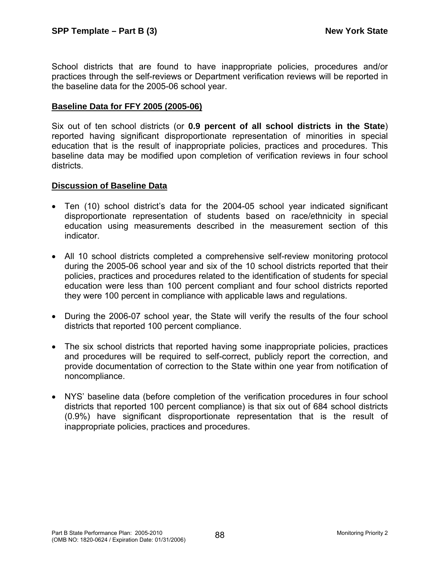School districts that are found to have inappropriate policies, procedures and/or practices through the self-reviews or Department verification reviews will be reported in the baseline data for the 2005-06 school year.

#### **Baseline Data for FFY 2005 (2005-06)**

Six out of ten school districts (or **0.9 percent of all school districts in the State**) reported having significant disproportionate representation of minorities in special education that is the result of inappropriate policies, practices and procedures. This baseline data may be modified upon completion of verification reviews in four school districts.

#### **Discussion of Baseline Data**

- Ten (10) school district's data for the 2004-05 school year indicated significant disproportionate representation of students based on race/ethnicity in special education using measurements described in the measurement section of this indicator.
- All 10 school districts completed a comprehensive self-review monitoring protocol during the 2005-06 school year and six of the 10 school districts reported that their policies, practices and procedures related to the identification of students for special education were less than 100 percent compliant and four school districts reported they were 100 percent in compliance with applicable laws and regulations.
- During the 2006-07 school year, the State will verify the results of the four school districts that reported 100 percent compliance.
- The six school districts that reported having some inappropriate policies, practices and procedures will be required to self-correct, publicly report the correction, and provide documentation of correction to the State within one year from notification of noncompliance.
- NYS' baseline data (before completion of the verification procedures in four school districts that reported 100 percent compliance) is that six out of 684 school districts (0.9%) have significant disproportionate representation that is the result of inappropriate policies, practices and procedures.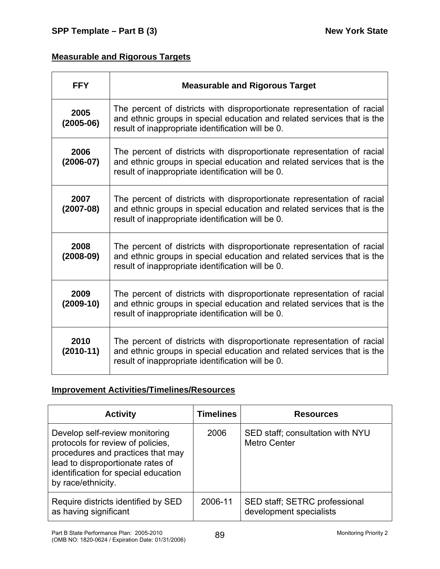# **Measurable and Rigorous Targets**

| <b>FFY</b>          | <b>Measurable and Rigorous Target</b>                                                                                                                                                                   |
|---------------------|---------------------------------------------------------------------------------------------------------------------------------------------------------------------------------------------------------|
| 2005<br>$(2005-06)$ | The percent of districts with disproportionate representation of racial<br>and ethnic groups in special education and related services that is the<br>result of inappropriate identification will be 0. |
| 2006<br>$(2006-07)$ | The percent of districts with disproportionate representation of racial<br>and ethnic groups in special education and related services that is the<br>result of inappropriate identification will be 0. |
| 2007<br>$(2007-08)$ | The percent of districts with disproportionate representation of racial<br>and ethnic groups in special education and related services that is the<br>result of inappropriate identification will be 0. |
| 2008<br>$(2008-09)$ | The percent of districts with disproportionate representation of racial<br>and ethnic groups in special education and related services that is the<br>result of inappropriate identification will be 0. |
| 2009<br>$(2009-10)$ | The percent of districts with disproportionate representation of racial<br>and ethnic groups in special education and related services that is the<br>result of inappropriate identification will be 0. |
| 2010<br>$(2010-11)$ | The percent of districts with disproportionate representation of racial<br>and ethnic groups in special education and related services that is the<br>result of inappropriate identification will be 0. |

# **Improvement Activities/Timelines/Resources**

| <b>Activity</b>                                                                                                                                                                                             | <b>Timelines</b> | <b>Resources</b>                                         |
|-------------------------------------------------------------------------------------------------------------------------------------------------------------------------------------------------------------|------------------|----------------------------------------------------------|
| Develop self-review monitoring<br>protocols for review of policies,<br>procedures and practices that may<br>lead to disproportionate rates of<br>identification for special education<br>by race/ethnicity. | 2006             | SED staff; consultation with NYU<br><b>Metro Center</b>  |
| Require districts identified by SED<br>as having significant                                                                                                                                                | 2006-11          | SED staff; SETRC professional<br>development specialists |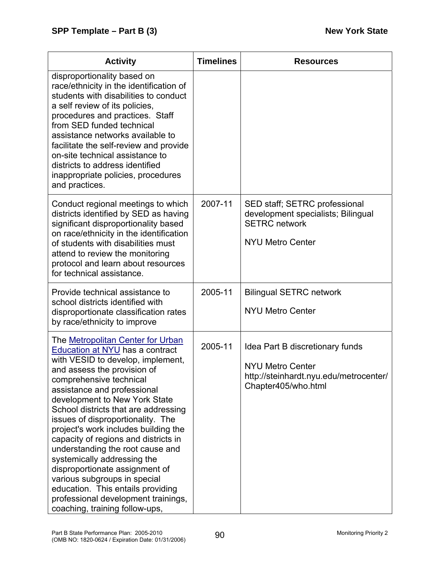| <b>Activity</b>                                                                                                                                                                                                                                                                                                                                                                                                                                                                                                                                                                                                                                            | <b>Timelines</b> | <b>Resources</b>                                                                                                            |
|------------------------------------------------------------------------------------------------------------------------------------------------------------------------------------------------------------------------------------------------------------------------------------------------------------------------------------------------------------------------------------------------------------------------------------------------------------------------------------------------------------------------------------------------------------------------------------------------------------------------------------------------------------|------------------|-----------------------------------------------------------------------------------------------------------------------------|
| disproportionality based on<br>race/ethnicity in the identification of<br>students with disabilities to conduct<br>a self review of its policies,<br>procedures and practices. Staff<br>from SED funded technical<br>assistance networks available to<br>facilitate the self-review and provide<br>on-site technical assistance to<br>districts to address identified<br>inappropriate policies, procedures<br>and practices.                                                                                                                                                                                                                              |                  |                                                                                                                             |
| Conduct regional meetings to which<br>districts identified by SED as having<br>significant disproportionality based<br>on race/ethnicity in the identification<br>of students with disabilities must<br>attend to review the monitoring<br>protocol and learn about resources<br>for technical assistance.                                                                                                                                                                                                                                                                                                                                                 | 2007-11          | SED staff; SETRC professional<br>development specialists; Bilingual<br><b>SETRC</b> network<br><b>NYU Metro Center</b>      |
| Provide technical assistance to<br>school districts identified with<br>disproportionate classification rates<br>by race/ethnicity to improve                                                                                                                                                                                                                                                                                                                                                                                                                                                                                                               | 2005-11          | <b>Bilingual SETRC network</b><br><b>NYU Metro Center</b>                                                                   |
| The Metropolitan Center for Urban<br><b>Education at NYU</b> has a contract<br>with VESID to develop, implement,<br>and assess the provision of<br>comprehensive technical<br>assistance and professional<br>development to New York State<br>School districts that are addressing<br>issues of disproportionality. The<br>project's work includes building the<br>capacity of regions and districts in<br>understanding the root cause and<br>systemically addressing the<br>disproportionate assignment of<br>various subgroups in special<br>education. This entails providing<br>professional development trainings,<br>coaching, training follow-ups, | 2005-11          | Idea Part B discretionary funds<br><b>NYU Metro Center</b><br>http://steinhardt.nyu.edu/metrocenter/<br>Chapter405/who.html |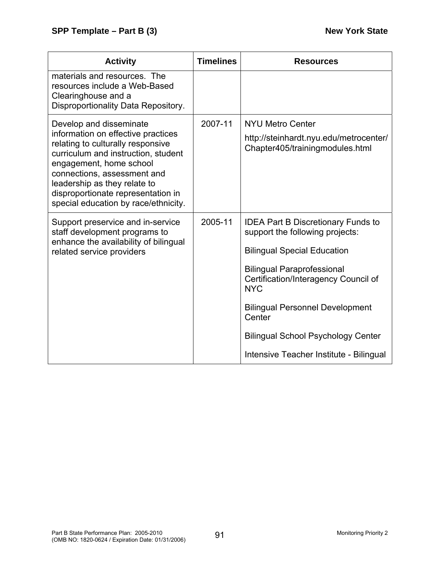| <b>Activity</b>                                                                                                                                                                                                                                                                        | <b>Timelines</b> | <b>Resources</b>                                                                        |
|----------------------------------------------------------------------------------------------------------------------------------------------------------------------------------------------------------------------------------------------------------------------------------------|------------------|-----------------------------------------------------------------------------------------|
| materials and resources. The<br>resources include a Web-Based<br>Clearinghouse and a<br>Disproportionality Data Repository.                                                                                                                                                            |                  |                                                                                         |
| Develop and disseminate                                                                                                                                                                                                                                                                | 2007-11          | <b>NYU Metro Center</b>                                                                 |
| information on effective practices<br>relating to culturally responsive<br>curriculum and instruction, student<br>engagement, home school<br>connections, assessment and<br>leadership as they relate to<br>disproportionate representation in<br>special education by race/ethnicity. |                  | http://steinhardt.nyu.edu/metrocenter/<br>Chapter405/trainingmodules.html               |
| Support preservice and in-service<br>staff development programs to                                                                                                                                                                                                                     | 2005-11          | <b>IDEA Part B Discretionary Funds to</b><br>support the following projects:            |
| enhance the availability of bilingual<br>related service providers                                                                                                                                                                                                                     |                  | <b>Bilingual Special Education</b>                                                      |
|                                                                                                                                                                                                                                                                                        |                  | <b>Bilingual Paraprofessional</b><br>Certification/Interagency Council of<br><b>NYC</b> |
|                                                                                                                                                                                                                                                                                        |                  | <b>Bilingual Personnel Development</b><br>Center                                        |
|                                                                                                                                                                                                                                                                                        |                  | <b>Bilingual School Psychology Center</b>                                               |
|                                                                                                                                                                                                                                                                                        |                  | Intensive Teacher Institute - Bilingual                                                 |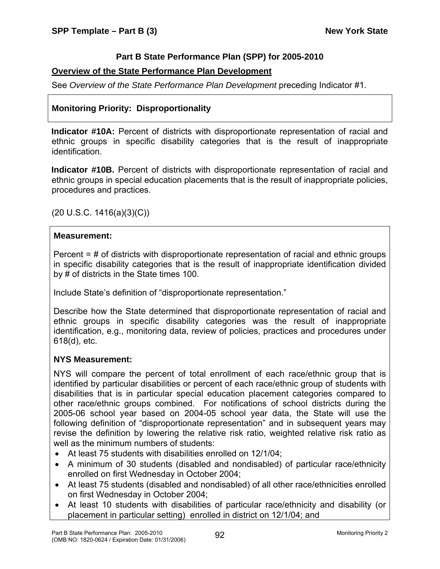# **Part B State Performance Plan (SPP) for 2005-2010**

### **Overview of the State Performance Plan Development**

See *Overview of the State Performance Plan Development* preceding Indicator #1.

# **Monitoring Priority: Disproportionality**

**Indicator #10A:** Percent of districts with disproportionate representation of racial and ethnic groups in specific disability categories that is the result of inappropriate identification.

**Indicator #10B.** Percent of districts with disproportionate representation of racial and ethnic groups in special education placements that is the result of inappropriate policies, procedures and practices.

(20 U.S.C. 1416(a)(3)(C))

#### **Measurement:**

Percent = # of districts with disproportionate representation of racial and ethnic groups in specific disability categories that is the result of inappropriate identification divided by # of districts in the State times 100.

Include State's definition of "disproportionate representation."

Describe how the State determined that disproportionate representation of racial and ethnic groups in specific disability categories was the result of inappropriate identification, e.g., monitoring data, review of policies, practices and procedures under 618(d), etc.

#### **NYS Measurement:**

NYS will compare the percent of total enrollment of each race/ethnic group that is identified by particular disabilities or percent of each race/ethnic group of students with disabilities that is in particular special education placement categories compared to other race/ethnic groups combined. For notifications of school districts during the 2005-06 school year based on 2004-05 school year data, the State will use the following definition of "disproportionate representation" and in subsequent years may revise the definition by lowering the relative risk ratio, weighted relative risk ratio as well as the minimum numbers of students:

- At least 75 students with disabilities enrolled on 12/1/04;
- A minimum of 30 students (disabled and nondisabled) of particular race/ethnicity enrolled on first Wednesday in October 2004;
- At least 75 students (disabled and nondisabled) of all other race/ethnicities enrolled on first Wednesday in October 2004;
- At least 10 students with disabilities of particular race/ethnicity and disability (or placement in particular setting) enrolled in district on 12/1/04; and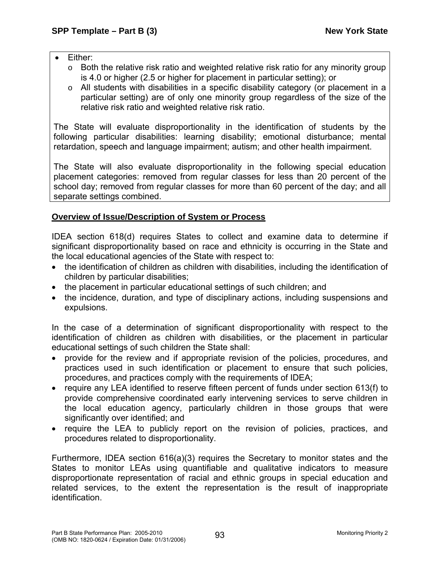- Either:
	- $\circ$  Both the relative risk ratio and weighted relative risk ratio for any minority group is 4.0 or higher (2.5 or higher for placement in particular setting); or
	- o All students with disabilities in a specific disability category (or placement in a particular setting) are of only one minority group regardless of the size of the relative risk ratio and weighted relative risk ratio.

The State will evaluate disproportionality in the identification of students by the following particular disabilities: learning disability; emotional disturbance; mental retardation, speech and language impairment; autism; and other health impairment.

The State will also evaluate disproportionality in the following special education placement categories: removed from regular classes for less than 20 percent of the school day; removed from regular classes for more than 60 percent of the day; and all separate settings combined.

# **Overview of Issue/Description of System or Process**

IDEA section 618(d) requires States to collect and examine data to determine if significant disproportionality based on race and ethnicity is occurring in the State and the local educational agencies of the State with respect to:

- the identification of children as children with disabilities, including the identification of children by particular disabilities;
- the placement in particular educational settings of such children; and
- the incidence, duration, and type of disciplinary actions, including suspensions and expulsions.

In the case of a determination of significant disproportionality with respect to the identification of children as children with disabilities, or the placement in particular educational settings of such children the State shall:

- provide for the review and if appropriate revision of the policies, procedures, and practices used in such identification or placement to ensure that such policies, procedures, and practices comply with the requirements of IDEA;
- require any LEA identified to reserve fifteen percent of funds under section 613(f) to provide comprehensive coordinated early intervening services to serve children in the local education agency, particularly children in those groups that were significantly over identified; and
- require the LEA to publicly report on the revision of policies, practices, and procedures related to disproportionality.

Furthermore, IDEA section 616(a)(3) requires the Secretary to monitor states and the States to monitor LEAs using quantifiable and qualitative indicators to measure disproportionate representation of racial and ethnic groups in special education and related services, to the extent the representation is the result of inappropriate identification.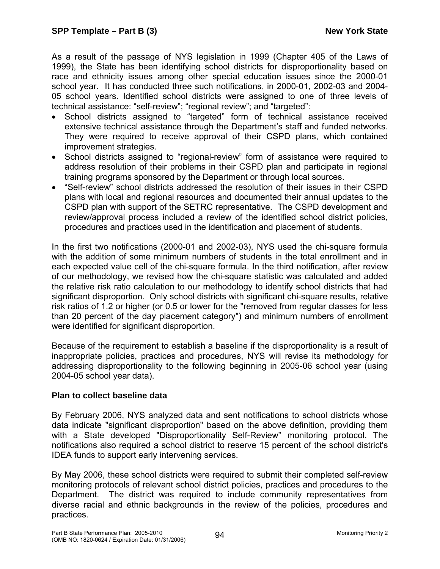As a result of the passage of NYS legislation in 1999 (Chapter 405 of the Laws of 1999), the State has been identifying school districts for disproportionality based on race and ethnicity issues among other special education issues since the 2000-01 school year. It has conducted three such notifications, in 2000-01, 2002-03 and 2004- 05 school years. Identified school districts were assigned to one of three levels of technical assistance: "self-review"; "regional review"; and "targeted":

- School districts assigned to "targeted" form of technical assistance received extensive technical assistance through the Department's staff and funded networks. They were required to receive approval of their CSPD plans, which contained improvement strategies.
- School districts assigned to "regional-review" form of assistance were required to address resolution of their problems in their CSPD plan and participate in regional training programs sponsored by the Department or through local sources.
- "Self-review" school districts addressed the resolution of their issues in their CSPD plans with local and regional resources and documented their annual updates to the CSPD plan with support of the SETRC representative. The CSPD development and review/approval process included a review of the identified school district policies, procedures and practices used in the identification and placement of students.

In the first two notifications (2000-01 and 2002-03), NYS used the chi-square formula with the addition of some minimum numbers of students in the total enrollment and in each expected value cell of the chi-square formula. In the third notification, after review of our methodology, we revised how the chi-square statistic was calculated and added the relative risk ratio calculation to our methodology to identify school districts that had significant disproportion. Only school districts with significant chi-square results, relative risk ratios of 1.2 or higher (or 0.5 or lower for the "removed from regular classes for less than 20 percent of the day placement category") and minimum numbers of enrollment were identified for significant disproportion.

Because of the requirement to establish a baseline if the disproportionality is a result of inappropriate policies, practices and procedures, NYS will revise its methodology for addressing disproportionality to the following beginning in 2005-06 school year (using 2004-05 school year data).

# **Plan to collect baseline data**

By February 2006, NYS analyzed data and sent notifications to school districts whose data indicate "significant disproportion" based on the above definition, providing them with a State developed "Disproportionality Self-Review" monitoring protocol. The notifications also required a school district to reserve 15 percent of the school district's IDEA funds to support early intervening services.

By May 2006, these school districts were required to submit their completed self-review monitoring protocols of relevant school district policies, practices and procedures to the Department. The district was required to include community representatives from diverse racial and ethnic backgrounds in the review of the policies, procedures and practices.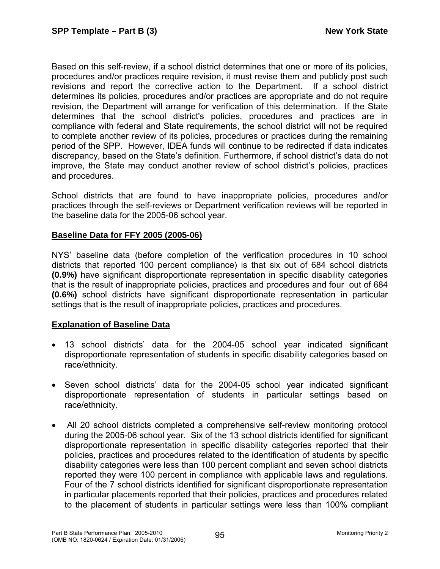Based on this self-review, if a school district determines that one or more of its policies, procedures and/or practices require revision, it must revise them and publicly post such revisions and report the corrective action to the Department. If a school district determines its policies, procedures and/or practices are appropriate and do not require revision, the Department will arrange for verification of this determination. If the State determines that the school district's policies, procedures and practices are in compliance with federal and State requirements, the school district will not be required to complete another review of its policies, procedures or practices during the remaining period of the SPP. However, IDEA funds will continue to be redirected if data indicates discrepancy, based on the State's definition. Furthermore, if school district's data do not improve, the State may conduct another review of school district's policies, practices and procedures.

School districts that are found to have inappropriate policies, procedures and/or practices through the self-reviews or Department verification reviews will be reported in the baseline data for the 2005-06 school year.

# **Baseline Data for FFY 2005 (2005-06)**

NYS' baseline data (before completion of the verification procedures in 10 school districts that reported 100 percent compliance) is that six out of 684 school districts **(0.9%)** have significant disproportionate representation in specific disability categories that is the result of inappropriate policies, practices and procedures and four out of 684 **(0.6%)** school districts have significant disproportionate representation in particular settings that is the result of inappropriate policies, practices and procedures.

#### **Explanation of Baseline Data**

- 13 school districts' data for the 2004-05 school year indicated significant disproportionate representation of students in specific disability categories based on race/ethnicity.
- Seven school districts' data for the 2004-05 school year indicated significant disproportionate representation of students in particular settings based on race/ethnicity.
- All 20 school districts completed a comprehensive self-review monitoring protocol during the 2005-06 school year. Six of the 13 school districts identified for significant disproportionate representation in specific disability categories reported that their policies, practices and procedures related to the identification of students by specific disability categories were less than 100 percent compliant and seven school districts reported they were 100 percent in compliance with applicable laws and regulations. Four of the 7 school districts identified for significant disproportionate representation in particular placements reported that their policies, practices and procedures related to the placement of students in particular settings were less than 100% compliant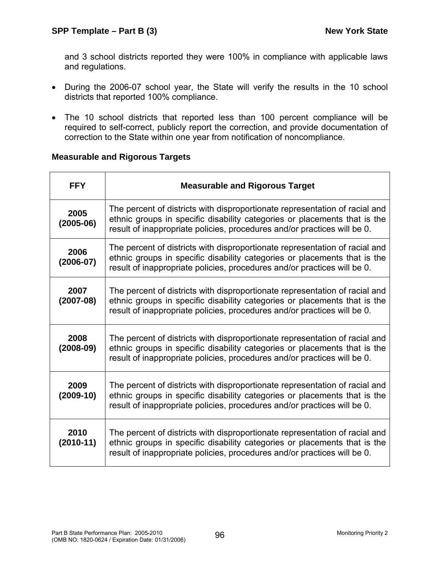and 3 school districts reported they were 100% in compliance with applicable laws and regulations.

- During the 2006-07 school year, the State will verify the results in the 10 school districts that reported 100% compliance.
- The 10 school districts that reported less than 100 percent compliance will be required to self-correct, publicly report the correction, and provide documentation of correction to the State within one year from notification of noncompliance.

# **Measurable and Rigorous Targets**

| <b>FFY</b>          | <b>Measurable and Rigorous Target</b>                                                                                                                                                                                                |
|---------------------|--------------------------------------------------------------------------------------------------------------------------------------------------------------------------------------------------------------------------------------|
| 2005<br>$(2005-06)$ | The percent of districts with disproportionate representation of racial and<br>ethnic groups in specific disability categories or placements that is the<br>result of inappropriate policies, procedures and/or practices will be 0. |
| 2006<br>$(2006-07)$ | The percent of districts with disproportionate representation of racial and<br>ethnic groups in specific disability categories or placements that is the<br>result of inappropriate policies, procedures and/or practices will be 0. |
| 2007<br>$(2007-08)$ | The percent of districts with disproportionate representation of racial and<br>ethnic groups in specific disability categories or placements that is the<br>result of inappropriate policies, procedures and/or practices will be 0. |
| 2008<br>$(2008-09)$ | The percent of districts with disproportionate representation of racial and<br>ethnic groups in specific disability categories or placements that is the<br>result of inappropriate policies, procedures and/or practices will be 0. |
| 2009<br>$(2009-10)$ | The percent of districts with disproportionate representation of racial and<br>ethnic groups in specific disability categories or placements that is the<br>result of inappropriate policies, procedures and/or practices will be 0. |
| 2010<br>$(2010-11)$ | The percent of districts with disproportionate representation of racial and<br>ethnic groups in specific disability categories or placements that is the<br>result of inappropriate policies, procedures and/or practices will be 0. |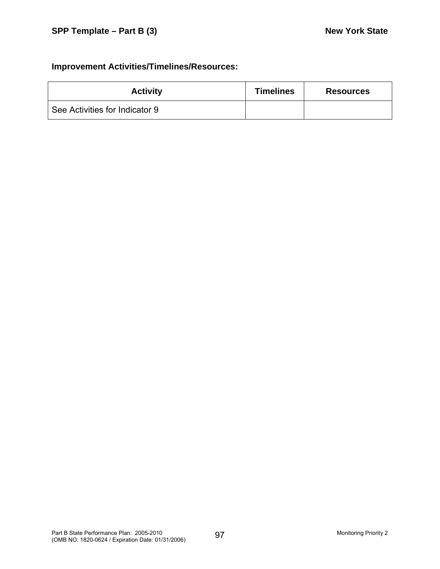# **Improvement Activities/Timelines/Resources:**

| <b>Activity</b>                | <b>Timelines</b> | <b>Resources</b> |
|--------------------------------|------------------|------------------|
| See Activities for Indicator 9 |                  |                  |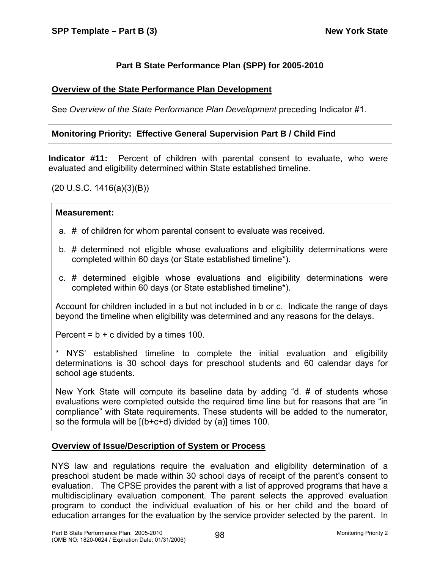# **Part B State Performance Plan (SPP) for 2005-2010**

### **Overview of the State Performance Plan Development**

See *Overview of the State Performance Plan Development* preceding Indicator #1.

# **Monitoring Priority: Effective General Supervision Part B / Child Find**

**Indicator #11:** Percent of children with parental consent to evaluate, who were evaluated and eligibility determined within State established timeline.

(20 U.S.C. 1416(a)(3)(B))

#### **Measurement:**

- a. # of children for whom parental consent to evaluate was received.
- b. # determined not eligible whose evaluations and eligibility determinations were completed within 60 days (or State established timeline\*).
- c. # determined eligible whose evaluations and eligibility determinations were completed within 60 days (or State established timeline\*).

Account for children included in a but not included in b or c. Indicate the range of days beyond the timeline when eligibility was determined and any reasons for the delays.

Percent =  $b + c$  divided by a times 100.

\* NYS' established timeline to complete the initial evaluation and eligibility determinations is 30 school days for preschool students and 60 calendar days for school age students.

New York State will compute its baseline data by adding "d. # of students whose evaluations were completed outside the required time line but for reasons that are "in compliance" with State requirements. These students will be added to the numerator, so the formula will be [(b+c+d) divided by (a)] times 100.

#### **Overview of Issue/Description of System or Process**

NYS law and regulations require the evaluation and eligibility determination of a preschool student be made within 30 school days of receipt of the parent's consent to evaluation. The CPSE provides the parent with a list of approved programs that have a multidisciplinary evaluation component. The parent selects the approved evaluation program to conduct the individual evaluation of his or her child and the board of education arranges for the evaluation by the service provider selected by the parent. In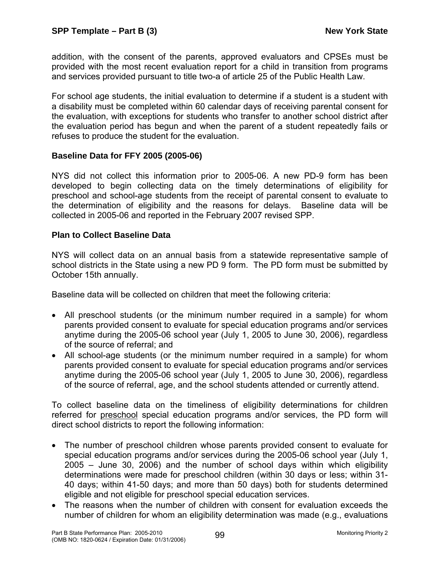addition, with the consent of the parents, approved evaluators and CPSEs must be provided with the most recent evaluation report for a child in transition from programs and services provided pursuant to title two-a of article 25 of the Public Health Law.

For school age students, the initial evaluation to determine if a student is a student with a disability must be completed within 60 calendar days of receiving parental consent for the evaluation, with exceptions for students who transfer to another school district after the evaluation period has begun and when the parent of a student repeatedly fails or refuses to produce the student for the evaluation.

#### **Baseline Data for FFY 2005 (2005-06)**

NYS did not collect this information prior to 2005-06. A new PD-9 form has been developed to begin collecting data on the timely determinations of eligibility for preschool and school-age students from the receipt of parental consent to evaluate to the determination of eligibility and the reasons for delays. Baseline data will be collected in 2005-06 and reported in the February 2007 revised SPP.

# **Plan to Collect Baseline Data**

NYS will collect data on an annual basis from a statewide representative sample of school districts in the State using a new PD 9 form. The PD form must be submitted by October 15th annually.

Baseline data will be collected on children that meet the following criteria:

- All preschool students (or the minimum number required in a sample) for whom parents provided consent to evaluate for special education programs and/or services anytime during the 2005-06 school year (July 1, 2005 to June 30, 2006), regardless of the source of referral; and
- All school-age students (or the minimum number required in a sample) for whom parents provided consent to evaluate for special education programs and/or services anytime during the 2005-06 school year (July 1, 2005 to June 30, 2006), regardless of the source of referral, age, and the school students attended or currently attend.

To collect baseline data on the timeliness of eligibility determinations for children referred for preschool special education programs and/or services, the PD form will direct school districts to report the following information:

- The number of preschool children whose parents provided consent to evaluate for special education programs and/or services during the 2005-06 school year (July 1, 2005 – June 30, 2006) and the number of school days within which eligibility determinations were made for preschool children (within 30 days or less; within 31- 40 days; within 41-50 days; and more than 50 days) both for students determined eligible and not eligible for preschool special education services.
- The reasons when the number of children with consent for evaluation exceeds the number of children for whom an eligibility determination was made (e.g., evaluations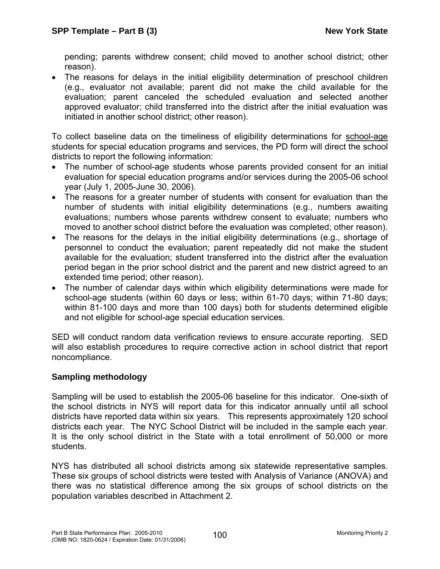pending; parents withdrew consent; child moved to another school district; other reason).

• The reasons for delays in the initial eligibility determination of preschool children (e.g., evaluator not available; parent did not make the child available for the evaluation; parent canceled the scheduled evaluation and selected another approved evaluator; child transferred into the district after the initial evaluation was initiated in another school district; other reason).

To collect baseline data on the timeliness of eligibility determinations for school-age students for special education programs and services, the PD form will direct the school districts to report the following information:

- The number of school-age students whose parents provided consent for an initial evaluation for special education programs and/or services during the 2005-06 school year (July 1, 2005-June 30, 2006).
- The reasons for a greater number of students with consent for evaluation than the number of students with initial eligibility determinations (e.g., numbers awaiting evaluations; numbers whose parents withdrew consent to evaluate; numbers who moved to another school district before the evaluation was completed; other reason).
- The reasons for the delays in the initial eligibility determinations (e.g., shortage of personnel to conduct the evaluation; parent repeatedly did not make the student available for the evaluation; student transferred into the district after the evaluation period began in the prior school district and the parent and new district agreed to an extended time period; other reason).
- The number of calendar days within which eligibility determinations were made for school-age students (within 60 days or less; within 61-70 days; within 71-80 days; within 81-100 days and more than 100 days) both for students determined eligible and not eligible for school-age special education services.

SED will conduct random data verification reviews to ensure accurate reporting. SED will also establish procedures to require corrective action in school district that report noncompliance.

# **Sampling methodology**

Sampling will be used to establish the 2005-06 baseline for this indicator. One-sixth of the school districts in NYS will report data for this indicator annually until all school districts have reported data within six years. This represents approximately 120 school districts each year. The NYC School District will be included in the sample each year. It is the only school district in the State with a total enrollment of 50,000 or more students.

NYS has distributed all school districts among six statewide representative samples. These six groups of school districts were tested with Analysis of Variance (ANOVA) and there was no statistical difference among the six groups of school districts on the population variables described in Attachment 2.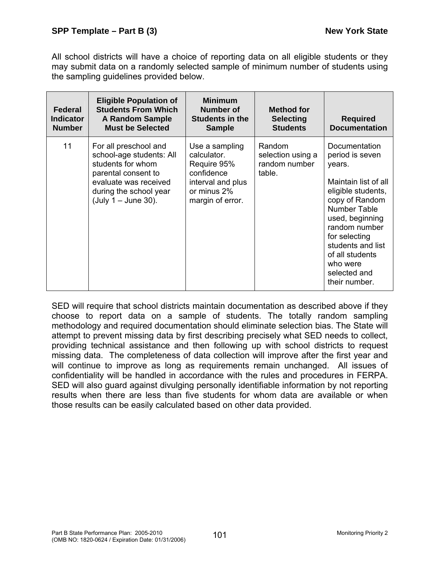All school districts will have a choice of reporting data on all eligible students or they may submit data on a randomly selected sample of minimum number of students using the sampling guidelines provided below.

| Federal<br><b>Indicator</b><br><b>Number</b> | <b>Eligible Population of</b><br><b>Students From Which</b><br><b>A Random Sample</b><br><b>Must be Selected</b>                                                          | <b>Minimum</b><br>Number of<br><b>Students in the</b><br><b>Sample</b>                                             | <b>Method for</b><br><b>Selecting</b><br><b>Students</b> | <b>Required</b><br><b>Documentation</b>                                                                                                                                                                                                                                     |
|----------------------------------------------|---------------------------------------------------------------------------------------------------------------------------------------------------------------------------|--------------------------------------------------------------------------------------------------------------------|----------------------------------------------------------|-----------------------------------------------------------------------------------------------------------------------------------------------------------------------------------------------------------------------------------------------------------------------------|
| 11                                           | For all preschool and<br>school-age students: All<br>students for whom<br>parental consent to<br>evaluate was received<br>during the school year<br>(July $1 -$ June 30). | Use a sampling<br>calculator.<br>Require 95%<br>confidence<br>interval and plus<br>or minus 2%<br>margin of error. | Random<br>selection using a<br>random number<br>table.   | Documentation<br>period is seven<br>years.<br>Maintain list of all<br>eligible students,<br>copy of Random<br><b>Number Table</b><br>used, beginning<br>random number<br>for selecting<br>students and list<br>of all students<br>who were<br>selected and<br>their number. |

SED will require that school districts maintain documentation as described above if they choose to report data on a sample of students. The totally random sampling methodology and required documentation should eliminate selection bias. The State will attempt to prevent missing data by first describing precisely what SED needs to collect, providing technical assistance and then following up with school districts to request missing data. The completeness of data collection will improve after the first year and will continue to improve as long as requirements remain unchanged. All issues of confidentiality will be handled in accordance with the rules and procedures in FERPA. SED will also guard against divulging personally identifiable information by not reporting results when there are less than five students for whom data are available or when those results can be easily calculated based on other data provided.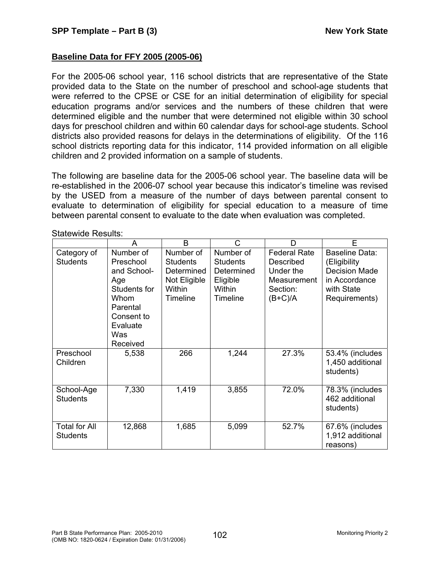# **Baseline Data for FFY 2005 (2005-06)**

For the 2005-06 school year, 116 school districts that are representative of the State provided data to the State on the number of preschool and school-age students that were referred to the CPSE or CSE for an initial determination of eligibility for special education programs and/or services and the numbers of these children that were determined eligible and the number that were determined not eligible within 30 school days for preschool children and within 60 calendar days for school-age students. School districts also provided reasons for delays in the determinations of eligibility. Of the 116 school districts reporting data for this indicator, 114 provided information on all eligible children and 2 provided information on a sample of students.

The following are baseline data for the 2005-06 school year. The baseline data will be re-established in the 2006-07 school year because this indicator's timeline was revised by the USED from a measure of the number of days between parental consent to evaluate to determination of eligibility for special education to a measure of time between parental consent to evaluate to the date when evaluation was completed.

|                                         | oluluwiuu Twoullo.                                                                                                            |                                                                                         |                                                                              |                                                                                       |                                                                                                        |  |  |  |
|-----------------------------------------|-------------------------------------------------------------------------------------------------------------------------------|-----------------------------------------------------------------------------------------|------------------------------------------------------------------------------|---------------------------------------------------------------------------------------|--------------------------------------------------------------------------------------------------------|--|--|--|
|                                         | A                                                                                                                             | B                                                                                       | C                                                                            | D                                                                                     | E                                                                                                      |  |  |  |
| Category of<br><b>Students</b>          | Number of<br>Preschool<br>and School-<br>Age<br>Students for<br>Whom<br>Parental<br>Consent to<br>Evaluate<br>Was<br>Received | Number of<br><b>Students</b><br>Determined<br>Not Eligible<br>Within<br><b>Timeline</b> | Number of<br><b>Students</b><br>Determined<br>Eligible<br>Within<br>Timeline | <b>Federal Rate</b><br>Described<br>Under the<br>Measurement<br>Section:<br>$(B+C)/A$ | Baseline Data:<br>(Eligibility<br><b>Decision Made</b><br>in Accordance<br>with State<br>Requirements) |  |  |  |
| Preschool<br>Children                   | 5,538                                                                                                                         | 266                                                                                     | 1,244                                                                        | 27.3%                                                                                 | 53.4% (includes<br>1,450 additional<br>students)                                                       |  |  |  |
| School-Age<br><b>Students</b>           | 7,330                                                                                                                         | 1,419                                                                                   | 3,855                                                                        | 72.0%                                                                                 | 78.3% (includes<br>462 additional<br>students)                                                         |  |  |  |
| <b>Total for All</b><br><b>Students</b> | 12,868                                                                                                                        | 1,685                                                                                   | 5,099                                                                        | 52.7%                                                                                 | 67.6% (includes<br>1,912 additional<br>reasons)                                                        |  |  |  |

Statewide Results: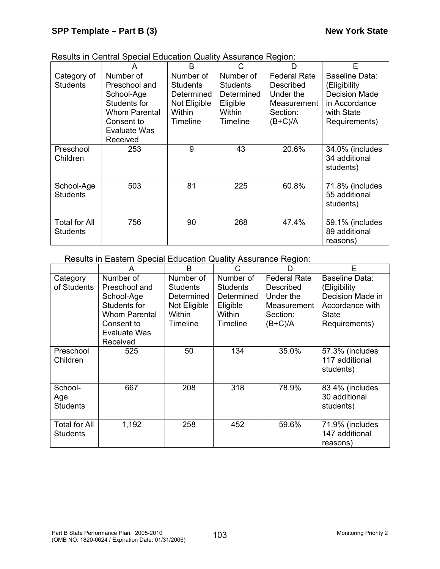|  | Results in Central Special Education Quality Assurance Region: |
|--|----------------------------------------------------------------|
|  |                                                                |

|                                         |                                                                                                                | B                                                                                |                                                                              | n                                                                                     | F                                                                                                      |
|-----------------------------------------|----------------------------------------------------------------------------------------------------------------|----------------------------------------------------------------------------------|------------------------------------------------------------------------------|---------------------------------------------------------------------------------------|--------------------------------------------------------------------------------------------------------|
| Category of<br><b>Students</b>          | Number of<br>Preschool and<br>School-Age<br>Students for<br><b>Whom Parental</b><br>Consent to<br>Evaluate Was | Number of<br><b>Students</b><br>Determined<br>Not Eligible<br>Within<br>Timeline | Number of<br><b>Students</b><br>Determined<br>Eligible<br>Within<br>Timeline | <b>Federal Rate</b><br>Described<br>Under the<br>Measurement<br>Section:<br>$(B+C)/A$ | Baseline Data:<br>(Eligibility<br><b>Decision Made</b><br>in Accordance<br>with State<br>Requirements) |
| Preschool<br>Children                   | Received<br>253                                                                                                | 9                                                                                | 43                                                                           | 20.6%                                                                                 | 34.0% (includes<br>34 additional<br>students)                                                          |
| School-Age<br><b>Students</b>           | 503                                                                                                            | 81                                                                               | 225                                                                          | 60.8%                                                                                 | 71.8% (includes<br>55 additional<br>students)                                                          |
| <b>Total for All</b><br><b>Students</b> | 756                                                                                                            | 90                                                                               | 268                                                                          | 47.4%                                                                                 | 59.1% (includes<br>89 additional<br>reasons)                                                           |

Results in Eastern Special Education Quality Assurance Region:

|                                   | А                                                                                                                          | B                                                                                | C                                                                                   | D                                                                                     | F                                                                                               |
|-----------------------------------|----------------------------------------------------------------------------------------------------------------------------|----------------------------------------------------------------------------------|-------------------------------------------------------------------------------------|---------------------------------------------------------------------------------------|-------------------------------------------------------------------------------------------------|
| Category<br>of Students           | Number of<br>Preschool and<br>School-Age<br>Students for<br><b>Whom Parental</b><br>Consent to<br>Evaluate Was<br>Received | Number of<br><b>Students</b><br>Determined<br>Not Eligible<br>Within<br>Timeline | Number of<br><b>Students</b><br>Determined<br>Eligible<br>Within<br><b>Timeline</b> | <b>Federal Rate</b><br>Described<br>Under the<br>Measurement<br>Section:<br>$(B+C)/A$ | Baseline Data:<br>(Eligibility<br>Decision Made in<br>Accordance with<br>State<br>Requirements) |
| Preschool<br>Children             | 525                                                                                                                        | 50                                                                               | 134                                                                                 | 35.0%                                                                                 | 57.3% (includes<br>117 additional<br>students)                                                  |
| School-<br>Age<br><b>Students</b> | 667                                                                                                                        | 208                                                                              | 318                                                                                 | 78.9%                                                                                 | 83.4% (includes<br>30 additional<br>students)                                                   |
| <b>Total for All</b><br>Students  | 1,192                                                                                                                      | 258                                                                              | 452                                                                                 | 59.6%                                                                                 | 71.9% (includes<br>147 additional<br>reasons)                                                   |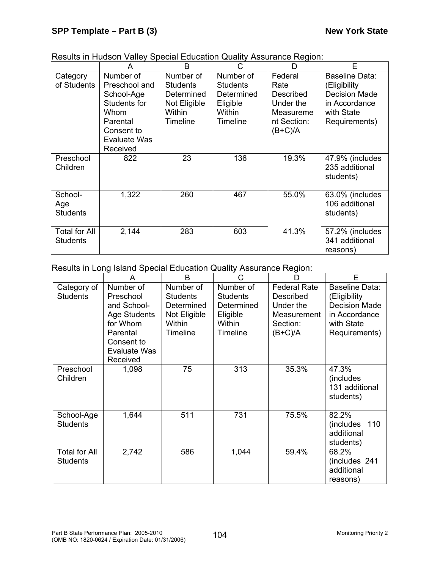| Results in Hudson Valley Special Education Quality Assurance Region: |  |  |
|----------------------------------------------------------------------|--|--|
|                                                                      |  |  |
|                                                                      |  |  |

|                                   | А                                                                                                                             | B                                                                                | C                                                                            | D                                                                                  | Е                                                                                                      |
|-----------------------------------|-------------------------------------------------------------------------------------------------------------------------------|----------------------------------------------------------------------------------|------------------------------------------------------------------------------|------------------------------------------------------------------------------------|--------------------------------------------------------------------------------------------------------|
| Category<br>of Students           | Number of<br>Preschool and<br>School-Age<br>Students for<br>Whom<br>Parental<br>Consent to<br><b>Evaluate Was</b><br>Received | Number of<br><b>Students</b><br>Determined<br>Not Eligible<br>Within<br>Timeline | Number of<br><b>Students</b><br>Determined<br>Eligible<br>Within<br>Timeline | Federal<br>Rate<br>Described<br>Under the<br>Measureme<br>nt Section:<br>$(B+C)/A$ | Baseline Data:<br>(Eligibility<br><b>Decision Made</b><br>in Accordance<br>with State<br>Requirements) |
| Preschool<br>Children             | 822                                                                                                                           | 23                                                                               | 136                                                                          | 19.3%                                                                              | 47.9% (includes<br>235 additional<br>students)                                                         |
| School-<br>Age<br><b>Students</b> | 1,322                                                                                                                         | 260                                                                              | 467                                                                          | 55.0%                                                                              | 63.0% (includes<br>106 additional<br>students)                                                         |
| <b>Total for All</b><br>Students  | 2,144                                                                                                                         | 283                                                                              | 603                                                                          | 41.3%                                                                              | 57.2% (includes<br>341 additional<br>reasons)                                                          |

Results in Long Island Special Education Quality Assurance Region:

|                                         | A                                                                                                                              | B                                                                                       | C                                                                                   | D                                                                                            | E                                                                                                      |
|-----------------------------------------|--------------------------------------------------------------------------------------------------------------------------------|-----------------------------------------------------------------------------------------|-------------------------------------------------------------------------------------|----------------------------------------------------------------------------------------------|--------------------------------------------------------------------------------------------------------|
| Category of<br><b>Students</b>          | Number of<br>Preschool<br>and School-<br><b>Age Students</b><br>for Whom<br>Parental<br>Consent to<br>Evaluate Was<br>Received | Number of<br><b>Students</b><br>Determined<br>Not Eligible<br>Within<br><b>Timeline</b> | Number of<br><b>Students</b><br>Determined<br>Eligible<br>Within<br><b>Timeline</b> | <b>Federal Rate</b><br><b>Described</b><br>Under the<br>Measurement<br>Section:<br>$(B+C)/A$ | Baseline Data:<br>(Eligibility<br><b>Decision Made</b><br>in Accordance<br>with State<br>Requirements) |
| Preschool<br>Children                   | 1,098                                                                                                                          | 75                                                                                      | 313                                                                                 | 35.3%                                                                                        | 47.3%<br>(includes)<br>131 additional<br>students)                                                     |
| School-Age<br><b>Students</b>           | 1,644                                                                                                                          | 511                                                                                     | 731                                                                                 | 75.5%                                                                                        | 82.2%<br>(includes)<br>110<br>additional<br>students)                                                  |
| <b>Total for All</b><br><b>Students</b> | 2,742                                                                                                                          | 586                                                                                     | 1,044                                                                               | 59.4%                                                                                        | 68.2%<br>(includes 241<br>additional<br>reasons)                                                       |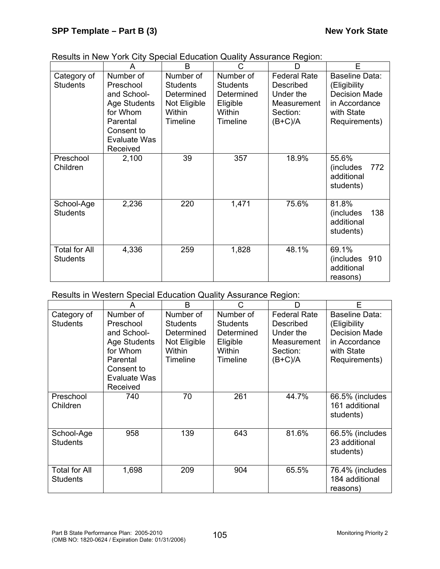|                                         | A                                                                                                                              | B                                                                                       | С                                                                                   | D                                                                                     | E                                                                                                      |
|-----------------------------------------|--------------------------------------------------------------------------------------------------------------------------------|-----------------------------------------------------------------------------------------|-------------------------------------------------------------------------------------|---------------------------------------------------------------------------------------|--------------------------------------------------------------------------------------------------------|
| Category of<br><b>Students</b>          | Number of<br>Preschool<br>and School-<br><b>Age Students</b><br>for Whom<br>Parental<br>Consent to<br>Evaluate Was<br>Received | Number of<br><b>Students</b><br>Determined<br>Not Eligible<br>Within<br><b>Timeline</b> | Number of<br><b>Students</b><br>Determined<br>Eligible<br>Within<br><b>Timeline</b> | <b>Federal Rate</b><br>Described<br>Under the<br>Measurement<br>Section:<br>$(B+C)/A$ | Baseline Data:<br>(Eligibility<br><b>Decision Made</b><br>in Accordance<br>with State<br>Requirements) |
| Preschool<br>Children                   | 2,100                                                                                                                          | 39                                                                                      | 357                                                                                 | 18.9%                                                                                 | 55.6%<br>772<br>(includes)<br>additional<br>students)                                                  |
| School-Age<br><b>Students</b>           | 2,236                                                                                                                          | 220                                                                                     | 1,471                                                                               | 75.6%                                                                                 | 81.8%<br>138<br>(includes)<br>additional<br>students)                                                  |
| <b>Total for All</b><br><b>Students</b> | 4,336                                                                                                                          | 259                                                                                     | 1,828                                                                               | 48.1%                                                                                 | 69.1%<br>(includes 910)<br>additional<br>reasons)                                                      |

|  | Results in New York City Special Education Quality Assurance Region: |
|--|----------------------------------------------------------------------|
|  |                                                                      |

Results in Western Special Education Quality Assurance Region:

|                                         | A                                                                                                                              | B                                                                                       | C                                                                                   | D                                                                                            | F                                                                                                      |
|-----------------------------------------|--------------------------------------------------------------------------------------------------------------------------------|-----------------------------------------------------------------------------------------|-------------------------------------------------------------------------------------|----------------------------------------------------------------------------------------------|--------------------------------------------------------------------------------------------------------|
| Category of<br><b>Students</b>          | Number of<br>Preschool<br>and School-<br><b>Age Students</b><br>for Whom<br>Parental<br>Consent to<br>Evaluate Was<br>Received | Number of<br><b>Students</b><br>Determined<br>Not Eligible<br>Within<br><b>Timeline</b> | Number of<br><b>Students</b><br>Determined<br>Eligible<br>Within<br><b>Timeline</b> | <b>Federal Rate</b><br>Described<br>Under the<br><b>Measurement</b><br>Section:<br>$(B+C)/A$ | Baseline Data:<br>(Eligibility<br><b>Decision Made</b><br>in Accordance<br>with State<br>Requirements) |
| Preschool<br>Children                   | 740                                                                                                                            | 70                                                                                      | 261                                                                                 | 44.7%                                                                                        | 66.5% (includes<br>161 additional<br>students)                                                         |
| School-Age<br><b>Students</b>           | 958                                                                                                                            | 139                                                                                     | 643                                                                                 | 81.6%                                                                                        | 66.5% (includes<br>23 additional<br>students)                                                          |
| <b>Total for All</b><br><b>Students</b> | 1,698                                                                                                                          | 209                                                                                     | 904                                                                                 | 65.5%                                                                                        | 76.4% (includes<br>184 additional<br>reasons)                                                          |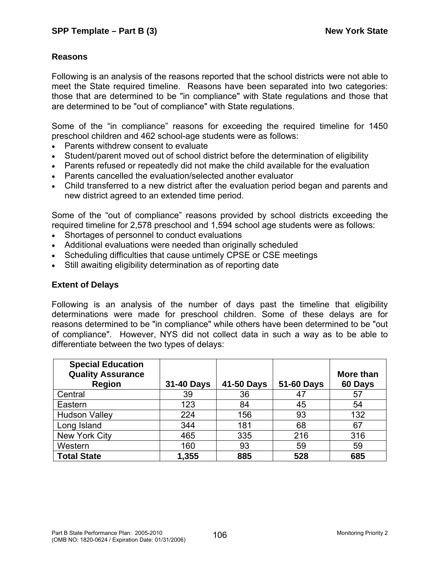### **Reasons**

Following is an analysis of the reasons reported that the school districts were not able to meet the State required timeline. Reasons have been separated into two categories: those that are determined to be "in compliance" with State regulations and those that are determined to be "out of compliance" with State regulations.

Some of the "in compliance" reasons for exceeding the required timeline for 1450 preschool children and 462 school-age students were as follows:

- Parents withdrew consent to evaluate
- Student/parent moved out of school district before the determination of eligibility
- Parents refused or repeatedly did not make the child available for the evaluation
- Parents cancelled the evaluation/selected another evaluator
- Child transferred to a new district after the evaluation period began and parents and new district agreed to an extended time period.

Some of the "out of compliance" reasons provided by school districts exceeding the required timeline for 2,578 preschool and 1,594 school age students were as follows:

- Shortages of personnel to conduct evaluations
- Additional evaluations were needed than originally scheduled
- Scheduling difficulties that cause untimely CPSE or CSE meetings
- Still awaiting eligibility determination as of reporting date

### **Extent of Delays**

Following is an analysis of the number of days past the timeline that eligibility determinations were made for preschool children. Some of these delays are for reasons determined to be "in compliance" while others have been determined to be "out of compliance". However, NYS did not collect data in such a way as to be able to differentiate between the two types of delays:

| <b>Special Education</b><br><b>Quality Assurance</b><br><b>Region</b> | 31-40 Days | 41-50 Days | 51-60 Days | More than<br>60 Days |
|-----------------------------------------------------------------------|------------|------------|------------|----------------------|
| Central                                                               | 39         | 36         | 47         | 57                   |
| Eastern                                                               | 123        | 84         | 45         | 54                   |
| <b>Hudson Valley</b>                                                  | 224        | 156        | 93         | 132                  |
| Long Island                                                           | 344        | 181        | 68         | 67                   |
| New York City                                                         | 465        | 335        | 216        | 316                  |
| Western                                                               | 160        | 93         | 59         | 59                   |
| <b>Total State</b>                                                    | 1,355      | 885        | 528        | 685                  |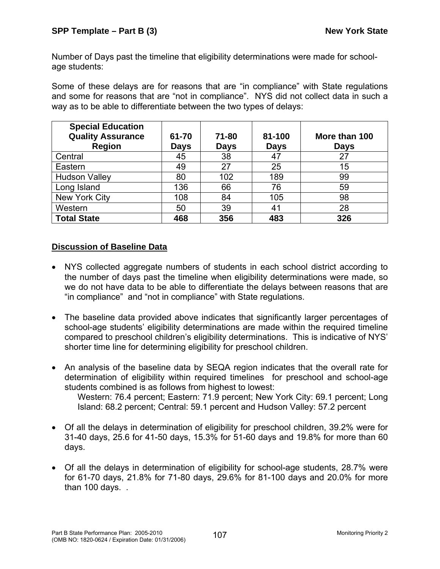Number of Days past the timeline that eligibility determinations were made for schoolage students:

Some of these delays are for reasons that are "in compliance" with State regulations and some for reasons that are "not in compliance". NYS did not collect data in such a way as to be able to differentiate between the two types of delays:

| <b>Special Education</b><br><b>Quality Assurance</b><br><b>Region</b> | 61-70<br><b>Days</b> | 71-80<br><b>Days</b> | 81-100<br><b>Days</b> | More than 100<br><b>Days</b> |
|-----------------------------------------------------------------------|----------------------|----------------------|-----------------------|------------------------------|
| Central                                                               | 45                   | 38                   | 47                    | 27                           |
| Eastern                                                               | 49                   | 27                   | 25                    | 15                           |
| <b>Hudson Valley</b>                                                  | 80                   | 102                  | 189                   | 99                           |
| Long Island                                                           | 136                  | 66                   | 76                    | 59                           |
| New York City                                                         | 108                  | 84                   | 105                   | 98                           |
| Western                                                               | 50                   | 39                   | 41                    | 28                           |
| <b>Total State</b>                                                    | 468                  | 356                  | 483                   | 326                          |

## **Discussion of Baseline Data**

- NYS collected aggregate numbers of students in each school district according to the number of days past the timeline when eligibility determinations were made, so we do not have data to be able to differentiate the delays between reasons that are "in compliance" and "not in compliance" with State regulations.
- The baseline data provided above indicates that significantly larger percentages of school-age students' eligibility determinations are made within the required timeline compared to preschool children's eligibility determinations. This is indicative of NYS' shorter time line for determining eligibility for preschool children.
- An analysis of the baseline data by SEQA region indicates that the overall rate for determination of eligibility within required timelines for preschool and school-age students combined is as follows from highest to lowest: Western: 76.4 percent; Eastern: 71.9 percent; New York City: 69.1 percent; Long
	- Island: 68.2 percent; Central: 59.1 percent and Hudson Valley: 57.2 percent
- Of all the delays in determination of eligibility for preschool children, 39.2% were for 31-40 days, 25.6 for 41-50 days, 15.3% for 51-60 days and 19.8% for more than 60 days.
- Of all the delays in determination of eligibility for school-age students, 28.7% were for 61-70 days, 21.8% for 71-80 days, 29.6% for 81-100 days and 20.0% for more than 100 days. .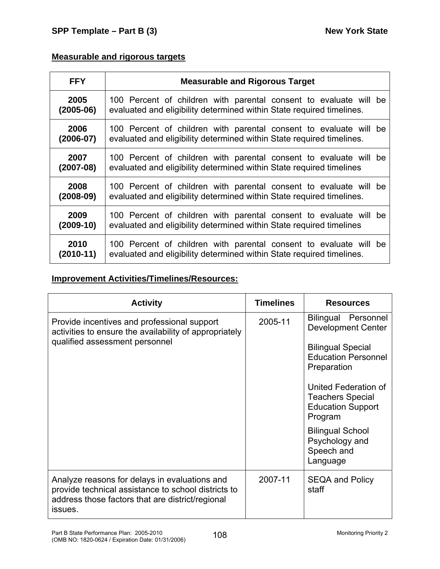# **Measurable and rigorous targets**

| <b>FFY</b>  | <b>Measurable and Rigorous Target</b>                                 |
|-------------|-----------------------------------------------------------------------|
| 2005        | 100 Percent of children with parental consent to evaluate will be     |
| $(2005-06)$ | evaluated and eligibility determined within State required timelines. |
| 2006        | 100 Percent of children with parental consent to evaluate will be     |
| $(2006-07)$ | evaluated and eligibility determined within State required timelines. |
| 2007        | 100 Percent of children with parental consent to evaluate will be     |
| $(2007-08)$ | evaluated and eligibility determined within State required timelines  |
| 2008        | 100 Percent of children with parental consent to evaluate will be     |
| $(2008-09)$ | evaluated and eligibility determined within State required timelines. |
| 2009        | 100 Percent of children with parental consent to evaluate will be     |
| $(2009-10)$ | evaluated and eligibility determined within State required timelines  |
| 2010        | 100 Percent of children with parental consent to evaluate will be     |
| $(2010-11)$ | evaluated and eligibility determined within State required timelines. |

# **Improvement Activities/Timelines/Resources:**

| <b>Activity</b>                                                                                                                                                     | <b>Timelines</b> | <b>Resources</b>                                                                                                                                                                                                    |
|---------------------------------------------------------------------------------------------------------------------------------------------------------------------|------------------|---------------------------------------------------------------------------------------------------------------------------------------------------------------------------------------------------------------------|
| Provide incentives and professional support<br>activities to ensure the availability of appropriately<br>qualified assessment personnel                             | 2005-11          | Bilingual Personnel<br><b>Development Center</b><br><b>Bilingual Special</b><br><b>Education Personnel</b><br>Preparation<br>United Federation of<br><b>Teachers Special</b><br><b>Education Support</b><br>Program |
|                                                                                                                                                                     |                  | <b>Bilingual School</b><br>Psychology and<br>Speech and<br>Language                                                                                                                                                 |
| Analyze reasons for delays in evaluations and<br>provide technical assistance to school districts to<br>address those factors that are district/regional<br>issues. | 2007-11          | <b>SEQA and Policy</b><br>staff                                                                                                                                                                                     |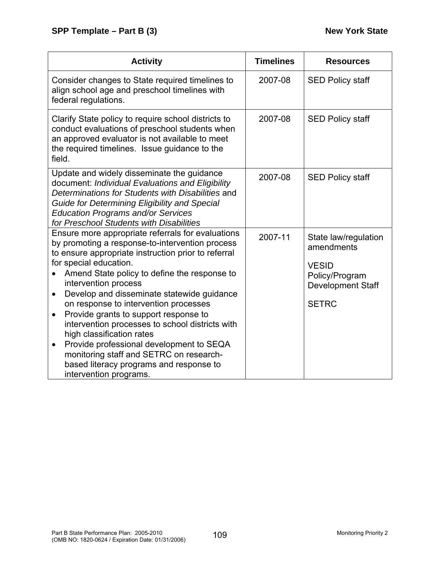| <b>Activity</b>                                                                                                                                                                                                                                                                                                                                                                                                                                                                                                                                                                                                                                                                  | <b>Timelines</b> | <b>Resources</b>                                                                                                 |
|----------------------------------------------------------------------------------------------------------------------------------------------------------------------------------------------------------------------------------------------------------------------------------------------------------------------------------------------------------------------------------------------------------------------------------------------------------------------------------------------------------------------------------------------------------------------------------------------------------------------------------------------------------------------------------|------------------|------------------------------------------------------------------------------------------------------------------|
| Consider changes to State required timelines to<br>align school age and preschool timelines with<br>federal regulations.                                                                                                                                                                                                                                                                                                                                                                                                                                                                                                                                                         | 2007-08          | <b>SED Policy staff</b>                                                                                          |
| Clarify State policy to require school districts to<br>conduct evaluations of preschool students when<br>an approved evaluator is not available to meet<br>the required timelines. Issue guidance to the<br>field.                                                                                                                                                                                                                                                                                                                                                                                                                                                               | 2007-08          | <b>SED Policy staff</b>                                                                                          |
| Update and widely disseminate the guidance<br>document: Individual Evaluations and Eligibility<br>Determinations for Students with Disabilities and<br><b>Guide for Determining Eligibility and Special</b><br><b>Education Programs and/or Services</b><br>for Preschool Students with Disabilities                                                                                                                                                                                                                                                                                                                                                                             | 2007-08          | <b>SED Policy staff</b>                                                                                          |
| Ensure more appropriate referrals for evaluations<br>by promoting a response-to-intervention process<br>to ensure appropriate instruction prior to referral<br>for special education.<br>Amend State policy to define the response to<br>intervention process<br>Develop and disseminate statewide guidance<br>$\bullet$<br>on response to intervention processes<br>Provide grants to support response to<br>$\bullet$<br>intervention processes to school districts with<br>high classification rates<br>Provide professional development to SEQA<br>$\bullet$<br>monitoring staff and SETRC on research-<br>based literacy programs and response to<br>intervention programs. | 2007-11          | State law/regulation<br>amendments<br><b>VESID</b><br>Policy/Program<br><b>Development Staff</b><br><b>SETRC</b> |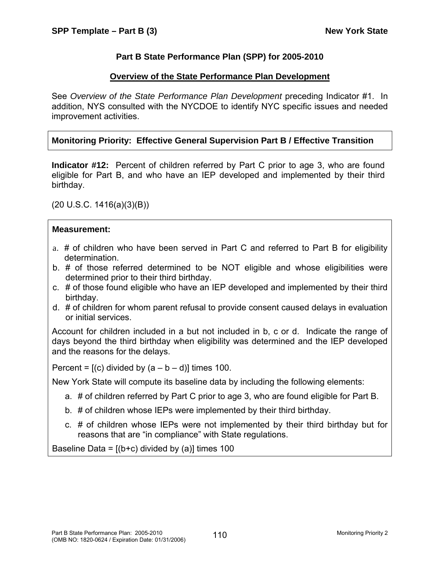## **Part B State Performance Plan (SPP) for 2005-2010**

### **Overview of the State Performance Plan Development**

See *Overview of the State Performance Plan Development* preceding Indicator #1. In addition, NYS consulted with the NYCDOE to identify NYC specific issues and needed improvement activities.

## **Monitoring Priority: Effective General Supervision Part B / Effective Transition**

**Indicator #12:** Percent of children referred by Part C prior to age 3, who are found eligible for Part B, and who have an IEP developed and implemented by their third birthday.

 $(20 U.S.C. 1416(a)(3)(B))$ 

### **Measurement:**

- a. # of children who have been served in Part C and referred to Part B for eligibility determination.
- b. # of those referred determined to be NOT eligible and whose eligibilities were determined prior to their third birthday.
- c. # of those found eligible who have an IEP developed and implemented by their third birthday.
- d. # of children for whom parent refusal to provide consent caused delays in evaluation or initial services.

Account for children included in a but not included in b, c or d. Indicate the range of days beyond the third birthday when eligibility was determined and the IEP developed and the reasons for the delays.

Percent =  $[(c)$  divided by  $(a - b - d)]$  times 100.

New York State will compute its baseline data by including the following elements:

- a. # of children referred by Part C prior to age 3, who are found eligible for Part B.
- b. # of children whose IEPs were implemented by their third birthday.
- c. # of children whose IEPs were not implemented by their third birthday but for reasons that are "in compliance" with State regulations.

Baseline Data =  $[(b+c)$  divided by (a)] times 100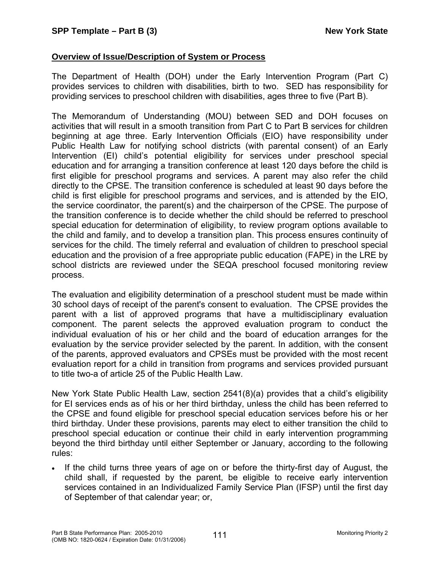## **Overview of Issue/Description of System or Process**

The Department of Health (DOH) under the Early Intervention Program (Part C) provides services to children with disabilities, birth to two. SED has responsibility for providing services to preschool children with disabilities, ages three to five (Part B).

The Memorandum of Understanding (MOU) between SED and DOH focuses on activities that will result in a smooth transition from Part C to Part B services for children beginning at age three. Early Intervention Officials (EIO) have responsibility under Public Health Law for notifying school districts (with parental consent) of an Early Intervention (EI) child's potential eligibility for services under preschool special education and for arranging a transition conference at least 120 days before the child is first eligible for preschool programs and services. A parent may also refer the child directly to the CPSE. The transition conference is scheduled at least 90 days before the child is first eligible for preschool programs and services, and is attended by the EIO, the service coordinator, the parent(s) and the chairperson of the CPSE. The purpose of the transition conference is to decide whether the child should be referred to preschool special education for determination of eligibility, to review program options available to the child and family, and to develop a transition plan. This process ensures continuity of services for the child. The timely referral and evaluation of children to preschool special education and the provision of a free appropriate public education (FAPE) in the LRE by school districts are reviewed under the SEQA preschool focused monitoring review process.

The evaluation and eligibility determination of a preschool student must be made within 30 school days of receipt of the parent's consent to evaluation. The CPSE provides the parent with a list of approved programs that have a multidisciplinary evaluation component. The parent selects the approved evaluation program to conduct the individual evaluation of his or her child and the board of education arranges for the evaluation by the service provider selected by the parent. In addition, with the consent of the parents, approved evaluators and CPSEs must be provided with the most recent evaluation report for a child in transition from programs and services provided pursuant to title two-a of article 25 of the Public Health Law.

New York State Public Health Law, section 2541(8)(a) provides that a child's eligibility for EI services ends as of his or her third birthday, unless the child has been referred to the CPSE and found eligible for preschool special education services before his or her third birthday. Under these provisions, parents may elect to either transition the child to preschool special education or continue their child in early intervention programming beyond the third birthday until either September or January, according to the following rules:

• If the child turns three years of age on or before the thirty-first day of August, the child shall, if requested by the parent, be eligible to receive early intervention services contained in an Individualized Family Service Plan (IFSP) until the first day of September of that calendar year; or,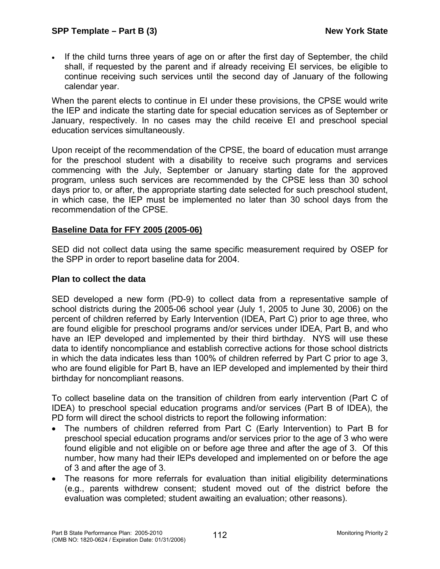• If the child turns three years of age on or after the first day of September, the child shall, if requested by the parent and if already receiving EI services, be eligible to continue receiving such services until the second day of January of the following calendar year.

When the parent elects to continue in EI under these provisions, the CPSE would write the IEP and indicate the starting date for special education services as of September or January, respectively. In no cases may the child receive EI and preschool special education services simultaneously.

Upon receipt of the recommendation of the CPSE, the board of education must arrange for the preschool student with a disability to receive such programs and services commencing with the July, September or January starting date for the approved program, unless such services are recommended by the CPSE less than 30 school days prior to, or after, the appropriate starting date selected for such preschool student, in which case, the IEP must be implemented no later than 30 school days from the recommendation of the CPSE.

### **Baseline Data for FFY 2005 (2005-06)**

SED did not collect data using the same specific measurement required by OSEP for the SPP in order to report baseline data for 2004.

#### **Plan to collect the data**

SED developed a new form (PD-9) to collect data from a representative sample of school districts during the 2005-06 school year (July 1, 2005 to June 30, 2006) on the percent of children referred by Early Intervention (IDEA, Part C) prior to age three, who are found eligible for preschool programs and/or services under IDEA, Part B, and who have an IEP developed and implemented by their third birthday. NYS will use these data to identify noncompliance and establish corrective actions for those school districts in which the data indicates less than 100% of children referred by Part C prior to age 3, who are found eligible for Part B, have an IEP developed and implemented by their third birthday for noncompliant reasons.

To collect baseline data on the transition of children from early intervention (Part C of IDEA) to preschool special education programs and/or services (Part B of IDEA), the PD form will direct the school districts to report the following information:

- The numbers of children referred from Part C (Early Intervention) to Part B for preschool special education programs and/or services prior to the age of 3 who were found eligible and not eligible on or before age three and after the age of 3. Of this number, how many had their IEPs developed and implemented on or before the age of 3 and after the age of 3.
- The reasons for more referrals for evaluation than initial eligibility determinations (e.g., parents withdrew consent; student moved out of the district before the evaluation was completed; student awaiting an evaluation; other reasons).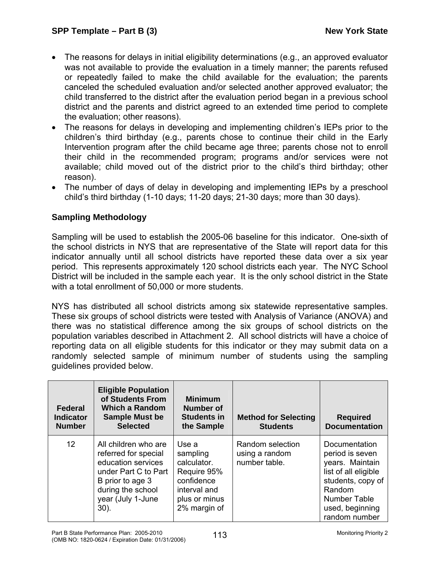- The reasons for delays in initial eligibility determinations (e.g., an approved evaluator was not available to provide the evaluation in a timely manner; the parents refused or repeatedly failed to make the child available for the evaluation; the parents canceled the scheduled evaluation and/or selected another approved evaluator; the child transferred to the district after the evaluation period began in a previous school district and the parents and district agreed to an extended time period to complete the evaluation; other reasons).
- The reasons for delays in developing and implementing children's IEPs prior to the children's third birthday (e.g., parents chose to continue their child in the Early Intervention program after the child became age three; parents chose not to enroll their child in the recommended program; programs and/or services were not available; child moved out of the district prior to the child's third birthday; other reason).
- The number of days of delay in developing and implementing IEPs by a preschool child's third birthday (1-10 days; 11-20 days; 21-30 days; more than 30 days).

## **Sampling Methodology**

Sampling will be used to establish the 2005-06 baseline for this indicator. One-sixth of the school districts in NYS that are representative of the State will report data for this indicator annually until all school districts have reported these data over a six year period. This represents approximately 120 school districts each year. The NYC School District will be included in the sample each year. It is the only school district in the State with a total enrollment of 50,000 or more students.

NYS has distributed all school districts among six statewide representative samples. These six groups of school districts were tested with Analysis of Variance (ANOVA) and there was no statistical difference among the six groups of school districts on the population variables described in Attachment 2. All school districts will have a choice of reporting data on all eligible students for this indicator or they may submit data on a randomly selected sample of minimum number of students using the sampling guidelines provided below.

| Federal<br><b>Indicator</b><br><b>Number</b> | <b>Eligible Population</b><br>of Students From<br>Which a Random<br><b>Sample Must be</b><br><b>Selected</b>                                                        | <b>Minimum</b><br>Number of<br><b>Students in</b><br>the Sample                                                | <b>Method for Selecting</b><br><b>Students</b>      | <b>Required</b><br><b>Documentation</b>                                                                                                                        |
|----------------------------------------------|---------------------------------------------------------------------------------------------------------------------------------------------------------------------|----------------------------------------------------------------------------------------------------------------|-----------------------------------------------------|----------------------------------------------------------------------------------------------------------------------------------------------------------------|
| $12 \overline{ }$                            | All children who are<br>referred for special<br>education services<br>under Part C to Part<br>B prior to age 3<br>during the school<br>year (July 1-June<br>$30$ ). | Use a<br>sampling<br>calculator.<br>Require 95%<br>confidence<br>interval and<br>plus or minus<br>2% margin of | Random selection<br>using a random<br>number table. | Documentation<br>period is seven<br>years. Maintain<br>list of all eligible<br>students, copy of<br>Random<br>Number Table<br>used, beginning<br>random number |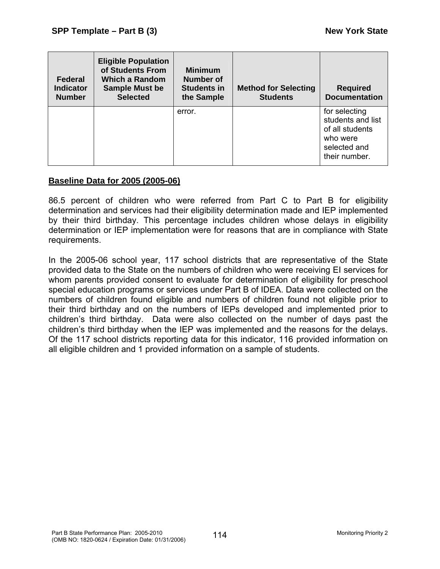| Federal<br><b>Indicator</b><br><b>Number</b> | <b>Eligible Population</b><br>of Students From<br>Which a Random<br><b>Sample Must be</b><br><b>Selected</b> | <b>Minimum</b><br>Number of<br><b>Students in</b><br>the Sample | <b>Method for Selecting</b><br><b>Students</b> | <b>Required</b><br><b>Documentation</b>                                                            |
|----------------------------------------------|--------------------------------------------------------------------------------------------------------------|-----------------------------------------------------------------|------------------------------------------------|----------------------------------------------------------------------------------------------------|
|                                              |                                                                                                              | error.                                                          |                                                | for selecting<br>students and list<br>of all students<br>who were<br>selected and<br>their number. |

### **Baseline Data for 2005 (2005-06)**

86.5 percent of children who were referred from Part C to Part B for eligibility determination and services had their eligibility determination made and IEP implemented by their third birthday. This percentage includes children whose delays in eligibility determination or IEP implementation were for reasons that are in compliance with State requirements.

In the 2005-06 school year, 117 school districts that are representative of the State provided data to the State on the numbers of children who were receiving EI services for whom parents provided consent to evaluate for determination of eligibility for preschool special education programs or services under Part B of IDEA. Data were collected on the numbers of children found eligible and numbers of children found not eligible prior to their third birthday and on the numbers of IEPs developed and implemented prior to children's third birthday. Data were also collected on the number of days past the children's third birthday when the IEP was implemented and the reasons for the delays. Of the 117 school districts reporting data for this indicator, 116 provided information on all eligible children and 1 provided information on a sample of students.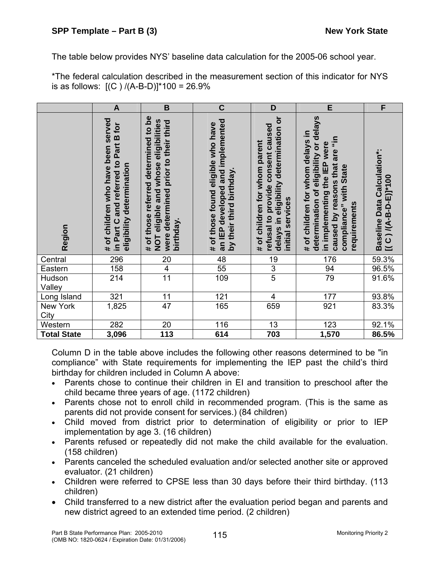The table below provides NYS' baseline data calculation for the 2005-06 school year.

\*The federal calculation described in the measurement section of this indicator for NYS is as follows:  $[(C) / (A-B-D)]^* 100 = 26.9\%$ 

|                    | $\mathsf{A}$                                                                                            | $\mathbf B$                                                                                                                                    | $\mathbf C$                                                                                        | D                                                                                                                                | E                                                                                                                                                                                      | F                                                      |
|--------------------|---------------------------------------------------------------------------------------------------------|------------------------------------------------------------------------------------------------------------------------------------------------|----------------------------------------------------------------------------------------------------|----------------------------------------------------------------------------------------------------------------------------------|----------------------------------------------------------------------------------------------------------------------------------------------------------------------------------------|--------------------------------------------------------|
| Region             | # of children who have been served<br>in Part C and referred to Part B for<br>eligibility determination | <u>be</u><br>NOT eligible and whose eligibilities<br>were determined prior to their third<br>referred determined to<br># of those<br>birthday. | an IEP developed and implemented<br># of those found eligible who have<br>by their third birthday. | delays in eligibility determination or<br>refusal to provide consent caused<br># of children for whom parent<br>initial services | determination of eligibility or delays<br># of children for whom delays in<br>caused by reasons that are "in<br>in implementing the IEP were<br>compliance" with State<br>requirements | Baseline Data Calculation*:<br>$[(C)(A-B-D-E)]^{*}100$ |
| Central            | 296                                                                                                     | 20                                                                                                                                             | 48                                                                                                 | 19                                                                                                                               | 176                                                                                                                                                                                    | 59.3%                                                  |
| Eastern            | 158                                                                                                     | $\overline{4}$                                                                                                                                 | 55                                                                                                 | $\frac{3}{5}$                                                                                                                    | 94                                                                                                                                                                                     | 96.5%                                                  |
| Hudson<br>Valley   | 214                                                                                                     | $\overline{11}$                                                                                                                                | 109                                                                                                |                                                                                                                                  | $\overline{79}$                                                                                                                                                                        | 91.6%                                                  |
| Long Island        | 321                                                                                                     | 11                                                                                                                                             | 121                                                                                                | 4                                                                                                                                | 177                                                                                                                                                                                    | 93.8%                                                  |
| New York<br>City   | 1,825                                                                                                   | 47                                                                                                                                             | 165                                                                                                | 659                                                                                                                              | 921                                                                                                                                                                                    | 83.3%                                                  |
| Western            | 282                                                                                                     | 20                                                                                                                                             | 116                                                                                                | 13                                                                                                                               | 123                                                                                                                                                                                    | 92.1%                                                  |
| <b>Total State</b> | 3,096                                                                                                   | $\overline{113}$                                                                                                                               | 614                                                                                                | 703                                                                                                                              | 1,570                                                                                                                                                                                  | 86.5%                                                  |

Column D in the table above includes the following other reasons determined to be "in compliance" with State requirements for implementing the IEP past the child's third birthday for children included in Column A above:

- Parents chose to continue their children in EI and transition to preschool after the child became three years of age. (1172 children)
- Parents chose not to enroll child in recommended program. (This is the same as parents did not provide consent for services.) (84 children)
- Child moved from district prior to determination of eligibility or prior to IEP implementation by age 3. (16 children)
- Parents refused or repeatedly did not make the child available for the evaluation. (158 children)
- Parents canceled the scheduled evaluation and/or selected another site or approved evaluator. (21 children)
- Children were referred to CPSE less than 30 days before their third birthday. (113 children)
- Child transferred to a new district after the evaluation period began and parents and new district agreed to an extended time period. (2 children)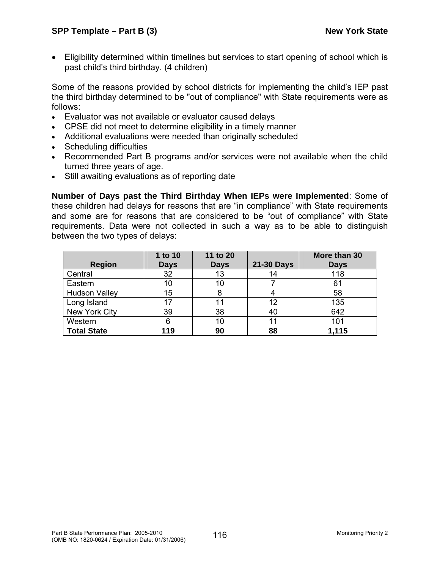• Eligibility determined within timelines but services to start opening of school which is past child's third birthday. (4 children)

Some of the reasons provided by school districts for implementing the child's IEP past the third birthday determined to be "out of compliance" with State requirements were as follows:

- Evaluator was not available or evaluator caused delays
- CPSE did not meet to determine eligibility in a timely manner
- Additional evaluations were needed than originally scheduled
- Scheduling difficulties
- Recommended Part B programs and/or services were not available when the child turned three years of age.
- Still awaiting evaluations as of reporting date

**Number of Days past the Third Birthday When IEPs were Implemented**: Some of these children had delays for reasons that are "in compliance" with State requirements and some are for reasons that are considered to be "out of compliance" with State requirements. Data were not collected in such a way as to be able to distinguish between the two types of delays:

| <b>Region</b>        | 1 to 10<br><b>Days</b> | 11 to 20<br><b>Days</b> | 21-30 Days | More than 30<br><b>Days</b> |
|----------------------|------------------------|-------------------------|------------|-----------------------------|
| Central              | 32                     | 13                      | 14         | 118                         |
| Eastern              | 10                     | 10                      |            | 6 <sup>′</sup>              |
| <b>Hudson Valley</b> | 15                     |                         |            | 58                          |
| Long Island          | 17                     |                         | 12         | 135                         |
| New York City        | 39                     | 38                      | 40         | 642                         |
| Western              | 6                      | 10                      | 11         | 101                         |
| <b>Total State</b>   | 119                    | 90                      | 88         | 1,115                       |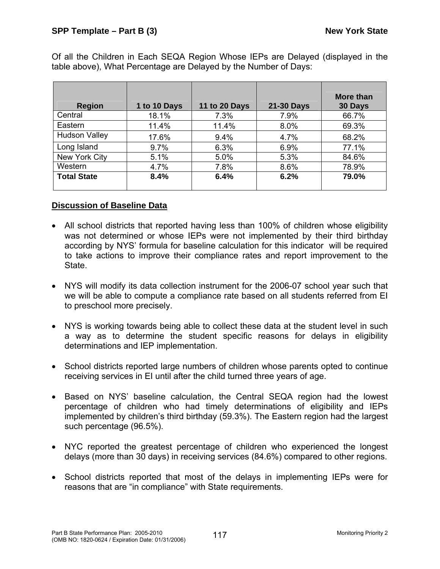Of all the Children in Each SEQA Region Whose IEPs are Delayed (displayed in the table above), What Percentage are Delayed by the Number of Days:

|                      |              |                      |                   | More than |
|----------------------|--------------|----------------------|-------------------|-----------|
| <b>Region</b>        | 1 to 10 Days | <b>11 to 20 Days</b> | <b>21-30 Days</b> | 30 Days   |
| Central              | 18.1%        | 7.3%                 | 7.9%              | 66.7%     |
| Eastern              | 11.4%        | 11.4%                | 8.0%              | 69.3%     |
| <b>Hudson Valley</b> | 17.6%        | 9.4%                 | 4.7%              | 68.2%     |
| Long Island          | 9.7%         | 6.3%                 | 6.9%              | 77.1%     |
| New York City        | 5.1%         | 5.0%                 | 5.3%              | 84.6%     |
| Western              | 4.7%         | 7.8%                 | 8.6%              | 78.9%     |
| <b>Total State</b>   | 8.4%         | 6.4%                 | 6.2%              | 79.0%     |

## **Discussion of Baseline Data**

- All school districts that reported having less than 100% of children whose eligibility was not determined or whose IEPs were not implemented by their third birthday according by NYS' formula for baseline calculation for this indicator will be required to take actions to improve their compliance rates and report improvement to the State.
- NYS will modify its data collection instrument for the 2006-07 school year such that we will be able to compute a compliance rate based on all students referred from EI to preschool more precisely.
- NYS is working towards being able to collect these data at the student level in such a way as to determine the student specific reasons for delays in eligibility determinations and IEP implementation.
- School districts reported large numbers of children whose parents opted to continue receiving services in EI until after the child turned three years of age.
- Based on NYS' baseline calculation, the Central SEQA region had the lowest percentage of children who had timely determinations of eligibility and IEPs implemented by children's third birthday (59.3%). The Eastern region had the largest such percentage (96.5%).
- NYC reported the greatest percentage of children who experienced the longest delays (more than 30 days) in receiving services (84.6%) compared to other regions.
- School districts reported that most of the delays in implementing IEPs were for reasons that are "in compliance" with State requirements.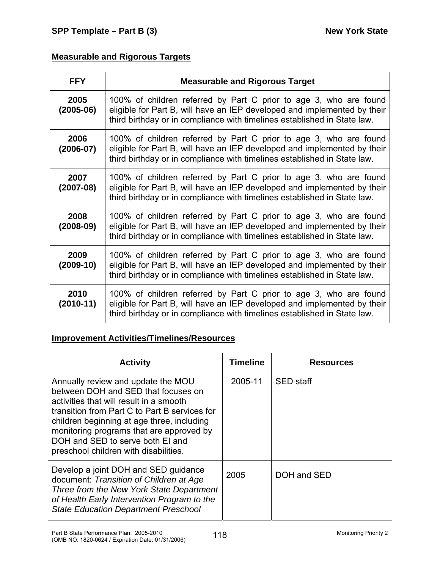# **Measurable and Rigorous Targets**

| <b>FFY</b>            | <b>Measurable and Rigorous Target</b>                                                                                                                                                                                     |
|-----------------------|---------------------------------------------------------------------------------------------------------------------------------------------------------------------------------------------------------------------------|
| 2005<br>$(2005-06)$   | 100% of children referred by Part C prior to age 3, who are found<br>eligible for Part B, will have an IEP developed and implemented by their<br>third birthday or in compliance with timelines established in State law. |
| 2006<br>$(2006 - 07)$ | 100% of children referred by Part C prior to age 3, who are found<br>eligible for Part B, will have an IEP developed and implemented by their<br>third birthday or in compliance with timelines established in State law. |
| 2007<br>$(2007-08)$   | 100% of children referred by Part C prior to age 3, who are found<br>eligible for Part B, will have an IEP developed and implemented by their<br>third birthday or in compliance with timelines established in State law. |
| 2008<br>$(2008-09)$   | 100% of children referred by Part C prior to age 3, who are found<br>eligible for Part B, will have an IEP developed and implemented by their<br>third birthday or in compliance with timelines established in State law. |
| 2009<br>$(2009-10)$   | 100% of children referred by Part C prior to age 3, who are found<br>eligible for Part B, will have an IEP developed and implemented by their<br>third birthday or in compliance with timelines established in State law. |
| 2010<br>$(2010-11)$   | 100% of children referred by Part C prior to age 3, who are found<br>eligible for Part B, will have an IEP developed and implemented by their<br>third birthday or in compliance with timelines established in State law. |

# **Improvement Activities/Timelines/Resources**

| <b>Activity</b>                                                                                                                                                                                                                                                                                                                              | <b>Timeline</b> | <b>Resources</b> |
|----------------------------------------------------------------------------------------------------------------------------------------------------------------------------------------------------------------------------------------------------------------------------------------------------------------------------------------------|-----------------|------------------|
| Annually review and update the MOU<br>between DOH and SED that focuses on<br>activities that will result in a smooth<br>transition from Part C to Part B services for<br>children beginning at age three, including<br>monitoring programs that are approved by<br>DOH and SED to serve both EI and<br>preschool children with disabilities. | 2005-11         | <b>SED</b> staff |
| Develop a joint DOH and SED guidance<br>document: Transition of Children at Age<br>Three from the New York State Department<br>of Health Early Intervention Program to the<br><b>State Education Department Preschool</b>                                                                                                                    | 2005            | DOH and SED      |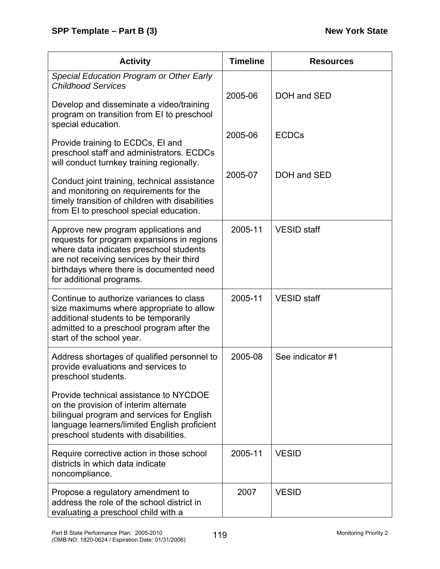| <b>Activity</b>                                                                                                                                                                                                                                    | <b>Timeline</b> | <b>Resources</b>   |
|----------------------------------------------------------------------------------------------------------------------------------------------------------------------------------------------------------------------------------------------------|-----------------|--------------------|
| <b>Special Education Program or Other Early</b><br><b>Childhood Services</b>                                                                                                                                                                       | 2005-06         | DOH and SED        |
| Develop and disseminate a video/training<br>program on transition from EI to preschool<br>special education.                                                                                                                                       |                 |                    |
| Provide training to ECDCs, EI and<br>preschool staff and administrators. ECDCs<br>will conduct turnkey training regionally.                                                                                                                        | 2005-06         | <b>ECDCs</b>       |
| Conduct joint training, technical assistance<br>and monitoring on requirements for the<br>timely transition of children with disabilities<br>from EI to preschool special education.                                                               | 2005-07         | DOH and SED        |
| Approve new program applications and<br>requests for program expansions in regions<br>where data indicates preschool students<br>are not receiving services by their third<br>birthdays where there is documented need<br>for additional programs. | 2005-11         | <b>VESID</b> staff |
| Continue to authorize variances to class<br>size maximums where appropriate to allow<br>additional students to be temporarily<br>admitted to a preschool program after the<br>start of the school year.                                            | 2005-11         | <b>VESID</b> staff |
| Address shortages of qualified personnel to<br>provide evaluations and services to<br>preschool students.                                                                                                                                          | 2005-08         | See indicator #1   |
| Provide technical assistance to NYCDOE<br>on the provision of interim alternate<br>bilingual program and services for English<br>language learners/limited English proficient<br>preschool students with disabilities.                             |                 |                    |
| Require corrective action in those school<br>districts in which data indicate<br>noncompliance.                                                                                                                                                    | 2005-11         | <b>VESID</b>       |
| Propose a regulatory amendment to<br>address the role of the school district in<br>evaluating a preschool child with a                                                                                                                             | 2007            | <b>VESID</b>       |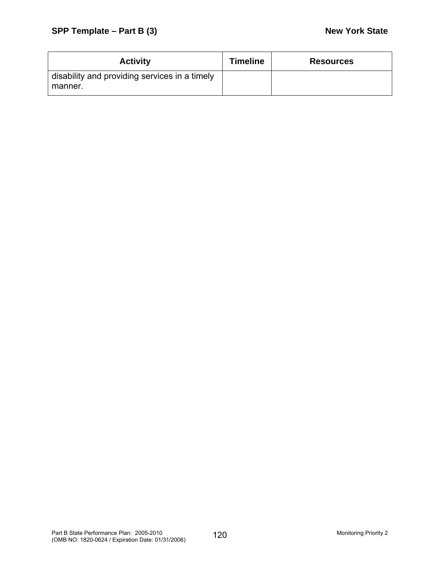| <b>Activity</b>                                          | <b>Timeline</b> | <b>Resources</b> |
|----------------------------------------------------------|-----------------|------------------|
| disability and providing services in a timely<br>manner. |                 |                  |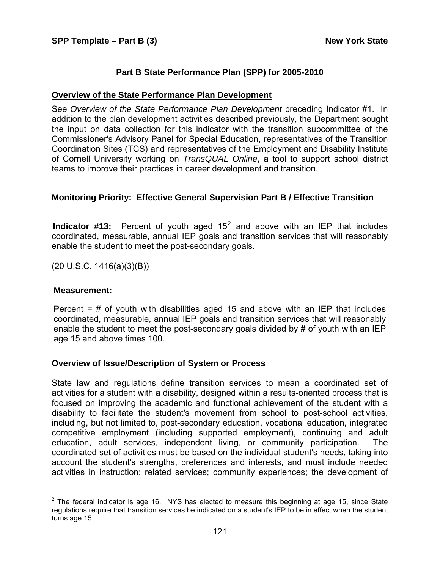### **Part B State Performance Plan (SPP) for 2005-2010**

#### **Overview of the State Performance Plan Development**

See *Overview of the State Performance Plan Development* preceding Indicator #1. In addition to the plan development activities described previously, the Department sought the input on data collection for this indicator with the transition subcommittee of the Commissioner's Advisory Panel for Special Education, representatives of the Transition Coordination Sites (TCS) and representatives of the Employment and Disability Institute of Cornell University working on *TransQUAL Online*, a tool to support school district teams to improve their practices in career development and transition.

## **Monitoring Priority: Effective General Supervision Part B / Effective Transition**

**Indicator #13:** Percent of youth aged  $15^2$  $15^2$  and above with an IEP that includes coordinated, measurable, annual IEP goals and transition services that will reasonably enable the student to meet the post-secondary goals.

(20 U.S.C. 1416(a)(3)(B))

#### **Measurement:**

Percent  $=$  # of youth with disabilities aged 15 and above with an IEP that includes coordinated, measurable, annual IEP goals and transition services that will reasonably enable the student to meet the post-secondary goals divided by # of youth with an IEP age 15 and above times 100.

### **Overview of Issue/Description of System or Process**

State law and regulations define transition services to mean a coordinated set of activities for a student with a disability, designed within a results-oriented process that is focused on improving the academic and functional achievement of the student with a disability to facilitate the student's movement from school to post-school activities, including, but not limited to, post-secondary education, vocational education, integrated competitive employment (including supported employment), continuing and adult education, adult services, independent living, or community participation. The coordinated set of activities must be based on the individual student's needs, taking into account the student's strengths, preferences and interests, and must include needed activities in instruction; related services; community experiences; the development of

<span id="page-126-0"></span>**ENEVALLE 12**<br><sup>2</sup> The federal indicator is age 16. NYS has elected to measure this beginning at age 15, since State regulations require that transition services be indicated on a student's IEP to be in effect when the student turns age 15.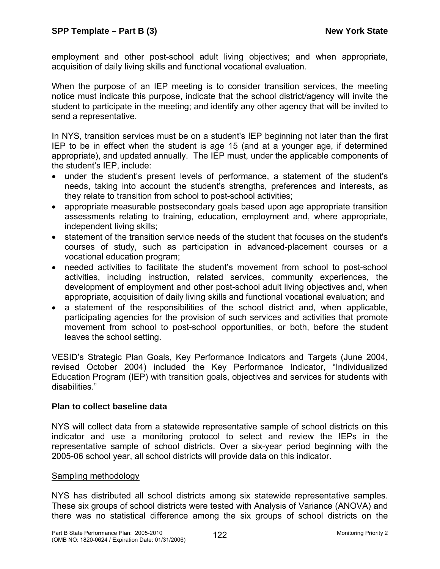employment and other post-school adult living objectives; and when appropriate, acquisition of daily living skills and functional vocational evaluation.

When the purpose of an IEP meeting is to consider transition services, the meeting notice must indicate this purpose, indicate that the school district/agency will invite the student to participate in the meeting; and identify any other agency that will be invited to send a representative.

In NYS, transition services must be on a student's IEP beginning not later than the first IEP to be in effect when the student is age 15 (and at a younger age, if determined appropriate), and updated annually. The IEP must, under the applicable components of the student's IEP, include:

- under the student's present levels of performance, a statement of the student's needs, taking into account the student's strengths, preferences and interests, as they relate to transition from school to post-school activities;
- appropriate measurable postsecondary goals based upon age appropriate transition assessments relating to training, education, employment and, where appropriate, independent living skills;
- statement of the transition service needs of the student that focuses on the student's courses of study, such as participation in advanced-placement courses or a vocational education program;
- needed activities to facilitate the student's movement from school to post-school activities, including instruction, related services, community experiences, the development of employment and other post-school adult living objectives and, when appropriate, acquisition of daily living skills and functional vocational evaluation; and
- a statement of the responsibilities of the school district and, when applicable, participating agencies for the provision of such services and activities that promote movement from school to post-school opportunities, or both, before the student leaves the school setting.

VESID's Strategic Plan Goals, Key Performance Indicators and Targets (June 2004, revised October 2004) included the Key Performance Indicator, "Individualized Education Program (IEP) with transition goals, objectives and services for students with disabilities."

### **Plan to collect baseline data**

NYS will collect data from a statewide representative sample of school districts on this indicator and use a monitoring protocol to select and review the IEPs in the representative sample of school districts. Over a six-year period beginning with the 2005-06 school year, all school districts will provide data on this indicator.

### Sampling methodology

NYS has distributed all school districts among six statewide representative samples. These six groups of school districts were tested with Analysis of Variance (ANOVA) and there was no statistical difference among the six groups of school districts on the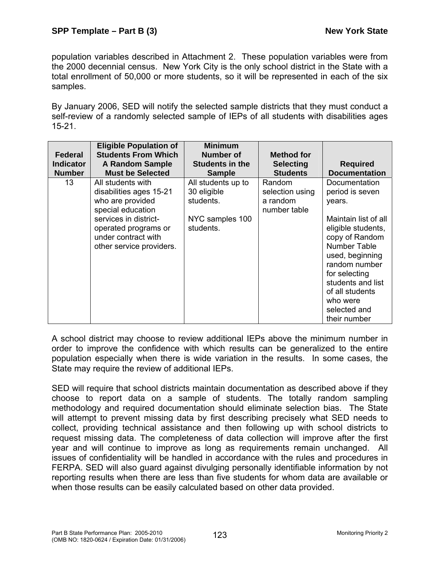population variables described in Attachment 2. These population variables were from the 2000 decennial census. New York City is the only school district in the State with a total enrollment of 50,000 or more students, so it will be represented in each of the six samples.

By January 2006, SED will notify the selected sample districts that they must conduct a self-review of a randomly selected sample of IEPs of all students with disabilities ages 15-21.

| <b>Federal</b>   | <b>Eligible Population of</b><br><b>Students From Which</b>                                                                                                                               | <b>Minimum</b><br>Number of                                                    | <b>Method for</b>                                     |                                                                                                                                                                                                                                                                     |
|------------------|-------------------------------------------------------------------------------------------------------------------------------------------------------------------------------------------|--------------------------------------------------------------------------------|-------------------------------------------------------|---------------------------------------------------------------------------------------------------------------------------------------------------------------------------------------------------------------------------------------------------------------------|
| <b>Indicator</b> | <b>A Random Sample</b>                                                                                                                                                                    | <b>Students in the</b>                                                         | <b>Selecting</b>                                      | <b>Required</b>                                                                                                                                                                                                                                                     |
| <b>Number</b>    | <b>Must be Selected</b>                                                                                                                                                                   | <b>Sample</b>                                                                  | <b>Students</b>                                       | <b>Documentation</b>                                                                                                                                                                                                                                                |
| 13               | All students with<br>disabilities ages 15-21<br>who are provided<br>special education<br>services in district-<br>operated programs or<br>under contract with<br>other service providers. | All students up to<br>30 eligible<br>students.<br>NYC samples 100<br>students. | Random<br>selection using<br>a random<br>number table | Documentation<br>period is seven<br>years.<br>Maintain list of all<br>eligible students,<br>copy of Random<br>Number Table<br>used, beginning<br>random number<br>for selecting<br>students and list<br>of all students<br>who were<br>selected and<br>their number |

A school district may choose to review additional IEPs above the minimum number in order to improve the confidence with which results can be generalized to the entire population especially when there is wide variation in the results. In some cases, the State may require the review of additional IEPs.

SED will require that school districts maintain documentation as described above if they choose to report data on a sample of students. The totally random sampling methodology and required documentation should eliminate selection bias. The State will attempt to prevent missing data by first describing precisely what SED needs to collect, providing technical assistance and then following up with school districts to request missing data. The completeness of data collection will improve after the first year and will continue to improve as long as requirements remain unchanged. All issues of confidentiality will be handled in accordance with the rules and procedures in FERPA. SED will also guard against divulging personally identifiable information by not reporting results when there are less than five students for whom data are available or when those results can be easily calculated based on other data provided.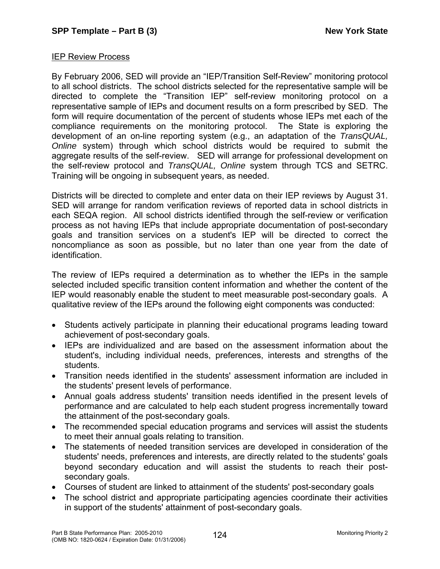### IEP Review Process

By February 2006, SED will provide an "IEP/Transition Self-Review" monitoring protocol to all school districts. The school districts selected for the representative sample will be directed to complete the "Transition IEP" self-review monitoring protocol on a representative sample of IEPs and document results on a form prescribed by SED. The form will require documentation of the percent of students whose IEPs met each of the compliance requirements on the monitoring protocol. The State is exploring the development of an on-line reporting system (e.g., an adaptation of the *TransQUAL, Online* system) through which school districts would be required to submit the aggregate results of the self-review. SED will arrange for professional development on the self-review protocol and *TransQUAL, Online* system through TCS and SETRC. Training will be ongoing in subsequent years, as needed.

Districts will be directed to complete and enter data on their IEP reviews by August 31. SED will arrange for random verification reviews of reported data in school districts in each SEQA region. All school districts identified through the self-review or verification process as not having IEPs that include appropriate documentation of post-secondary goals and transition services on a student's IEP will be directed to correct the noncompliance as soon as possible, but no later than one year from the date of identification.

The review of IEPs required a determination as to whether the IEPs in the sample selected included specific transition content information and whether the content of the IEP would reasonably enable the student to meet measurable post-secondary goals. A qualitative review of the IEPs around the following eight components was conducted:

- Students actively participate in planning their educational programs leading toward achievement of post-secondary goals.
- IEPs are individualized and are based on the assessment information about the student's, including individual needs, preferences, interests and strengths of the students.
- Transition needs identified in the students' assessment information are included in the students' present levels of performance.
- Annual goals address students' transition needs identified in the present levels of performance and are calculated to help each student progress incrementally toward the attainment of the post-secondary goals.
- The recommended special education programs and services will assist the students to meet their annual goals relating to transition.
- The statements of needed transition services are developed in consideration of the students' needs, preferences and interests, are directly related to the students' goals beyond secondary education and will assist the students to reach their postsecondary goals.
- Courses of student are linked to attainment of the students' post-secondary goals
- The school district and appropriate participating agencies coordinate their activities in support of the students' attainment of post-secondary goals.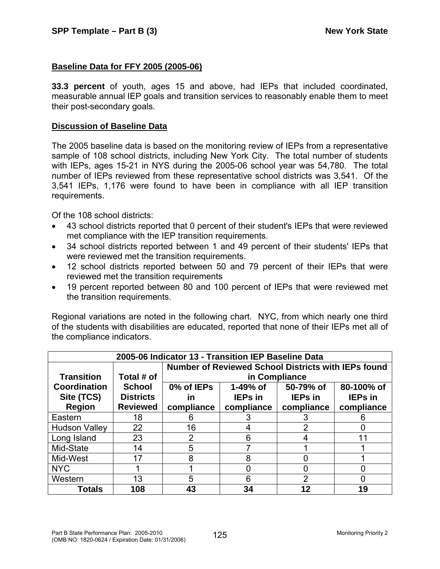## **Baseline Data for FFY 2005 (2005-06)**

**33.3 percent** of youth, ages 15 and above, had IEPs that included coordinated, measurable annual IEP goals and transition services to reasonably enable them to meet their post-secondary goals.

### **Discussion of Baseline Data**

The 2005 baseline data is based on the monitoring review of IEPs from a representative sample of 108 school districts, including New York City. The total number of students with IEPs, ages 15-21 in NYS during the 2005-06 school year was 54,780. The total number of IEPs reviewed from these representative school districts was 3,541. Of the 3,541 IEPs, 1,176 were found to have been in compliance with all IEP transition requirements.

Of the 108 school districts:

- 43 school districts reported that 0 percent of their student's IEPs that were reviewed met compliance with the IEP transition requirements.
- 34 school districts reported between 1 and 49 percent of their students' IEPs that were reviewed met the transition requirements.
- 12 school districts reported between 50 and 79 percent of their IEPs that were reviewed met the transition requirements
- 19 percent reported between 80 and 100 percent of IEPs that were reviewed met the transition requirements.

Regional variations are noted in the following chart. NYC, from which nearly one third of the students with disabilities are educated, reported that none of their IEPs met all of the compliance indicators.

| 2005-06 Indicator 13 - Transition IEP Baseline Data |                  |                                                            |                |                |                |
|-----------------------------------------------------|------------------|------------------------------------------------------------|----------------|----------------|----------------|
|                                                     |                  | <b>Number of Reviewed School Districts with IEPs found</b> |                |                |                |
| <b>Transition</b>                                   | Total # of       | in Compliance                                              |                |                |                |
| Coordination                                        | <b>School</b>    | 0% of IEPs                                                 | 1-49% of       | 50-79% of      | 80-100% of     |
| Site (TCS)                                          | <b>Districts</b> | in                                                         | <b>IEPs</b> in | <b>IEPs in</b> | <b>IEPs in</b> |
| <b>Region</b>                                       | <b>Reviewed</b>  | compliance                                                 | compliance     | compliance     | compliance     |
| Eastern                                             | 18               |                                                            |                | З              | 6              |
| <b>Hudson Valley</b>                                | 22               | 16                                                         |                | $\overline{2}$ |                |
| Long Island                                         | 23               | 2                                                          | 6              |                | 11             |
| Mid-State                                           | 14               | 5                                                          |                |                |                |
| Mid-West                                            | 17               | 8                                                          | 8              |                |                |
| <b>NYC</b>                                          |                  |                                                            |                |                |                |
| Western                                             | 13               | 5                                                          | 6              | $\mathcal{P}$  | O              |
| Totals                                              | 108              | 43                                                         | 34             | $12 \,$        | 19             |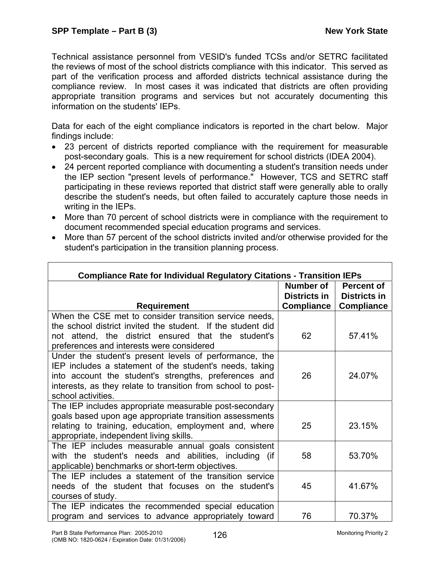Technical assistance personnel from VESID's funded TCSs and/or SETRC facilitated the reviews of most of the school districts compliance with this indicator. This served as part of the verification process and afforded districts technical assistance during the compliance review. In most cases it was indicated that districts are often providing appropriate transition programs and services but not accurately documenting this information on the students' IEPs.

Data for each of the eight compliance indicators is reported in the chart below. Major findings include:

- 23 percent of districts reported compliance with the requirement for measurable post-secondary goals. This is a new requirement for school districts (IDEA 2004).
- 24 percent reported compliance with documenting a student's transition needs under the IEP section "present levels of performance." However, TCS and SETRC staff participating in these reviews reported that district staff were generally able to orally describe the student's needs, but often failed to accurately capture those needs in writing in the IEPs.
- More than 70 percent of school districts were in compliance with the requirement to document recommended special education programs and services.
- More than 57 percent of the school districts invited and/or otherwise provided for the student's participation in the transition planning process.

| <b>Compliance Rate for Individual Regulatory Citations - Transition IEPs</b>                                                                                                                                                                                     |                                                       |                                                               |  |  |
|------------------------------------------------------------------------------------------------------------------------------------------------------------------------------------------------------------------------------------------------------------------|-------------------------------------------------------|---------------------------------------------------------------|--|--|
| <b>Requirement</b>                                                                                                                                                                                                                                               | Number of<br><b>Districts in</b><br><b>Compliance</b> | <b>Percent of</b><br><b>Districts in</b><br><b>Compliance</b> |  |  |
| When the CSE met to consider transition service needs,                                                                                                                                                                                                           |                                                       |                                                               |  |  |
| the school district invited the student. If the student did<br>not attend, the district ensured that the student's<br>preferences and interests were considered                                                                                                  | 62                                                    | 57.41%                                                        |  |  |
| Under the student's present levels of performance, the<br>IEP includes a statement of the student's needs, taking<br>into account the student's strengths, preferences and<br>interests, as they relate to transition from school to post-<br>school activities. | 26                                                    | 24.07%                                                        |  |  |
| The IEP includes appropriate measurable post-secondary<br>goals based upon age appropriate transition assessments<br>relating to training, education, employment and, where<br>appropriate, independent living skills.                                           | 25                                                    | 23.15%                                                        |  |  |
| The IEP includes measurable annual goals consistent<br>with the student's needs and abilities, including (if<br>applicable) benchmarks or short-term objectives.                                                                                                 | 58                                                    | 53.70%                                                        |  |  |
| The IEP includes a statement of the transition service<br>needs of the student that focuses on the student's<br>courses of study.                                                                                                                                | 45                                                    | 41.67%                                                        |  |  |
| The IEP indicates the recommended special education<br>program and services to advance appropriately toward                                                                                                                                                      | 76                                                    | 70.37%                                                        |  |  |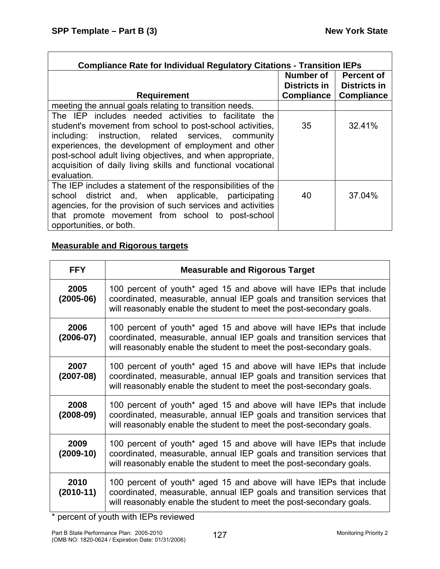$\mathsf{r}$ 

 $\overline{\mathbf{I}}$ 

| <b>Compliance Rate for Individual Regulatory Citations - Transition IEPs</b> |                   |                                          |  |  |
|------------------------------------------------------------------------------|-------------------|------------------------------------------|--|--|
|                                                                              | Number of         | <b>Percent of</b><br><b>Districts in</b> |  |  |
|                                                                              | Districts in      |                                          |  |  |
| <b>Requirement</b>                                                           | <b>Compliance</b> | <b>Compliance</b>                        |  |  |
| meeting the annual goals relating to transition needs.                       |                   |                                          |  |  |
| The IEP includes needed activities to facilitate the                         |                   |                                          |  |  |
| student's movement from school to post-school activities,                    | 35                | 32.41%                                   |  |  |
| instruction, related services, community<br>including:                       |                   |                                          |  |  |
| experiences, the development of employment and other                         |                   |                                          |  |  |
| post-school adult living objectives, and when appropriate,                   |                   |                                          |  |  |
| acquisition of daily living skills and functional vocational                 |                   |                                          |  |  |
| evaluation.                                                                  |                   |                                          |  |  |
| The IEP includes a statement of the responsibilities of the                  |                   |                                          |  |  |
| district and, when applicable, participating<br>school                       | 40                | 37.04%                                   |  |  |
| agencies, for the provision of such services and activities                  |                   |                                          |  |  |
| that promote movement from school to post-school                             |                   |                                          |  |  |
| opportunities, or both.                                                      |                   |                                          |  |  |

## **Measurable and Rigorous targets**

| <b>FFY</b>            | <b>Measurable and Rigorous Target</b>                                                                                                                                                                                 |
|-----------------------|-----------------------------------------------------------------------------------------------------------------------------------------------------------------------------------------------------------------------|
| 2005<br>$(2005-06)$   | 100 percent of youth* aged 15 and above will have IEPs that include<br>coordinated, measurable, annual IEP goals and transition services that<br>will reasonably enable the student to meet the post-secondary goals. |
| 2006<br>$(2006 - 07)$ | 100 percent of youth* aged 15 and above will have IEPs that include<br>coordinated, measurable, annual IEP goals and transition services that<br>will reasonably enable the student to meet the post-secondary goals. |
| 2007<br>$(2007-08)$   | 100 percent of youth* aged 15 and above will have IEPs that include<br>coordinated, measurable, annual IEP goals and transition services that<br>will reasonably enable the student to meet the post-secondary goals. |
| 2008<br>$(2008-09)$   | 100 percent of youth* aged 15 and above will have IEPs that include<br>coordinated, measurable, annual IEP goals and transition services that<br>will reasonably enable the student to meet the post-secondary goals. |
| 2009<br>$(2009-10)$   | 100 percent of youth* aged 15 and above will have IEPs that include<br>coordinated, measurable, annual IEP goals and transition services that<br>will reasonably enable the student to meet the post-secondary goals. |
| 2010<br>$(2010-11)$   | 100 percent of youth* aged 15 and above will have IEPs that include<br>coordinated, measurable, annual IEP goals and transition services that<br>will reasonably enable the student to meet the post-secondary goals. |

\* percent of youth with IEPs reviewed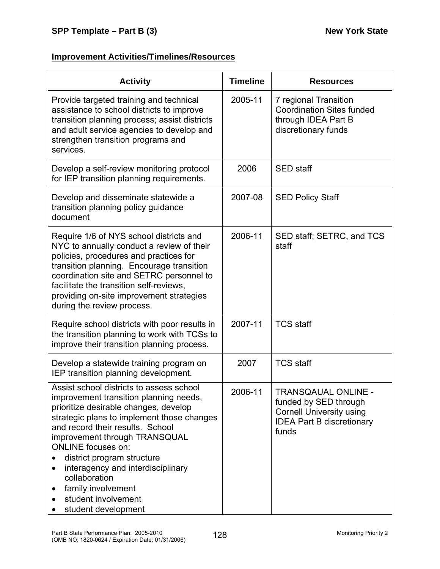# **Improvement Activities/Timelines/Resources**

| <b>Activity</b>                                                                                                                                                                                                                                                                                                                                                                                                                                       | <b>Timeline</b> | <b>Resources</b>                                                                                                                    |
|-------------------------------------------------------------------------------------------------------------------------------------------------------------------------------------------------------------------------------------------------------------------------------------------------------------------------------------------------------------------------------------------------------------------------------------------------------|-----------------|-------------------------------------------------------------------------------------------------------------------------------------|
| Provide targeted training and technical<br>assistance to school districts to improve<br>transition planning process; assist districts<br>and adult service agencies to develop and<br>strengthen transition programs and<br>services.                                                                                                                                                                                                                 | 2005-11         | 7 regional Transition<br><b>Coordination Sites funded</b><br>through IDEA Part B<br>discretionary funds                             |
| Develop a self-review monitoring protocol<br>for IEP transition planning requirements.                                                                                                                                                                                                                                                                                                                                                                | 2006            | <b>SED</b> staff                                                                                                                    |
| Develop and disseminate statewide a<br>transition planning policy guidance<br>document                                                                                                                                                                                                                                                                                                                                                                | 2007-08         | <b>SED Policy Staff</b>                                                                                                             |
| Require 1/6 of NYS school districts and<br>NYC to annually conduct a review of their<br>policies, procedures and practices for<br>transition planning. Encourage transition<br>coordination site and SETRC personnel to<br>facilitate the transition self-reviews,<br>providing on-site improvement strategies<br>during the review process.                                                                                                          | 2006-11         | SED staff; SETRC, and TCS<br>staff                                                                                                  |
| Require school districts with poor results in<br>the transition planning to work with TCSs to<br>improve their transition planning process.                                                                                                                                                                                                                                                                                                           | 2007-11         | <b>TCS staff</b>                                                                                                                    |
| Develop a statewide training program on<br>IEP transition planning development.                                                                                                                                                                                                                                                                                                                                                                       | 2007            | <b>TCS staff</b>                                                                                                                    |
| Assist school districts to assess school<br>improvement transition planning needs,<br>prioritize desirable changes, develop<br>strategic plans to implement those changes<br>and record their results. School<br>improvement through TRANSQUAL<br><b>ONLINE</b> focuses on:<br>district program structure<br>interagency and interdisciplinary<br>$\bullet$<br>collaboration<br>family involvement<br>٠<br>student involvement<br>student development | 2006-11         | <b>TRANSQAUAL ONLINE -</b><br>funded by SED through<br><b>Cornell University using</b><br><b>IDEA Part B discretionary</b><br>funds |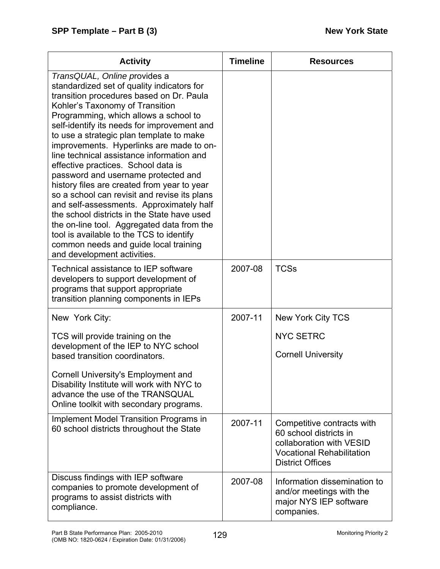| <b>Activity</b>                                                                                                                                                                                                                                                                                                                                                                                                                                                                                                                                                                                                                                                                                                                                                                                                                  | <b>Timeline</b> | <b>Resources</b>                                                                                                                                |
|----------------------------------------------------------------------------------------------------------------------------------------------------------------------------------------------------------------------------------------------------------------------------------------------------------------------------------------------------------------------------------------------------------------------------------------------------------------------------------------------------------------------------------------------------------------------------------------------------------------------------------------------------------------------------------------------------------------------------------------------------------------------------------------------------------------------------------|-----------------|-------------------------------------------------------------------------------------------------------------------------------------------------|
| TransQUAL, Online provides a<br>standardized set of quality indicators for<br>transition procedures based on Dr. Paula<br>Kohler's Taxonomy of Transition<br>Programming, which allows a school to<br>self-identify its needs for improvement and<br>to use a strategic plan template to make<br>improvements. Hyperlinks are made to on-<br>line technical assistance information and<br>effective practices. School data is<br>password and username protected and<br>history files are created from year to year<br>so a school can revisit and revise its plans<br>and self-assessments. Approximately half<br>the school districts in the State have used<br>the on-line tool. Aggregated data from the<br>tool is available to the TCS to identify<br>common needs and guide local training<br>and development activities. |                 |                                                                                                                                                 |
| Technical assistance to IEP software<br>developers to support development of<br>programs that support appropriate<br>transition planning components in IEPs                                                                                                                                                                                                                                                                                                                                                                                                                                                                                                                                                                                                                                                                      | 2007-08         | <b>TCSs</b>                                                                                                                                     |
| New York City:                                                                                                                                                                                                                                                                                                                                                                                                                                                                                                                                                                                                                                                                                                                                                                                                                   | 2007-11         | New York City TCS                                                                                                                               |
| TCS will provide training on the                                                                                                                                                                                                                                                                                                                                                                                                                                                                                                                                                                                                                                                                                                                                                                                                 |                 | <b>NYC SETRC</b>                                                                                                                                |
| development of the IEP to NYC school<br>based transition coordinators.                                                                                                                                                                                                                                                                                                                                                                                                                                                                                                                                                                                                                                                                                                                                                           |                 | <b>Cornell University</b>                                                                                                                       |
| Cornell University's Employment and<br>Disability Institute will work with NYC to<br>advance the use of the TRANSQUAL<br>Online toolkit with secondary programs.                                                                                                                                                                                                                                                                                                                                                                                                                                                                                                                                                                                                                                                                 |                 |                                                                                                                                                 |
| <b>Implement Model Transition Programs in</b><br>60 school districts throughout the State                                                                                                                                                                                                                                                                                                                                                                                                                                                                                                                                                                                                                                                                                                                                        | 2007-11         | Competitive contracts with<br>60 school districts in<br>collaboration with VESID<br><b>Vocational Rehabilitation</b><br><b>District Offices</b> |
| Discuss findings with IEP software<br>companies to promote development of<br>programs to assist districts with<br>compliance.                                                                                                                                                                                                                                                                                                                                                                                                                                                                                                                                                                                                                                                                                                    | 2007-08         | Information dissemination to<br>and/or meetings with the<br>major NYS IEP software<br>companies.                                                |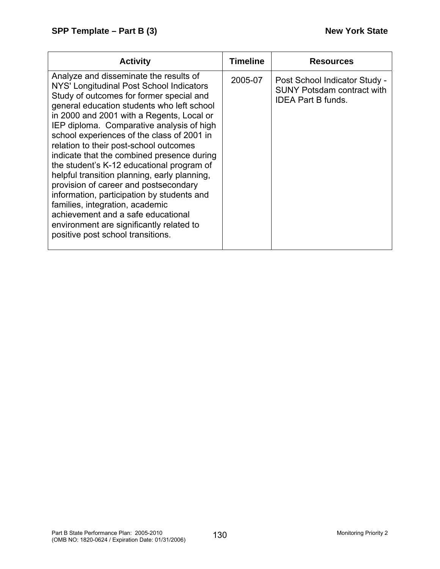| <b>Activity</b>                                                                                                                                                                                                                                                                                                                                                                                                                                                                                                                                                                                                                                                                                                                                            | <b>Timeline</b> | <b>Resources</b>                                                                                |
|------------------------------------------------------------------------------------------------------------------------------------------------------------------------------------------------------------------------------------------------------------------------------------------------------------------------------------------------------------------------------------------------------------------------------------------------------------------------------------------------------------------------------------------------------------------------------------------------------------------------------------------------------------------------------------------------------------------------------------------------------------|-----------------|-------------------------------------------------------------------------------------------------|
| Analyze and disseminate the results of<br>NYS' Longitudinal Post School Indicators<br>Study of outcomes for former special and<br>general education students who left school<br>in 2000 and 2001 with a Regents, Local or<br>IEP diploma. Comparative analysis of high<br>school experiences of the class of 2001 in<br>relation to their post-school outcomes<br>indicate that the combined presence during<br>the student's K-12 educational program of<br>helpful transition planning, early planning,<br>provision of career and postsecondary<br>information, participation by students and<br>families, integration, academic<br>achievement and a safe educational<br>environment are significantly related to<br>positive post school transitions. | 2005-07         | Post School Indicator Study -<br><b>SUNY Potsdam contract with</b><br><b>IDEA Part B funds.</b> |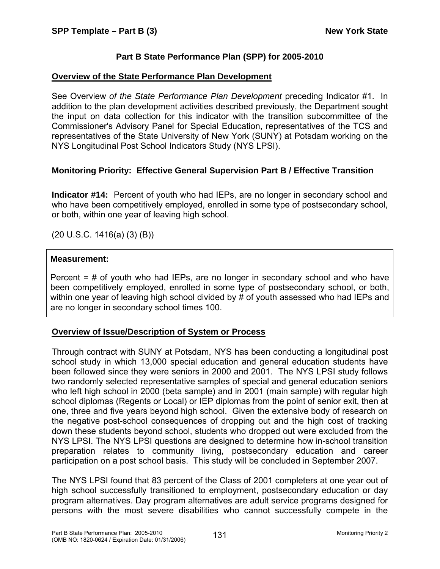## **Part B State Performance Plan (SPP) for 2005-2010**

### **Overview of the State Performance Plan Development**

See Overview *of the State Performance Plan Development* preceding Indicator #1. In addition to the plan development activities described previously, the Department sought the input on data collection for this indicator with the transition subcommittee of the Commissioner's Advisory Panel for Special Education, representatives of the TCS and representatives of the State University of New York (SUNY) at Potsdam working on the NYS Longitudinal Post School Indicators Study (NYS LPSI).

## **Monitoring Priority: Effective General Supervision Part B / Effective Transition**

**Indicator #14:** Percent of youth who had IEPs, are no longer in secondary school and who have been competitively employed, enrolled in some type of postsecondary school, or both, within one year of leaving high school.

(20 U.S.C. 1416(a) (3) (B))

### **Measurement:**

Percent = # of youth who had IEPs, are no longer in secondary school and who have been competitively employed, enrolled in some type of postsecondary school, or both, within one year of leaving high school divided by # of youth assessed who had IEPs and are no longer in secondary school times 100.

### **Overview of Issue/Description of System or Process**

Through contract with SUNY at Potsdam, NYS has been conducting a longitudinal post school study in which 13,000 special education and general education students have been followed since they were seniors in 2000 and 2001. The NYS LPSI study follows two randomly selected representative samples of special and general education seniors who left high school in 2000 (beta sample) and in 2001 (main sample) with regular high school diplomas (Regents or Local) or IEP diplomas from the point of senior exit, then at one, three and five years beyond high school. Given the extensive body of research on the negative post-school consequences of dropping out and the high cost of tracking down these students beyond school, students who dropped out were excluded from the NYS LPSI. The NYS LPSI questions are designed to determine how in-school transition preparation relates to community living, postsecondary education and career participation on a post school basis. This study will be concluded in September 2007.

The NYS LPSI found that 83 percent of the Class of 2001 completers at one year out of high school successfully transitioned to employment, postsecondary education or day program alternatives. Day program alternatives are adult service programs designed for persons with the most severe disabilities who cannot successfully compete in the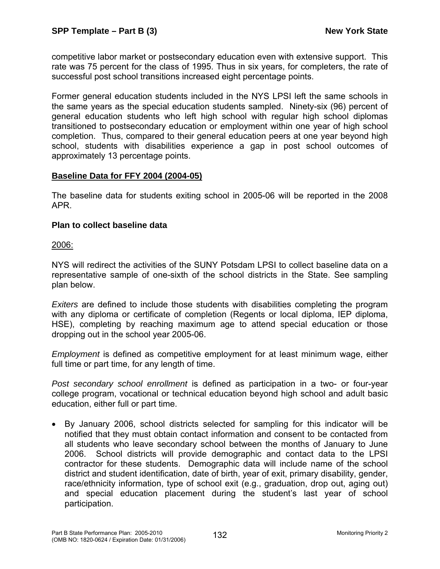competitive labor market or postsecondary education even with extensive support. This rate was 75 percent for the class of 1995. Thus in six years, for completers, the rate of successful post school transitions increased eight percentage points.

Former general education students included in the NYS LPSI left the same schools in the same years as the special education students sampled. Ninety-six (96) percent of general education students who left high school with regular high school diplomas transitioned to postsecondary education or employment within one year of high school completion. Thus, compared to their general education peers at one year beyond high school, students with disabilities experience a gap in post school outcomes of approximately 13 percentage points.

## **Baseline Data for FFY 2004 (2004-05)**

The baseline data for students exiting school in 2005-06 will be reported in the 2008 APR.

## **Plan to collect baseline data**

2006:

NYS will redirect the activities of the SUNY Potsdam LPSI to collect baseline data on a representative sample of one-sixth of the school districts in the State. See sampling plan below.

*Exiters* are defined to include those students with disabilities completing the program with any diploma or certificate of completion (Regents or local diploma, IEP diploma, HSE), completing by reaching maximum age to attend special education or those dropping out in the school year 2005-06.

*Employment* is defined as competitive employment for at least minimum wage, either full time or part time, for any length of time.

*Post secondary school enrollment* is defined as participation in a two- or four-year college program, vocational or technical education beyond high school and adult basic education, either full or part time.

• By January 2006, school districts selected for sampling for this indicator will be notified that they must obtain contact information and consent to be contacted from all students who leave secondary school between the months of January to June 2006. School districts will provide demographic and contact data to the LPSI contractor for these students. Demographic data will include name of the school district and student identification, date of birth, year of exit, primary disability, gender, race/ethnicity information, type of school exit (e.g., graduation, drop out, aging out) and special education placement during the student's last year of school participation.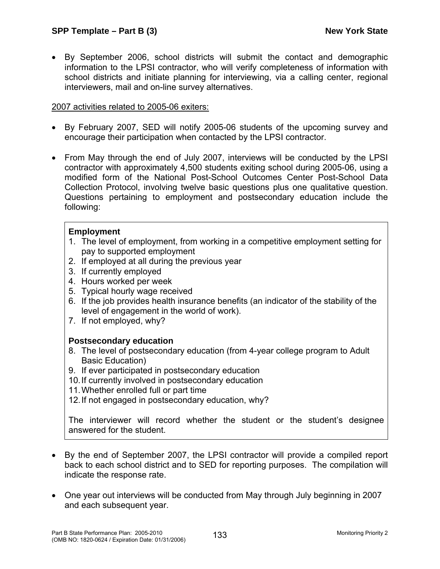• By September 2006, school districts will submit the contact and demographic information to the LPSI contractor, who will verify completeness of information with school districts and initiate planning for interviewing, via a calling center, regional interviewers, mail and on-line survey alternatives.

#### 2007 activities related to 2005-06 exiters:

- By February 2007, SED will notify 2005-06 students of the upcoming survey and encourage their participation when contacted by the LPSI contractor.
- From May through the end of July 2007, interviews will be conducted by the LPSI contractor with approximately 4,500 students exiting school during 2005-06, using a modified form of the National Post-School Outcomes Center Post-School Data Collection Protocol, involving twelve basic questions plus one qualitative question. Questions pertaining to employment and postsecondary education include the following:

#### **Employment**

- 1. The level of employment, from working in a competitive employment setting for pay to supported employment
- 2. If employed at all during the previous year
- 3. If currently employed
- 4. Hours worked per week
- 5. Typical hourly wage received
- 6. If the job provides health insurance benefits (an indicator of the stability of the level of engagement in the world of work).
- 7. If not employed, why?

### **Postsecondary education**

- 8. The level of postsecondary education (from 4-year college program to Adult Basic Education)
- 9. If ever participated in postsecondary education
- 10. If currently involved in postsecondary education
- 11. Whether enrolled full or part time
- 12. If not engaged in postsecondary education, why?

The interviewer will record whether the student or the student's designee answered for the student.

- By the end of September 2007, the LPSI contractor will provide a compiled report back to each school district and to SED for reporting purposes. The compilation will indicate the response rate.
- One year out interviews will be conducted from May through July beginning in 2007 and each subsequent year.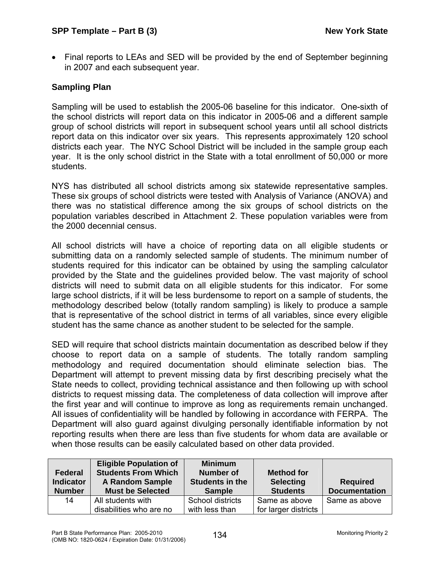• Final reports to LEAs and SED will be provided by the end of September beginning in 2007 and each subsequent year.

## **Sampling Plan**

Sampling will be used to establish the 2005-06 baseline for this indicator. One-sixth of the school districts will report data on this indicator in 2005-06 and a different sample group of school districts will report in subsequent school years until all school districts report data on this indicator over six years. This represents approximately 120 school districts each year. The NYC School District will be included in the sample group each year. It is the only school district in the State with a total enrollment of 50,000 or more students.

NYS has distributed all school districts among six statewide representative samples. These six groups of school districts were tested with Analysis of Variance (ANOVA) and there was no statistical difference among the six groups of school districts on the population variables described in Attachment 2. These population variables were from the 2000 decennial census.

All school districts will have a choice of reporting data on all eligible students or submitting data on a randomly selected sample of students. The minimum number of students required for this indicator can be obtained by using the sampling calculator provided by the State and the guidelines provided below. The vast majority of school districts will need to submit data on all eligible students for this indicator. For some large school districts, if it will be less burdensome to report on a sample of students, the methodology described below (totally random sampling) is likely to produce a sample that is representative of the school district in terms of all variables, since every eligible student has the same chance as another student to be selected for the sample.

SED will require that school districts maintain documentation as described below if they choose to report data on a sample of students. The totally random sampling methodology and required documentation should eliminate selection bias. The Department will attempt to prevent missing data by first describing precisely what the State needs to collect, providing technical assistance and then following up with school districts to request missing data. The completeness of data collection will improve after the first year and will continue to improve as long as requirements remain unchanged. All issues of confidentiality will be handled by following in accordance with FERPA. The Department will also guard against divulging personally identifiable information by not reporting results when there are less than five students for whom data are available or when those results can be easily calculated based on other data provided.

| Federal<br><b>Indicator</b><br><b>Number</b> | <b>Eligible Population of</b><br><b>Students From Which</b><br><b>A Random Sample</b><br><b>Must be Selected</b> | <b>Minimum</b><br><b>Number of</b><br>Students in the<br><b>Sample</b> | <b>Method for</b><br><b>Selecting</b><br><b>Students</b> | <b>Required</b><br><b>Documentation</b> |
|----------------------------------------------|------------------------------------------------------------------------------------------------------------------|------------------------------------------------------------------------|----------------------------------------------------------|-----------------------------------------|
| 14                                           | All students with<br>disabilities who are no                                                                     | School districts<br>with less than                                     | Same as above<br>for larger districts                    | Same as above                           |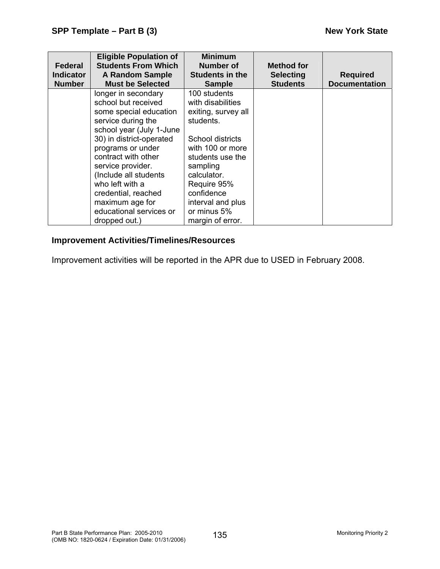| <b>Federal</b>   | <b>Eligible Population of</b><br><b>Students From Which</b> | <b>Minimum</b><br>Number of | <b>Method for</b> |                      |
|------------------|-------------------------------------------------------------|-----------------------------|-------------------|----------------------|
| <b>Indicator</b> | <b>A Random Sample</b>                                      | <b>Students in the</b>      | <b>Selecting</b>  | <b>Required</b>      |
| <b>Number</b>    | <b>Must be Selected</b>                                     | <b>Sample</b>               | <b>Students</b>   | <b>Documentation</b> |
|                  | longer in secondary                                         | 100 students                |                   |                      |
|                  | school but received                                         | with disabilities           |                   |                      |
|                  | some special education                                      | exiting, survey all         |                   |                      |
|                  | service during the                                          | students.                   |                   |                      |
|                  | school year (July 1-June                                    |                             |                   |                      |
|                  | 30) in district-operated                                    | School districts            |                   |                      |
|                  | programs or under                                           | with 100 or more            |                   |                      |
|                  | contract with other                                         | students use the            |                   |                      |
|                  | service provider.                                           | sampling                    |                   |                      |
|                  | (Include all students                                       | calculator.                 |                   |                      |
|                  | who left with a                                             | Require 95%                 |                   |                      |
|                  | credential, reached                                         | confidence                  |                   |                      |
|                  | maximum age for                                             | interval and plus           |                   |                      |
|                  | educational services or                                     | or minus 5%                 |                   |                      |
|                  | dropped out.)                                               | margin of error.            |                   |                      |

## **Improvement Activities/Timelines/Resources**

Improvement activities will be reported in the APR due to USED in February 2008.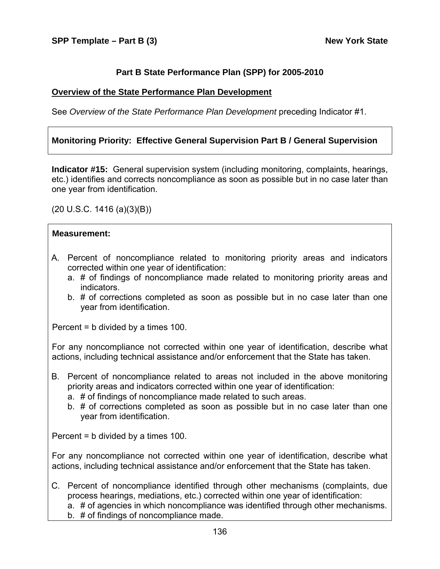### **Part B State Performance Plan (SPP) for 2005-2010**

#### **Overview of the State Performance Plan Development**

See *Overview of the State Performance Plan Development* preceding Indicator #1.

### **Monitoring Priority: Effective General Supervision Part B / General Supervision**

**Indicator #15:** General supervision system (including monitoring, complaints, hearings, etc.) identifies and corrects noncompliance as soon as possible but in no case later than one year from identification.

(20 U.S.C. 1416 (a)(3)(B))

#### **Measurement:**

- A. Percent of noncompliance related to monitoring priority areas and indicators corrected within one year of identification:
	- a. # of findings of noncompliance made related to monitoring priority areas and indicators.
	- b. # of corrections completed as soon as possible but in no case later than one year from identification.

Percent = b divided by a times 100.

For any noncompliance not corrected within one year of identification, describe what actions, including technical assistance and/or enforcement that the State has taken.

- B. Percent of noncompliance related to areas not included in the above monitoring priority areas and indicators corrected within one year of identification:
	- a. # of findings of noncompliance made related to such areas.
	- b. # of corrections completed as soon as possible but in no case later than one year from identification.

Percent = b divided by a times 100.

For any noncompliance not corrected within one year of identification, describe what actions, including technical assistance and/or enforcement that the State has taken.

C. Percent of noncompliance identified through other mechanisms (complaints, due process hearings, mediations, etc.) corrected within one year of identification:

a. # of agencies in which noncompliance was identified through other mechanisms.

b. # of findings of noncompliance made.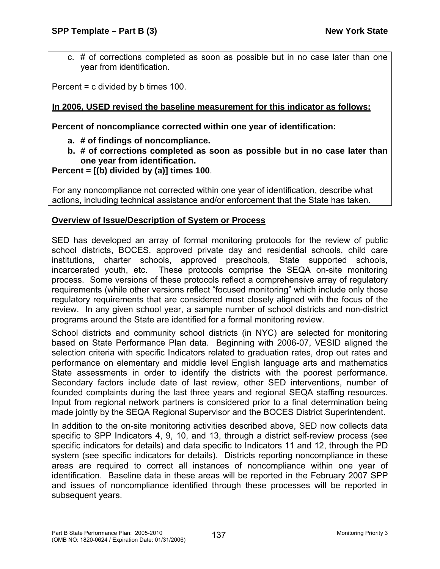c. # of corrections completed as soon as possible but in no case later than one year from identification.

Percent = c divided by b times 100.

## **In 2006, USED revised the baseline measurement for this indicator as follows:**

**Percent of noncompliance corrected within one year of identification:** 

- **a. # of findings of noncompliance.**
- **b. # of corrections completed as soon as possible but in no case later than one year from identification.**
- **Percent = [(b) divided by (a)] times 100**.

For any noncompliance not corrected within one year of identification, describe what actions, including technical assistance and/or enforcement that the State has taken.

## **Overview of Issue/Description of System or Process**

SED has developed an array of formal monitoring protocols for the review of public school districts, BOCES, approved private day and residential schools, child care institutions, charter schools, approved preschools, State supported schools, incarcerated youth, etc. These protocols comprise the SEQA on-site monitoring process. Some versions of these protocols reflect a comprehensive array of regulatory requirements (while other versions reflect "focused monitoring" which include only those regulatory requirements that are considered most closely aligned with the focus of the review. In any given school year, a sample number of school districts and non-district programs around the State are identified for a formal monitoring review.

School districts and community school districts (in NYC) are selected for monitoring based on State Performance Plan data. Beginning with 2006-07, VESID aligned the selection criteria with specific Indicators related to graduation rates, drop out rates and performance on elementary and middle level English language arts and mathematics State assessments in order to identify the districts with the poorest performance. Secondary factors include date of last review, other SED interventions, number of founded complaints during the last three years and regional SEQA staffing resources. Input from regional network partners is considered prior to a final determination being made jointly by the SEQA Regional Supervisor and the BOCES District Superintendent.

In addition to the on-site monitoring activities described above, SED now collects data specific to SPP Indicators 4, 9, 10, and 13, through a district self-review process (see specific indicators for details) and data specific to Indicators 11 and 12, through the PD system (see specific indicators for details). Districts reporting noncompliance in these areas are required to correct all instances of noncompliance within one year of identification. Baseline data in these areas will be reported in the February 2007 SPP and issues of noncompliance identified through these processes will be reported in subsequent years.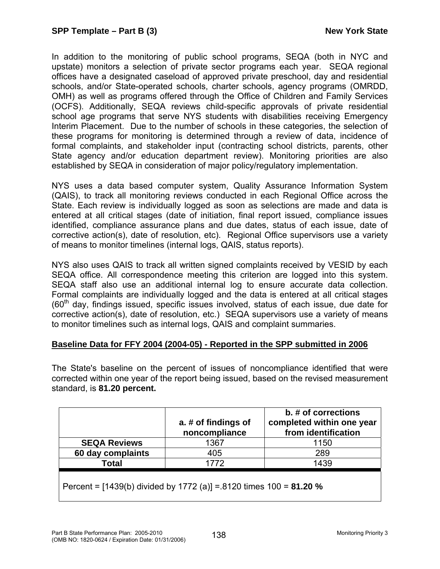In addition to the monitoring of public school programs, SEQA (both in NYC and upstate) monitors a selection of private sector programs each year. SEQA regional offices have a designated caseload of approved private preschool, day and residential schools, and/or State-operated schools, charter schools, agency programs (OMRDD, OMH) as well as programs offered through the Office of Children and Family Services (OCFS). Additionally, SEQA reviews child-specific approvals of private residential school age programs that serve NYS students with disabilities receiving Emergency Interim Placement. Due to the number of schools in these categories, the selection of these programs for monitoring is determined through a review of data, incidence of formal complaints, and stakeholder input (contracting school districts, parents, other State agency and/or education department review). Monitoring priorities are also established by SEQA in consideration of major policy/regulatory implementation.

NYS uses a data based computer system, Quality Assurance Information System (QAIS), to track all monitoring reviews conducted in each Regional Office across the State. Each review is individually logged as soon as selections are made and data is entered at all critical stages (date of initiation, final report issued, compliance issues identified, compliance assurance plans and due dates, status of each issue, date of corrective action(s), date of resolution, etc). Regional Office supervisors use a variety of means to monitor timelines (internal logs, QAIS, status reports).

NYS also uses QAIS to track all written signed complaints received by VESID by each SEQA office. All correspondence meeting this criterion are logged into this system. SEQA staff also use an additional internal log to ensure accurate data collection. Formal complaints are individually logged and the data is entered at all critical stages  $(60<sup>th</sup>$  day, findings issued, specific issues involved, status of each issue, due date for corrective action(s), date of resolution, etc.) SEQA supervisors use a variety of means to monitor timelines such as internal logs, QAIS and complaint summaries.

### **Baseline Data for FFY 2004 (2004-05) - Reported in the SPP submitted in 2006**

The State's baseline on the percent of issues of noncompliance identified that were corrected within one year of the report being issued, based on the revised measurement standard, is **81.20 percent.**

|                                                                    | a. # of findings of<br>noncompliance | b. # of corrections<br>completed within one year<br>from identification |  |  |  |
|--------------------------------------------------------------------|--------------------------------------|-------------------------------------------------------------------------|--|--|--|
| <b>SEQA Reviews</b>                                                | 1367                                 | 1150                                                                    |  |  |  |
| 60 day complaints                                                  | 405                                  | 289                                                                     |  |  |  |
| <b>Total</b>                                                       | 1772                                 | 1439                                                                    |  |  |  |
| Percent = [1439(b) divided by 1772 (a)] = 8120 times 100 = 81.20 % |                                      |                                                                         |  |  |  |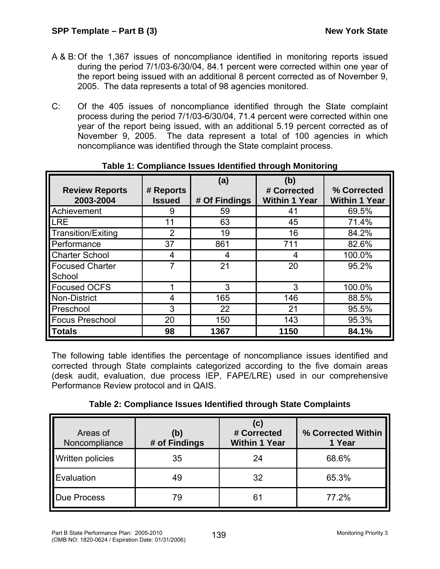- A & B: Of the 1,367 issues of noncompliance identified in monitoring reports issued during the period 7/1/03-6/30/04, 84.1 percent were corrected within one year of the report being issued with an additional 8 percent corrected as of November 9, 2005. The data represents a total of 98 agencies monitored.
- C: Of the 405 issues of noncompliance identified through the State complaint process during the period 7/1/03-6/30/04, 71.4 percent were corrected within one year of the report being issued, with an additional 5.19 percent corrected as of November 9, 2005. The data represent a total of 100 agencies in which noncompliance was identified through the State complaint process.

|                           |               | (a)           | (b)                  |                      |
|---------------------------|---------------|---------------|----------------------|----------------------|
| <b>Review Reports</b>     | # Reports     |               | # Corrected          | % Corrected          |
| 2003-2004                 | <b>Issued</b> | # Of Findings | <b>Within 1 Year</b> | <b>Within 1 Year</b> |
| Achievement               | 9             | 59            | 41                   | 69.5%                |
| <b>LRE</b>                | 11            | 63            | 45                   | 71.4%                |
| <b>Transition/Exiting</b> | 2             | 19            | 16                   | 84.2%                |
| Performance               | 37            | 861           | 711                  | 82.6%                |
| <b>Charter School</b>     | 4             | 4             | 4                    | 100.0%               |
| <b>Focused Charter</b>    |               | 21            | 20                   | 95.2%                |
| School                    |               |               |                      |                      |
| <b>Focused OCFS</b>       |               | 3             | 3                    | 100.0%               |
| <b>Non-District</b>       | 4             | 165           | 146                  | 88.5%                |
| Preschool                 | 3             | 22            | 21                   | 95.5%                |
| <b>Focus Preschool</b>    | 20            | 150           | 143                  | 95.3%                |
| <b>Totals</b>             | 98            | 1367          | 1150                 | 84.1%                |

# **Table 1: Compliance Issues Identified through Monitoring**

The following table identifies the percentage of noncompliance issues identified and corrected through State complaints categorized according to the five domain areas (desk audit, evaluation, due process IEP, FAPE/LRE) used in our comprehensive Performance Review protocol and in QAIS.

| Table 2: Compliance Issues Identified through State Complaints |  |  |  |
|----------------------------------------------------------------|--|--|--|
|----------------------------------------------------------------|--|--|--|

| Areas of<br>Noncompliance | (b)<br># of Findings | (c)<br># Corrected<br><b>Within 1 Year</b> | % Corrected Within<br>1 Year |
|---------------------------|----------------------|--------------------------------------------|------------------------------|
| Written policies          | 35                   | 24                                         | 68.6%                        |
| Evaluation                | 49                   | 32                                         | 65.3%                        |
| <b>Due Process</b>        | 79                   | 61                                         | 77.2%                        |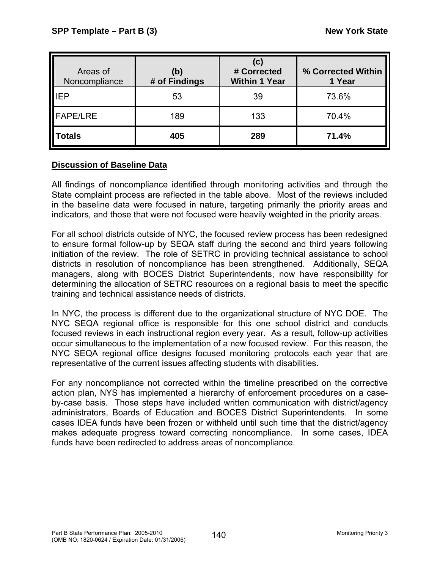| Areas of<br>Noncompliance | (b)<br># of Findings | (c)<br># Corrected<br><b>Within 1 Year</b> | % Corrected Within<br>1 Year |
|---------------------------|----------------------|--------------------------------------------|------------------------------|
| <b>IEP</b>                | 53                   | 39                                         | 73.6%                        |
| <b>FAPE/LRE</b>           | 189                  | 133                                        | 70.4%                        |
| <b>Totals</b>             | 405                  | 289                                        | 71.4%                        |

# **Discussion of Baseline Data**

All findings of noncompliance identified through monitoring activities and through the State complaint process are reflected in the table above. Most of the reviews included in the baseline data were focused in nature, targeting primarily the priority areas and indicators, and those that were not focused were heavily weighted in the priority areas.

For all school districts outside of NYC, the focused review process has been redesigned to ensure formal follow-up by SEQA staff during the second and third years following initiation of the review. The role of SETRC in providing technical assistance to school districts in resolution of noncompliance has been strengthened. Additionally, SEQA managers, along with BOCES District Superintendents, now have responsibility for determining the allocation of SETRC resources on a regional basis to meet the specific training and technical assistance needs of districts.

In NYC, the process is different due to the organizational structure of NYC DOE. The NYC SEQA regional office is responsible for this one school district and conducts focused reviews in each instructional region every year. As a result, follow-up activities occur simultaneous to the implementation of a new focused review. For this reason, the NYC SEQA regional office designs focused monitoring protocols each year that are representative of the current issues affecting students with disabilities.

For any noncompliance not corrected within the timeline prescribed on the corrective action plan, NYS has implemented a hierarchy of enforcement procedures on a caseby-case basis. Those steps have included written communication with district/agency administrators, Boards of Education and BOCES District Superintendents. In some cases IDEA funds have been frozen or withheld until such time that the district/agency makes adequate progress toward correcting noncompliance. In some cases, IDEA funds have been redirected to address areas of noncompliance.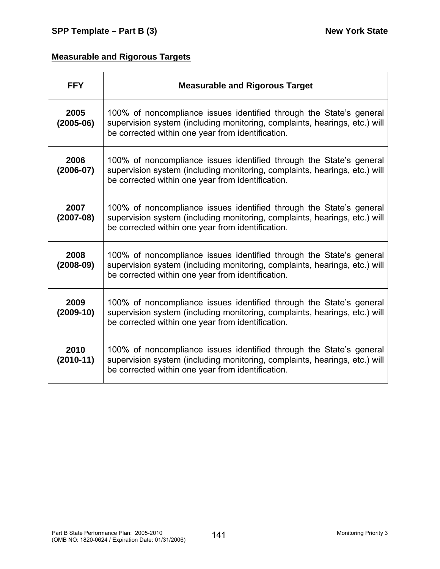# **Measurable and Rigorous Targets**

| <b>FFY</b>            | <b>Measurable and Rigorous Target</b>                                                                                                                                                                  |
|-----------------------|--------------------------------------------------------------------------------------------------------------------------------------------------------------------------------------------------------|
| 2005<br>$(2005-06)$   | 100% of noncompliance issues identified through the State's general<br>supervision system (including monitoring, complaints, hearings, etc.) will<br>be corrected within one year from identification. |
| 2006<br>$(2006 - 07)$ | 100% of noncompliance issues identified through the State's general<br>supervision system (including monitoring, complaints, hearings, etc.) will<br>be corrected within one year from identification. |
| 2007<br>$(2007-08)$   | 100% of noncompliance issues identified through the State's general<br>supervision system (including monitoring, complaints, hearings, etc.) will<br>be corrected within one year from identification. |
| 2008<br>$(2008-09)$   | 100% of noncompliance issues identified through the State's general<br>supervision system (including monitoring, complaints, hearings, etc.) will<br>be corrected within one year from identification. |
| 2009<br>$(2009-10)$   | 100% of noncompliance issues identified through the State's general<br>supervision system (including monitoring, complaints, hearings, etc.) will<br>be corrected within one year from identification. |
| 2010<br>$(2010-11)$   | 100% of noncompliance issues identified through the State's general<br>supervision system (including monitoring, complaints, hearings, etc.) will<br>be corrected within one year from identification. |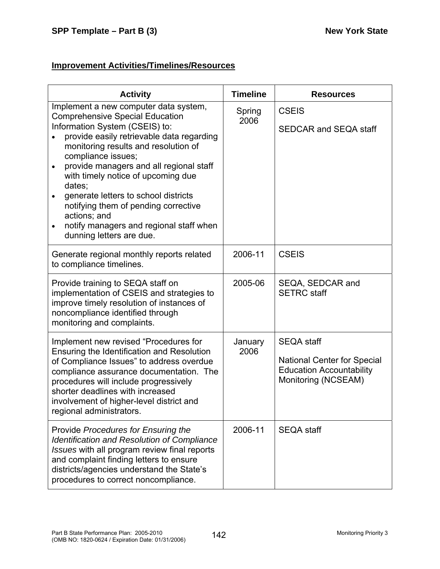| <b>Activity</b>                                                                                                                                                                                                                                                                                                                                                                                                                                                                                                                       | <b>Timeline</b> | <b>Resources</b>                                                                                                  |
|---------------------------------------------------------------------------------------------------------------------------------------------------------------------------------------------------------------------------------------------------------------------------------------------------------------------------------------------------------------------------------------------------------------------------------------------------------------------------------------------------------------------------------------|-----------------|-------------------------------------------------------------------------------------------------------------------|
| Implement a new computer data system,<br><b>Comprehensive Special Education</b><br>Information System (CSEIS) to:<br>provide easily retrievable data regarding<br>monitoring results and resolution of<br>compliance issues;<br>provide managers and all regional staff<br>$\bullet$<br>with timely notice of upcoming due<br>dates;<br>generate letters to school districts<br>$\bullet$<br>notifying them of pending corrective<br>actions; and<br>notify managers and regional staff when<br>$\bullet$<br>dunning letters are due. | Spring<br>2006  | <b>CSEIS</b><br><b>SEDCAR and SEQA staff</b>                                                                      |
| Generate regional monthly reports related<br>to compliance timelines.                                                                                                                                                                                                                                                                                                                                                                                                                                                                 | 2006-11         | <b>CSEIS</b>                                                                                                      |
| Provide training to SEQA staff on<br>implementation of CSEIS and strategies to<br>improve timely resolution of instances of<br>noncompliance identified through<br>monitoring and complaints.                                                                                                                                                                                                                                                                                                                                         | 2005-06         | SEQA, SEDCAR and<br><b>SETRC</b> staff                                                                            |
| Implement new revised "Procedures for<br>Ensuring the Identification and Resolution<br>of Compliance Issues" to address overdue<br>compliance assurance documentation. The<br>procedures will include progressively<br>shorter deadlines with increased<br>involvement of higher-level district and<br>regional administrators.                                                                                                                                                                                                       | January<br>2006 | <b>SEQA staff</b><br><b>National Center for Special</b><br><b>Education Accountability</b><br>Monitoring (NCSEAM) |
| Provide Procedures for Ensuring the<br><b>Identification and Resolution of Compliance</b><br>Issues with all program review final reports<br>and complaint finding letters to ensure<br>districts/agencies understand the State's<br>procedures to correct noncompliance.                                                                                                                                                                                                                                                             | 2006-11         | <b>SEQA staff</b>                                                                                                 |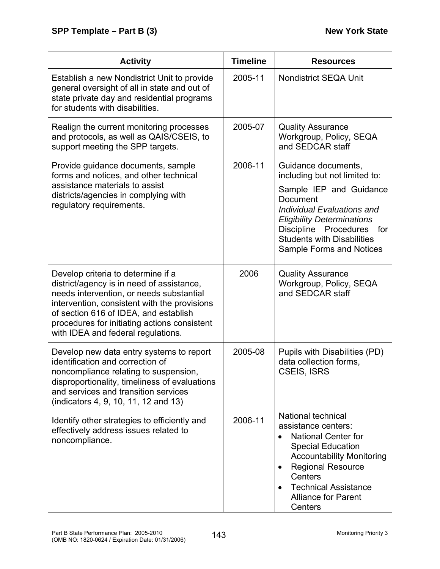| <b>Activity</b>                                                                                                                                                                                                                                                                                            | <b>Timeline</b> | <b>Resources</b>                                                                                                                                                                                                                                                       |
|------------------------------------------------------------------------------------------------------------------------------------------------------------------------------------------------------------------------------------------------------------------------------------------------------------|-----------------|------------------------------------------------------------------------------------------------------------------------------------------------------------------------------------------------------------------------------------------------------------------------|
| Establish a new Nondistrict Unit to provide<br>general oversight of all in state and out of<br>state private day and residential programs<br>for students with disabilities.                                                                                                                               | 2005-11         | <b>Nondistrict SEQA Unit</b>                                                                                                                                                                                                                                           |
| Realign the current monitoring processes<br>and protocols, as well as QAIS/CSEIS, to<br>support meeting the SPP targets.                                                                                                                                                                                   | 2005-07         | <b>Quality Assurance</b><br>Workgroup, Policy, SEQA<br>and SEDCAR staff                                                                                                                                                                                                |
| Provide guidance documents, sample<br>forms and notices, and other technical<br>assistance materials to assist<br>districts/agencies in complying with<br>regulatory requirements.                                                                                                                         | 2006-11         | Guidance documents,<br>including but not limited to:<br>Sample IEP and Guidance<br>Document<br>Individual Evaluations and<br><b>Eligibility Determinations</b><br>Discipline Procedures<br>for<br><b>Students with Disabilities</b><br><b>Sample Forms and Notices</b> |
| Develop criteria to determine if a<br>district/agency is in need of assistance,<br>needs intervention, or needs substantial<br>intervention, consistent with the provisions<br>of section 616 of IDEA, and establish<br>procedures for initiating actions consistent<br>with IDEA and federal regulations. | 2006            | <b>Quality Assurance</b><br>Workgroup, Policy, SEQA<br>and SEDCAR staff                                                                                                                                                                                                |
| Develop new data entry systems to report<br>identification and correction of<br>noncompliance relating to suspension,<br>disproportionality, timeliness of evaluations<br>and services and transition services<br>(indicators 4, 9, 10, 11, 12 and 13)                                                     | 2005-08         | Pupils with Disabilities (PD)<br>data collection forms,<br><b>CSEIS, ISRS</b>                                                                                                                                                                                          |
| Identify other strategies to efficiently and<br>effectively address issues related to<br>noncompliance.                                                                                                                                                                                                    | 2006-11         | National technical<br>assistance centers:<br><b>National Center for</b><br>$\bullet$<br><b>Special Education</b><br><b>Accountability Monitoring</b><br><b>Regional Resource</b><br>Centers<br><b>Technical Assistance</b><br><b>Alliance for Parent</b><br>Centers    |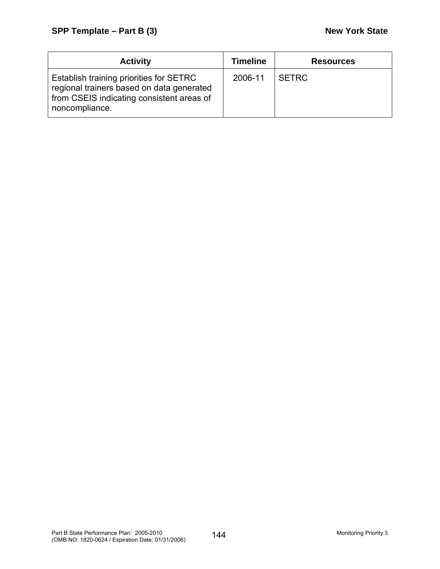| <b>Activity</b>                                                                                                                                     | <b>Timeline</b> | <b>Resources</b> |
|-----------------------------------------------------------------------------------------------------------------------------------------------------|-----------------|------------------|
| Establish training priorities for SETRC<br>regional trainers based on data generated<br>from CSEIS indicating consistent areas of<br>noncompliance. | 2006-11         | <b>SETRC</b>     |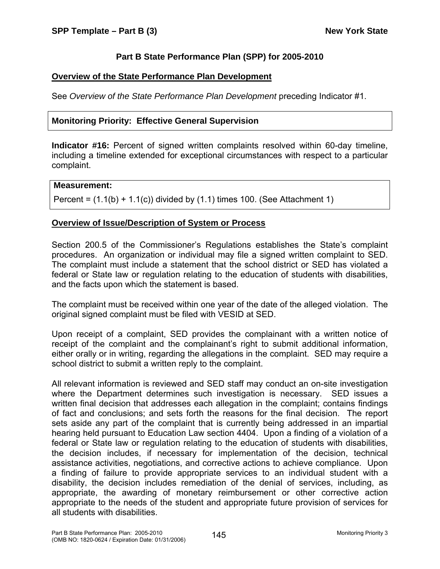# **Part B State Performance Plan (SPP) for 2005-2010**

# **Overview of the State Performance Plan Development**

See *Overview of the State Performance Plan Development* preceding Indicator #1.

## **Monitoring Priority: Effective General Supervision**

**Indicator #16:** Percent of signed written complaints resolved within 60-day timeline, including a timeline extended for exceptional circumstances with respect to a particular complaint.

#### **Measurement:**

Percent =  $(1.1(b) + 1.1(c))$  divided by  $(1.1)$  times 100. (See Attachment 1)

## **Overview of Issue/Description of System or Process**

Section 200.5 of the Commissioner's Regulations establishes the State's complaint procedures. An organization or individual may file a signed written complaint to SED. The complaint must include a statement that the school district or SED has violated a federal or State law or regulation relating to the education of students with disabilities, and the facts upon which the statement is based.

The complaint must be received within one year of the date of the alleged violation. The original signed complaint must be filed with VESID at SED.

Upon receipt of a complaint, SED provides the complainant with a written notice of receipt of the complaint and the complainant's right to submit additional information, either orally or in writing, regarding the allegations in the complaint. SED may require a school district to submit a written reply to the complaint.

All relevant information is reviewed and SED staff may conduct an on-site investigation where the Department determines such investigation is necessary. SED issues a written final decision that addresses each allegation in the complaint; contains findings of fact and conclusions; and sets forth the reasons for the final decision. The report sets aside any part of the complaint that is currently being addressed in an impartial hearing held pursuant to Education Law section 4404. Upon a finding of a violation of a federal or State law or regulation relating to the education of students with disabilities, the decision includes, if necessary for implementation of the decision, technical assistance activities, negotiations, and corrective actions to achieve compliance. Upon a finding of failure to provide appropriate services to an individual student with a disability, the decision includes remediation of the denial of services, including, as appropriate, the awarding of monetary reimbursement or other corrective action appropriate to the needs of the student and appropriate future provision of services for all students with disabilities.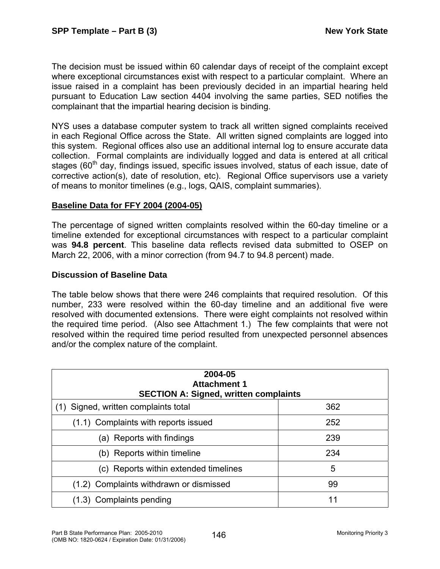The decision must be issued within 60 calendar days of receipt of the complaint except where exceptional circumstances exist with respect to a particular complaint. Where an issue raised in a complaint has been previously decided in an impartial hearing held pursuant to Education Law section 4404 involving the same parties, SED notifies the complainant that the impartial hearing decision is binding.

NYS uses a database computer system to track all written signed complaints received in each Regional Office across the State. All written signed complaints are logged into this system. Regional offices also use an additional internal log to ensure accurate data collection. Formal complaints are individually logged and data is entered at all critical stages (60<sup>th</sup> day, findings issued, specific issues involved, status of each issue, date of corrective action(s), date of resolution, etc). Regional Office supervisors use a variety of means to monitor timelines (e.g., logs, QAIS, complaint summaries).

### **Baseline Data for FFY 2004 (2004-05)**

The percentage of signed written complaints resolved within the 60-day timeline or a timeline extended for exceptional circumstances with respect to a particular complaint was **94.8 percent**. This baseline data reflects revised data submitted to OSEP on March 22, 2006, with a minor correction (from 94.7 to 94.8 percent) made.

### **Discussion of Baseline Data**

The table below shows that there were 246 complaints that required resolution. Of this number, 233 were resolved within the 60-day timeline and an additional five were resolved with documented extensions. There were eight complaints not resolved within the required time period. (Also see Attachment 1.) The few complaints that were not resolved within the required time period resulted from unexpected personnel absences and/or the complex nature of the complaint.

| 2004-05<br><b>Attachment 1</b><br><b>SECTION A: Signed, written complaints</b> |     |  |  |
|--------------------------------------------------------------------------------|-----|--|--|
| Signed, written complaints total                                               | 362 |  |  |
| (1.1) Complaints with reports issued                                           | 252 |  |  |
| (a) Reports with findings                                                      | 239 |  |  |
| (b) Reports within timeline                                                    | 234 |  |  |
| (c) Reports within extended timelines                                          | 5   |  |  |
| (1.2) Complaints withdrawn or dismissed                                        | 99  |  |  |
| (1.3) Complaints pending                                                       | 11  |  |  |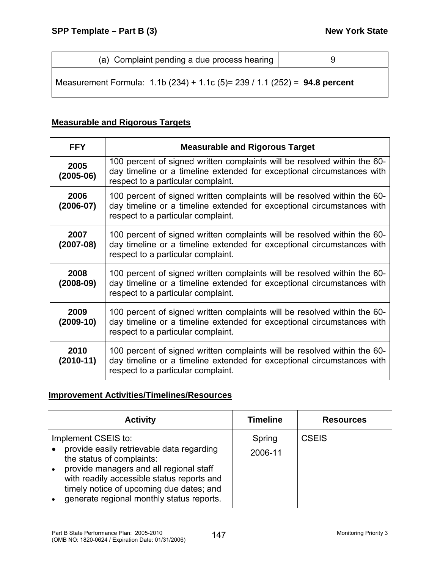| (a) Complaint pending a due process hearing |  |
|---------------------------------------------|--|
|---------------------------------------------|--|

Measurement Formula: 1.1b (234) + 1.1c (5)= 239 / 1.1 (252) = **94.8 percent** 

## **Measurable and Rigorous Targets**

| <b>FFY</b>            | <b>Measurable and Rigorous Target</b>                                                                                                                                                    |
|-----------------------|------------------------------------------------------------------------------------------------------------------------------------------------------------------------------------------|
| 2005<br>$(2005-06)$   | 100 percent of signed written complaints will be resolved within the 60-<br>day timeline or a timeline extended for exceptional circumstances with<br>respect to a particular complaint. |
| 2006<br>$(2006 - 07)$ | 100 percent of signed written complaints will be resolved within the 60-<br>day timeline or a timeline extended for exceptional circumstances with<br>respect to a particular complaint. |
| 2007<br>$(2007-08)$   | 100 percent of signed written complaints will be resolved within the 60-<br>day timeline or a timeline extended for exceptional circumstances with<br>respect to a particular complaint. |
| 2008<br>$(2008-09)$   | 100 percent of signed written complaints will be resolved within the 60-<br>day timeline or a timeline extended for exceptional circumstances with<br>respect to a particular complaint. |
| 2009<br>$(2009-10)$   | 100 percent of signed written complaints will be resolved within the 60-<br>day timeline or a timeline extended for exceptional circumstances with<br>respect to a particular complaint. |
| 2010<br>$(2010-11)$   | 100 percent of signed written complaints will be resolved within the 60-<br>day timeline or a timeline extended for exceptional circumstances with<br>respect to a particular complaint. |

| <b>Activity</b>                                                                                                                                                                                                                                                                 | <b>Timeline</b>   | <b>Resources</b> |
|---------------------------------------------------------------------------------------------------------------------------------------------------------------------------------------------------------------------------------------------------------------------------------|-------------------|------------------|
| Implement CSEIS to:<br>provide easily retrievable data regarding<br>the status of complaints:<br>provide managers and all regional staff<br>with readily accessible status reports and<br>timely notice of upcoming due dates; and<br>generate regional monthly status reports. | Spring<br>2006-11 | <b>CSEIS</b>     |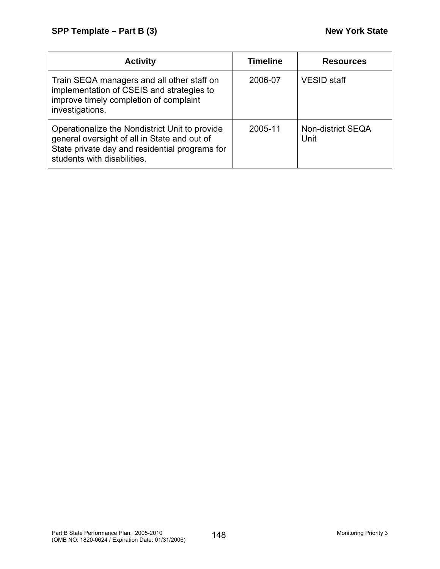| <b>Activity</b>                                                                                                                                                                 | <b>Timeline</b> | <b>Resources</b>          |
|---------------------------------------------------------------------------------------------------------------------------------------------------------------------------------|-----------------|---------------------------|
| Train SEQA managers and all other staff on<br>implementation of CSEIS and strategies to<br>improve timely completion of complaint<br>investigations.                            | 2006-07         | <b>VESID staff</b>        |
| Operationalize the Nondistrict Unit to provide<br>general oversight of all in State and out of<br>State private day and residential programs for<br>students with disabilities. | 2005-11         | Non-district SEQA<br>Unit |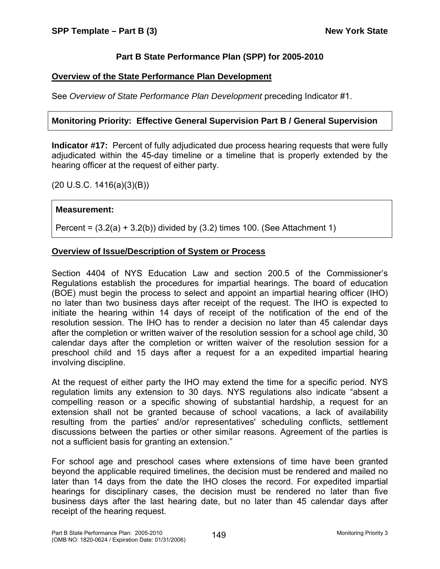# **Part B State Performance Plan (SPP) for 2005-2010**

## **Overview of the State Performance Plan Development**

See *Overview of State Performance Plan Development* preceding Indicator #1.

# **Monitoring Priority: Effective General Supervision Part B / General Supervision**

**Indicator #17:** Percent of fully adjudicated due process hearing requests that were fully adjudicated within the 45-day timeline or a timeline that is properly extended by the hearing officer at the request of either party.

# (20 U.S.C. 1416(a)(3)(B))

### **Measurement:**

Percent =  $(3.2(a) + 3.2(b))$  divided by  $(3.2)$  times 100. (See Attachment 1)

### **Overview of Issue/Description of System or Process**

Section 4404 of NYS Education Law and section 200.5 of the Commissioner's Regulations establish the procedures for impartial hearings. The board of education (BOE) must begin the process to select and appoint an impartial hearing officer (IHO) no later than two business days after receipt of the request. The IHO is expected to initiate the hearing within 14 days of receipt of the notification of the end of the resolution session. The IHO has to render a decision no later than 45 calendar days after the completion or written waiver of the resolution session for a school age child, 30 calendar days after the completion or written waiver of the resolution session for a preschool child and 15 days after a request for a an expedited impartial hearing involving discipline.

At the request of either party the IHO may extend the time for a specific period. NYS regulation limits any extension to 30 days. NYS regulations also indicate "absent a compelling reason or a specific showing of substantial hardship, a request for an extension shall not be granted because of school vacations, a lack of availability resulting from the parties' and/or representatives' scheduling conflicts, settlement discussions between the parties or other similar reasons. Agreement of the parties is not a sufficient basis for granting an extension."

For school age and preschool cases where extensions of time have been granted beyond the applicable required timelines, the decision must be rendered and mailed no later than 14 days from the date the IHO closes the record. For expedited impartial hearings for disciplinary cases, the decision must be rendered no later than five business days after the last hearing date, but no later than 45 calendar days after receipt of the hearing request.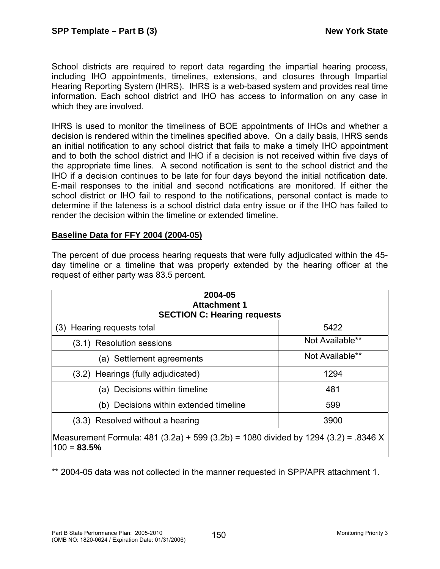School districts are required to report data regarding the impartial hearing process, including IHO appointments, timelines, extensions, and closures through Impartial Hearing Reporting System (IHRS). IHRS is a web-based system and provides real time information. Each school district and IHO has access to information on any case in which they are involved.

IHRS is used to monitor the timeliness of BOE appointments of IHOs and whether a decision is rendered within the timelines specified above. On a daily basis, IHRS sends an initial notification to any school district that fails to make a timely IHO appointment and to both the school district and IHO if a decision is not received within five days of the appropriate time lines. A second notification is sent to the school district and the IHO if a decision continues to be late for four days beyond the initial notification date. E-mail responses to the initial and second notifications are monitored. If either the school district or IHO fail to respond to the notifications, personal contact is made to determine if the lateness is a school district data entry issue or if the IHO has failed to render the decision within the timeline or extended timeline.

### **Baseline Data for FFY 2004 (2004-05)**

The percent of due process hearing requests that were fully adjudicated within the 45 day timeline or a timeline that was properly extended by the hearing officer at the request of either party was 83.5 percent.

| 2004-05<br><b>Attachment 1</b><br><b>SECTION C: Hearing requests</b>                                 |                 |  |
|------------------------------------------------------------------------------------------------------|-----------------|--|
| (3) Hearing requests total                                                                           | 5422            |  |
| (3.1) Resolution sessions                                                                            | Not Available** |  |
| (a) Settlement agreements                                                                            | Not Available** |  |
| (3.2) Hearings (fully adjudicated)                                                                   | 1294            |  |
| (a) Decisions within timeline                                                                        | 481             |  |
| (b) Decisions within extended timeline                                                               | 599             |  |
| 3900<br>(3.3) Resolved without a hearing                                                             |                 |  |
| Measurement Formula: 481 (3.2a) + 599 (3.2b) = 1080 divided by 1294 (3.2) = .8346 X<br>$100 = 83.5%$ |                 |  |

\*\* 2004-05 data was not collected in the manner requested in SPP/APR attachment 1.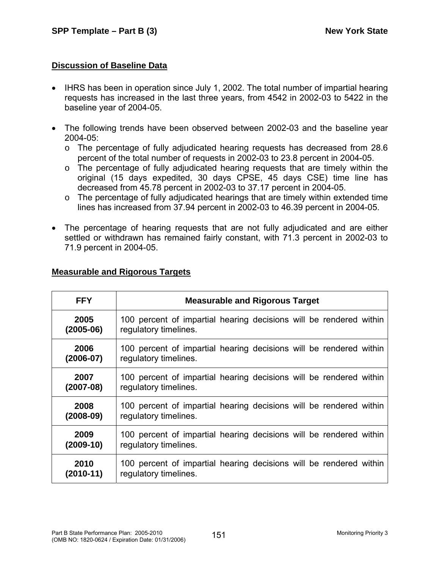# **Discussion of Baseline Data**

- IHRS has been in operation since July 1, 2002. The total number of impartial hearing requests has increased in the last three years, from 4542 in 2002-03 to 5422 in the baseline year of 2004-05.
- The following trends have been observed between 2002-03 and the baseline year 2004-05:
	- o The percentage of fully adjudicated hearing requests has decreased from 28.6 percent of the total number of requests in 2002-03 to 23.8 percent in 2004-05.
	- o The percentage of fully adjudicated hearing requests that are timely within the original (15 days expedited, 30 days CPSE, 45 days CSE) time line has decreased from 45.78 percent in 2002-03 to 37.17 percent in 2004-05.
	- o The percentage of fully adjudicated hearings that are timely within extended time lines has increased from 37.94 percent in 2002-03 to 46.39 percent in 2004-05.
- The percentage of hearing requests that are not fully adjudicated and are either settled or withdrawn has remained fairly constant, with 71.3 percent in 2002-03 to 71.9 percent in 2004-05.

| <b>FFY</b>    | <b>Measurable and Rigorous Target</b>                              |
|---------------|--------------------------------------------------------------------|
| 2005          | 100 percent of impartial hearing decisions will be rendered within |
| $(2005-06)$   | regulatory timelines.                                              |
| 2006          | 100 percent of impartial hearing decisions will be rendered within |
| $(2006 - 07)$ | regulatory timelines.                                              |
| 2007          | 100 percent of impartial hearing decisions will be rendered within |
| $(2007-08)$   | regulatory timelines.                                              |
| 2008          | 100 percent of impartial hearing decisions will be rendered within |
| $(2008-09)$   | regulatory timelines.                                              |
| 2009          | 100 percent of impartial hearing decisions will be rendered within |
| $(2009-10)$   | regulatory timelines.                                              |
| 2010          | 100 percent of impartial hearing decisions will be rendered within |
| $(2010-11)$   | regulatory timelines.                                              |

# **Measurable and Rigorous Targets**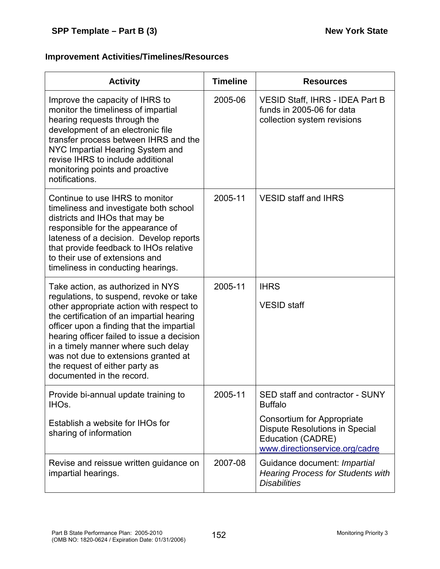| <b>Activity</b>                                                                                                                                                                                                                                                                                                                                                                                                | <b>Timeline</b> | <b>Resources</b>                                                                                                                                                                       |
|----------------------------------------------------------------------------------------------------------------------------------------------------------------------------------------------------------------------------------------------------------------------------------------------------------------------------------------------------------------------------------------------------------------|-----------------|----------------------------------------------------------------------------------------------------------------------------------------------------------------------------------------|
| Improve the capacity of IHRS to<br>monitor the timeliness of impartial<br>hearing requests through the<br>development of an electronic file<br>transfer process between IHRS and the<br>NYC Impartial Hearing System and<br>revise IHRS to include additional<br>monitoring points and proactive<br>notifications.                                                                                             | 2005-06         | <b>VESID Staff, IHRS - IDEA Part B</b><br>funds in 2005-06 for data<br>collection system revisions                                                                                     |
| Continue to use IHRS to monitor<br>timeliness and investigate both school<br>districts and IHOs that may be<br>responsible for the appearance of<br>lateness of a decision. Develop reports<br>that provide feedback to IHOs relative<br>to their use of extensions and<br>timeliness in conducting hearings.                                                                                                  | 2005-11         | <b>VESID staff and IHRS</b>                                                                                                                                                            |
| Take action, as authorized in NYS<br>regulations, to suspend, revoke or take<br>other appropriate action with respect to<br>the certification of an impartial hearing<br>officer upon a finding that the impartial<br>hearing officer failed to issue a decision<br>in a timely manner where such delay<br>was not due to extensions granted at<br>the request of either party as<br>documented in the record. | 2005-11         | <b>IHRS</b><br><b>VESID</b> staff                                                                                                                                                      |
| Provide bi-annual update training to<br>IHO <sub>s</sub> .<br>Establish a website for IHOs for<br>sharing of information                                                                                                                                                                                                                                                                                       | 2005-11         | SED staff and contractor - SUNY<br><b>Buffalo</b><br><b>Consortium for Appropriate</b><br><b>Dispute Resolutions in Special</b><br>Education (CADRE)<br>www.directionservice.org/cadre |
| Revise and reissue written guidance on<br>impartial hearings.                                                                                                                                                                                                                                                                                                                                                  | 2007-08         | Guidance document: Impartial<br><b>Hearing Process for Students with</b><br><b>Disabilities</b>                                                                                        |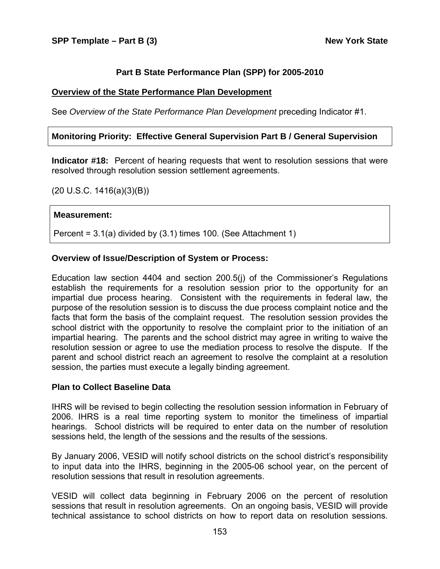#### **Part B State Performance Plan (SPP) for 2005-2010**

#### **Overview of the State Performance Plan Development**

See *Overview of the State Performance Plan Development* preceding Indicator #1.

#### **Monitoring Priority: Effective General Supervision Part B / General Supervision**

**Indicator #18:** Percent of hearing requests that went to resolution sessions that were resolved through resolution session settlement agreements.

(20 U.S.C. 1416(a)(3)(B))

#### **Measurement:**

Percent = 3.1(a) divided by (3.1) times 100. (See Attachment 1)

#### **Overview of Issue/Description of System or Process:**

Education law section 4404 and section 200.5(j) of the Commissioner's Regulations establish the requirements for a resolution session prior to the opportunity for an impartial due process hearing. Consistent with the requirements in federal law, the purpose of the resolution session is to discuss the due process complaint notice and the facts that form the basis of the complaint request. The resolution session provides the school district with the opportunity to resolve the complaint prior to the initiation of an impartial hearing. The parents and the school district may agree in writing to waive the resolution session or agree to use the mediation process to resolve the dispute. If the parent and school district reach an agreement to resolve the complaint at a resolution session, the parties must execute a legally binding agreement.

#### **Plan to Collect Baseline Data**

IHRS will be revised to begin collecting the resolution session information in February of 2006. IHRS is a real time reporting system to monitor the timeliness of impartial hearings. School districts will be required to enter data on the number of resolution sessions held, the length of the sessions and the results of the sessions.

By January 2006, VESID will notify school districts on the school district's responsibility to input data into the IHRS, beginning in the 2005-06 school year, on the percent of resolution sessions that result in resolution agreements.

VESID will collect data beginning in February 2006 on the percent of resolution sessions that result in resolution agreements. On an ongoing basis, VESID will provide technical assistance to school districts on how to report data on resolution sessions.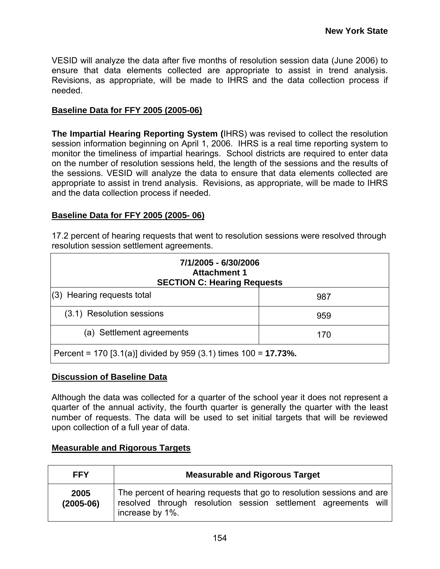VESID will analyze the data after five months of resolution session data (June 2006) to ensure that data elements collected are appropriate to assist in trend analysis. Revisions, as appropriate, will be made to IHRS and the data collection process if needed.

## **Baseline Data for FFY 2005 (2005-06)**

**The Impartial Hearing Reporting System (**IHRS) was revised to collect the resolution session information beginning on April 1, 2006. IHRS is a real time reporting system to monitor the timeliness of impartial hearings. School districts are required to enter data on the number of resolution sessions held, the length of the sessions and the results of the sessions. VESID will analyze the data to ensure that data elements collected are appropriate to assist in trend analysis. Revisions, as appropriate, will be made to IHRS and the data collection process if needed.

## **Baseline Data for FFY 2005 (2005- 06)**

17.2 percent of hearing requests that went to resolution sessions were resolved through resolution session settlement agreements.

| 7/1/2005 - 6/30/2006<br><b>Attachment 1</b><br><b>SECTION C: Hearing Requests</b> |     |  |
|-----------------------------------------------------------------------------------|-----|--|
| $(3)$ Hearing requests total                                                      | 987 |  |
| (3.1) Resolution sessions<br>959                                                  |     |  |
| (a) Settlement agreements                                                         | 170 |  |
| Percent = 170 [3.1(a)] divided by 959 (3.1) times $100 = 17.73\%$ .               |     |  |

### **Discussion of Baseline Data**

Although the data was collected for a quarter of the school year it does not represent a quarter of the annual activity, the fourth quarter is generally the quarter with the least number of requests. The data will be used to set initial targets that will be reviewed upon collection of a full year of data.

# **Measurable and Rigorous Targets**

| <b>FFY</b>          | <b>Measurable and Rigorous Target</b>                                                                                                                       |  |  |  |
|---------------------|-------------------------------------------------------------------------------------------------------------------------------------------------------------|--|--|--|
| 2005<br>$(2005-06)$ | The percent of hearing requests that go to resolution sessions and are<br>resolved through resolution session settlement agreements will<br>increase by 1%. |  |  |  |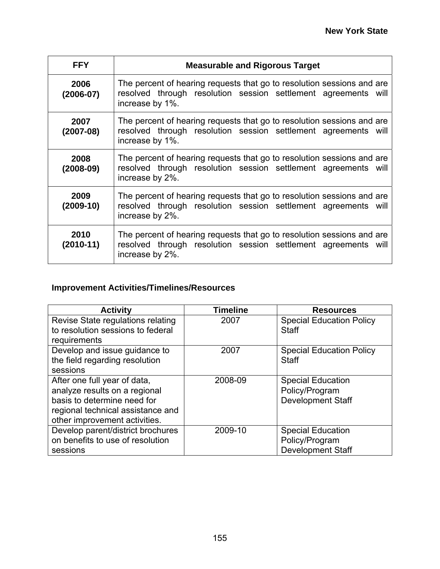| <b>FFY</b>          | <b>Measurable and Rigorous Target</b>                                                                                                                       |  |  |
|---------------------|-------------------------------------------------------------------------------------------------------------------------------------------------------------|--|--|
| 2006<br>$(2006-07)$ | The percent of hearing requests that go to resolution sessions and are<br>resolved through resolution session settlement agreements will<br>increase by 1%. |  |  |
| 2007<br>$(2007-08)$ | The percent of hearing requests that go to resolution sessions and are<br>resolved through resolution session settlement agreements will<br>increase by 1%. |  |  |
| 2008<br>(2008-09)   | The percent of hearing requests that go to resolution sessions and are<br>resolved through resolution session settlement agreements will<br>increase by 2%. |  |  |
| 2009<br>$(2009-10)$ | The percent of hearing requests that go to resolution sessions and are<br>resolved through resolution session settlement agreements will<br>increase by 2%. |  |  |
| 2010<br>(2010-11)   | The percent of hearing requests that go to resolution sessions and are<br>resolved through resolution session settlement agreements will<br>increase by 2%. |  |  |

| <b>Activity</b>                                                                                                                                                    | <b>Timeline</b> | <b>Resources</b>                                                       |
|--------------------------------------------------------------------------------------------------------------------------------------------------------------------|-----------------|------------------------------------------------------------------------|
| Revise State regulations relating<br>to resolution sessions to federal<br>requirements                                                                             | 2007            | <b>Special Education Policy</b><br><b>Staff</b>                        |
| Develop and issue guidance to<br>the field regarding resolution<br>sessions                                                                                        | 2007            | <b>Special Education Policy</b><br><b>Staff</b>                        |
| After one full year of data,<br>analyze results on a regional<br>basis to determine need for<br>regional technical assistance and<br>other improvement activities. | 2008-09         | <b>Special Education</b><br>Policy/Program<br><b>Development Staff</b> |
| Develop parent/district brochures<br>on benefits to use of resolution<br>sessions                                                                                  | 2009-10         | <b>Special Education</b><br>Policy/Program<br><b>Development Staff</b> |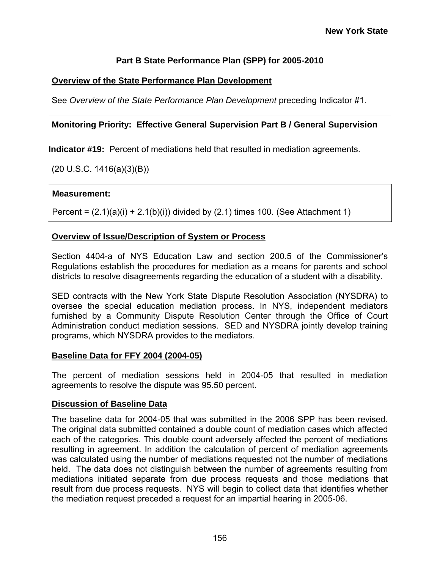# **Part B State Performance Plan (SPP) for 2005-2010**

# **Overview of the State Performance Plan Development**

See *Overview of the State Performance Plan Development* preceding Indicator #1.

## **Monitoring Priority: Effective General Supervision Part B / General Supervision**

**Indicator #19:** Percent of mediations held that resulted in mediation agreements.

(20 U.S.C. 1416(a)(3)(B))

### **Measurement:**

Percent =  $(2.1)(a)(i) + 2.1(b)(i)$  divided by  $(2.1)$  times 100. (See Attachment 1)

### **Overview of Issue/Description of System or Process**

Section 4404-a of NYS Education Law and section 200.5 of the Commissioner's Regulations establish the procedures for mediation as a means for parents and school districts to resolve disagreements regarding the education of a student with a disability.

SED contracts with the New York State Dispute Resolution Association (NYSDRA) to oversee the special education mediation process. In NYS, independent mediators furnished by a Community Dispute Resolution Center through the Office of Court Administration conduct mediation sessions. SED and NYSDRA jointly develop training programs, which NYSDRA provides to the mediators.

### **Baseline Data for FFY 2004 (2004-05)**

The percent of mediation sessions held in 2004-05 that resulted in mediation agreements to resolve the dispute was 95.50 percent.

### **Discussion of Baseline Data**

The baseline data for 2004-05 that was submitted in the 2006 SPP has been revised. The original data submitted contained a double count of mediation cases which affected each of the categories. This double count adversely affected the percent of mediations resulting in agreement. In addition the calculation of percent of mediation agreements was calculated using the number of mediations requested not the number of mediations held. The data does not distinguish between the number of agreements resulting from mediations initiated separate from due process requests and those mediations that result from due process requests. NYS will begin to collect data that identifies whether the mediation request preceded a request for an impartial hearing in 2005-06.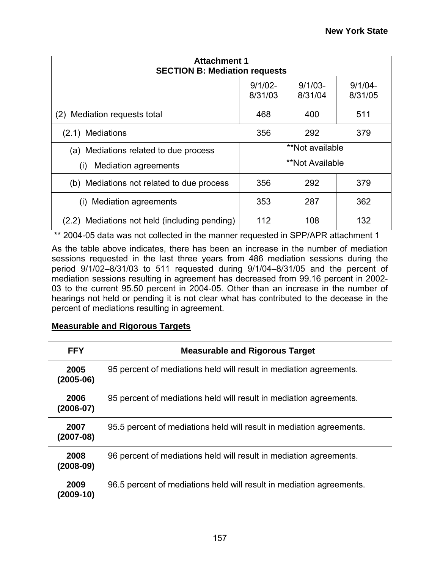| <b>Attachment 1</b><br><b>SECTION B: Mediation requests</b> |                       |                       |                       |
|-------------------------------------------------------------|-----------------------|-----------------------|-----------------------|
|                                                             | $9/1/02 -$<br>8/31/03 | $9/1/03 -$<br>8/31/04 | $9/1/04 -$<br>8/31/05 |
| Mediation requests total<br>(2)                             | 468                   | 400                   | 511                   |
| 356<br><b>Mediations</b><br>292<br>379<br>(2.1)             |                       |                       |                       |
| Mediations related to due process<br>(a)                    | **Not available       |                       |                       |
| <b>Mediation agreements</b><br>(i)                          | **Not Available       |                       |                       |
| (b) Mediations not related to due process                   | 356<br>292            |                       | 379                   |
| <b>Mediation agreements</b><br>(1)                          | 353                   | 287                   | 362                   |
| (2.2) Mediations not held (including pending)               | 112                   | 108                   | 132                   |

\*\* 2004-05 data was not collected in the manner requested in SPP/APR attachment 1

As the table above indicates, there has been an increase in the number of mediation sessions requested in the last three years from 486 mediation sessions during the period 9/1/02–8/31/03 to 511 requested during 9/1/04–8/31/05 and the percent of mediation sessions resulting in agreement has decreased from 99.16 percent in 2002- 03 to the current 95.50 percent in 2004-05. Other than an increase in the number of hearings not held or pending it is not clear what has contributed to the decease in the percent of mediations resulting in agreement.

### **Measurable and Rigorous Targets**

| <b>FFY</b>          | <b>Measurable and Rigorous Target</b>                                |
|---------------------|----------------------------------------------------------------------|
| 2005<br>$(2005-06)$ | 95 percent of mediations held will result in mediation agreements.   |
| 2006<br>$(2006-07)$ | 95 percent of mediations held will result in mediation agreements.   |
| 2007<br>$(2007-08)$ | 95.5 percent of mediations held will result in mediation agreements. |
| 2008<br>$(2008-09)$ | 96 percent of mediations held will result in mediation agreements.   |
| 2009<br>$(2009-10)$ | 96.5 percent of mediations held will result in mediation agreements. |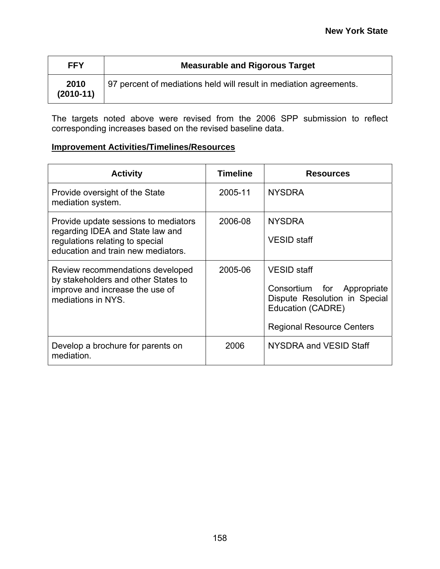| <b>FFY</b>          | <b>Measurable and Rigorous Target</b>                              |
|---------------------|--------------------------------------------------------------------|
| 2010<br>$(2010-11)$ | 97 percent of mediations held will result in mediation agreements. |

The targets noted above were revised from the 2006 SPP submission to reflect corresponding increases based on the revised baseline data.

| <b>Activity</b>                                                                                                                                   | <b>Timeline</b> | <b>Resources</b>                                                                                                                           |
|---------------------------------------------------------------------------------------------------------------------------------------------------|-----------------|--------------------------------------------------------------------------------------------------------------------------------------------|
| Provide oversight of the State<br>mediation system.                                                                                               | 2005-11         | <b>NYSDRA</b>                                                                                                                              |
| Provide update sessions to mediators<br>regarding IDEA and State law and<br>regulations relating to special<br>education and train new mediators. | 2006-08         | <b>NYSDRA</b><br><b>VESID</b> staff                                                                                                        |
| Review recommendations developed<br>by stakeholders and other States to<br>improve and increase the use of<br>mediations in NYS.                  | 2005-06         | <b>VESID</b> staff<br>Consortium for Appropriate<br>Dispute Resolution in Special<br>Education (CADRE)<br><b>Regional Resource Centers</b> |
| Develop a brochure for parents on<br>mediation.                                                                                                   | 2006            | NYSDRA and VESID Staff                                                                                                                     |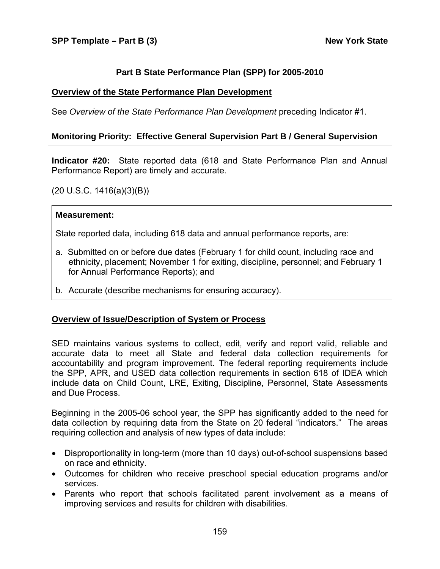### **Part B State Performance Plan (SPP) for 2005-2010**

#### **Overview of the State Performance Plan Development**

See *Overview of the State Performance Plan Development* preceding Indicator #1.

#### **Monitoring Priority: Effective General Supervision Part B / General Supervision**

**Indicator #20:** State reported data (618 and State Performance Plan and Annual Performance Report) are timely and accurate.

(20 U.S.C. 1416(a)(3)(B))

#### **Measurement:**

State reported data, including 618 data and annual performance reports, are:

- a. Submitted on or before due dates (February 1 for child count, including race and ethnicity, placement; November 1 for exiting, discipline, personnel; and February 1 for Annual Performance Reports); and
- b. Accurate (describe mechanisms for ensuring accuracy).

### **Overview of Issue/Description of System or Process**

SED maintains various systems to collect, edit, verify and report valid, reliable and accurate data to meet all State and federal data collection requirements for accountability and program improvement. The federal reporting requirements include the SPP, APR, and USED data collection requirements in section 618 of IDEA which include data on Child Count, LRE, Exiting, Discipline, Personnel, State Assessments and Due Process.

Beginning in the 2005-06 school year, the SPP has significantly added to the need for data collection by requiring data from the State on 20 federal "indicators." The areas requiring collection and analysis of new types of data include:

- Disproportionality in long-term (more than 10 days) out-of-school suspensions based on race and ethnicity.
- Outcomes for children who receive preschool special education programs and/or services.
- Parents who report that schools facilitated parent involvement as a means of improving services and results for children with disabilities.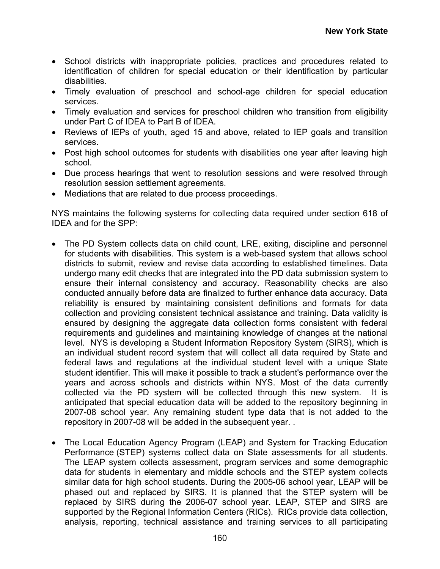- School districts with inappropriate policies, practices and procedures related to identification of children for special education or their identification by particular disabilities.
- Timely evaluation of preschool and school-age children for special education services.
- Timely evaluation and services for preschool children who transition from eligibility under Part C of IDEA to Part B of IDEA.
- Reviews of IEPs of youth, aged 15 and above, related to IEP goals and transition services.
- Post high school outcomes for students with disabilities one year after leaving high school.
- Due process hearings that went to resolution sessions and were resolved through resolution session settlement agreements.
- Mediations that are related to due process proceedings.

NYS maintains the following systems for collecting data required under section 618 of IDEA and for the SPP:

- The PD System collects data on child count, LRE, exiting, discipline and personnel for students with disabilities. This system is a web-based system that allows school districts to submit, review and revise data according to established timelines. Data undergo many edit checks that are integrated into the PD data submission system to ensure their internal consistency and accuracy. Reasonability checks are also conducted annually before data are finalized to further enhance data accuracy. Data reliability is ensured by maintaining consistent definitions and formats for data collection and providing consistent technical assistance and training. Data validity is ensured by designing the aggregate data collection forms consistent with federal requirements and guidelines and maintaining knowledge of changes at the national level. NYS is developing a Student Information Repository System (SIRS), which is an individual student record system that will collect all data required by State and federal laws and regulations at the individual student level with a unique State student identifier. This will make it possible to track a student's performance over the years and across schools and districts within NYS. Most of the data currently collected via the PD system will be collected through this new system. It is anticipated that special education data will be added to the repository beginning in 2007-08 school year. Any remaining student type data that is not added to the repository in 2007-08 will be added in the subsequent year. .
- The Local Education Agency Program (LEAP) and System for Tracking Education Performance (STEP) systems collect data on State assessments for all students. The LEAP system collects assessment, program services and some demographic data for students in elementary and middle schools and the STEP system collects similar data for high school students. During the 2005-06 school year, LEAP will be phased out and replaced by SIRS. It is planned that the STEP system will be replaced by SIRS during the 2006-07 school year. LEAP, STEP and SIRS are supported by the Regional Information Centers (RICs). RICs provide data collection, analysis, reporting, technical assistance and training services to all participating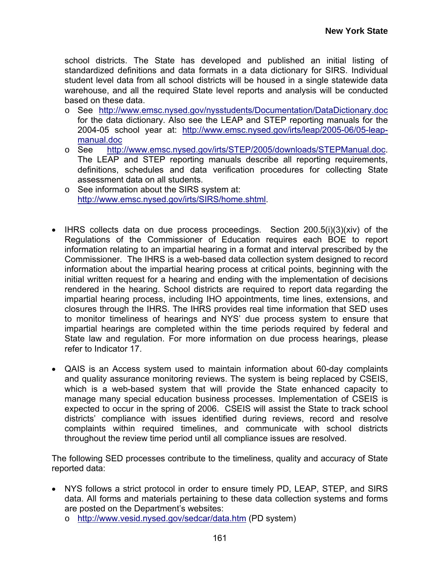school districts. The State has developed and published an initial listing of standardized definitions and data formats in a data dictionary for SIRS. Individual student level data from all school districts will be housed in a single statewide data warehouse, and all the required State level reports and analysis will be conducted based on these data.

- o See <http://www.emsc.nysed.gov/nysstudents/Documentation/DataDictionary.doc> for the data dictionary. Also see the LEAP and STEP reporting manuals for the 2004-05 school year at: [http://www.emsc.nysed.gov/irts/leap/2005-06/05-leap](http://www.emsc.nysed.gov/irts/leap/2005-06/05-leap-manual.doc)[manual.doc](http://www.emsc.nysed.gov/irts/leap/2005-06/05-leap-manual.doc)
- o See <http://www.emsc.nysed.gov/irts/STEP/2005/downloads/STEPManual.doc>. The LEAP and STEP reporting manuals describe all reporting requirements, definitions, schedules and data verification procedures for collecting State assessment data on all students.
- o See information about the SIRS system at: <http://www.emsc.nysed.gov/irts/SIRS/home.shtml>.
- IHRS collects data on due process proceedings. Section 200.5(i)(3)(xiv) of the Regulations of the Commissioner of Education requires each BOE to report information relating to an impartial hearing in a format and interval prescribed by the Commissioner. The IHRS is a web-based data collection system designed to record information about the impartial hearing process at critical points, beginning with the initial written request for a hearing and ending with the implementation of decisions rendered in the hearing. School districts are required to report data regarding the impartial hearing process, including IHO appointments, time lines, extensions, and closures through the IHRS. The IHRS provides real time information that SED uses to monitor timeliness of hearings and NYS' due process system to ensure that impartial hearings are completed within the time periods required by federal and State law and regulation. For more information on due process hearings, please refer to Indicator 17.
- QAIS is an Access system used to maintain information about 60-day complaints and quality assurance monitoring reviews. The system is being replaced by CSEIS, which is a web-based system that will provide the State enhanced capacity to manage many special education business processes. Implementation of CSEIS is expected to occur in the spring of 2006. CSEIS will assist the State to track school districts' compliance with issues identified during reviews, record and resolve complaints within required timelines, and communicate with school districts throughout the review time period until all compliance issues are resolved.

The following SED processes contribute to the timeliness, quality and accuracy of State reported data:

- NYS follows a strict protocol in order to ensure timely PD, LEAP, STEP, and SIRS data. All forms and materials pertaining to these data collection systems and forms are posted on the Department's websites:
	- o <http://www.vesid.nysed.gov/sedcar/data.htm>(PD system)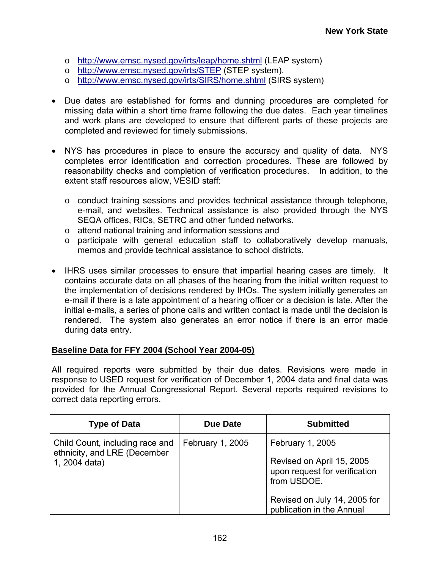- o <http://www.emsc.nysed.gov/irts/leap/home.shtml>(LEAP system)
- o <http://www.emsc.nysed.gov/irts/STEP>(STEP system).
- o <http://www.emsc.nysed.gov/irts/SIRS/home.shtml> (SIRS system)
- Due dates are established for forms and dunning procedures are completed for missing data within a short time frame following the due dates. Each year timelines and work plans are developed to ensure that different parts of these projects are completed and reviewed for timely submissions.
- NYS has procedures in place to ensure the accuracy and quality of data. NYS completes error identification and correction procedures. These are followed by reasonability checks and completion of verification procedures. In addition, to the extent staff resources allow, VESID staff:
	- $\circ$  conduct training sessions and provides technical assistance through telephone, e-mail, and websites. Technical assistance is also provided through the NYS SEQA offices, RICs, SETRC and other funded networks.
	- o attend national training and information sessions and
	- o participate with general education staff to collaboratively develop manuals, memos and provide technical assistance to school districts.
- IHRS uses similar processes to ensure that impartial hearing cases are timely. It contains accurate data on all phases of the hearing from the initial written request to the implementation of decisions rendered by IHOs. The system initially generates an e-mail if there is a late appointment of a hearing officer or a decision is late. After the initial e-mails, a series of phone calls and written contact is made until the decision is rendered. The system also generates an error notice if there is an error made during data entry.

### **Baseline Data for FFY 2004 (School Year 2004-05)**

All required reports were submitted by their due dates. Revisions were made in response to USED request for verification of December 1, 2004 data and final data was provided for the Annual Congressional Report. Several reports required revisions to correct data reporting errors.

| <b>Type of Data</b>                                                              | Due Date         | <b>Submitted</b>                                                                              |
|----------------------------------------------------------------------------------|------------------|-----------------------------------------------------------------------------------------------|
| Child Count, including race and<br>ethnicity, and LRE (December<br>1, 2004 data) | February 1, 2005 | February 1, 2005<br>Revised on April 15, 2005<br>upon request for verification<br>from USDOE. |
|                                                                                  |                  | Revised on July 14, 2005 for<br>publication in the Annual                                     |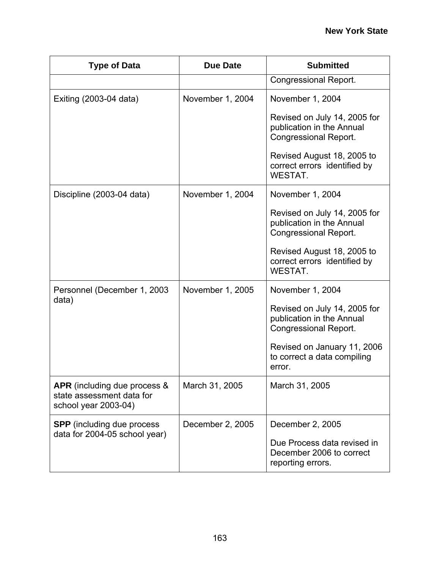| <b>Type of Data</b>                                                               | <b>Due Date</b>  | <b>Submitted</b>                                                                          |
|-----------------------------------------------------------------------------------|------------------|-------------------------------------------------------------------------------------------|
|                                                                                   |                  | <b>Congressional Report.</b>                                                              |
| Exiting (2003-04 data)                                                            | November 1, 2004 | November 1, 2004                                                                          |
|                                                                                   |                  | Revised on July 14, 2005 for<br>publication in the Annual<br><b>Congressional Report.</b> |
|                                                                                   |                  | Revised August 18, 2005 to<br>correct errors identified by<br>WESTAT.                     |
| Discipline (2003-04 data)                                                         | November 1, 2004 | November 1, 2004                                                                          |
|                                                                                   |                  | Revised on July 14, 2005 for<br>publication in the Annual<br><b>Congressional Report.</b> |
|                                                                                   |                  | Revised August 18, 2005 to<br>correct errors identified by<br><b>WESTAT.</b>              |
| Personnel (December 1, 2003)                                                      | November 1, 2005 | November 1, 2004                                                                          |
| data)                                                                             |                  | Revised on July 14, 2005 for<br>publication in the Annual<br><b>Congressional Report.</b> |
|                                                                                   |                  | Revised on January 11, 2006<br>to correct a data compiling<br>error.                      |
| APR (including due process &<br>state assessment data for<br>school year 2003-04) | March 31, 2005   | March 31, 2005                                                                            |
| <b>SPP</b> (including due process                                                 | December 2, 2005 | December 2, 2005                                                                          |
| data for 2004-05 school year)                                                     |                  | Due Process data revised in<br>December 2006 to correct<br>reporting errors.              |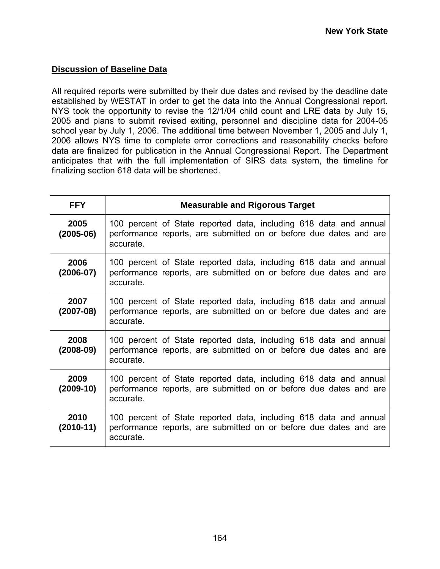## **Discussion of Baseline Data**

All required reports were submitted by their due dates and revised by the deadline date established by WESTAT in order to get the data into the Annual Congressional report. NYS took the opportunity to revise the 12/1/04 child count and LRE data by July 15, 2005 and plans to submit revised exiting, personnel and discipline data for 2004-05 school year by July 1, 2006. The additional time between November 1, 2005 and July 1, 2006 allows NYS time to complete error corrections and reasonability checks before data are finalized for publication in the Annual Congressional Report. The Department anticipates that with the full implementation of SIRS data system, the timeline for finalizing section 618 data will be shortened.

| <b>FFY</b>            | <b>Measurable and Rigorous Target</b>                                                                                                               |
|-----------------------|-----------------------------------------------------------------------------------------------------------------------------------------------------|
| 2005<br>$(2005-06)$   | 100 percent of State reported data, including 618 data and annual<br>performance reports, are submitted on or before due dates and are<br>accurate. |
| 2006<br>$(2006 - 07)$ | 100 percent of State reported data, including 618 data and annual<br>performance reports, are submitted on or before due dates and are<br>accurate. |
| 2007<br>$(2007-08)$   | 100 percent of State reported data, including 618 data and annual<br>performance reports, are submitted on or before due dates and are<br>accurate. |
| 2008<br>$(2008-09)$   | 100 percent of State reported data, including 618 data and annual<br>performance reports, are submitted on or before due dates and are<br>accurate. |
| 2009<br>$(2009-10)$   | 100 percent of State reported data, including 618 data and annual<br>performance reports, are submitted on or before due dates and are<br>accurate. |
| 2010<br>$(2010-11)$   | 100 percent of State reported data, including 618 data and annual<br>performance reports, are submitted on or before due dates and are<br>accurate. |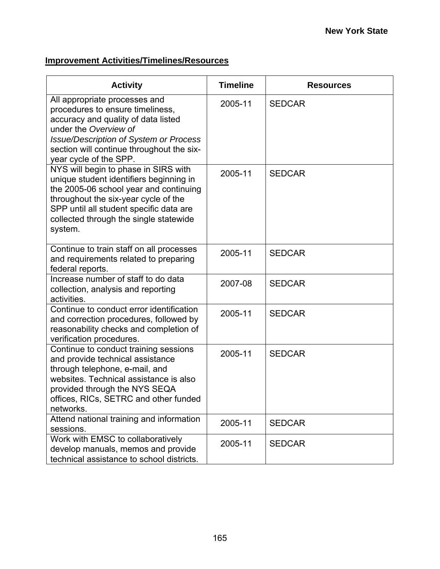| <b>Activity</b>                                                                                                                                                                                                                                                   | <b>Timeline</b> | <b>Resources</b> |
|-------------------------------------------------------------------------------------------------------------------------------------------------------------------------------------------------------------------------------------------------------------------|-----------------|------------------|
| All appropriate processes and<br>procedures to ensure timeliness,<br>accuracy and quality of data listed<br>under the Overview of<br><b>Issue/Description of System or Process</b><br>section will continue throughout the six-<br>year cycle of the SPP.         | 2005-11         | <b>SEDCAR</b>    |
| NYS will begin to phase in SIRS with<br>unique student identifiers beginning in<br>the 2005-06 school year and continuing<br>throughout the six-year cycle of the<br>SPP until all student specific data are<br>collected through the single statewide<br>system. | 2005-11         | <b>SEDCAR</b>    |
| Continue to train staff on all processes<br>and requirements related to preparing<br>federal reports.                                                                                                                                                             | 2005-11         | <b>SEDCAR</b>    |
| Increase number of staff to do data<br>collection, analysis and reporting<br>activities.                                                                                                                                                                          | 2007-08         | <b>SEDCAR</b>    |
| Continue to conduct error identification<br>and correction procedures, followed by<br>reasonability checks and completion of<br>verification procedures.                                                                                                          | 2005-11         | <b>SEDCAR</b>    |
| Continue to conduct training sessions<br>and provide technical assistance<br>through telephone, e-mail, and<br>websites. Technical assistance is also<br>provided through the NYS SEQA<br>offices, RICs, SETRC and other funded<br>networks.                      | 2005-11         | <b>SEDCAR</b>    |
| Attend national training and information<br>sessions.                                                                                                                                                                                                             | 2005-11         | <b>SEDCAR</b>    |
| Work with EMSC to collaboratively<br>develop manuals, memos and provide<br>technical assistance to school districts.                                                                                                                                              | 2005-11         | <b>SEDCAR</b>    |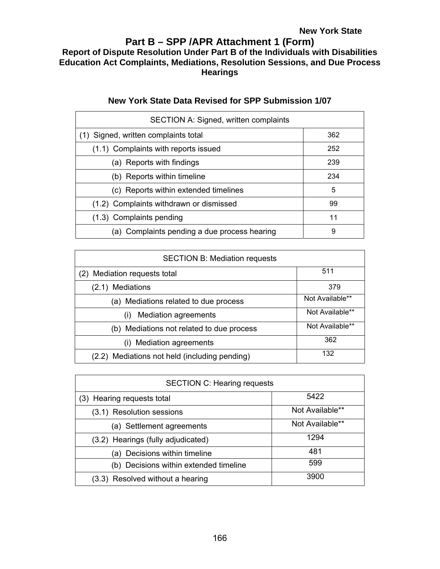# **Part B – SPP /APR Attachment 1 (Form) Report of Dispute Resolution Under Part B of the Individuals with Disabilities Education Act Complaints, Mediations, Resolution Sessions, and Due Process Hearings**

| <b>SECTION A: Signed, written complaints</b> |     |  |  |  |
|----------------------------------------------|-----|--|--|--|
| Signed, written complaints total<br>(1)      | 362 |  |  |  |
| (1.1) Complaints with reports issued         | 252 |  |  |  |
| (a) Reports with findings                    | 239 |  |  |  |
| (b) Reports within timeline                  | 234 |  |  |  |
| (c) Reports within extended timelines        | 5   |  |  |  |
| (1.2) Complaints withdrawn or dismissed      | 99  |  |  |  |
| (1.3) Complaints pending                     | 11  |  |  |  |
| (a) Complaints pending a due process hearing | 9   |  |  |  |

# **New York State Data Revised for SPP Submission 1/07**

| <b>SECTION B: Mediation requests</b>      |                 |  |  |
|-------------------------------------------|-----------------|--|--|
| Mediation requests total                  | 511             |  |  |
| <b>Mediations</b><br>(2.1)                | 379             |  |  |
| (a) Mediations related to due process     | Not Available** |  |  |
| <b>Mediation agreements</b><br>(1)        | Not Available** |  |  |
| (b) Mediations not related to due process | Not Available** |  |  |
| <b>Mediation agreements</b><br>(i)        | 362             |  |  |
| Mediations not held (including pending)   | 132             |  |  |

| <b>SECTION C: Hearing requests</b>     |                 |  |  |
|----------------------------------------|-----------------|--|--|
| 5422<br>(3) Hearing requests total     |                 |  |  |
| (3.1) Resolution sessions              | Not Available** |  |  |
| (a) Settlement agreements              | Not Available** |  |  |
| (3.2) Hearings (fully adjudicated)     | 1294            |  |  |
| Decisions within timeline<br>a)        | 481             |  |  |
| (b) Decisions within extended timeline | 599             |  |  |
| (3.3) Resolved without a hearing       | 3900            |  |  |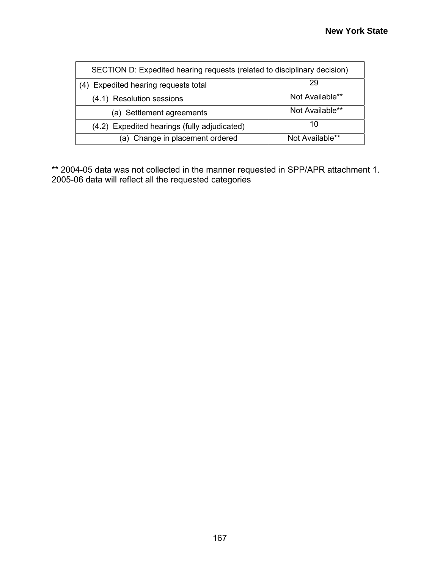| SECTION D: Expedited hearing requests (related to disciplinary decision) |                 |  |  |
|--------------------------------------------------------------------------|-----------------|--|--|
| 29<br>(4) Expedited hearing requests total                               |                 |  |  |
| Not Available**<br>(4.1) Resolution sessions                             |                 |  |  |
| (a) Settlement agreements                                                | Not Available** |  |  |
| (4.2) Expedited hearings (fully adjudicated)                             | 10              |  |  |
| (a) Change in placement ordered<br>Not Available**                       |                 |  |  |

\*\* 2004-05 data was not collected in the manner requested in SPP/APR attachment 1. 2005-06 data will reflect all the requested categories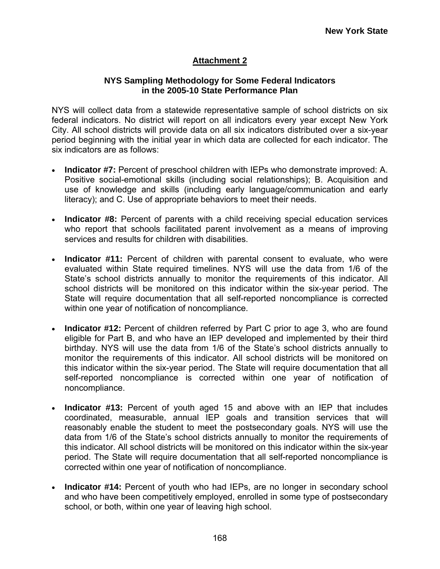# **Attachment 2**

### **NYS Sampling Methodology for Some Federal Indicators in the 2005-10 State Performance Plan**

NYS will collect data from a statewide representative sample of school districts on six federal indicators. No district will report on all indicators every year except New York City. All school districts will provide data on all six indicators distributed over a six-year period beginning with the initial year in which data are collected for each indicator. The six indicators are as follows:

- **Indicator #7:** Percent of preschool children with IEPs who demonstrate improved: A. Positive social-emotional skills (including social relationships); B. Acquisition and use of knowledge and skills (including early language/communication and early literacy); and C. Use of appropriate behaviors to meet their needs.
- **Indicator #8:** Percent of parents with a child receiving special education services who report that schools facilitated parent involvement as a means of improving services and results for children with disabilities.
- **Indicator #11:** Percent of children with parental consent to evaluate, who were evaluated within State required timelines. NYS will use the data from 1/6 of the State's school districts annually to monitor the requirements of this indicator. All school districts will be monitored on this indicator within the six-year period. The State will require documentation that all self-reported noncompliance is corrected within one year of notification of noncompliance.
- **Indicator #12:** Percent of children referred by Part C prior to age 3, who are found eligible for Part B, and who have an IEP developed and implemented by their third birthday. NYS will use the data from 1/6 of the State's school districts annually to monitor the requirements of this indicator. All school districts will be monitored on this indicator within the six-year period. The State will require documentation that all self-reported noncompliance is corrected within one year of notification of noncompliance.
- **Indicator #13:** Percent of youth aged 15 and above with an IEP that includes coordinated, measurable, annual IEP goals and transition services that will reasonably enable the student to meet the postsecondary goals. NYS will use the data from 1/6 of the State's school districts annually to monitor the requirements of this indicator. All school districts will be monitored on this indicator within the six-year period. The State will require documentation that all self-reported noncompliance is corrected within one year of notification of noncompliance.
- **Indicator #14:** Percent of youth who had IEPs, are no longer in secondary school and who have been competitively employed, enrolled in some type of postsecondary school, or both, within one year of leaving high school.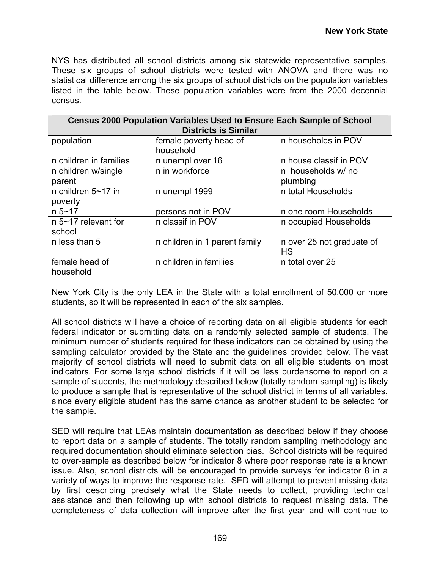NYS has distributed all school districts among six statewide representative samples. These six groups of school districts were tested with ANOVA and there was no statistical difference among the six groups of school districts on the population variables listed in the table below. These population variables were from the 2000 decennial census.

| <b>Census 2000 Population Variables Used to Ensure Each Sample of School</b><br><b>Districts is Similar</b> |                                     |                                        |  |  |  |
|-------------------------------------------------------------------------------------------------------------|-------------------------------------|----------------------------------------|--|--|--|
| population                                                                                                  | female poverty head of<br>household | n households in POV                    |  |  |  |
| n children in families                                                                                      | n unempl over 16                    | n house classif in POV                 |  |  |  |
| n children w/single<br>parent                                                                               | n in workforce                      | n households w/ no<br>plumbing         |  |  |  |
| n children $5 - 17$ in<br>poverty                                                                           | n unempl 1999                       | n total Households                     |  |  |  |
| $n 5 - 17$                                                                                                  | persons not in POV                  | n one room Households                  |  |  |  |
| n 5~17 relevant for<br>school                                                                               | n classif in POV                    | n occupied Households                  |  |  |  |
| n less than 5                                                                                               | n children in 1 parent family       | n over 25 not graduate of<br><b>HS</b> |  |  |  |
| female head of<br>household                                                                                 | n children in families              | n total over 25                        |  |  |  |

New York City is the only LEA in the State with a total enrollment of 50,000 or more students, so it will be represented in each of the six samples.

All school districts will have a choice of reporting data on all eligible students for each federal indicator or submitting data on a randomly selected sample of students. The minimum number of students required for these indicators can be obtained by using the sampling calculator provided by the State and the guidelines provided below. The vast majority of school districts will need to submit data on all eligible students on most indicators. For some large school districts if it will be less burdensome to report on a sample of students, the methodology described below (totally random sampling) is likely to produce a sample that is representative of the school district in terms of all variables, since every eligible student has the same chance as another student to be selected for the sample.

SED will require that LEAs maintain documentation as described below if they choose to report data on a sample of students. The totally random sampling methodology and required documentation should eliminate selection bias. School districts will be required to over-sample as described below for indicator 8 where poor response rate is a known issue. Also, school districts will be encouraged to provide surveys for indicator 8 in a variety of ways to improve the response rate. SED will attempt to prevent missing data by first describing precisely what the State needs to collect, providing technical assistance and then following up with school districts to request missing data. The completeness of data collection will improve after the first year and will continue to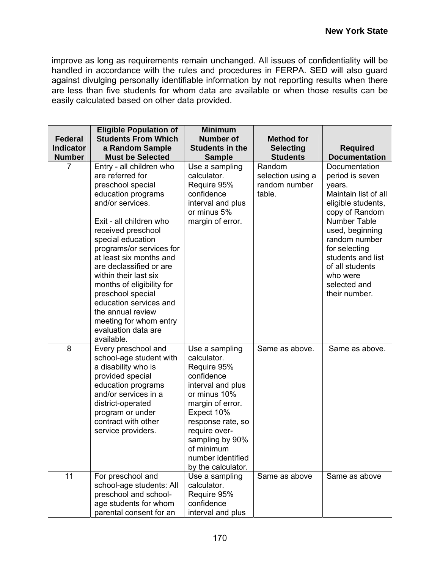improve as long as requirements remain unchanged. All issues of confidentiality will be handled in accordance with the rules and procedures in FERPA. SED will also guard against divulging personally identifiable information by not reporting results when there are less than five students for whom data are available or when those results can be easily calculated based on other data provided.

| <b>Federal</b>   | <b>Eligible Population of</b><br><b>Students From Which</b>                                                                                                                                                                                                                                                                                                                                                                                                  | <b>Minimum</b><br><b>Number of</b>                                                                                                                                                                                                                  | <b>Method for</b>                                      |                                                                                                                                                                                                                                                                      |
|------------------|--------------------------------------------------------------------------------------------------------------------------------------------------------------------------------------------------------------------------------------------------------------------------------------------------------------------------------------------------------------------------------------------------------------------------------------------------------------|-----------------------------------------------------------------------------------------------------------------------------------------------------------------------------------------------------------------------------------------------------|--------------------------------------------------------|----------------------------------------------------------------------------------------------------------------------------------------------------------------------------------------------------------------------------------------------------------------------|
| <b>Indicator</b> | a Random Sample                                                                                                                                                                                                                                                                                                                                                                                                                                              | <b>Students in the</b>                                                                                                                                                                                                                              | <b>Selecting</b>                                       | <b>Required</b>                                                                                                                                                                                                                                                      |
| <b>Number</b>    | <b>Must be Selected</b>                                                                                                                                                                                                                                                                                                                                                                                                                                      | <b>Sample</b>                                                                                                                                                                                                                                       | <b>Students</b>                                        | <b>Documentation</b>                                                                                                                                                                                                                                                 |
| 7                | Entry - all children who<br>are referred for<br>preschool special<br>education programs<br>and/or services.<br>Exit - all children who<br>received preschool<br>special education<br>programs/or services for<br>at least six months and<br>are declassified or are<br>within their last six<br>months of eligibility for<br>preschool special<br>education services and<br>the annual review<br>meeting for whom entry<br>evaluation data are<br>available. | Use a sampling<br>calculator.<br>Require 95%<br>confidence<br>interval and plus<br>or minus 5%<br>margin of error.                                                                                                                                  | Random<br>selection using a<br>random number<br>table. | Documentation<br>period is seven<br>years.<br>Maintain list of all<br>eligible students,<br>copy of Random<br>Number Table<br>used, beginning<br>random number<br>for selecting<br>students and list<br>of all students<br>who were<br>selected and<br>their number. |
| 8                | Every preschool and<br>school-age student with<br>a disability who is<br>provided special<br>education programs<br>and/or services in a<br>district-operated<br>program or under<br>contract with other<br>service providers.                                                                                                                                                                                                                                | Use a sampling<br>calculator.<br>Require 95%<br>confidence<br>interval and plus<br>or minus 10%<br>margin of error.<br>Expect 10%<br>response rate, so<br>require over-<br>sampling by 90%<br>of minimum<br>number identified<br>by the calculator. | Same as above.                                         | Same as above.                                                                                                                                                                                                                                                       |
| 11               | For preschool and<br>school-age students: All<br>preschool and school-<br>age students for whom<br>parental consent for an                                                                                                                                                                                                                                                                                                                                   | Use a sampling<br>calculator.<br>Require 95%<br>confidence<br>interval and plus                                                                                                                                                                     | Same as above                                          | Same as above                                                                                                                                                                                                                                                        |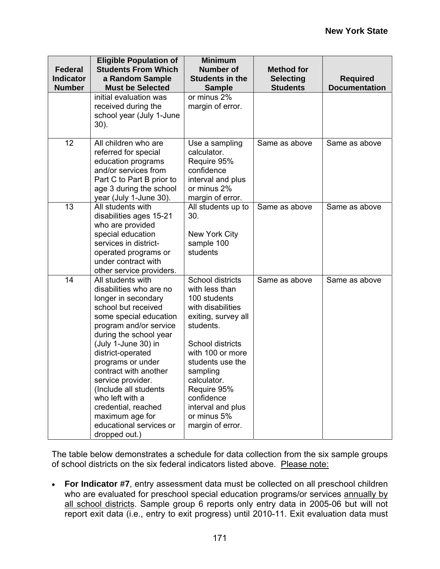| <b>Federal</b><br><b>Indicator</b><br><b>Number</b> | <b>Eligible Population of</b><br><b>Students From Which</b><br>a Random Sample<br><b>Must be Selected</b>                                                                                                                                                                                                                                                                                                                 | <b>Minimum</b><br><b>Number of</b><br><b>Students in the</b><br><b>Sample</b>                                                                                                                                                                                                           | <b>Method for</b><br><b>Selecting</b><br><b>Students</b> | <b>Required</b><br><b>Documentation</b> |
|-----------------------------------------------------|---------------------------------------------------------------------------------------------------------------------------------------------------------------------------------------------------------------------------------------------------------------------------------------------------------------------------------------------------------------------------------------------------------------------------|-----------------------------------------------------------------------------------------------------------------------------------------------------------------------------------------------------------------------------------------------------------------------------------------|----------------------------------------------------------|-----------------------------------------|
|                                                     | initial evaluation was<br>received during the<br>school year (July 1-June<br>30).                                                                                                                                                                                                                                                                                                                                         | or minus 2%<br>margin of error.                                                                                                                                                                                                                                                         |                                                          |                                         |
| 12                                                  | All children who are<br>referred for special<br>education programs<br>and/or services from<br>Part C to Part B prior to<br>age 3 during the school<br>year (July 1-June 30).                                                                                                                                                                                                                                              | Use a sampling<br>calculator.<br>Require 95%<br>confidence<br>interval and plus<br>or minus 2%<br>margin of error.                                                                                                                                                                      | Same as above                                            | Same as above                           |
| 13                                                  | All students with<br>disabilities ages 15-21<br>who are provided<br>special education<br>services in district-<br>operated programs or<br>under contract with<br>other service providers.                                                                                                                                                                                                                                 | All students up to<br>30.<br>New York City<br>sample 100<br>students                                                                                                                                                                                                                    | Same as above                                            | Same as above                           |
| 14                                                  | All students with<br>disabilities who are no<br>longer in secondary<br>school but received<br>some special education<br>program and/or service<br>during the school year<br>(July 1-June 30) in<br>district-operated<br>programs or under<br>contract with another<br>service provider.<br>(Include all students<br>who left with a<br>credential, reached<br>maximum age for<br>educational services or<br>dropped out.) | School districts<br>with less than<br>100 students<br>with disabilities<br>exiting, survey all<br>students.<br>School districts<br>with 100 or more<br>students use the<br>sampling<br>calculator.<br>Require 95%<br>confidence<br>interval and plus<br>or minus 5%<br>margin of error. | Same as above                                            | Same as above                           |

The table below demonstrates a schedule for data collection from the six sample groups of school districts on the six federal indicators listed above. Please note:

• **For Indicator #7**, entry assessment data must be collected on all preschool children who are evaluated for preschool special education programs/or services annually by all school districts. Sample group 6 reports only entry data in 2005-06 but will not report exit data (i.e., entry to exit progress) until 2010-11. Exit evaluation data must